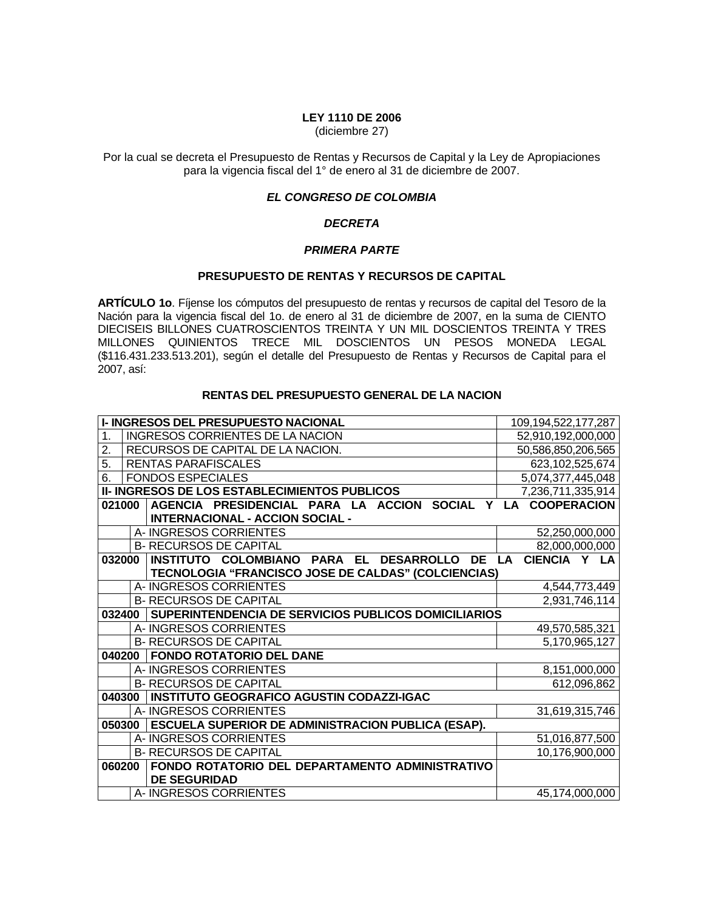## **LEY 1110 DE 2006**

(diciembre 27)

Por la cual se decreta el Presupuesto de Rentas y Recursos de Capital y la Ley de Apropiaciones para la vigencia fiscal del 1° de enero al 31 de diciembre de 2007.

# *EL CONGRESO DE COLOMBIA*

#### *DECRETA*

#### *PRIMERA PARTE*

#### **PRESUPUESTO DE RENTAS Y RECURSOS DE CAPITAL**

**ARTÍCULO 1o**. Fíjense los cómputos del presupuesto de rentas y recursos de capital del Tesoro de la Nación para la vigencia fiscal del 1o. de enero al 31 de diciembre de 2007, en la suma de CIENTO DIECISEIS BILLONES CUATROSCIENTOS TREINTA Y UN MIL DOSCIENTOS TREINTA Y TRES MILLONES QUINIENTOS TRECE MIL DOSCIENTOS UN PESOS MONEDA LEGAL (\$116.431.233.513.201), según el detalle del Presupuesto de Rentas y Recursos de Capital para el 2007, así:

## **RENTAS DEL PRESUPUESTO GENERAL DE LA NACION**

|        | <b>I- INGRESOS DEL PRESUPUESTO NACIONAL</b>                              | 109,194,522,177,287       |
|--------|--------------------------------------------------------------------------|---------------------------|
| 1.     | <b>INGRESOS CORRIENTES DE LA NACION</b>                                  | 52,910,192,000,000        |
| 2.     | RECURSOS DE CAPITAL DE LA NACION.                                        | 50,586,850,206,565        |
| 5.     | <b>RENTAS PARAFISCALES</b>                                               | 623,102,525,674           |
| 6.     | <b>FONDOS ESPECIALES</b>                                                 | 5,074,377,445,048         |
|        | II- INGRESOS DE LOS ESTABLECIMIENTOS PUBLICOS                            | 7,236,711,335,914         |
| 021000 | AGENCIA PRESIDENCIAL PARA LA ACCION SOCIAL Y LA COOPERACION              |                           |
|        | <b>INTERNACIONAL - ACCION SOCIAL -</b>                                   |                           |
|        | A-INGRESOS CORRIENTES                                                    | 52,250,000,000            |
|        | <b>B- RECURSOS DE CAPITAL</b>                                            | 82,000,000,000            |
| 032000 | <b>PARA EL</b><br><b>DESARROLLO</b><br>INSTITUTO COLOMBIANO<br><b>DE</b> | CIENCIA Y LA<br><b>LA</b> |
|        | TECNOLOGIA "FRANCISCO JOSE DE CALDAS" (COLCIENCIAS)                      |                           |
|        | A-INGRESOS CORRIENTES                                                    | 4,544,773,449             |
|        | <b>B- RECURSOS DE CAPITAL</b>                                            | 2,931,746,114             |
| 032400 | SUPERINTENDENCIA DE SERVICIOS PUBLICOS DOMICILIARIOS                     |                           |
|        | A-INGRESOS CORRIENTES                                                    | 49,570,585,321            |
|        | <b>B- RECURSOS DE CAPITAL</b>                                            | 5,170,965,127             |
| 040200 | <b>FONDO ROTATORIO DEL DANE</b>                                          |                           |
|        | A-INGRESOS CORRIENTES                                                    | 8,151,000,000             |
|        | <b>B- RECURSOS DE CAPITAL</b>                                            | 612,096,862               |
| 040300 | <b>INSTITUTO GEOGRAFICO AGUSTIN CODAZZI-IGAC</b>                         |                           |
|        | A- INGRESOS CORRIENTES                                                   | 31,619,315,746            |
| 050300 | <b>ESCUELA SUPERIOR DE ADMINISTRACION PUBLICA (ESAP).</b>                |                           |
|        | A-INGRESOS CORRIENTES                                                    | 51,016,877,500            |
|        | <b>B- RECURSOS DE CAPITAL</b>                                            | 10,176,900,000            |
| 060200 | FONDO ROTATORIO DEL DEPARTAMENTO ADMINISTRATIVO                          |                           |
|        | <b>DE SEGURIDAD</b>                                                      |                           |
|        | A-INGRESOS CORRIENTES                                                    | 45,174,000,000            |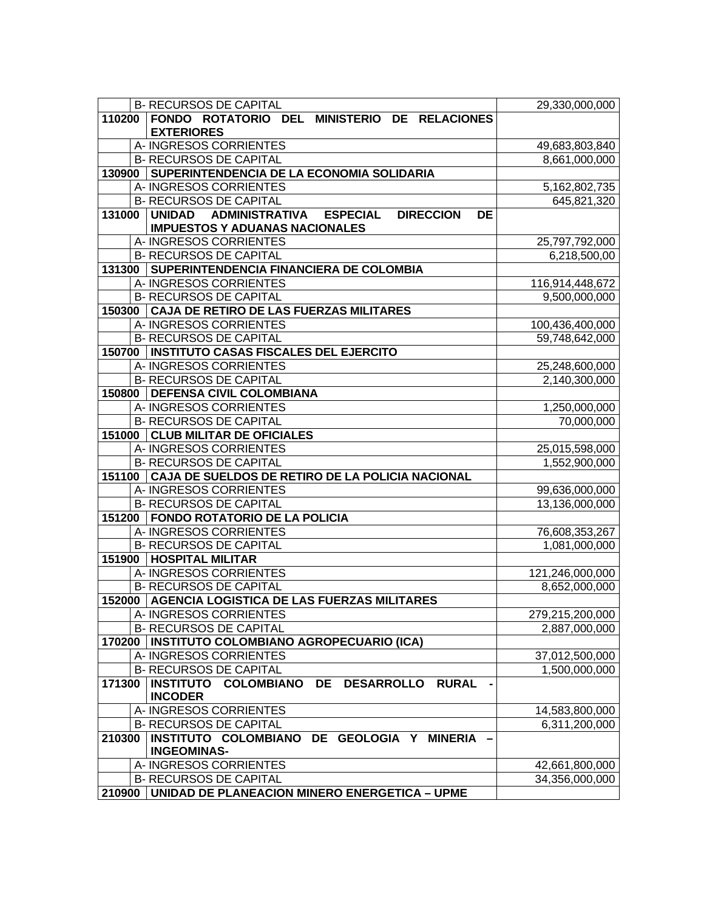| <b>B- RECURSOS DE CAPITAL</b>                                                    | 29,330,000,000  |
|----------------------------------------------------------------------------------|-----------------|
| 110200<br>FONDO ROTATORIO DEL MINISTERIO DE RELACIONES                           |                 |
| <b>EXTERIORES</b>                                                                |                 |
| A- INGRESOS CORRIENTES                                                           | 49,683,803,840  |
| <b>B- RECURSOS DE CAPITAL</b>                                                    | 8,661,000,000   |
| 130900 SUPERINTENDENCIA DE LA ECONOMIA SOLIDARIA                                 |                 |
| A-INGRESOS CORRIENTES                                                            | 5,162,802,735   |
| <b>B- RECURSOS DE CAPITAL</b>                                                    | 645,821,320     |
| UNIDAD ADMINISTRATIVA ESPECIAL<br>131000<br><b>DIRECCION</b><br><b>DE</b>        |                 |
| <b>IMPUESTOS Y ADUANAS NACIONALES</b>                                            |                 |
| A-INGRESOS CORRIENTES                                                            | 25,797,792,000  |
| <b>B- RECURSOS DE CAPITAL</b>                                                    | 6,218,500,00    |
| 131300 SUPERINTENDENCIA FINANCIERA DE COLOMBIA                                   |                 |
| A-INGRESOS CORRIENTES                                                            | 116,914,448,672 |
| <b>B- RECURSOS DE CAPITAL</b>                                                    | 9,500,000,000   |
| 150300 CAJA DE RETIRO DE LAS FUERZAS MILITARES                                   |                 |
| A-INGRESOS CORRIENTES                                                            | 100,436,400,000 |
| <b>B- RECURSOS DE CAPITAL</b>                                                    | 59,748,642,000  |
| 150700   INSTITUTO CASAS FISCALES DEL EJERCITO                                   |                 |
| A-INGRESOS CORRIENTES                                                            | 25,248,600,000  |
| <b>B- RECURSOS DE CAPITAL</b><br>150800   DEFENSA CIVIL COLOMBIANA               | 2,140,300,000   |
| A-INGRESOS CORRIENTES                                                            | 1,250,000,000   |
| <b>B- RECURSOS DE CAPITAL</b>                                                    | 70,000,000      |
| 151000 CLUB MILITAR DE OFICIALES                                                 |                 |
| A-INGRESOS CORRIENTES                                                            | 25,015,598,000  |
| <b>B- RECURSOS DE CAPITAL</b>                                                    | 1,552,900,000   |
| 151100 CAJA DE SUELDOS DE RETIRO DE LA POLICIA NACIONAL                          |                 |
| A-INGRESOS CORRIENTES                                                            | 99,636,000,000  |
| <b>B- RECURSOS DE CAPITAL</b>                                                    | 13,136,000,000  |
| 151200   FONDO ROTATORIO DE LA POLICIA                                           |                 |
| A-INGRESOS CORRIENTES                                                            | 76,608,353,267  |
| <b>B- RECURSOS DE CAPITAL</b>                                                    | 1,081,000,000   |
| 151900   HOSPITAL MILITAR                                                        |                 |
| A- INGRESOS CORRIENTES                                                           | 121,246,000,000 |
| <b>B- RECURSOS DE CAPITAL</b>                                                    | 8,652,000,000   |
| 152000 AGENCIA LOGISTICA DE LAS FUERZAS MILITARES                                |                 |
| A- INGRESOS CORRIENTES                                                           | 279,215,200,000 |
| <b>B- RECURSOS DE CAPITAL</b>                                                    | 2,887,000,000   |
| 170200<br><b>INSTITUTO COLOMBIANO AGROPECUARIO (ICA)</b>                         |                 |
| A- INGRESOS CORRIENTES                                                           | 37,012,500,000  |
| <b>B- RECURSOS DE CAPITAL</b>                                                    | 1,500,000,000   |
| INSTITUTO COLOMBIANO<br>171300<br><b>DE</b><br><b>RURAL</b><br><b>DESARROLLO</b> |                 |
| <b>INCODER</b>                                                                   |                 |
| A- INGRESOS CORRIENTES                                                           | 14,583,800,000  |
| <b>B- RECURSOS DE CAPITAL</b>                                                    | 6,311,200,000   |
| INSTITUTO COLOMBIANO DE GEOLOGIA Y MINERIA<br>210300                             |                 |
| <b>INGEOMINAS-</b>                                                               |                 |
| A-INGRESOS CORRIENTES<br><b>B- RECURSOS DE CAPITAL</b>                           | 42,661,800,000  |
| <b>UNIDAD DE PLANEACION MINERO ENERGETICA - UPME</b><br>210900                   | 34,356,000,000  |
|                                                                                  |                 |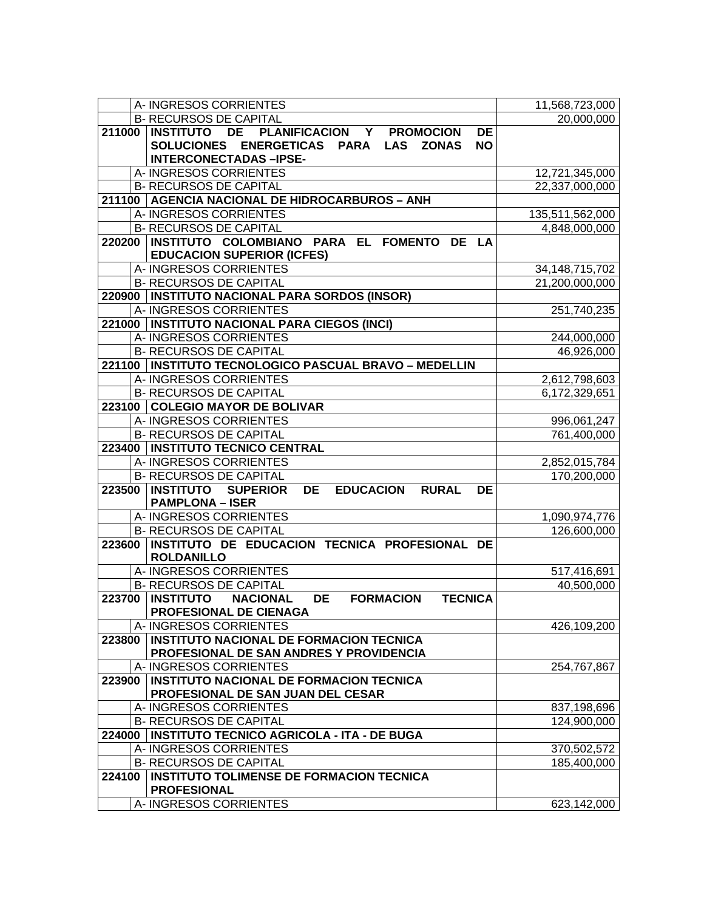| <b>B- RECURSOS DE CAPITAL</b><br>20,000,000<br><b>DE</b><br>PLANIFICACION Y<br><b>DE</b><br>211000<br><b>INSTITUTO</b><br><b>PROMOCION</b><br>SOLUCIONES ENERGETICAS PARA LAS ZONAS<br><b>NO</b><br><b>INTERCONECTADAS-IPSE-</b><br>A- INGRESOS CORRIENTES<br>12,721,345,000<br><b>B- RECURSOS DE CAPITAL</b><br>22,337,000,000<br>211100   AGENCIA NACIONAL DE HIDROCARBUROS - ANH<br>A-INGRESOS CORRIENTES<br>135,511,562,000<br><b>B- RECURSOS DE CAPITAL</b><br>4,848,000,000<br>220200 INSTITUTO COLOMBIANO PARA EL FOMENTO DE LA<br><b>EDUCACION SUPERIOR (ICFES)</b><br>A-INGRESOS CORRIENTES<br>34, 148, 715, 702<br><b>B- RECURSOS DE CAPITAL</b><br>21,200,000,000<br>220900   INSTITUTO NACIONAL PARA SORDOS (INSOR)<br>A-INGRESOS CORRIENTES<br>251,740,235<br>221000   INSTITUTO NACIONAL PARA CIEGOS (INCI)<br>A-INGRESOS CORRIENTES<br>244,000,000<br><b>B- RECURSOS DE CAPITAL</b><br>46,926,000<br>221100   INSTITUTO TECNOLOGICO PASCUAL BRAVO - MEDELLIN<br>A-INGRESOS CORRIENTES<br>2,612,798,603<br><b>B- RECURSOS DE CAPITAL</b><br>6,172,329,651<br>223100 COLEGIO MAYOR DE BOLIVAR<br>A-INGRESOS CORRIENTES<br>996,061,247<br><b>B- RECURSOS DE CAPITAL</b><br>761,400,000<br>223400   INSTITUTO TECNICO CENTRAL<br>A-INGRESOS CORRIENTES<br>2,852,015,784<br><b>B- RECURSOS DE CAPITAL</b><br>170,200,000<br><b>223500 INSTITUTO</b><br><b>SUPERIOR</b><br><b>DE</b><br><b>EDUCACION</b><br><b>DE</b><br><b>RURAL</b><br><b>PAMPLONA - ISER</b><br>A- INGRESOS CORRIENTES<br>1,090,974,776<br><b>B- RECURSOS DE CAPITAL</b><br>126,600,000<br>223600 INSTITUTO DE EDUCACION TECNICA PROFESIONAL DE<br><b>ROLDANILLO</b><br>A- INGRESOS CORRIENTES<br>517,416,691<br><b>B- RECURSOS DE CAPITAL</b><br>40,500,000<br>223700 INSTITUTO<br><b>DE</b><br><b>FORMACION</b><br><b>TECNICA</b><br><b>NACIONAL</b><br>PROFESIONAL DE CIENAGA<br>426,109,200<br>A-INGRESOS CORRIENTES<br>INSTITUTO NACIONAL DE FORMACION TECNICA<br>223800<br>PROFESIONAL DE SAN ANDRES Y PROVIDENCIA<br>A-INGRESOS CORRIENTES<br>254,767,867<br>223900   INSTITUTO NACIONAL DE FORMACION TECNICA<br>PROFESIONAL DE SAN JUAN DEL CESAR<br>A-INGRESOS CORRIENTES<br>837,198,696<br><b>B- RECURSOS DE CAPITAL</b><br>124,900,000<br>224000   INSTITUTO TECNICO AGRICOLA - ITA - DE BUGA<br>A-INGRESOS CORRIENTES<br>370,502,572<br><b>B- RECURSOS DE CAPITAL</b><br>185,400,000<br>224100   INSTITUTO TOLIMENSE DE FORMACION TECNICA<br><b>PROFESIONAL</b><br>A-INGRESOS CORRIENTES<br>623,142,000 | A- INGRESOS CORRIENTES | 11,568,723,000 |
|-------------------------------------------------------------------------------------------------------------------------------------------------------------------------------------------------------------------------------------------------------------------------------------------------------------------------------------------------------------------------------------------------------------------------------------------------------------------------------------------------------------------------------------------------------------------------------------------------------------------------------------------------------------------------------------------------------------------------------------------------------------------------------------------------------------------------------------------------------------------------------------------------------------------------------------------------------------------------------------------------------------------------------------------------------------------------------------------------------------------------------------------------------------------------------------------------------------------------------------------------------------------------------------------------------------------------------------------------------------------------------------------------------------------------------------------------------------------------------------------------------------------------------------------------------------------------------------------------------------------------------------------------------------------------------------------------------------------------------------------------------------------------------------------------------------------------------------------------------------------------------------------------------------------------------------------------------------------------------------------------------------------------------------------------------------------------------------------------------------------------------------------------------------------------------------------------------------------------------------------------------------------------------------------------------------------------------------------------------------------------------------------------------------------------------------------------------------------------------------------------|------------------------|----------------|
|                                                                                                                                                                                                                                                                                                                                                                                                                                                                                                                                                                                                                                                                                                                                                                                                                                                                                                                                                                                                                                                                                                                                                                                                                                                                                                                                                                                                                                                                                                                                                                                                                                                                                                                                                                                                                                                                                                                                                                                                                                                                                                                                                                                                                                                                                                                                                                                                                                                                                                 |                        |                |
|                                                                                                                                                                                                                                                                                                                                                                                                                                                                                                                                                                                                                                                                                                                                                                                                                                                                                                                                                                                                                                                                                                                                                                                                                                                                                                                                                                                                                                                                                                                                                                                                                                                                                                                                                                                                                                                                                                                                                                                                                                                                                                                                                                                                                                                                                                                                                                                                                                                                                                 |                        |                |
|                                                                                                                                                                                                                                                                                                                                                                                                                                                                                                                                                                                                                                                                                                                                                                                                                                                                                                                                                                                                                                                                                                                                                                                                                                                                                                                                                                                                                                                                                                                                                                                                                                                                                                                                                                                                                                                                                                                                                                                                                                                                                                                                                                                                                                                                                                                                                                                                                                                                                                 |                        |                |
|                                                                                                                                                                                                                                                                                                                                                                                                                                                                                                                                                                                                                                                                                                                                                                                                                                                                                                                                                                                                                                                                                                                                                                                                                                                                                                                                                                                                                                                                                                                                                                                                                                                                                                                                                                                                                                                                                                                                                                                                                                                                                                                                                                                                                                                                                                                                                                                                                                                                                                 |                        |                |
|                                                                                                                                                                                                                                                                                                                                                                                                                                                                                                                                                                                                                                                                                                                                                                                                                                                                                                                                                                                                                                                                                                                                                                                                                                                                                                                                                                                                                                                                                                                                                                                                                                                                                                                                                                                                                                                                                                                                                                                                                                                                                                                                                                                                                                                                                                                                                                                                                                                                                                 |                        |                |
|                                                                                                                                                                                                                                                                                                                                                                                                                                                                                                                                                                                                                                                                                                                                                                                                                                                                                                                                                                                                                                                                                                                                                                                                                                                                                                                                                                                                                                                                                                                                                                                                                                                                                                                                                                                                                                                                                                                                                                                                                                                                                                                                                                                                                                                                                                                                                                                                                                                                                                 |                        |                |
|                                                                                                                                                                                                                                                                                                                                                                                                                                                                                                                                                                                                                                                                                                                                                                                                                                                                                                                                                                                                                                                                                                                                                                                                                                                                                                                                                                                                                                                                                                                                                                                                                                                                                                                                                                                                                                                                                                                                                                                                                                                                                                                                                                                                                                                                                                                                                                                                                                                                                                 |                        |                |
|                                                                                                                                                                                                                                                                                                                                                                                                                                                                                                                                                                                                                                                                                                                                                                                                                                                                                                                                                                                                                                                                                                                                                                                                                                                                                                                                                                                                                                                                                                                                                                                                                                                                                                                                                                                                                                                                                                                                                                                                                                                                                                                                                                                                                                                                                                                                                                                                                                                                                                 |                        |                |
|                                                                                                                                                                                                                                                                                                                                                                                                                                                                                                                                                                                                                                                                                                                                                                                                                                                                                                                                                                                                                                                                                                                                                                                                                                                                                                                                                                                                                                                                                                                                                                                                                                                                                                                                                                                                                                                                                                                                                                                                                                                                                                                                                                                                                                                                                                                                                                                                                                                                                                 |                        |                |
|                                                                                                                                                                                                                                                                                                                                                                                                                                                                                                                                                                                                                                                                                                                                                                                                                                                                                                                                                                                                                                                                                                                                                                                                                                                                                                                                                                                                                                                                                                                                                                                                                                                                                                                                                                                                                                                                                                                                                                                                                                                                                                                                                                                                                                                                                                                                                                                                                                                                                                 |                        |                |
|                                                                                                                                                                                                                                                                                                                                                                                                                                                                                                                                                                                                                                                                                                                                                                                                                                                                                                                                                                                                                                                                                                                                                                                                                                                                                                                                                                                                                                                                                                                                                                                                                                                                                                                                                                                                                                                                                                                                                                                                                                                                                                                                                                                                                                                                                                                                                                                                                                                                                                 |                        |                |
|                                                                                                                                                                                                                                                                                                                                                                                                                                                                                                                                                                                                                                                                                                                                                                                                                                                                                                                                                                                                                                                                                                                                                                                                                                                                                                                                                                                                                                                                                                                                                                                                                                                                                                                                                                                                                                                                                                                                                                                                                                                                                                                                                                                                                                                                                                                                                                                                                                                                                                 |                        |                |
|                                                                                                                                                                                                                                                                                                                                                                                                                                                                                                                                                                                                                                                                                                                                                                                                                                                                                                                                                                                                                                                                                                                                                                                                                                                                                                                                                                                                                                                                                                                                                                                                                                                                                                                                                                                                                                                                                                                                                                                                                                                                                                                                                                                                                                                                                                                                                                                                                                                                                                 |                        |                |
|                                                                                                                                                                                                                                                                                                                                                                                                                                                                                                                                                                                                                                                                                                                                                                                                                                                                                                                                                                                                                                                                                                                                                                                                                                                                                                                                                                                                                                                                                                                                                                                                                                                                                                                                                                                                                                                                                                                                                                                                                                                                                                                                                                                                                                                                                                                                                                                                                                                                                                 |                        |                |
|                                                                                                                                                                                                                                                                                                                                                                                                                                                                                                                                                                                                                                                                                                                                                                                                                                                                                                                                                                                                                                                                                                                                                                                                                                                                                                                                                                                                                                                                                                                                                                                                                                                                                                                                                                                                                                                                                                                                                                                                                                                                                                                                                                                                                                                                                                                                                                                                                                                                                                 |                        |                |
|                                                                                                                                                                                                                                                                                                                                                                                                                                                                                                                                                                                                                                                                                                                                                                                                                                                                                                                                                                                                                                                                                                                                                                                                                                                                                                                                                                                                                                                                                                                                                                                                                                                                                                                                                                                                                                                                                                                                                                                                                                                                                                                                                                                                                                                                                                                                                                                                                                                                                                 |                        |                |
|                                                                                                                                                                                                                                                                                                                                                                                                                                                                                                                                                                                                                                                                                                                                                                                                                                                                                                                                                                                                                                                                                                                                                                                                                                                                                                                                                                                                                                                                                                                                                                                                                                                                                                                                                                                                                                                                                                                                                                                                                                                                                                                                                                                                                                                                                                                                                                                                                                                                                                 |                        |                |
|                                                                                                                                                                                                                                                                                                                                                                                                                                                                                                                                                                                                                                                                                                                                                                                                                                                                                                                                                                                                                                                                                                                                                                                                                                                                                                                                                                                                                                                                                                                                                                                                                                                                                                                                                                                                                                                                                                                                                                                                                                                                                                                                                                                                                                                                                                                                                                                                                                                                                                 |                        |                |
|                                                                                                                                                                                                                                                                                                                                                                                                                                                                                                                                                                                                                                                                                                                                                                                                                                                                                                                                                                                                                                                                                                                                                                                                                                                                                                                                                                                                                                                                                                                                                                                                                                                                                                                                                                                                                                                                                                                                                                                                                                                                                                                                                                                                                                                                                                                                                                                                                                                                                                 |                        |                |
|                                                                                                                                                                                                                                                                                                                                                                                                                                                                                                                                                                                                                                                                                                                                                                                                                                                                                                                                                                                                                                                                                                                                                                                                                                                                                                                                                                                                                                                                                                                                                                                                                                                                                                                                                                                                                                                                                                                                                                                                                                                                                                                                                                                                                                                                                                                                                                                                                                                                                                 |                        |                |
|                                                                                                                                                                                                                                                                                                                                                                                                                                                                                                                                                                                                                                                                                                                                                                                                                                                                                                                                                                                                                                                                                                                                                                                                                                                                                                                                                                                                                                                                                                                                                                                                                                                                                                                                                                                                                                                                                                                                                                                                                                                                                                                                                                                                                                                                                                                                                                                                                                                                                                 |                        |                |
|                                                                                                                                                                                                                                                                                                                                                                                                                                                                                                                                                                                                                                                                                                                                                                                                                                                                                                                                                                                                                                                                                                                                                                                                                                                                                                                                                                                                                                                                                                                                                                                                                                                                                                                                                                                                                                                                                                                                                                                                                                                                                                                                                                                                                                                                                                                                                                                                                                                                                                 |                        |                |
|                                                                                                                                                                                                                                                                                                                                                                                                                                                                                                                                                                                                                                                                                                                                                                                                                                                                                                                                                                                                                                                                                                                                                                                                                                                                                                                                                                                                                                                                                                                                                                                                                                                                                                                                                                                                                                                                                                                                                                                                                                                                                                                                                                                                                                                                                                                                                                                                                                                                                                 |                        |                |
|                                                                                                                                                                                                                                                                                                                                                                                                                                                                                                                                                                                                                                                                                                                                                                                                                                                                                                                                                                                                                                                                                                                                                                                                                                                                                                                                                                                                                                                                                                                                                                                                                                                                                                                                                                                                                                                                                                                                                                                                                                                                                                                                                                                                                                                                                                                                                                                                                                                                                                 |                        |                |
|                                                                                                                                                                                                                                                                                                                                                                                                                                                                                                                                                                                                                                                                                                                                                                                                                                                                                                                                                                                                                                                                                                                                                                                                                                                                                                                                                                                                                                                                                                                                                                                                                                                                                                                                                                                                                                                                                                                                                                                                                                                                                                                                                                                                                                                                                                                                                                                                                                                                                                 |                        |                |
|                                                                                                                                                                                                                                                                                                                                                                                                                                                                                                                                                                                                                                                                                                                                                                                                                                                                                                                                                                                                                                                                                                                                                                                                                                                                                                                                                                                                                                                                                                                                                                                                                                                                                                                                                                                                                                                                                                                                                                                                                                                                                                                                                                                                                                                                                                                                                                                                                                                                                                 |                        |                |
|                                                                                                                                                                                                                                                                                                                                                                                                                                                                                                                                                                                                                                                                                                                                                                                                                                                                                                                                                                                                                                                                                                                                                                                                                                                                                                                                                                                                                                                                                                                                                                                                                                                                                                                                                                                                                                                                                                                                                                                                                                                                                                                                                                                                                                                                                                                                                                                                                                                                                                 |                        |                |
|                                                                                                                                                                                                                                                                                                                                                                                                                                                                                                                                                                                                                                                                                                                                                                                                                                                                                                                                                                                                                                                                                                                                                                                                                                                                                                                                                                                                                                                                                                                                                                                                                                                                                                                                                                                                                                                                                                                                                                                                                                                                                                                                                                                                                                                                                                                                                                                                                                                                                                 |                        |                |
|                                                                                                                                                                                                                                                                                                                                                                                                                                                                                                                                                                                                                                                                                                                                                                                                                                                                                                                                                                                                                                                                                                                                                                                                                                                                                                                                                                                                                                                                                                                                                                                                                                                                                                                                                                                                                                                                                                                                                                                                                                                                                                                                                                                                                                                                                                                                                                                                                                                                                                 |                        |                |
|                                                                                                                                                                                                                                                                                                                                                                                                                                                                                                                                                                                                                                                                                                                                                                                                                                                                                                                                                                                                                                                                                                                                                                                                                                                                                                                                                                                                                                                                                                                                                                                                                                                                                                                                                                                                                                                                                                                                                                                                                                                                                                                                                                                                                                                                                                                                                                                                                                                                                                 |                        |                |
|                                                                                                                                                                                                                                                                                                                                                                                                                                                                                                                                                                                                                                                                                                                                                                                                                                                                                                                                                                                                                                                                                                                                                                                                                                                                                                                                                                                                                                                                                                                                                                                                                                                                                                                                                                                                                                                                                                                                                                                                                                                                                                                                                                                                                                                                                                                                                                                                                                                                                                 |                        |                |
|                                                                                                                                                                                                                                                                                                                                                                                                                                                                                                                                                                                                                                                                                                                                                                                                                                                                                                                                                                                                                                                                                                                                                                                                                                                                                                                                                                                                                                                                                                                                                                                                                                                                                                                                                                                                                                                                                                                                                                                                                                                                                                                                                                                                                                                                                                                                                                                                                                                                                                 |                        |                |
|                                                                                                                                                                                                                                                                                                                                                                                                                                                                                                                                                                                                                                                                                                                                                                                                                                                                                                                                                                                                                                                                                                                                                                                                                                                                                                                                                                                                                                                                                                                                                                                                                                                                                                                                                                                                                                                                                                                                                                                                                                                                                                                                                                                                                                                                                                                                                                                                                                                                                                 |                        |                |
|                                                                                                                                                                                                                                                                                                                                                                                                                                                                                                                                                                                                                                                                                                                                                                                                                                                                                                                                                                                                                                                                                                                                                                                                                                                                                                                                                                                                                                                                                                                                                                                                                                                                                                                                                                                                                                                                                                                                                                                                                                                                                                                                                                                                                                                                                                                                                                                                                                                                                                 |                        |                |
|                                                                                                                                                                                                                                                                                                                                                                                                                                                                                                                                                                                                                                                                                                                                                                                                                                                                                                                                                                                                                                                                                                                                                                                                                                                                                                                                                                                                                                                                                                                                                                                                                                                                                                                                                                                                                                                                                                                                                                                                                                                                                                                                                                                                                                                                                                                                                                                                                                                                                                 |                        |                |
|                                                                                                                                                                                                                                                                                                                                                                                                                                                                                                                                                                                                                                                                                                                                                                                                                                                                                                                                                                                                                                                                                                                                                                                                                                                                                                                                                                                                                                                                                                                                                                                                                                                                                                                                                                                                                                                                                                                                                                                                                                                                                                                                                                                                                                                                                                                                                                                                                                                                                                 |                        |                |
|                                                                                                                                                                                                                                                                                                                                                                                                                                                                                                                                                                                                                                                                                                                                                                                                                                                                                                                                                                                                                                                                                                                                                                                                                                                                                                                                                                                                                                                                                                                                                                                                                                                                                                                                                                                                                                                                                                                                                                                                                                                                                                                                                                                                                                                                                                                                                                                                                                                                                                 |                        |                |
|                                                                                                                                                                                                                                                                                                                                                                                                                                                                                                                                                                                                                                                                                                                                                                                                                                                                                                                                                                                                                                                                                                                                                                                                                                                                                                                                                                                                                                                                                                                                                                                                                                                                                                                                                                                                                                                                                                                                                                                                                                                                                                                                                                                                                                                                                                                                                                                                                                                                                                 |                        |                |
|                                                                                                                                                                                                                                                                                                                                                                                                                                                                                                                                                                                                                                                                                                                                                                                                                                                                                                                                                                                                                                                                                                                                                                                                                                                                                                                                                                                                                                                                                                                                                                                                                                                                                                                                                                                                                                                                                                                                                                                                                                                                                                                                                                                                                                                                                                                                                                                                                                                                                                 |                        |                |
|                                                                                                                                                                                                                                                                                                                                                                                                                                                                                                                                                                                                                                                                                                                                                                                                                                                                                                                                                                                                                                                                                                                                                                                                                                                                                                                                                                                                                                                                                                                                                                                                                                                                                                                                                                                                                                                                                                                                                                                                                                                                                                                                                                                                                                                                                                                                                                                                                                                                                                 |                        |                |
|                                                                                                                                                                                                                                                                                                                                                                                                                                                                                                                                                                                                                                                                                                                                                                                                                                                                                                                                                                                                                                                                                                                                                                                                                                                                                                                                                                                                                                                                                                                                                                                                                                                                                                                                                                                                                                                                                                                                                                                                                                                                                                                                                                                                                                                                                                                                                                                                                                                                                                 |                        |                |
|                                                                                                                                                                                                                                                                                                                                                                                                                                                                                                                                                                                                                                                                                                                                                                                                                                                                                                                                                                                                                                                                                                                                                                                                                                                                                                                                                                                                                                                                                                                                                                                                                                                                                                                                                                                                                                                                                                                                                                                                                                                                                                                                                                                                                                                                                                                                                                                                                                                                                                 |                        |                |
|                                                                                                                                                                                                                                                                                                                                                                                                                                                                                                                                                                                                                                                                                                                                                                                                                                                                                                                                                                                                                                                                                                                                                                                                                                                                                                                                                                                                                                                                                                                                                                                                                                                                                                                                                                                                                                                                                                                                                                                                                                                                                                                                                                                                                                                                                                                                                                                                                                                                                                 |                        |                |
|                                                                                                                                                                                                                                                                                                                                                                                                                                                                                                                                                                                                                                                                                                                                                                                                                                                                                                                                                                                                                                                                                                                                                                                                                                                                                                                                                                                                                                                                                                                                                                                                                                                                                                                                                                                                                                                                                                                                                                                                                                                                                                                                                                                                                                                                                                                                                                                                                                                                                                 |                        |                |
|                                                                                                                                                                                                                                                                                                                                                                                                                                                                                                                                                                                                                                                                                                                                                                                                                                                                                                                                                                                                                                                                                                                                                                                                                                                                                                                                                                                                                                                                                                                                                                                                                                                                                                                                                                                                                                                                                                                                                                                                                                                                                                                                                                                                                                                                                                                                                                                                                                                                                                 |                        |                |
|                                                                                                                                                                                                                                                                                                                                                                                                                                                                                                                                                                                                                                                                                                                                                                                                                                                                                                                                                                                                                                                                                                                                                                                                                                                                                                                                                                                                                                                                                                                                                                                                                                                                                                                                                                                                                                                                                                                                                                                                                                                                                                                                                                                                                                                                                                                                                                                                                                                                                                 |                        |                |
|                                                                                                                                                                                                                                                                                                                                                                                                                                                                                                                                                                                                                                                                                                                                                                                                                                                                                                                                                                                                                                                                                                                                                                                                                                                                                                                                                                                                                                                                                                                                                                                                                                                                                                                                                                                                                                                                                                                                                                                                                                                                                                                                                                                                                                                                                                                                                                                                                                                                                                 |                        |                |
|                                                                                                                                                                                                                                                                                                                                                                                                                                                                                                                                                                                                                                                                                                                                                                                                                                                                                                                                                                                                                                                                                                                                                                                                                                                                                                                                                                                                                                                                                                                                                                                                                                                                                                                                                                                                                                                                                                                                                                                                                                                                                                                                                                                                                                                                                                                                                                                                                                                                                                 |                        |                |
|                                                                                                                                                                                                                                                                                                                                                                                                                                                                                                                                                                                                                                                                                                                                                                                                                                                                                                                                                                                                                                                                                                                                                                                                                                                                                                                                                                                                                                                                                                                                                                                                                                                                                                                                                                                                                                                                                                                                                                                                                                                                                                                                                                                                                                                                                                                                                                                                                                                                                                 |                        |                |
|                                                                                                                                                                                                                                                                                                                                                                                                                                                                                                                                                                                                                                                                                                                                                                                                                                                                                                                                                                                                                                                                                                                                                                                                                                                                                                                                                                                                                                                                                                                                                                                                                                                                                                                                                                                                                                                                                                                                                                                                                                                                                                                                                                                                                                                                                                                                                                                                                                                                                                 |                        |                |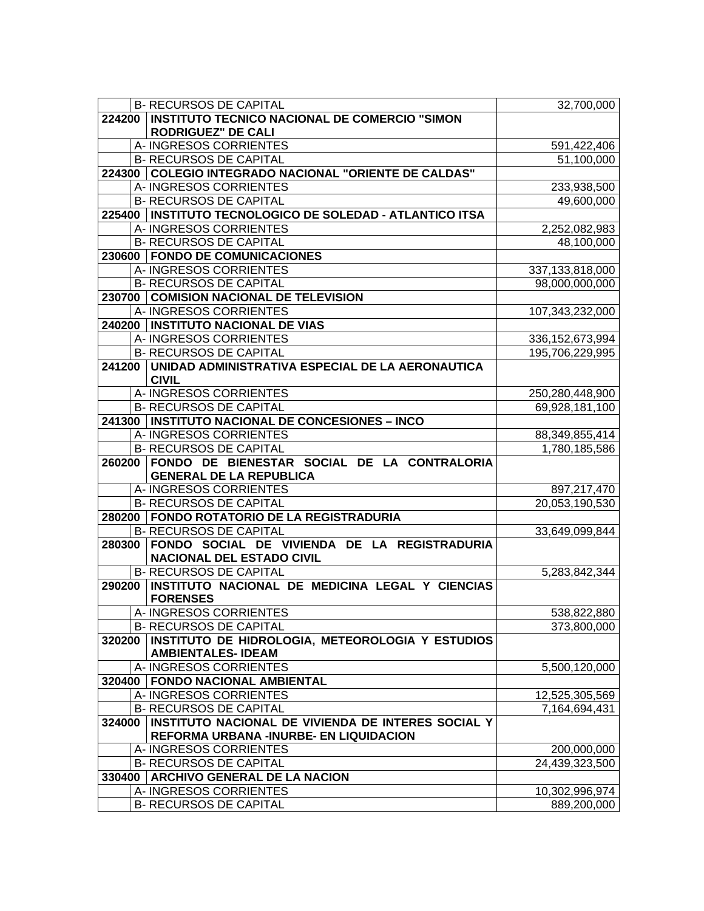|        | <b>B- RECURSOS DE CAPITAL</b>                              | 32,700,000                    |
|--------|------------------------------------------------------------|-------------------------------|
|        | 224200   INSTITUTO TECNICO NACIONAL DE COMERCIO "SIMON     |                               |
|        | <b>RODRIGUEZ" DE CALI</b>                                  |                               |
|        | A- INGRESOS CORRIENTES                                     | 591,422,406                   |
|        | <b>B- RECURSOS DE CAPITAL</b>                              | 51,100,000                    |
|        | 224300 COLEGIO INTEGRADO NACIONAL "ORIENTE DE CALDAS"      |                               |
|        | A- INGRESOS CORRIENTES                                     | 233,938,500                   |
|        | <b>B- RECURSOS DE CAPITAL</b>                              | 49,600,000                    |
|        | 225400   INSTITUTO TECNOLOGICO DE SOLEDAD - ATLANTICO ITSA |                               |
|        | A- INGRESOS CORRIENTES                                     | 2,252,082,983                 |
|        | <b>B- RECURSOS DE CAPITAL</b>                              | 48,100,000                    |
|        | 230600   FONDO DE COMUNICACIONES                           |                               |
|        | A- INGRESOS CORRIENTES                                     | 337,133,818,000               |
|        | <b>B- RECURSOS DE CAPITAL</b>                              | 98,000,000,000                |
|        | 230700 COMISION NACIONAL DE TELEVISION                     |                               |
|        | A-INGRESOS CORRIENTES                                      | 107,343,232,000               |
|        | 240200   INSTITUTO NACIONAL DE VIAS                        |                               |
|        | A- INGRESOS CORRIENTES                                     | 336, 152, 673, 994            |
|        | <b>B- RECURSOS DE CAPITAL</b>                              | 195,706,229,995               |
|        | 241200 UNIDAD ADMINISTRATIVA ESPECIAL DE LA AERONAUTICA    |                               |
|        | <b>CIVIL</b>                                               |                               |
|        | A- INGRESOS CORRIENTES                                     | 250,280,448,900               |
|        | <b>B- RECURSOS DE CAPITAL</b>                              | 69,928,181,100                |
|        | 241300   INSTITUTO NACIONAL DE CONCESIONES - INCO          |                               |
|        | A- INGRESOS CORRIENTES                                     | 88,349,855,414                |
|        | <b>B- RECURSOS DE CAPITAL</b>                              | 1,780,185,586                 |
|        | 260200 FONDO DE BIENESTAR SOCIAL DE LA CONTRALORIA         |                               |
|        | <b>GENERAL DE LA REPUBLICA</b><br>A- INGRESOS CORRIENTES   |                               |
|        | <b>B- RECURSOS DE CAPITAL</b>                              | 897,217,470<br>20,053,190,530 |
|        | 280200 FONDO ROTATORIO DE LA REGISTRADURIA                 |                               |
|        | <b>B- RECURSOS DE CAPITAL</b>                              | 33,649,099,844                |
|        | 280300 FONDO SOCIAL DE VIVIENDA DE LA REGISTRADURIA        |                               |
|        | <b>NACIONAL DEL ESTADO CIVIL</b>                           |                               |
|        | <b>B- RECURSOS DE CAPITAL</b>                              | 5,283,842,344                 |
| 290200 | INSTITUTO NACIONAL DE MEDICINA LEGAL Y CIENCIAS            |                               |
|        | <b>FORENSES</b>                                            |                               |
|        | A-INGRESOS CORRIENTES                                      | 538,822,880                   |
|        | <b>B- RECURSOS DE CAPITAL</b>                              | 373,800,000                   |
|        | 320200 INSTITUTO DE HIDROLOGIA, METEOROLOGIA Y ESTUDIOS    |                               |
|        |                                                            |                               |
|        | <b>AMBIENTALES-IDEAM</b>                                   |                               |
|        | A- INGRESOS CORRIENTES                                     | 5,500,120,000                 |
|        | 320400   FONDO NACIONAL AMBIENTAL                          |                               |
|        | A-INGRESOS CORRIENTES                                      | 12,525,305,569                |
|        | <b>B- RECURSOS DE CAPITAL</b>                              | 7,164,694,431                 |
|        | 324000 INSTITUTO NACIONAL DE VIVIENDA DE INTERES SOCIAL Y  |                               |
|        | REFORMA URBANA -INURBE- EN LIQUIDACION                     |                               |
|        | A-INGRESOS CORRIENTES                                      | 200,000,000                   |
|        | <b>B- RECURSOS DE CAPITAL</b>                              | 24,439,323,500                |
|        | 330400   ARCHIVO GENERAL DE LA NACION                      |                               |
|        | A- INGRESOS CORRIENTES<br><b>B- RECURSOS DE CAPITAL</b>    | 10,302,996,974<br>889,200,000 |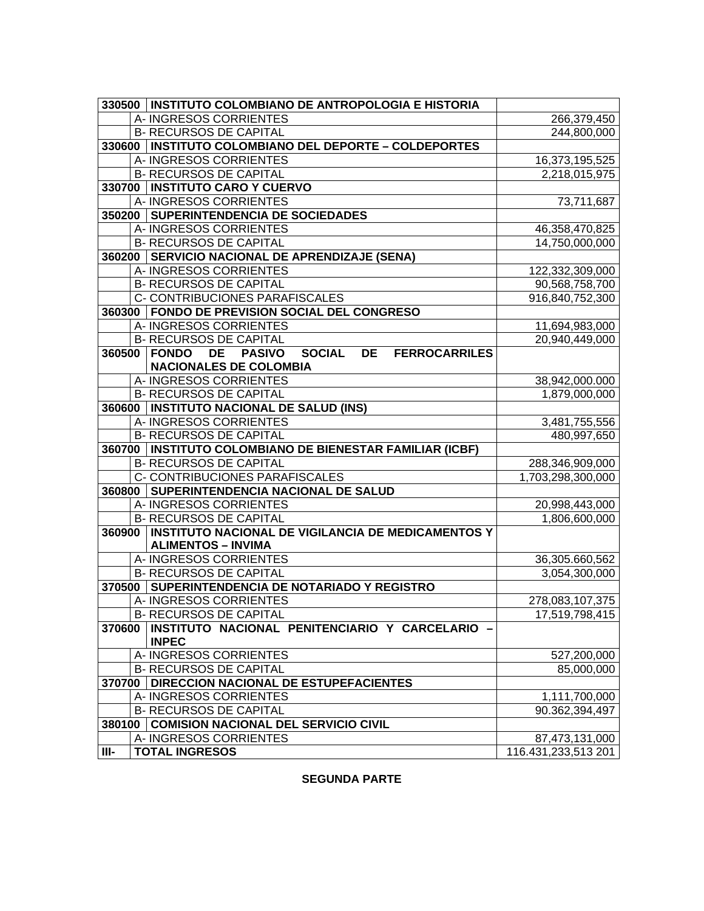|         | 330500   INSTITUTO COLOMBIANO DE ANTROPOLOGIA E HISTORIA                            |                     |
|---------|-------------------------------------------------------------------------------------|---------------------|
|         | A- INGRESOS CORRIENTES                                                              | 266,379,450         |
|         | <b>B- RECURSOS DE CAPITAL</b>                                                       | 244,800,000         |
|         | 330600   INSTITUTO COLOMBIANO DEL DEPORTE - COLDEPORTES                             |                     |
|         | A- INGRESOS CORRIENTES                                                              | 16,373,195,525      |
|         | <b>B- RECURSOS DE CAPITAL</b>                                                       | 2,218,015,975       |
|         | 330700   INSTITUTO CARO Y CUERVO                                                    |                     |
|         | A- INGRESOS CORRIENTES                                                              | 73,711,687          |
|         | 350200 SUPERINTENDENCIA DE SOCIEDADES                                               |                     |
|         | A-INGRESOS CORRIENTES                                                               | 46,358,470,825      |
|         | <b>B- RECURSOS DE CAPITAL</b>                                                       | 14,750,000,000      |
|         | 360200 SERVICIO NACIONAL DE APRENDIZAJE (SENA)                                      |                     |
|         | A- INGRESOS CORRIENTES                                                              | 122,332,309,000     |
|         | <b>B- RECURSOS DE CAPITAL</b>                                                       | 90,568,758,700      |
|         | C- CONTRIBUCIONES PARAFISCALES                                                      | 916,840,752,300     |
|         | 360300   FONDO DE PREVISION SOCIAL DEL CONGRESO                                     |                     |
|         | A-INGRESOS CORRIENTES                                                               | 11,694,983,000      |
|         | <b>B- RECURSOS DE CAPITAL</b>                                                       | 20,940,449,000      |
|         | 360500 FONDO<br><b>PASIVO</b><br>DE<br><b>SOCIAL</b><br>DE<br><b>FERROCARRILES</b>  |                     |
|         | <b>NACIONALES DE COLOMBIA</b>                                                       |                     |
|         | A- INGRESOS CORRIENTES                                                              | 38,942,000.000      |
|         | <b>B- RECURSOS DE CAPITAL</b>                                                       | 1,879,000,000       |
|         | 360600   INSTITUTO NACIONAL DE SALUD (INS)                                          |                     |
|         | A- INGRESOS CORRIENTES                                                              | 3,481,755,556       |
|         | <b>B- RECURSOS DE CAPITAL</b>                                                       | 480,997,650         |
|         | 360700 INSTITUTO COLOMBIANO DE BIENESTAR FAMILIAR (ICBF)                            |                     |
|         | <b>B- RECURSOS DE CAPITAL</b>                                                       | 288,346,909,000     |
|         | C- CONTRIBUCIONES PARAFISCALES                                                      | 1,703,298,300,000   |
|         | 360800   SUPERINTENDENCIA NACIONAL DE SALUD                                         |                     |
|         | A- INGRESOS CORRIENTES                                                              | 20,998,443,000      |
| 360900  | <b>B- RECURSOS DE CAPITAL</b><br>INSTITUTO NACIONAL DE VIGILANCIA DE MEDICAMENTOS Y | 1,806,600,000       |
|         | <b>ALIMENTOS - INVIMA</b>                                                           |                     |
|         | A- INGRESOS CORRIENTES                                                              | 36,305.660,562      |
|         | <b>B- RECURSOS DE CAPITAL</b>                                                       | 3,054,300,000       |
|         | 370500 SUPERINTENDENCIA DE NOTARIADO Y REGISTRO                                     |                     |
|         | A- INGRESOS CORRIENTES                                                              | 278,083,107,375     |
|         | <b>B- RECURSOS DE CAPITAL</b>                                                       | 17,519,798,415      |
| 370600  | INSTITUTO NACIONAL PENITENCIARIO Y CARCELARIO -                                     |                     |
|         | <b>INPEC</b>                                                                        |                     |
|         | A-INGRESOS CORRIENTES                                                               | 527,200,000         |
|         | <b>B- RECURSOS DE CAPITAL</b>                                                       | 85,000,000          |
|         | 370700   DIRECCION NACIONAL DE ESTUPEFACIENTES                                      |                     |
|         | A-INGRESOS CORRIENTES                                                               | 1,111,700,000       |
|         | <b>B- RECURSOS DE CAPITAL</b>                                                       | 90.362,394,497      |
|         | 380100 COMISION NACIONAL DEL SERVICIO CIVIL                                         |                     |
|         | A- INGRESOS CORRIENTES                                                              | 87,473,131,000      |
| $III -$ | <b>TOTAL INGRESOS</b>                                                               | 116.431,233,513 201 |

**SEGUNDA PARTE**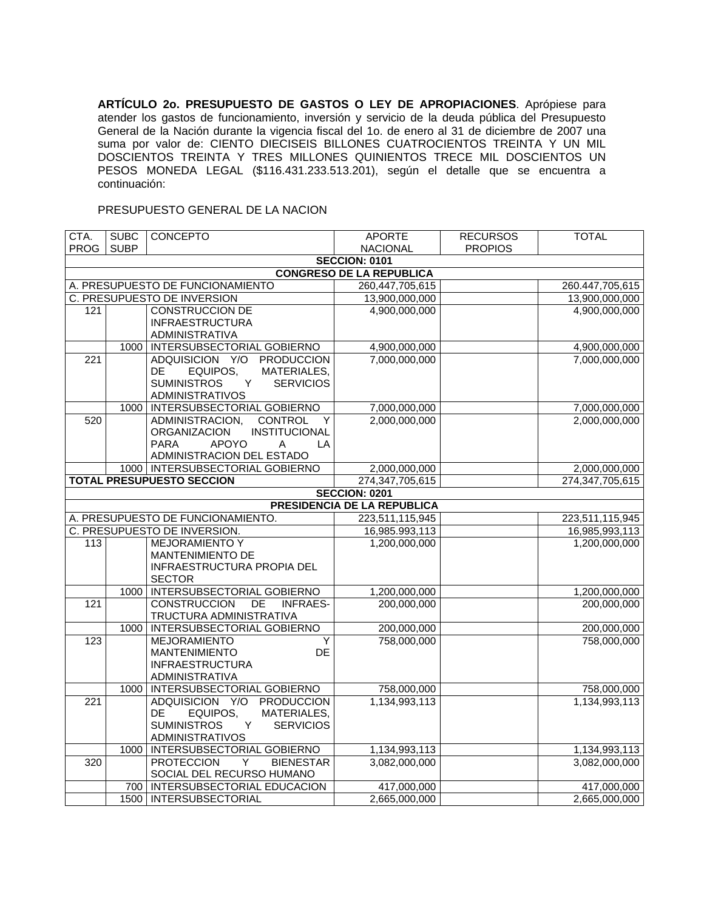**ARTÍCULO 2o. PRESUPUESTO DE GASTOS O LEY DE APROPIACIONES**. Aprópiese para atender los gastos de funcionamiento, inversión y servicio de la deuda pública del Presupuesto General de la Nación durante la vigencia fiscal del 1o. de enero al 31 de diciembre de 2007 una suma por valor de: CIENTO DIECISEIS BILLONES CUATROCIENTOS TREINTA Y UN MIL DOSCIENTOS TREINTA Y TRES MILLONES QUINIENTOS TRECE MIL DOSCIENTOS UN PESOS MONEDA LEGAL (\$116.431.233.513.201), según el detalle que se encuentra a continuación:

## PRESUPUESTO GENERAL DE LA NACION

| CTA.             | <b>SUBC</b> | <b>CONCEPTO</b>                                     | <b>APORTE</b>                      | <b>RECURSOS</b> | <b>TOTAL</b>    |
|------------------|-------------|-----------------------------------------------------|------------------------------------|-----------------|-----------------|
| <b>PROG</b>      | <b>SUBP</b> |                                                     | <b>NACIONAL</b>                    | <b>PROPIOS</b>  |                 |
|                  |             |                                                     | <b>SECCION: 0101</b>               |                 |                 |
|                  |             |                                                     | <b>CONGRESO DE LA REPUBLICA</b>    |                 |                 |
|                  |             | A. PRESUPUESTO DE FUNCIONAMIENTO                    | 260,447,705,615                    |                 | 260.447,705,615 |
|                  |             | C. PRESUPUESTO DE INVERSION                         | 13,900,000,000                     |                 | 13,900,000,000  |
| 121              |             | <b>CONSTRUCCION DE</b><br><b>INFRAESTRUCTURA</b>    | 4,900,000,000                      |                 | 4,900,000,000   |
|                  |             | ADMINISTRATIVA                                      |                                    |                 |                 |
|                  | 1000        | INTERSUBSECTORIAL GOBIERNO                          | 4,900,000,000                      |                 | 4,900,000,000   |
| $\overline{221}$ |             | ADQUISICION Y/O PRODUCCION                          | 7,000,000,000                      |                 | 7,000,000,000   |
|                  |             | MATERIALES,<br><b>DE</b><br>EQUIPOS,                |                                    |                 |                 |
|                  |             | <b>SUMINISTROS</b><br><b>SERVICIOS</b><br>Y         |                                    |                 |                 |
|                  |             | <b>ADMINISTRATIVOS</b>                              |                                    |                 |                 |
|                  | 1000        | INTERSUBSECTORIAL GOBIERNO                          | 7,000,000,000                      |                 | 7,000,000,000   |
| 520              |             | ADMINISTRACION,<br><b>CONTROL</b><br>Υ              | 2,000,000,000                      |                 | 2,000,000,000   |
|                  |             | <b>INSTITUCIONAL</b><br><b>ORGANIZACION</b>         |                                    |                 |                 |
|                  |             | <b>PARA</b><br><b>APOYO</b><br>A<br>LA              |                                    |                 |                 |
|                  |             | ADMINISTRACION DEL ESTADO                           |                                    |                 |                 |
|                  |             | 1000   INTERSUBSECTORIAL GOBIERNO                   | 2,000,000,000                      |                 | 2,000,000,000   |
|                  |             | <b>TOTAL PRESUPUESTO SECCION</b>                    | 274,347,705,615                    |                 | 274,347,705,615 |
|                  |             |                                                     | <b>SECCION: 0201</b>               |                 |                 |
|                  |             |                                                     | <b>PRESIDENCIA DE LA REPUBLICA</b> |                 |                 |
|                  |             | A. PRESUPUESTO DE FUNCIONAMIENTO.                   | 223,511,115,945                    |                 | 223,511,115,945 |
|                  |             | C. PRESUPUESTO DE INVERSION.                        | 16,985.993,113                     |                 | 16,985,993,113  |
| 113              |             | <b>MEJORAMIENTO Y</b>                               | 1,200,000,000                      |                 | 1,200,000,000   |
|                  |             | <b>MANTENIMIENTO DE</b>                             |                                    |                 |                 |
|                  |             | INFRAESTRUCTURA PROPIA DEL<br><b>SECTOR</b>         |                                    |                 |                 |
|                  | 1000        | INTERSUBSECTORIAL GOBIERNO                          | 1,200,000,000                      |                 | 1,200,000,000   |
| 121              |             | CONSTRUCCION DE<br><b>INFRAES-</b>                  | 200,000,000                        |                 | 200,000,000     |
|                  |             | TRUCTURA ADMINISTRATIVA                             |                                    |                 |                 |
|                  | 1000        | INTERSUBSECTORIAL GOBIERNO                          | 200,000,000                        |                 | 200,000,000     |
| 123              |             | Ÿ<br><b>MEJORAMIENTO</b>                            | 758,000,000                        |                 | 758,000,000     |
|                  |             | DE<br><b>MANTENIMIENTO</b>                          |                                    |                 |                 |
|                  |             | <b>INFRAESTRUCTURA</b>                              |                                    |                 |                 |
|                  |             | ADMINISTRATIVA                                      |                                    |                 |                 |
|                  | 1000        | INTERSUBSECTORIAL GOBIERNO                          | 758,000,000                        |                 | 758,000,000     |
| 221              |             | ADQUISICION Y/O<br><b>PRODUCCION</b>                | 1,134,993,113                      |                 | 1,134,993,113   |
|                  |             | EQUIPOS,<br>MATERIALES,<br><b>DE</b>                |                                    |                 |                 |
|                  |             | <b>SUMINISTROS</b><br><b>SERVICIOS</b><br>Y         |                                    |                 |                 |
|                  |             | <b>ADMINISTRATIVOS</b>                              |                                    |                 |                 |
|                  | 1000        | INTERSUBSECTORIAL GOBIERNO<br><b>BIENESTAR</b>      | 1,134,993,113<br>3,082,000,000     |                 | 1,134,993,113   |
| $\overline{320}$ |             | <b>PROTECCION</b><br>Y<br>SOCIAL DEL RECURSO HUMANO |                                    |                 | 3,082,000,000   |
|                  |             | 700   INTERSUBSECTORIAL EDUCACION                   | 417,000,000                        |                 | 417,000,000     |
|                  |             | 1500   INTERSUBSECTORIAL                            | 2,665,000,000                      |                 | 2,665,000,000   |
|                  |             |                                                     |                                    |                 |                 |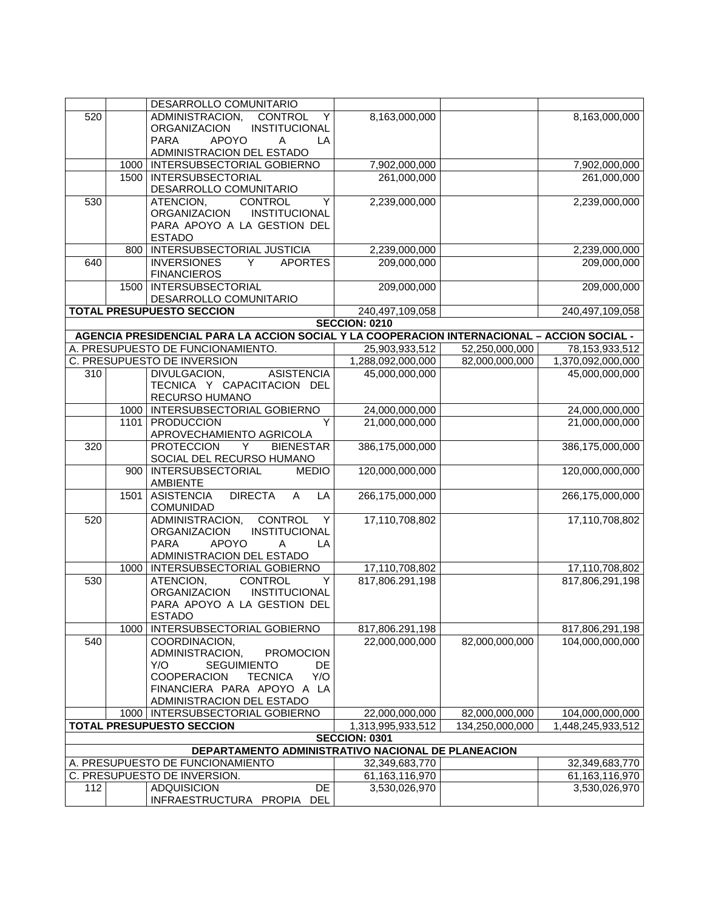|     |      | DESARROLLO COMUNITARIO                                                                                                                                                                            |                      |                 | 8,163,000,000     |
|-----|------|---------------------------------------------------------------------------------------------------------------------------------------------------------------------------------------------------|----------------------|-----------------|-------------------|
| 520 |      | ADMINISTRACION,<br>CONTROL<br>Y<br>ORGANIZACION<br>INSTITUCIONAL                                                                                                                                  | 8,163,000,000        |                 |                   |
|     |      | <b>APOYO</b><br><b>PARA</b><br>A<br>LA                                                                                                                                                            |                      |                 |                   |
|     |      | ADMINISTRACION DEL ESTADO                                                                                                                                                                         |                      |                 |                   |
|     |      | 1000   INTERSUBSECTORIAL GOBIERNO                                                                                                                                                                 | 7,902,000,000        |                 | 7,902,000,000     |
|     |      | 1500   INTERSUBSECTORIAL                                                                                                                                                                          | 261,000,000          |                 | 261,000,000       |
|     |      | DESARROLLO COMUNITARIO                                                                                                                                                                            |                      |                 |                   |
| 530 |      | <b>CONTROL</b><br>Y<br>ATENCION,                                                                                                                                                                  | 2,239,000,000        |                 | 2,239,000,000     |
|     |      | ORGANIZACION<br><b>INSTITUCIONAL</b>                                                                                                                                                              |                      |                 |                   |
|     |      | PARA APOYO A LA GESTION DEL                                                                                                                                                                       |                      |                 |                   |
|     |      | <b>ESTADO</b>                                                                                                                                                                                     |                      |                 |                   |
|     |      | 800   INTERSUBSECTORIAL JUSTICIA                                                                                                                                                                  | 2,239,000,000        |                 | 2,239,000,000     |
| 640 |      | <b>INVERSIONES</b><br><b>APORTES</b><br>Y.<br><b>FINANCIEROS</b>                                                                                                                                  | 209,000,000          |                 | 209,000,000       |
|     | 1500 | <b>INTERSUBSECTORIAL</b>                                                                                                                                                                          | 209,000,000          |                 | 209,000,000       |
|     |      | DESARROLLO COMUNITARIO                                                                                                                                                                            |                      |                 |                   |
|     |      | <b>TOTAL PRESUPUESTO SECCION</b>                                                                                                                                                                  | 240,497,109,058      |                 | 240,497,109,058   |
|     |      |                                                                                                                                                                                                   | <b>SECCION: 0210</b> |                 |                   |
|     |      | AGENCIA PRESIDENCIAL PARA LA ACCION SOCIAL Y LA COOPERACION INTERNACIONAL - ACCION SOCIAL -                                                                                                       |                      |                 |                   |
|     |      | A. PRESUPUESTO DE FUNCIONAMIENTO.                                                                                                                                                                 | 25,903,933,512       | 52,250,000,000  | 78, 153, 933, 512 |
|     |      | C. PRESUPUESTO DE INVERSION<br><b>ASISTENCIA</b><br>DIVULGACION,                                                                                                                                  | 1,288,092,000,000    | 82,000,000,000  | 1,370,092,000,000 |
| 310 |      | TECNICA Y CAPACITACION DEL                                                                                                                                                                        | 45,000,000,000       |                 | 45,000,000,000    |
|     |      | RECURSO HUMANO                                                                                                                                                                                    |                      |                 |                   |
|     |      | 1000   INTERSUBSECTORIAL GOBIERNO                                                                                                                                                                 | 24,000,000,000       |                 | 24,000,000,000    |
|     |      | Y<br>1101   PRODUCCION                                                                                                                                                                            | 21,000,000,000       |                 | 21,000,000,000    |
|     |      | APROVECHAMIENTO AGRICOLA                                                                                                                                                                          |                      |                 |                   |
| 320 |      | <b>PROTECCION</b><br>Y<br><b>BIENESTAR</b>                                                                                                                                                        | 386,175,000,000      |                 | 386,175,000,000   |
|     |      | SOCIAL DEL RECURSO HUMANO                                                                                                                                                                         |                      |                 |                   |
|     |      | 900   INTERSUBSECTORIAL<br><b>MEDIO</b><br>AMBIENTE                                                                                                                                               | 120,000,000,000      |                 | 120,000,000,000   |
|     | 1501 | <b>DIRECTA</b><br>$\overline{A}$<br>LA<br><b>ASISTENCIA</b><br>COMUNIDAD                                                                                                                          | 266,175,000,000      |                 | 266,175,000,000   |
| 520 |      | <b>CONTROL</b><br>ADMINISTRACION,<br>Y<br>INSTITUCIONAL<br><b>ORGANIZACION</b><br><b>APOYO</b><br><b>PARA</b><br>LA<br>Α<br>ADMINISTRACION DEL ESTADO                                             | 17,110,708,802       |                 | 17,110,708,802    |
|     |      | 1000   INTERSUBSECTORIAL GOBIERNO                                                                                                                                                                 | 17,110,708,802       |                 | 17,110,708,802    |
| 530 |      | ATENCION,<br><b>CONTROL</b><br>Y<br><b>ORGANIZACION</b><br>INSTITUCIONAL<br>PARA APOYO A LA GESTION DEL<br><b>ESTADO</b>                                                                          | 817,806.291,198      |                 | 817,806,291,198   |
|     |      | 1000   INTERSUBSECTORIAL GOBIERNO                                                                                                                                                                 | 817,806.291,198      |                 | 817,806,291,198   |
| 540 |      | COORDINACION,<br>ADMINISTRACION,<br><b>PROMOCION</b><br><b>SEGUIMIENTO</b><br>Y/O<br>DE<br><b>TECNICA</b><br><b>COOPERACION</b><br>Y/O<br>FINANCIERA PARA APOYO A LA<br>ADMINISTRACION DEL ESTADO | 22,000,000,000       | 82,000,000,000  | 104,000,000,000   |
|     |      | 1000   INTERSUBSECTORIAL GOBIERNO                                                                                                                                                                 | 22,000,000,000       | 82,000,000,000  | 104,000,000,000   |
|     |      | <b>TOTAL PRESUPUESTO SECCION</b>                                                                                                                                                                  | 1,313,995,933,512    | 134,250,000,000 | 1,448,245,933,512 |
|     |      |                                                                                                                                                                                                   | <b>SECCION: 0301</b> |                 |                   |
|     |      | DEPARTAMENTO ADMINISTRATIVO NACIONAL DE PLANEACION                                                                                                                                                |                      |                 |                   |
|     |      | A. PRESUPUESTO DE FUNCIONAMIENTO                                                                                                                                                                  | 32,349,683,770       |                 | 32,349,683,770    |
|     |      | C. PRESUPUESTO DE INVERSION.                                                                                                                                                                      | 61,163,116,970       |                 | 61,163,116,970    |
| 112 |      | <b>ADQUISICION</b><br><b>DE</b>                                                                                                                                                                   | 3,530,026,970        |                 | 3,530,026,970     |
|     |      | INFRAESTRUCTURA PROPIA DEL                                                                                                                                                                        |                      |                 |                   |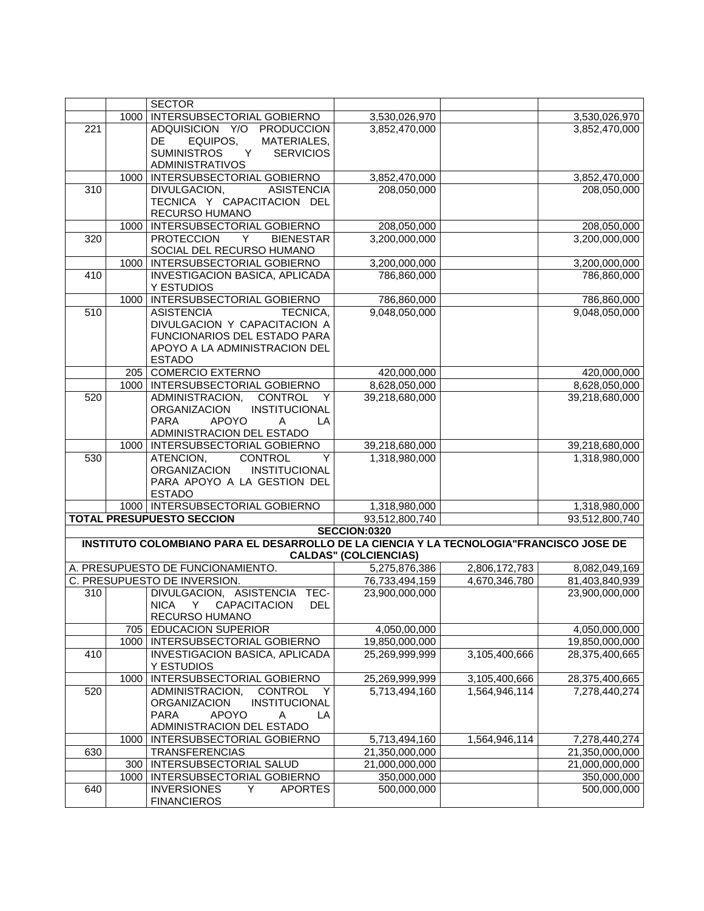|     |      | <b>SECTOR</b>                                                                           |                                |               |                |
|-----|------|-----------------------------------------------------------------------------------------|--------------------------------|---------------|----------------|
|     | 1000 | INTERSUBSECTORIAL GOBIERNO                                                              | 3,530,026,970                  |               | 3,530,026,970  |
| 221 |      | ADQUISICION Y/O PRODUCCION                                                              | 3,852,470,000                  |               | 3,852,470,000  |
|     |      | EQUIPOS,<br>MATERIALES,<br>DE.                                                          |                                |               |                |
|     |      | <b>SUMINISTROS</b><br>Y<br><b>SERVICIOS</b>                                             |                                |               |                |
|     |      | <b>ADMINISTRATIVOS</b>                                                                  |                                |               |                |
|     | 1000 | INTERSUBSECTORIAL GOBIERNO                                                              | 3,852,470,000                  |               | 3,852,470,000  |
| 310 |      | DIVULGACION,<br><b>ASISTENCIA</b>                                                       | 208,050,000                    |               | 208,050,000    |
|     |      | TECNICA Y CAPACITACION DEL                                                              |                                |               |                |
|     |      | RECURSO HUMANO                                                                          |                                |               |                |
|     | 1000 | INTERSUBSECTORIAL GOBIERNO                                                              | 208,050,000                    |               | 208,050,000    |
| 320 |      | <b>PROTECCION</b><br>Y.<br><b>BIENESTAR</b>                                             | 3,200,000,000                  |               | 3,200,000,000  |
|     |      | SOCIAL DEL RECURSO HUMANO                                                               |                                |               |                |
|     | 1000 | INTERSUBSECTORIAL GOBIERNO                                                              | 3,200,000,000                  |               | 3,200,000,000  |
| 410 |      | INVESTIGACION BASICA, APLICADA                                                          | 786,860,000                    |               | 786,860,000    |
|     |      | Y ESTUDIOS                                                                              |                                |               |                |
|     | 1000 | INTERSUBSECTORIAL GOBIERNO                                                              | 786,860,000                    |               | 786,860,000    |
| 510 |      | <b>ASISTENCIA</b><br>TECNICA,<br>DIVULGACION Y CAPACITACION A                           | 9,048,050,000                  |               | 9,048,050,000  |
|     |      | FUNCIONARIOS DEL ESTADO PARA                                                            |                                |               |                |
|     |      | APOYO A LA ADMINISTRACION DEL                                                           |                                |               |                |
|     |      | <b>ESTADO</b>                                                                           |                                |               |                |
|     |      | 205 COMERCIO EXTERNO                                                                    | 420,000,000                    |               | 420,000,000    |
|     | 1000 | INTERSUBSECTORIAL GOBIERNO                                                              | 8,628,050,000                  |               | 8,628,050,000  |
| 520 |      | ADMINISTRACION,<br>CONTROL<br>Y                                                         | 39,218,680,000                 |               | 39,218,680,000 |
|     |      | <b>INSTITUCIONAL</b><br><b>ORGANIZACION</b>                                             |                                |               |                |
|     |      | <b>APOYO</b><br><b>PARA</b><br>A<br>LA                                                  |                                |               |                |
|     |      | ADMINISTRACION DEL ESTADO                                                               |                                |               |                |
|     | 1000 | INTERSUBSECTORIAL GOBIERNO                                                              | 39,218,680,000                 |               | 39,218,680,000 |
| 530 |      | ATENCION,<br><b>CONTROL</b><br>Y                                                        | 1,318,980,000                  |               | 1,318,980,000  |
|     |      | ORGANIZACION<br>INSTITUCIONAL                                                           |                                |               |                |
|     |      | PARA APOYO A LA GESTION DEL                                                             |                                |               |                |
|     |      | <b>ESTADO</b>                                                                           |                                |               |                |
|     |      | 1000   INTERSUBSECTORIAL GOBIERNO<br><b>TOTAL PRESUPUESTO SECCION</b>                   | 1,318,980,000                  |               | 1,318,980,000  |
|     |      |                                                                                         | 93,512,800,740<br>SECCION:0320 |               | 93,512,800,740 |
|     |      | INSTITUTO COLOMBIANO PARA EL DESARROLLO DE LA CIENCIA Y LA TECNOLOGIA"FRANCISCO JOSE DE |                                |               |                |
|     |      |                                                                                         | <b>CALDAS" (COLCIENCIAS)</b>   |               |                |
|     |      | A. PRESUPUESTO DE FUNCIONAMIENTO.                                                       | 5,275,876,386                  | 2,806,172,783 | 8,082,049,169  |
|     |      | C. PRESUPUESTO DE INVERSION.                                                            | 76,733,494,159                 | 4,670,346,780 | 81,403,840,939 |
| 310 |      | DIVULGACION, ASISTENCIA<br>TEC-                                                         | 23,900,000,000                 |               | 23,900,000,000 |
|     |      | <b>DEL</b><br>NICA Y<br><b>CAPACITACION</b>                                             |                                |               |                |
|     |      | RECURSO HUMANO                                                                          |                                |               |                |
|     | 705  | <b>EDUCACION SUPERIOR</b>                                                               | 4,050,00,000                   |               | 4,050,000,000  |
|     | 1000 | INTERSUBSECTORIAL GOBIERNO                                                              | 19,850,000,000                 |               | 19,850,000,000 |
| 410 |      | INVESTIGACION BASICA, APLICADA                                                          | 25,269,999,999                 | 3,105,400,666 | 28,375,400,665 |
|     |      | Y ESTUDIOS                                                                              |                                |               |                |
|     | 1000 | INTERSUBSECTORIAL GOBIERNO                                                              | 25,269,999,999                 | 3,105,400,666 | 28,375,400,665 |
| 520 |      | ADMINISTRACION,<br><b>CONTROL</b><br>Y                                                  | 5,713,494,160                  | 1,564,946,114 | 7,278,440,274  |
|     |      | ORGANIZACION<br>INSTITUCIONAL<br>APOYO                                                  |                                |               |                |
|     |      | <b>PARA</b><br>Α<br>LA<br>ADMINISTRACION DEL ESTADO                                     |                                |               |                |
|     | 1000 | INTERSUBSECTORIAL GOBIERNO                                                              | 5,713,494,160                  | 1,564,946,114 | 7,278,440,274  |
| 630 |      | <b>TRANSFERENCIAS</b>                                                                   | 21,350,000,000                 |               | 21,350,000,000 |
|     | 300  | INTERSUBSECTORIAL SALUD                                                                 | 21,000,000,000                 |               | 21,000,000,000 |
|     | 1000 | INTERSUBSECTORIAL GOBIERNO                                                              | 350,000,000                    |               | 350,000,000    |
| 640 |      | <b>INVERSIONES</b><br><b>APORTES</b><br>Y                                               | 500,000,000                    |               | 500,000,000    |
|     |      | <b>FINANCIEROS</b>                                                                      |                                |               |                |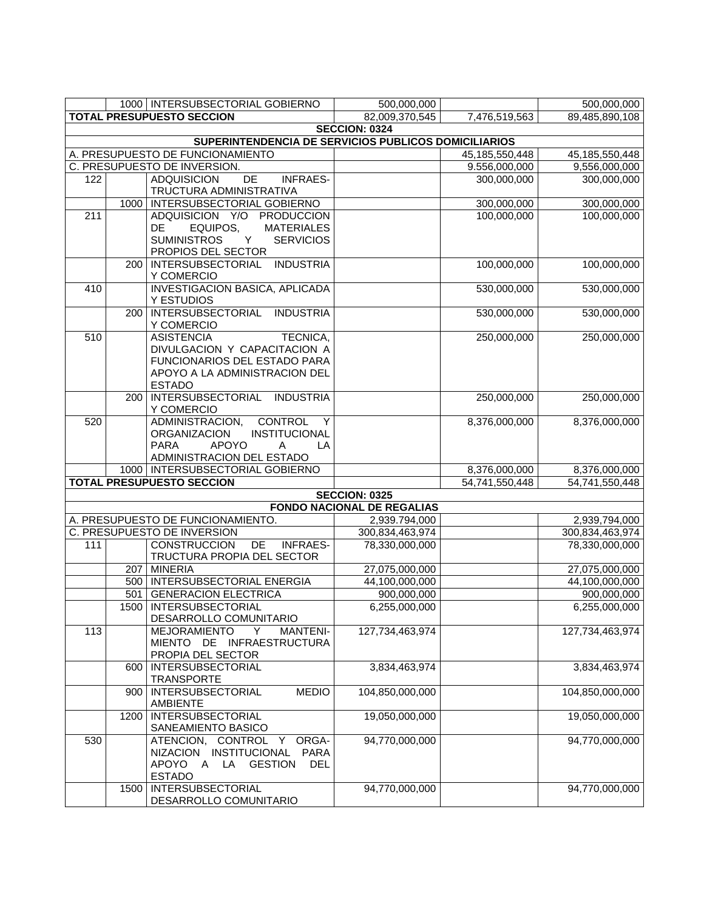|     |      | 1000   INTERSUBSECTORIAL GOBIERNO                             | 500,000,000                       |                   | 500,000,000       |
|-----|------|---------------------------------------------------------------|-----------------------------------|-------------------|-------------------|
|     |      | <b>TOTAL PRESUPUESTO SECCION</b>                              | 82,009,370,545                    | 7,476,519,563     | 89,485,890,108    |
|     |      |                                                               | <b>SECCION: 0324</b>              |                   |                   |
|     |      | SUPERINTENDENCIA DE SERVICIOS PUBLICOS DOMICILIARIOS          |                                   |                   |                   |
|     |      | A. PRESUPUESTO DE FUNCIONAMIENTO                              |                                   | 45, 185, 550, 448 | 45, 185, 550, 448 |
|     |      | C. PRESUPUESTO DE INVERSION.                                  |                                   | 9.556,000,000     | 9,556,000,000     |
| 122 |      | DE<br><b>INFRAES-</b><br><b>ADQUISICION</b>                   |                                   | 300,000,000       | 300,000,000       |
|     |      | TRUCTURA ADMINISTRATIVA                                       |                                   |                   |                   |
|     | 1000 | <b>INTERSUBSECTORIAL GOBIERNO</b>                             |                                   | 300,000,000       | 300,000,000       |
| 211 |      | ADQUISICION Y/O<br><b>PRODUCCION</b>                          |                                   | 100,000,000       | 100,000,000       |
|     |      | EQUIPOS,<br><b>MATERIALES</b><br>DE                           |                                   |                   |                   |
|     |      | <b>SUMINISTROS</b><br>Y<br><b>SERVICIOS</b>                   |                                   |                   |                   |
|     |      | PROPIOS DEL SECTOR                                            |                                   |                   |                   |
|     | 200  | <b>INDUSTRIA</b><br><b>INTERSUBSECTORIAL</b>                  |                                   | 100,000,000       | 100,000,000       |
|     |      | Y COMERCIO                                                    |                                   |                   |                   |
| 410 |      | <b>INVESTIGACION BASICA, APLICADA</b>                         |                                   | 530,000,000       | 530,000,000       |
|     |      | Y ESTUDIOS                                                    |                                   |                   |                   |
|     | 200  | INTERSUBSECTORIAL INDUSTRIA                                   |                                   | 530,000,000       | 530,000,000       |
|     |      | Y COMERCIO                                                    |                                   |                   |                   |
| 510 |      | <b>ASISTENCIA</b><br>TECNICA,                                 |                                   | 250,000,000       | 250,000,000       |
|     |      | DIVULGACION Y CAPACITACION A                                  |                                   |                   |                   |
|     |      | FUNCIONARIOS DEL ESTADO PARA<br>APOYO A LA ADMINISTRACION DEL |                                   |                   |                   |
|     |      | <b>ESTADO</b>                                                 |                                   |                   |                   |
|     | 200  | INTERSUBSECTORIAL INDUSTRIA                                   |                                   | 250,000,000       | 250,000,000       |
|     |      | Y COMERCIO                                                    |                                   |                   |                   |
| 520 |      | <b>CONTROL</b><br>ADMINISTRACION,<br>Y                        |                                   | 8,376,000,000     | 8,376,000,000     |
|     |      | <b>INSTITUCIONAL</b><br><b>ORGANIZACION</b>                   |                                   |                   |                   |
|     |      | <b>APOYO</b><br><b>PARA</b><br>LA<br>A                        |                                   |                   |                   |
|     |      | ADMINISTRACION DEL ESTADO                                     |                                   |                   |                   |
|     |      | 1000   INTERSUBSECTORIAL GOBIERNO                             |                                   | 8,376,000,000     | 8,376,000,000     |
|     |      | <b>TOTAL PRESUPUESTO SECCION</b>                              |                                   | 54,741,550,448    | 54,741,550,448    |
|     |      |                                                               | <b>SECCION: 0325</b>              |                   |                   |
|     |      |                                                               | <b>FONDO NACIONAL DE REGALIAS</b> |                   |                   |
|     |      | A. PRESUPUESTO DE FUNCIONAMIENTO.                             | 2,939.794,000                     |                   | 2,939,794,000     |
|     |      | C. PRESUPUESTO DE INVERSION                                   | 300,834,463,974                   |                   | 300,834,463,974   |
| 111 |      | <b>INFRAES-</b><br><b>CONSTRUCCION</b><br>DE                  | 78,330,000,000                    |                   | 78,330,000,000    |
|     |      | TRUCTURA PROPIA DEL SECTOR                                    |                                   |                   |                   |
|     |      | 207 MINERIA                                                   | 27,075,000,000                    |                   | 27,075,000,000    |
|     |      | 500   INTERSUBSECTORIAL ENERGIA                               | 44,100,000,000                    |                   | 44,100,000,000    |
|     |      | 501 GENERACION ELECTRICA                                      | 900,000,000                       |                   | 900,000,000       |
|     |      | 1500   INTERSUBSECTORIAL                                      | 6,255,000,000                     |                   | 6,255,000,000     |
|     |      | DESARROLLO COMUNITARIO                                        |                                   |                   |                   |
| 113 |      | <b>MEJORAMIENTO</b><br><b>MANTENI-</b><br>Y                   | 127,734,463,974                   |                   | 127,734,463,974   |
|     |      | MIENTO DE<br>INFRAESTRUCTURA                                  |                                   |                   |                   |
|     |      | PROPIA DEL SECTOR                                             |                                   |                   |                   |
|     | 600  | <b>INTERSUBSECTORIAL</b>                                      | 3,834,463,974                     |                   | 3,834,463,974     |
|     |      | <b>TRANSPORTE</b>                                             |                                   |                   |                   |
|     | 900  | <b>MEDIO</b><br><b>INTERSUBSECTORIAL</b>                      | 104,850,000,000                   |                   | 104,850,000,000   |
|     |      | <b>AMBIENTE</b>                                               |                                   |                   |                   |
|     | 1200 | <b>INTERSUBSECTORIAL</b>                                      | 19,050,000,000                    |                   | 19,050,000,000    |
|     |      | SANEAMIENTO BASICO                                            |                                   |                   |                   |
| 530 |      | ORGA-<br>ATENCION, CONTROL<br>Y.                              | 94,770,000,000                    |                   | 94,770,000,000    |
|     |      | NIZACION INSTITUCIONAL<br><b>PARA</b>                         |                                   |                   |                   |
|     |      | <b>GESTION</b><br>APOYO<br>LA<br><b>DEL</b><br>A              |                                   |                   |                   |
|     |      | <b>ESTADO</b>                                                 |                                   |                   |                   |
|     | 1500 | <b>INTERSUBSECTORIAL</b>                                      | 94,770,000,000                    |                   | 94,770,000,000    |
|     |      | DESARROLLO COMUNITARIO                                        |                                   |                   |                   |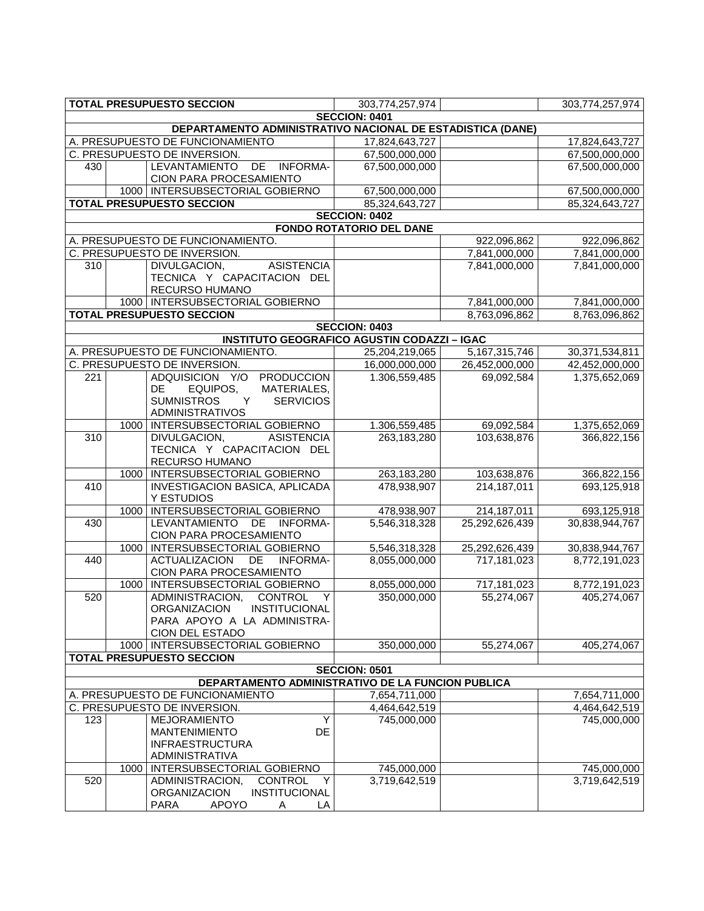|                                                            |                   | <b>TOTAL PRESUPUESTO SECCION</b>                                                                                                      | 303,774,257,974                 |                  | 303,774,257,974 |  |
|------------------------------------------------------------|-------------------|---------------------------------------------------------------------------------------------------------------------------------------|---------------------------------|------------------|-----------------|--|
|                                                            |                   |                                                                                                                                       | <b>SECCION: 0401</b>            |                  |                 |  |
| DEPARTAMENTO ADMINISTRATIVO NACIONAL DE ESTADISTICA (DANE) |                   |                                                                                                                                       |                                 |                  |                 |  |
|                                                            |                   | A. PRESUPUESTO DE FUNCIONAMIENTO                                                                                                      | 17,824,643,727                  |                  | 17,824,643,727  |  |
|                                                            |                   | C. PRESUPUESTO DE INVERSION.                                                                                                          | 67,500,000,000                  |                  | 67,500,000,000  |  |
| 430                                                        |                   | LEVANTAMIENTO DE INFORMA-<br>CION PARA PROCESAMIENTO                                                                                  | 67,500,000,000                  |                  | 67,500,000,000  |  |
|                                                            |                   | 1000   INTERSUBSECTORIAL GOBIERNO                                                                                                     | 67,500,000,000                  |                  | 67,500,000,000  |  |
|                                                            |                   | <b>TOTAL PRESUPUESTO SECCION</b>                                                                                                      | 85,324,643,727                  |                  | 85,324,643,727  |  |
|                                                            |                   |                                                                                                                                       | <b>SECCION: 0402</b>            |                  |                 |  |
|                                                            |                   |                                                                                                                                       | <b>FONDO ROTATORIO DEL DANE</b> |                  |                 |  |
|                                                            |                   | A. PRESUPUESTO DE FUNCIONAMIENTO.                                                                                                     |                                 | 922,096,862      | 922,096,862     |  |
|                                                            |                   | C. PRESUPUESTO DE INVERSION.                                                                                                          |                                 | 7,841,000,000    | 7,841,000,000   |  |
| $\overline{3}10$                                           |                   | <b>ASISTENCIA</b><br>DIVULGACION,<br>TECNICA Y CAPACITACION DEL<br>RECURSO HUMANO                                                     |                                 | 7,841,000,000    | 7,841,000,000   |  |
|                                                            |                   | 1000   INTERSUBSECTORIAL GOBIERNO                                                                                                     |                                 | 7,841,000,000    | 7,841,000,000   |  |
|                                                            |                   | <b>TOTAL PRESUPUESTO SECCION</b>                                                                                                      |                                 | 8,763,096,862    | 8,763,096,862   |  |
|                                                            |                   |                                                                                                                                       | <b>SECCION: 0403</b>            |                  |                 |  |
|                                                            |                   | <b>INSTITUTO GEOGRAFICO AGUSTIN CODAZZI - IGAC</b>                                                                                    |                                 |                  |                 |  |
|                                                            |                   | A. PRESUPUESTO DE FUNCIONAMIENTO.                                                                                                     | 25,204,219,065                  | 5, 167, 315, 746 | 30,371,534,811  |  |
|                                                            |                   | C. PRESUPUESTO DE INVERSION.                                                                                                          | 16,000,000,000                  | 26,452,000,000   | 42,452,000,000  |  |
| 221                                                        |                   | ADQUISICION Y/O PRODUCCION<br>DE.<br>EQUIPOS,<br>MATERIALES,<br><b>SUMNISTROS</b><br><b>SERVICIOS</b><br>Y.<br><b>ADMINISTRATIVOS</b> | 1.306,559,485                   | 69,092,584       | 1,375,652,069   |  |
|                                                            | 1000              | INTERSUBSECTORIAL GOBIERNO                                                                                                            | 1.306,559,485                   | 69,092,584       | 1,375,652,069   |  |
| $\overline{310}$                                           |                   | DIVULGACION,<br><b>ASISTENCIA</b><br>TECNICA Y CAPACITACION DEL<br>RECURSO HUMANO                                                     | 263,183,280                     | 103,638,876      | 366,822,156     |  |
|                                                            | 1000              | INTERSUBSECTORIAL GOBIERNO                                                                                                            | 263,183,280                     | 103,638,876      | 366,822,156     |  |
| 410                                                        |                   | <b>INVESTIGACION BASICA, APLICADA</b><br>Y ESTUDIOS                                                                                   | 478,938,907                     | 214,187,011      | 693,125,918     |  |
|                                                            | 1000              | INTERSUBSECTORIAL GOBIERNO                                                                                                            | 478,938,907                     | 214,187,011      | 693,125,918     |  |
| 430                                                        |                   | LEVANTAMIENTO DE INFORMA-<br>CION PARA PROCESAMIENTO                                                                                  | 5,546,318,328                   | 25,292,626,439   | 30,838,944,767  |  |
|                                                            | $\overline{1000}$ | INTERSUBSECTORIAL GOBIERNO                                                                                                            | 5,546,318,328                   | 25,292,626,439   | 30,838,944,767  |  |
| 440                                                        |                   | DE<br><b>ACTUALIZACION</b><br><b>INFORMA-</b><br>CION PARA PROCESAMIENTO                                                              | 8,055,000,000                   | 717,181,023      | 8,772,191,023   |  |
|                                                            | 1000              | INTERSUBSECTORIAL GOBIERNO                                                                                                            | 8,055,000,000                   | 717,181,023      | 8,772,191,023   |  |
| 520                                                        |                   | ADMINISTRACION,<br>CONTROL<br>Y<br>INSTITUCIONAL<br><b>ORGANIZACION</b><br>PARA APOYO A LA ADMINISTRA-<br>CION DEL ESTADO             | 350,000,000                     | 55,274,067       | 405,274,067     |  |
|                                                            |                   | 1000   INTERSUBSECTORIAL GOBIERNO                                                                                                     | 350,000,000                     | 55,274,067       | 405,274,067     |  |
|                                                            |                   | <b>TOTAL PRESUPUESTO SECCION</b>                                                                                                      |                                 |                  |                 |  |
|                                                            |                   |                                                                                                                                       | <b>SECCION: 0501</b>            |                  |                 |  |
|                                                            |                   | DEPARTAMENTO ADMINISTRATIVO DE LA FUNCION PUBLICA                                                                                     |                                 |                  |                 |  |
|                                                            |                   | A. PRESUPUESTO DE FUNCIONAMIENTO                                                                                                      | 7,654,711,000                   |                  | 7,654,711,000   |  |
|                                                            |                   | C. PRESUPUESTO DE INVERSION.                                                                                                          | 4,464,642,519                   |                  | 4,464,642,519   |  |
| 123                                                        |                   | <b>MEJORAMIENTO</b><br>Y<br>DE<br><b>MANTENIMIENTO</b><br><b>INFRAESTRUCTURA</b><br><b>ADMINISTRATIVA</b>                             | 745,000,000                     |                  | 745,000,000     |  |
|                                                            |                   | 1000   INTERSUBSECTORIAL GOBIERNO                                                                                                     | 745,000,000                     |                  | 745,000,000     |  |
| 520                                                        |                   | ADMINISTRACION,<br><b>CONTROL</b><br>Y<br><b>ORGANIZACION</b><br>INSTITUCIONAL<br>PARA<br><b>APOYO</b><br>A<br>LA                     | 3,719,642,519                   |                  | 3,719,642,519   |  |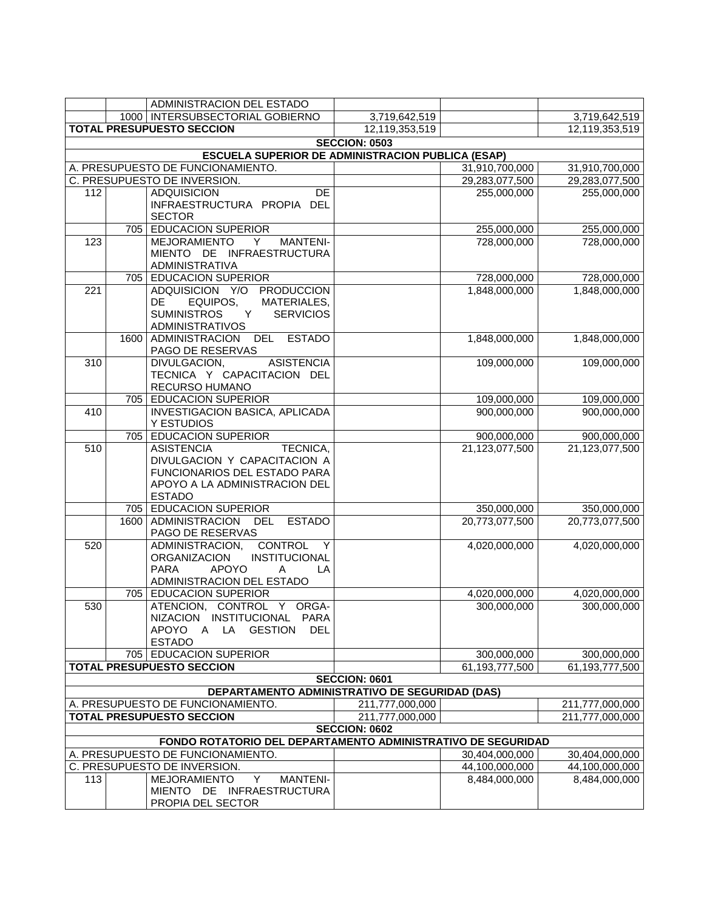|                                                                                                             |                                                | ADMINISTRACION DEL ESTADO                                           |                                         |                |                 |
|-------------------------------------------------------------------------------------------------------------|------------------------------------------------|---------------------------------------------------------------------|-----------------------------------------|----------------|-----------------|
|                                                                                                             |                                                | 1000   INTERSUBSECTORIAL GOBIERNO                                   | 3,719,642,519                           |                | 3,719,642,519   |
|                                                                                                             |                                                | <b>TOTAL PRESUPUESTO SECCION</b>                                    | 12,119,353,519                          |                | 12,119,353,519  |
|                                                                                                             |                                                |                                                                     | <b>SECCION: 0503</b>                    |                |                 |
|                                                                                                             |                                                | <b>ESCUELA SUPERIOR DE ADMINISTRACION PUBLICA (ESAP)</b>            |                                         |                |                 |
|                                                                                                             |                                                | A. PRESUPUESTO DE FUNCIONAMIENTO.                                   |                                         | 31,910,700,000 | 31,910,700,000  |
|                                                                                                             |                                                | C. PRESUPUESTO DE INVERSION.                                        |                                         | 29,283,077,500 | 29,283,077,500  |
| 112                                                                                                         |                                                | <b>ADQUISICION</b><br><b>DE</b>                                     |                                         | 255,000,000    | 255,000,000     |
|                                                                                                             |                                                | INFRAESTRUCTURA PROPIA DEL                                          |                                         |                |                 |
|                                                                                                             |                                                | <b>SECTOR</b>                                                       |                                         |                |                 |
|                                                                                                             | 705                                            | <b>EDUCACION SUPERIOR</b>                                           |                                         | 255,000,000    | 255,000,000     |
| 123                                                                                                         |                                                | MEJORAMIENTO<br><b>MANTENI-</b><br>Y.                               |                                         | 728,000,000    | 728,000,000     |
|                                                                                                             |                                                | MIENTO DE INFRAESTRUCTURA<br>ADMINISTRATIVA                         |                                         |                |                 |
|                                                                                                             |                                                | 705 EDUCACION SUPERIOR                                              |                                         | 728,000,000    | 728,000,000     |
| 221                                                                                                         |                                                | ADQUISICION Y/O PRODUCCION                                          |                                         | 1,848,000,000  | 1,848,000,000   |
|                                                                                                             |                                                | EQUIPOS,<br>MATERIALES,<br>DE.                                      |                                         |                |                 |
|                                                                                                             |                                                | <b>SUMINISTROS</b><br>Y<br><b>SERVICIOS</b>                         |                                         |                |                 |
|                                                                                                             |                                                | <b>ADMINISTRATIVOS</b>                                              |                                         |                |                 |
|                                                                                                             | 1600                                           | ADMINISTRACION DEL ESTADO                                           |                                         | 1,848,000,000  | 1,848,000,000   |
|                                                                                                             |                                                | PAGO DE RESERVAS                                                    |                                         |                |                 |
| 310                                                                                                         |                                                | <b>ASISTENCIA</b><br>DIVULGACION,                                   |                                         | 109,000,000    | 109,000,000     |
|                                                                                                             |                                                | TECNICA Y CAPACITACION DEL                                          |                                         |                |                 |
|                                                                                                             |                                                | RECURSO HUMANO                                                      |                                         |                |                 |
|                                                                                                             |                                                | 705 EDUCACION SUPERIOR                                              |                                         | 109,000,000    | 109,000,000     |
| 410                                                                                                         |                                                | <b>INVESTIGACION BASICA, APLICADA</b>                               |                                         | 900,000,000    | 900,000,000     |
|                                                                                                             | 705                                            | Y ESTUDIOS<br><b>EDUCACION SUPERIOR</b>                             |                                         | 900,000,000    | 900,000,000     |
| 510                                                                                                         |                                                | <b>ASISTENCIA</b><br>TECNICA,                                       |                                         | 21,123,077,500 | 21,123,077,500  |
|                                                                                                             |                                                | DIVULGACION Y CAPACITACION A                                        |                                         |                |                 |
|                                                                                                             |                                                | FUNCIONARIOS DEL ESTADO PARA                                        |                                         |                |                 |
|                                                                                                             |                                                | APOYO A LA ADMINISTRACION DEL                                       |                                         |                |                 |
|                                                                                                             |                                                | <b>ESTADO</b>                                                       |                                         |                |                 |
|                                                                                                             | 705                                            | <b>EDUCACION SUPERIOR</b>                                           |                                         | 350,000,000    | 350,000,000     |
|                                                                                                             | 1600                                           | ADMINISTRACION<br><b>ESTADO</b><br>DEL                              |                                         | 20,773,077,500 | 20,773,077,500  |
|                                                                                                             |                                                | PAGO DE RESERVAS                                                    |                                         |                |                 |
| 520                                                                                                         |                                                | ADMINISTRACION,<br>CONTROL<br>- Y                                   |                                         | 4,020,000,000  | 4,020,000,000   |
|                                                                                                             |                                                | <b>ORGANIZACION</b><br><b>INSTITUCIONAL</b>                         |                                         |                |                 |
|                                                                                                             |                                                | <b>PARA</b><br><b>APOYO</b><br>LA<br>A<br>ADMINISTRACION DEL ESTADO |                                         |                |                 |
|                                                                                                             |                                                | 705 EDUCACION SUPERIOR                                              |                                         | 4,020,000,000  | 4,020,000,000   |
| 530                                                                                                         |                                                | ATENCION, CONTROL<br>Y.<br>ORGA-                                    |                                         | 300,000,000    | 300,000,000     |
|                                                                                                             |                                                | NIZACION INSTITUCIONAL<br><b>PARA</b>                               |                                         |                |                 |
|                                                                                                             |                                                | APOYO<br><b>GESTION</b><br>A<br>LA<br><b>DEL</b>                    |                                         |                |                 |
|                                                                                                             |                                                | <b>ESTADO</b>                                                       |                                         |                |                 |
|                                                                                                             |                                                | 705   EDUCACION SUPERIOR                                            |                                         | 300,000,000    | 300,000,000     |
|                                                                                                             |                                                | <b>TOTAL PRESUPUESTO SECCION</b>                                    |                                         | 61,193,777,500 | 61,193,777,500  |
|                                                                                                             |                                                |                                                                     | SECCION: 0601                           |                |                 |
|                                                                                                             | DEPARTAMENTO ADMINISTRATIVO DE SEGURIDAD (DAS) |                                                                     |                                         |                |                 |
| A. PRESUPUESTO DE FUNCIONAMIENTO.<br>211,777,000,000<br>211,777,000,000<br><b>TOTAL PRESUPUESTO SECCION</b> |                                                |                                                                     |                                         |                |                 |
|                                                                                                             |                                                |                                                                     | 211,777,000,000<br><b>SECCION: 0602</b> |                | 211,777,000,000 |
|                                                                                                             |                                                | FONDO ROTATORIO DEL DEPARTAMENTO ADMINISTRATIVO DE SEGURIDAD        |                                         |                |                 |
|                                                                                                             |                                                | A. PRESUPUESTO DE FUNCIONAMIENTO.                                   |                                         | 30,404,000,000 | 30,404,000,000  |
|                                                                                                             |                                                | C. PRESUPUESTO DE INVERSION.                                        |                                         | 44,100,000,000 | 44,100,000,000  |
| 113                                                                                                         |                                                | <b>MEJORAMIENTO</b><br>Y<br><b>MANTENI-</b>                         |                                         | 8,484,000,000  | 8,484,000,000   |
|                                                                                                             |                                                | MIENTO DE INFRAESTRUCTURA                                           |                                         |                |                 |
|                                                                                                             |                                                | PROPIA DEL SECTOR                                                   |                                         |                |                 |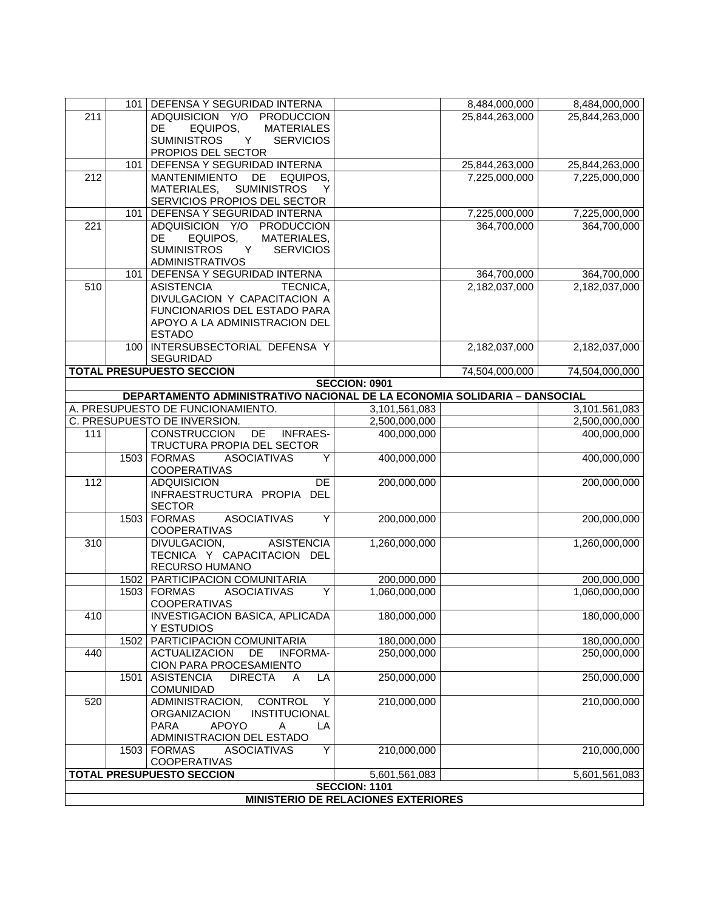|     |      | 101   DEFENSA Y SEGURIDAD INTERNA                                           |                                            | 8,484,000,000                | 8,484,000,000                |
|-----|------|-----------------------------------------------------------------------------|--------------------------------------------|------------------------------|------------------------------|
| 211 |      | ADQUISICION Y/O PRODUCCION                                                  |                                            | 25,844,263,000               | 25,844,263,000               |
|     |      | EQUIPOS,<br><b>MATERIALES</b><br>DE                                         |                                            |                              |                              |
|     |      | <b>SUMINISTROS</b><br><b>SERVICIOS</b><br>Y                                 |                                            |                              |                              |
|     |      | PROPIOS DEL SECTOR                                                          |                                            |                              |                              |
|     | 101  | DEFENSA Y SEGURIDAD INTERNA                                                 |                                            | 25,844,263,000               | 25,844,263,000               |
| 212 |      | <b>MANTENIMIENTO</b><br>DE<br>EQUIPOS,                                      |                                            | 7,225,000,000                | 7,225,000,000                |
|     |      | <b>SUMINISTROS</b><br>MATERIALES,<br>Y                                      |                                            |                              |                              |
|     | 101  | SERVICIOS PROPIOS DEL SECTOR<br>DEFENSA Y SEGURIDAD INTERNA                 |                                            |                              |                              |
| 221 |      | ADQUISICION Y/O PRODUCCION                                                  |                                            | 7,225,000,000<br>364,700,000 | 7,225,000,000<br>364,700,000 |
|     |      | DE<br>EQUIPOS,<br>MATERIALES,                                               |                                            |                              |                              |
|     |      | <b>SUMINISTROS</b><br>Y<br><b>SERVICIOS</b>                                 |                                            |                              |                              |
|     |      | <b>ADMINISTRATIVOS</b>                                                      |                                            |                              |                              |
|     | 101  | DEFENSA Y SEGURIDAD INTERNA                                                 |                                            | 364,700,000                  | 364,700,000                  |
| 510 |      | <b>ASISTENCIA</b><br>TECNICA,                                               |                                            | 2,182,037,000                | 2,182,037,000                |
|     |      | DIVULGACION Y CAPACITACION A                                                |                                            |                              |                              |
|     |      | FUNCIONARIOS DEL ESTADO PARA                                                |                                            |                              |                              |
|     |      | APOYO A LA ADMINISTRACION DEL<br><b>ESTADO</b>                              |                                            |                              |                              |
|     |      | 100   INTERSUBSECTORIAL DEFENSA Y                                           |                                            | 2,182,037,000                | 2,182,037,000                |
|     |      | <b>SEGURIDAD</b>                                                            |                                            |                              |                              |
|     |      | <b>TOTAL PRESUPUESTO SECCION</b>                                            |                                            | 74,504,000,000               | 74,504,000,000               |
|     |      |                                                                             | <b>SECCION: 0901</b>                       |                              |                              |
|     |      | DEPARTAMENTO ADMINISTRATIVO NACIONAL DE LA ECONOMIA SOLIDARIA - DANSOCIAL   |                                            |                              |                              |
|     |      | A. PRESUPUESTO DE FUNCIONAMIENTO.                                           | 3,101,561,083                              |                              | 3,101.561,083                |
|     |      | C. PRESUPUESTO DE INVERSION.                                                | 2,500,000,000                              |                              | 2,500,000,000                |
| 111 |      | <b>CONSTRUCCION</b><br><b>INFRAES-</b><br>DE.<br>TRUCTURA PROPIA DEL SECTOR | 400,000,000                                |                              | 400,000,000                  |
|     |      | <b>ASOCIATIVAS</b><br>Y<br>1503 FORMAS                                      | 400,000,000                                |                              | 400,000,000                  |
|     |      | <b>COOPERATIVAS</b>                                                         |                                            |                              |                              |
| 112 |      | <b>ADQUISICION</b><br>DE                                                    | 200,000,000                                |                              | 200,000,000                  |
|     |      | INFRAESTRUCTURA PROPIA DEL                                                  |                                            |                              |                              |
|     |      | <b>SECTOR</b>                                                               |                                            |                              |                              |
|     | 1503 | <b>ASOCIATIVAS</b><br>Y<br><b>FORMAS</b>                                    | 200,000,000                                |                              | 200,000,000                  |
|     |      | COOPERATIVAS                                                                |                                            |                              |                              |
| 310 |      | DIVULGACION,<br><b>ASISTENCIA</b><br>TECNICA Y CAPACITACION DEL             | 1,260,000,000                              |                              | 1,260,000,000                |
|     |      | RECURSO HUMANO                                                              |                                            |                              |                              |
|     | 1502 | PARTICIPACION COMUNITARIA                                                   | 200,000,000                                |                              | 200,000,000                  |
|     |      | <b>ASOCIATIVAS</b><br>1503   FORMAS<br>Υ                                    | 1,060,000,000                              |                              | 1,060,000,000                |
|     |      | <b>COOPERATIVAS</b>                                                         |                                            |                              |                              |
| 410 |      | <b>INVESTIGACION BASICA, APLICADA</b>                                       | 180,000,000                                |                              | 180,000,000                  |
|     |      | Y ESTUDIOS                                                                  |                                            |                              |                              |
|     | 1502 | PARTICIPACION COMUNITARIA                                                   | 180,000,000                                |                              | 180,000,000                  |
| 440 |      | DE<br><b>INFORMA-</b><br><b>ACTUALIZACION</b><br>CION PARA PROCESAMIENTO    | 250,000,000                                |                              | 250,000,000                  |
|     | 1501 | <b>ASISTENCIA</b><br><b>DIRECTA</b><br>LA<br>A                              | 250,000,000                                |                              | 250,000,000                  |
|     |      | COMUNIDAD                                                                   |                                            |                              |                              |
| 520 |      | ADMINISTRACION,<br><b>CONTROL</b><br>Y                                      | 210,000,000                                |                              | 210,000,000                  |
|     |      | INSTITUCIONAL<br><b>ORGANIZACION</b>                                        |                                            |                              |                              |
|     |      | <b>PARA</b><br><b>APOYO</b><br>Α<br>LA                                      |                                            |                              |                              |
|     |      | ADMINISTRACION DEL ESTADO                                                   |                                            |                              |                              |
|     | 1503 | Υ<br><b>FORMAS</b><br><b>ASOCIATIVAS</b><br>COOPERATIVAS                    | 210,000,000                                |                              | 210,000,000                  |
|     |      | <b>TOTAL PRESUPUESTO SECCION</b>                                            | 5,601,561,083                              |                              | 5,601,561,083                |
|     |      |                                                                             | <b>SECCION: 1101</b>                       |                              |                              |
|     |      |                                                                             | <b>MINISTERIO DE RELACIONES EXTERIORES</b> |                              |                              |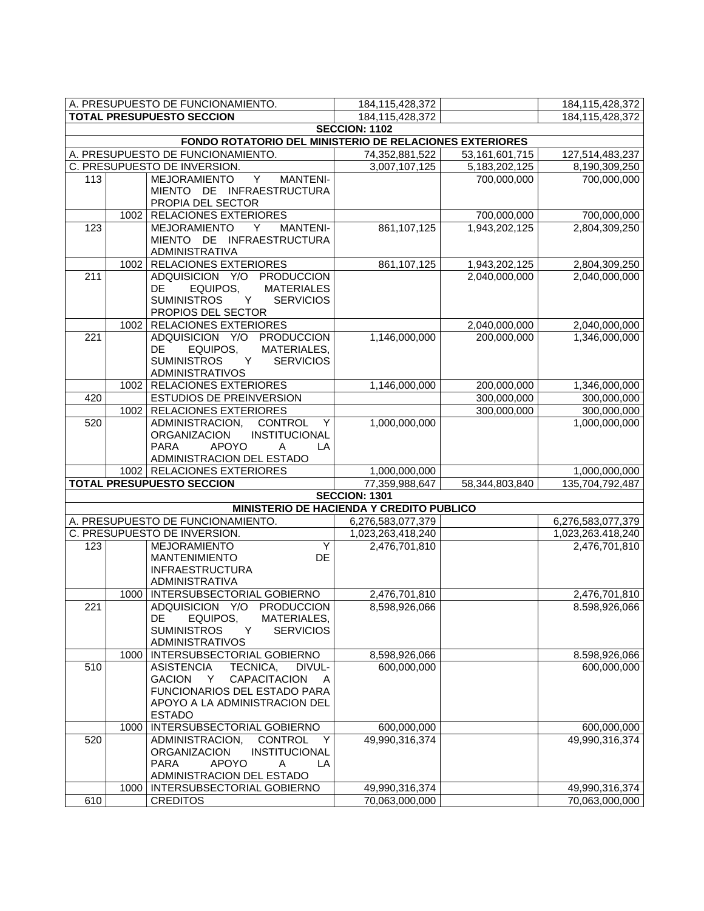|                                                         |      | A. PRESUPUESTO DE FUNCIONAMIENTO.                                                     | 184, 115, 428, 372                       |                   | 184,115,428,372              |  |  |
|---------------------------------------------------------|------|---------------------------------------------------------------------------------------|------------------------------------------|-------------------|------------------------------|--|--|
|                                                         |      | <b>TOTAL PRESUPUESTO SECCION</b>                                                      | 184,115,428,372                          |                   | 184,115,428,372              |  |  |
|                                                         |      |                                                                                       | <b>SECCION: 1102</b>                     |                   |                              |  |  |
| FONDO ROTATORIO DEL MINISTERIO DE RELACIONES EXTERIORES |      |                                                                                       |                                          |                   |                              |  |  |
|                                                         |      | A. PRESUPUESTO DE FUNCIONAMIENTO.                                                     | 74,352,881,522                           | 53, 161, 601, 715 | 127,514,483,237              |  |  |
|                                                         |      | C. PRESUPUESTO DE INVERSION.                                                          | 3,007,107,125                            | 5,183,202,125     | 8,190,309,250                |  |  |
| 113                                                     |      | $\overline{Y}$<br><b>MEJORAMIENTO</b><br><b>MANTENI-</b>                              |                                          | 700,000,000       | 700,000,000                  |  |  |
|                                                         |      | MIENTO DE INFRAESTRUCTURA                                                             |                                          |                   |                              |  |  |
|                                                         |      | PROPIA DEL SECTOR                                                                     |                                          |                   |                              |  |  |
|                                                         | 1002 | <b>RELACIONES EXTERIORES</b>                                                          |                                          | 700,000,000       | 700,000,000                  |  |  |
| 123                                                     |      | MEJORAMIENTO<br>Y<br><b>MANTENI-</b>                                                  | 861,107,125                              | 1,943,202,125     | 2,804,309,250                |  |  |
|                                                         |      | MIENTO DE INFRAESTRUCTURA                                                             |                                          |                   |                              |  |  |
|                                                         |      | <b>ADMINISTRATIVA</b>                                                                 |                                          |                   |                              |  |  |
|                                                         | 1002 | <b>RELACIONES EXTERIORES</b>                                                          | 861,107,125                              | 1,943,202,125     | 2,804,309,250                |  |  |
| 211                                                     |      | ADQUISICION Y/O<br><b>PRODUCCION</b>                                                  |                                          | 2,040,000,000     | 2,040,000,000                |  |  |
|                                                         |      | EQUIPOS,<br><b>MATERIALES</b><br>DE.                                                  |                                          |                   |                              |  |  |
|                                                         |      | <b>SUMINISTROS</b><br>Y<br><b>SERVICIOS</b>                                           |                                          |                   |                              |  |  |
|                                                         |      | PROPIOS DEL SECTOR                                                                    |                                          |                   |                              |  |  |
|                                                         | 1002 | <b>RELACIONES EXTERIORES</b>                                                          |                                          | 2,040,000,000     | 2,040,000,000                |  |  |
| $\overline{221}$                                        |      | ADQUISICION Y/O PRODUCCION                                                            | 1,146,000,000                            | 200,000,000       | 1,346,000,000                |  |  |
|                                                         |      | EQUIPOS,<br>MATERIALES,<br>DE                                                         |                                          |                   |                              |  |  |
|                                                         |      | <b>SUMINISTROS</b><br>Y<br><b>SERVICIOS</b>                                           |                                          |                   |                              |  |  |
|                                                         |      | <b>ADMINISTRATIVOS</b>                                                                |                                          | 200,000,000       |                              |  |  |
| 420                                                     | 1002 | <b>RELACIONES EXTERIORES</b><br><b>ESTUDIOS DE PREINVERSION</b>                       | 1,146,000,000                            | 300,000,000       | 1,346,000,000<br>300,000,000 |  |  |
|                                                         |      |                                                                                       |                                          |                   |                              |  |  |
|                                                         | 1002 | <b>RELACIONES EXTERIORES</b>                                                          |                                          | 300,000,000       | 300,000,000<br>1,000,000,000 |  |  |
| 520                                                     |      | ADMINISTRACION,<br><b>CONTROL</b><br>Y                                                | 1,000,000,000                            |                   |                              |  |  |
|                                                         |      | <b>ORGANIZACION</b><br><b>INSTITUCIONAL</b><br><b>APOYO</b><br><b>PARA</b><br>LA<br>A |                                          |                   |                              |  |  |
|                                                         |      | ADMINISTRACION DEL ESTADO                                                             |                                          |                   |                              |  |  |
|                                                         |      | 1002   RELACIONES EXTERIORES                                                          | 1,000,000,000                            |                   | 1,000,000,000                |  |  |
|                                                         |      | <b>TOTAL PRESUPUESTO SECCION</b>                                                      | 77,359,988,647                           | 58,344,803,840    | 135,704,792,487              |  |  |
|                                                         |      |                                                                                       | <b>SECCION: 1301</b>                     |                   |                              |  |  |
|                                                         |      |                                                                                       | MINISTERIO DE HACIENDA Y CREDITO PUBLICO |                   |                              |  |  |
|                                                         |      | A. PRESUPUESTO DE FUNCIONAMIENTO.                                                     | 6,276,583,077,379                        |                   | 6,276,583,077,379            |  |  |
|                                                         |      | C. PRESUPUESTO DE INVERSION.                                                          | 1,023,263,418,240                        |                   | 1,023,263.418,240            |  |  |
| 123                                                     |      | MEJORAMIENTO<br>Υ                                                                     | 2,476,701,810                            |                   | 2,476,701,810                |  |  |
|                                                         |      | <b>MANTENIMIENTO</b><br>DE                                                            |                                          |                   |                              |  |  |
|                                                         |      | <b>INFRAESTRUCTURA</b>                                                                |                                          |                   |                              |  |  |
|                                                         |      | ADMINISTRATIVA                                                                        |                                          |                   |                              |  |  |
|                                                         | 1000 | INTERSUBSECTORIAL GOBIERNO                                                            | 2,476,701,810                            |                   | 2,476,701,810                |  |  |
| 221                                                     |      | ADQUISICION Y/O PRODUCCION                                                            | 8,598,926,066                            |                   | 8.598,926,066                |  |  |
|                                                         |      | DE<br>EQUIPOS,<br>MATERIALES,                                                         |                                          |                   |                              |  |  |
|                                                         |      | <b>SUMINISTROS</b><br><b>SERVICIOS</b><br>Y                                           |                                          |                   |                              |  |  |
|                                                         |      | <b>ADMINISTRATIVOS</b>                                                                |                                          |                   |                              |  |  |
|                                                         | 1000 | INTERSUBSECTORIAL GOBIERNO                                                            | 8,598,926,066                            |                   | 8.598,926,066                |  |  |
| 510                                                     |      | <b>ASISTENCIA</b><br>TECNICA,<br>DIVUL-                                               | 600,000,000                              |                   | 600,000,000                  |  |  |
|                                                         |      | GACION Y<br>CAPACITACION A                                                            |                                          |                   |                              |  |  |
|                                                         |      | FUNCIONARIOS DEL ESTADO PARA                                                          |                                          |                   |                              |  |  |
|                                                         |      | APOYO A LA ADMINISTRACION DEL                                                         |                                          |                   |                              |  |  |
|                                                         |      | <b>ESTADO</b>                                                                         |                                          |                   |                              |  |  |
|                                                         | 1000 | INTERSUBSECTORIAL GOBIERNO                                                            | 600,000,000                              |                   | 600,000,000                  |  |  |
| 520                                                     |      | ADMINISTRACION,<br><b>CONTROL</b><br>Y                                                | 49,990,316,374                           |                   | 49,990,316,374               |  |  |
|                                                         |      | <b>ORGANIZACION</b><br>INSTITUCIONAL                                                  |                                          |                   |                              |  |  |
|                                                         |      | <b>APOYO</b><br><b>PARA</b><br>Α<br>LA                                                |                                          |                   |                              |  |  |
|                                                         |      | ADMINISTRACION DEL ESTADO                                                             |                                          |                   |                              |  |  |
|                                                         | 1000 | INTERSUBSECTORIAL GOBIERNO                                                            | 49,990,316,374                           |                   | 49,990,316,374               |  |  |
| 610                                                     |      | <b>CREDITOS</b>                                                                       | 70,063,000,000                           |                   | 70,063,000,000               |  |  |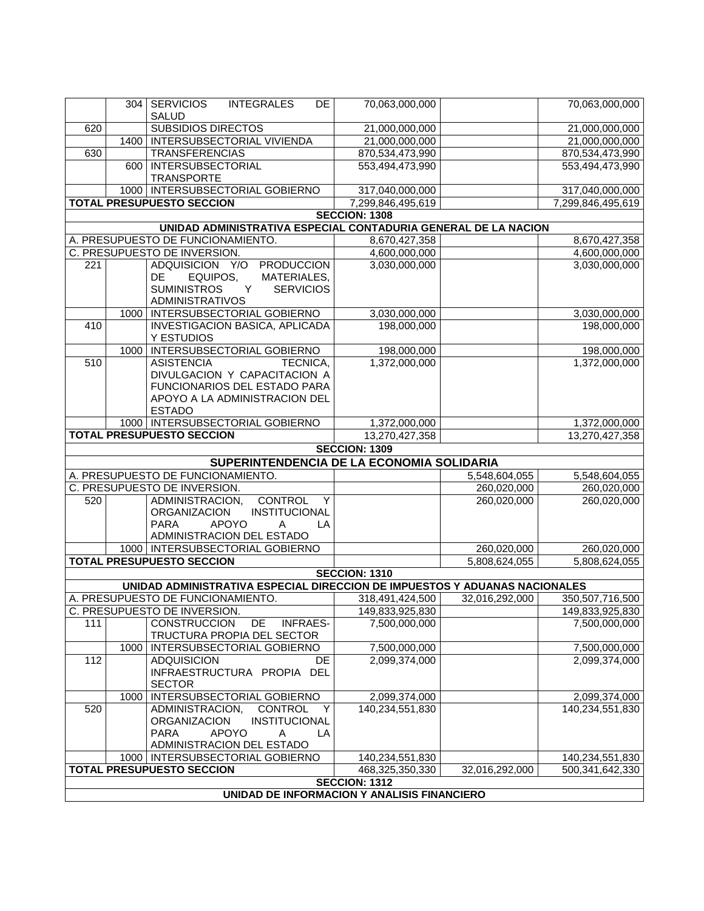|                  |                                             | 304   SERVICIOS<br><b>INTEGRALES</b><br><b>DE</b>                          | 70,063,000,000       |                | 70,063,000,000    |  |  |
|------------------|---------------------------------------------|----------------------------------------------------------------------------|----------------------|----------------|-------------------|--|--|
|                  |                                             | <b>SALUD</b>                                                               |                      |                |                   |  |  |
| 620              |                                             | <b>SUBSIDIOS DIRECTOS</b>                                                  | 21,000,000,000       |                | 21,000,000,000    |  |  |
|                  | 1400                                        | INTERSUBSECTORIAL VIVIENDA                                                 | 21,000,000,000       |                | 21,000,000,000    |  |  |
| 630              |                                             | <b>TRANSFERENCIAS</b>                                                      | 870,534,473,990      |                | 870,534,473,990   |  |  |
|                  | 600                                         | <b>INTERSUBSECTORIAL</b><br><b>TRANSPORTE</b>                              | 553,494,473,990      |                | 553,494,473,990   |  |  |
|                  |                                             | 1000   INTERSUBSECTORIAL GOBIERNO                                          | 317,040,000,000      |                | 317,040,000,000   |  |  |
|                  |                                             | <b>TOTAL PRESUPUESTO SECCION</b>                                           | 7,299,846,495,619    |                | 7,299,846,495,619 |  |  |
|                  |                                             |                                                                            | <b>SECCION: 1308</b> |                |                   |  |  |
|                  |                                             | UNIDAD ADMINISTRATIVA ESPECIAL CONTADURIA GENERAL DE LA NACION             |                      |                |                   |  |  |
|                  |                                             | A. PRESUPUESTO DE FUNCIONAMIENTO.                                          | 8,670,427,358        |                | 8,670,427,358     |  |  |
|                  |                                             | C. PRESUPUESTO DE INVERSION.                                               | 4,600,000,000        |                | 4,600,000,000     |  |  |
| 221              |                                             | ADQUISICION Y/O PRODUCCION                                                 | 3,030,000,000        |                | 3,030,000,000     |  |  |
|                  |                                             | EQUIPOS,<br>MATERIALES,<br>DE.                                             |                      |                |                   |  |  |
|                  |                                             | Y<br><b>SUMINISTROS</b><br><b>SERVICIOS</b>                                |                      |                |                   |  |  |
|                  |                                             | <b>ADMINISTRATIVOS</b>                                                     |                      |                |                   |  |  |
|                  | 1000                                        | INTERSUBSECTORIAL GOBIERNO                                                 | 3,030,000,000        |                | 3,030,000,000     |  |  |
| 410              |                                             | <b>INVESTIGACION BASICA, APLICADA</b><br>Y ESTUDIOS                        | 198,000,000          |                | 198,000,000       |  |  |
|                  | 1000                                        | <b>INTERSUBSECTORIAL GOBIERNO</b>                                          | 198,000,000          |                | 198,000,000       |  |  |
| $\overline{510}$ |                                             | <b>ASISTENCIA</b><br>TECNICA.                                              | 1,372,000,000        |                | 1,372,000,000     |  |  |
|                  |                                             | DIVULGACION Y CAPACITACION A                                               |                      |                |                   |  |  |
|                  |                                             | FUNCIONARIOS DEL ESTADO PARA                                               |                      |                |                   |  |  |
|                  |                                             | APOYO A LA ADMINISTRACION DEL                                              |                      |                |                   |  |  |
|                  |                                             | <b>ESTADO</b>                                                              |                      |                |                   |  |  |
|                  |                                             | 1000   INTERSUBSECTORIAL GOBIERNO                                          | 1,372,000,000        |                | 1,372,000,000     |  |  |
|                  |                                             | <b>TOTAL PRESUPUESTO SECCION</b>                                           | 13,270,427,358       |                | 13,270,427,358    |  |  |
|                  |                                             |                                                                            | <b>SECCION: 1309</b> |                |                   |  |  |
|                  |                                             | SUPERINTENDENCIA DE LA ECONOMIA SOLIDARIA                                  |                      |                |                   |  |  |
|                  |                                             | A. PRESUPUESTO DE FUNCIONAMIENTO.                                          |                      | 5,548,604,055  | 5,548,604,055     |  |  |
|                  |                                             | C. PRESUPUESTO DE INVERSION.                                               |                      | 260,020,000    | 260,020,000       |  |  |
| 520              |                                             | ADMINISTRACION,<br><b>CONTROL</b><br>Y<br><b>INSTITUCIONAL</b>             |                      | 260,020,000    | 260,020,000       |  |  |
|                  |                                             | <b>ORGANIZACION</b><br><b>APOYO</b><br><b>PARA</b><br>LA<br>A              |                      |                |                   |  |  |
|                  |                                             | ADMINISTRACION DEL ESTADO                                                  |                      |                |                   |  |  |
|                  |                                             | 1000   INTERSUBSECTORIAL GOBIERNO                                          |                      | 260,020,000    | 260,020,000       |  |  |
|                  |                                             | <b>TOTAL PRESUPUESTO SECCION</b>                                           |                      | 5,808,624,055  | 5,808,624,055     |  |  |
|                  |                                             |                                                                            | <b>SECCION: 1310</b> |                |                   |  |  |
|                  |                                             | UNIDAD ADMINISTRATIVA ESPECIAL DIRECCION DE IMPUESTOS Y ADUANAS NACIONALES |                      |                |                   |  |  |
|                  |                                             | A. PRESUPUESTO DE FUNCIONAMIENTO.                                          | 318,491,424,500      | 32,016,292,000 | 350,507,716,500   |  |  |
|                  |                                             | C. PRESUPUESTO DE INVERSION                                                | 149,833,925,830      |                | 149,833,925,830   |  |  |
| 111              |                                             | CONSTRUCCION DE<br><b>INFRAES-</b>                                         | 7,500,000,000        |                | 7,500,000,000     |  |  |
|                  |                                             | TRUCTURA PROPIA DEL SECTOR                                                 |                      |                |                   |  |  |
|                  | 1000                                        | INTERSUBSECTORIAL GOBIERNO                                                 | 7,500,000,000        |                | 7,500,000,000     |  |  |
| 112              |                                             | <b>ADQUISICION</b><br><b>DE</b>                                            | 2,099,374,000        |                | 2,099,374,000     |  |  |
|                  |                                             | INFRAESTRUCTURA PROPIA DEL                                                 |                      |                |                   |  |  |
|                  |                                             | <b>SECTOR</b>                                                              |                      |                |                   |  |  |
|                  | 1000                                        | INTERSUBSECTORIAL GOBIERNO                                                 | 2,099,374,000        |                | 2,099,374,000     |  |  |
| 520              |                                             | ADMINISTRACION,<br><b>CONTROL</b><br>Y                                     | 140,234,551,830      |                | 140,234,551,830   |  |  |
|                  |                                             | <b>ORGANIZACION</b><br>INSTITUCIONAL                                       |                      |                |                   |  |  |
|                  |                                             | <b>PARA</b><br><b>APOYO</b><br>Α<br>LA                                     |                      |                |                   |  |  |
|                  |                                             | ADMINISTRACION DEL ESTADO                                                  |                      |                |                   |  |  |
|                  |                                             | 1000   INTERSUBSECTORIAL GOBIERNO                                          | 140,234,551,830      |                | 140,234,551,830   |  |  |
|                  |                                             | <b>TOTAL PRESUPUESTO SECCION</b>                                           | 468,325,350,330      | 32,016,292,000 | 500,341,642,330   |  |  |
|                  |                                             |                                                                            | <b>SECCION: 1312</b> |                |                   |  |  |
|                  | UNIDAD DE INFORMACION Y ANALISIS FINANCIERO |                                                                            |                      |                |                   |  |  |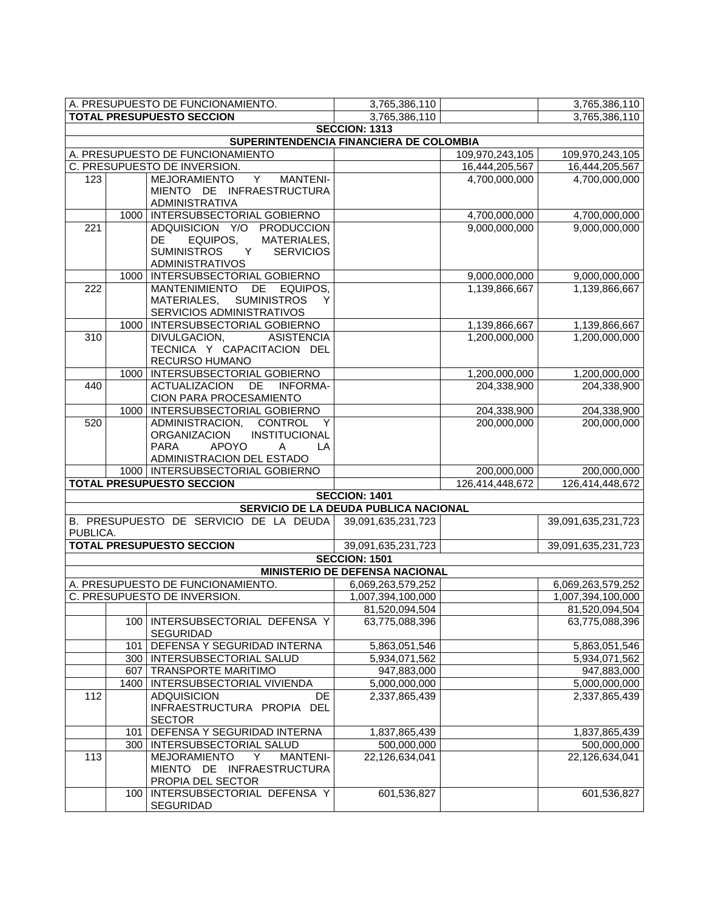|                  |       | A. PRESUPUESTO DE FUNCIONAMIENTO.                         | 3,765,386,110                           |                 | 3,765,386,110      |
|------------------|-------|-----------------------------------------------------------|-----------------------------------------|-----------------|--------------------|
|                  |       | <b>TOTAL PRESUPUESTO SECCION</b>                          | 3,765,386,110                           |                 | 3,765,386,110      |
|                  |       |                                                           | <b>SECCION: 1313</b>                    |                 |                    |
|                  |       |                                                           | SUPERINTENDENCIA FINANCIERA DE COLOMBIA |                 |                    |
|                  |       | A. PRESUPUESTO DE FUNCIONAMIENTO                          |                                         | 109,970,243,105 | 109,970,243,105    |
|                  |       | C. PRESUPUESTO DE INVERSION.                              |                                         | 16,444,205,567  | 16,444,205,567     |
| 123              |       | MEJORAMIENTO Y<br><b>MANTENI-</b>                         |                                         | 4,700,000,000   | 4,700,000,000      |
|                  |       | MIENTO DE INFRAESTRUCTURA                                 |                                         |                 |                    |
|                  |       | ADMINISTRATIVA                                            |                                         |                 |                    |
|                  |       | 1000   INTERSUBSECTORIAL GOBIERNO                         |                                         | 4,700,000,000   | 4,700,000,000      |
| 221              |       | ADQUISICION Y/O PRODUCCION                                |                                         | 9,000,000,000   | 9,000,000,000      |
|                  |       | DE<br>EQUIPOS,<br>MATERIALES,                             |                                         |                 |                    |
|                  |       | <b>SUMINISTROS</b><br><b>SERVICIOS</b><br>Y               |                                         |                 |                    |
|                  |       | <b>ADMINISTRATIVOS</b>                                    |                                         |                 |                    |
|                  | 1000  | INTERSUBSECTORIAL GOBIERNO                                |                                         | 9,000,000,000   | 9,000,000,000      |
| 222              |       | MANTENIMIENTO DE EQUIPOS,<br>MATERIALES, SUMINISTROS<br>Y |                                         | 1,139,866,667   | 1,139,866,667      |
|                  |       | SERVICIOS ADMINISTRATIVOS                                 |                                         |                 |                    |
|                  | 1000  | INTERSUBSECTORIAL GOBIERNO                                |                                         | 1,139,866,667   | 1,139,866,667      |
| $\overline{310}$ |       | DIVULGACION,<br>ASISTENCIA                                |                                         | 1,200,000,000   | 1,200,000,000      |
|                  |       | TECNICA Y CAPACITACION DEL                                |                                         |                 |                    |
|                  |       | RECURSO HUMANO                                            |                                         |                 |                    |
|                  | 1000  | INTERSUBSECTORIAL GOBIERNO                                |                                         | 1,200,000,000   | 1,200,000,000      |
| 440              |       | ACTUALIZACION DE INFORMA-                                 |                                         | 204,338,900     | 204,338,900        |
|                  |       | CION PARA PROCESAMIENTO                                   |                                         |                 |                    |
|                  | 1000  | INTERSUBSECTORIAL GOBIERNO                                |                                         | 204,338,900     | 204,338,900        |
| 520              |       | ADMINISTRACION,<br><b>CONTROL</b><br>Y                    |                                         | 200,000,000     | 200,000,000        |
|                  |       | ORGANIZACION<br>INSTITUCIONAL                             |                                         |                 |                    |
|                  |       | <b>APOYO</b><br><b>PARA</b><br>LA<br>A                    |                                         |                 |                    |
|                  |       | ADMINISTRACION DEL ESTADO                                 |                                         |                 |                    |
|                  |       | 1000   INTERSUBSECTORIAL GOBIERNO                         |                                         | 200,000,000     | 200,000,000        |
|                  |       | <b>TOTAL PRESUPUESTO SECCION</b>                          |                                         | 126,414,448,672 | 126,414,448,672    |
|                  |       |                                                           | <b>SECCION: 1401</b>                    |                 |                    |
|                  |       |                                                           | SERVICIO DE LA DEUDA PUBLICA NACIONAL   |                 |                    |
|                  |       | B. PRESUPUESTO DE SERVICIO DE LA DEUDA                    | 39,091,635,231,723                      |                 | 39,091,635,231,723 |
| PUBLICA.         |       |                                                           |                                         |                 |                    |
|                  |       | <b>TOTAL PRESUPUESTO SECCION</b>                          | 39,091,635,231,723                      |                 | 39,091,635,231,723 |
|                  |       |                                                           | <b>SECCION: 1501</b>                    |                 |                    |
|                  |       |                                                           | MINISTERIO DE DEFENSA NACIONAL          |                 |                    |
|                  |       | A. PRESUPUESTO DE FUNCIONAMIENTO.                         | 6,069,263,579,252                       |                 | 6,069,263,579,252  |
|                  |       | C. PRESUPUESTO DE INVERSION.                              | 1,007,394,100,000                       |                 | 1,007,394,100,000  |
|                  |       |                                                           | 81,520,094,504                          |                 | 81,520,094,504     |
|                  | 100   | INTERSUBSECTORIAL DEFENSA Y                               | 63,775,088,396                          |                 | 63,775,088,396     |
|                  |       | <b>SEGURIDAD</b>                                          |                                         |                 |                    |
|                  | 101   | DEFENSA Y SEGURIDAD INTERNA                               | 5,863,051,546                           |                 | 5,863,051,546      |
|                  |       | 300   INTERSUBSECTORIAL SALUD                             | 5,934,071,562                           |                 | 5,934,071,562      |
|                  |       | 607   TRANSPORTE MARITIMO                                 | 947,883,000                             |                 | 947,883,000        |
|                  | 1400  | INTERSUBSECTORIAL VIVIENDA                                | 5,000,000,000                           |                 | 5,000,000,000      |
| 112              |       | DE<br><b>ADQUISICION</b>                                  | 2,337,865,439                           |                 | 2,337,865,439      |
|                  |       | INFRAESTRUCTURA PROPIA DEL                                |                                         |                 |                    |
|                  |       | <b>SECTOR</b>                                             |                                         |                 |                    |
|                  | 101   | DEFENSA Y SEGURIDAD INTERNA                               | 1,837,865,439                           |                 | 1,837,865,439      |
|                  | 300 l | INTERSUBSECTORIAL SALUD                                   | 500,000,000                             |                 | 500,000,000        |
| 113              |       | <b>MEJORAMIENTO</b><br>Y<br><b>MANTENI-</b>               | 22,126,634,041                          |                 | 22,126,634,041     |
|                  |       | MIENTO DE INFRAESTRUCTURA                                 |                                         |                 |                    |
|                  |       | PROPIA DEL SECTOR                                         | 601,536,827                             |                 |                    |
|                  | 100   | INTERSUBSECTORIAL DEFENSA Y<br>SEGURIDAD                  |                                         |                 | 601,536,827        |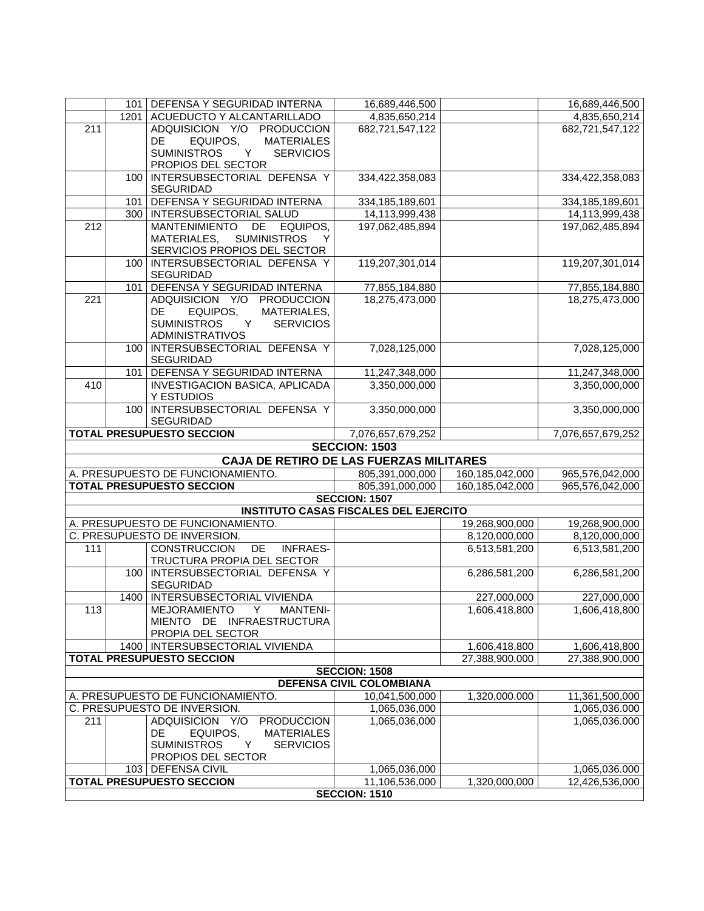|                  |                  | 101 DEFENSA Y SEGURIDAD INTERNA                                        | 16,689,446,500                               |                 | 16,689,446,500    |
|------------------|------------------|------------------------------------------------------------------------|----------------------------------------------|-----------------|-------------------|
|                  |                  | 1201   ACUEDUCTO Y ALCANTARILLADO                                      | 4,835,650,214                                |                 | 4,835,650,214     |
| $\overline{211}$ |                  | ADQUISICION Y/O PRODUCCION                                             | 682,721,547,122                              |                 | 682,721,547,122   |
|                  |                  | <b>MATERIALES</b><br>DE.<br>EQUIPOS,                                   |                                              |                 |                   |
|                  |                  | <b>SUMINISTROS</b><br>$\mathsf{Y}$<br><b>SERVICIOS</b>                 |                                              |                 |                   |
|                  |                  | PROPIOS DEL SECTOR                                                     |                                              |                 |                   |
|                  | 100 <sub>1</sub> | INTERSUBSECTORIAL DEFENSA Y<br><b>SEGURIDAD</b>                        | 334,422,358,083                              |                 | 334,422,358,083   |
|                  |                  | 101   DEFENSA Y SEGURIDAD INTERNA                                      | 334, 185, 189, 601                           |                 | 334,185,189,601   |
|                  |                  | 300   INTERSUBSECTORIAL SALUD                                          | 14,113,999,438                               |                 | 14,113,999,438    |
| $\overline{212}$ |                  | MANTENIMIENTO<br>DE EQUIPOS,                                           | 197,062,485,894                              |                 | 197,062,485,894   |
|                  |                  | MATERIALES,<br><b>SUMINISTROS</b><br>Y<br>SERVICIOS PROPIOS DEL SECTOR |                                              |                 |                   |
|                  | 100              | INTERSUBSECTORIAL DEFENSA Y                                            | 119,207,301,014                              |                 | 119,207,301,014   |
|                  |                  | <b>SEGURIDAD</b>                                                       |                                              |                 |                   |
|                  | 101              | DEFENSA Y SEGURIDAD INTERNA                                            | 77,855,184,880                               |                 | 77,855,184,880    |
| $\overline{221}$ |                  | ADQUISICION Y/O PRODUCCION                                             | 18,275,473,000                               |                 | 18,275,473,000    |
|                  |                  | EQUIPOS,<br>MATERIALES,<br><b>DE</b>                                   |                                              |                 |                   |
|                  |                  | Y.<br><b>SUMINISTROS</b><br><b>SERVICIOS</b>                           |                                              |                 |                   |
|                  |                  | <b>ADMINISTRATIVOS</b>                                                 |                                              |                 |                   |
|                  |                  | 100   INTERSUBSECTORIAL DEFENSA Y<br><b>SEGURIDAD</b>                  | 7,028,125,000                                |                 | 7,028,125,000     |
|                  |                  | 101   DEFENSA Y SEGURIDAD INTERNA                                      | 11,247,348,000                               |                 | 11,247,348,000    |
| 410              |                  | INVESTIGACION BASICA, APLICADA                                         | 3,350,000,000                                |                 | 3,350,000,000     |
|                  |                  | Y ESTUDIOS<br>INTERSUBSECTORIAL DEFENSA Y                              |                                              |                 |                   |
|                  | 100 <sub>1</sub> | <b>SEGURIDAD</b>                                                       | 3,350,000,000                                |                 | 3,350,000,000     |
|                  |                  | <b>TOTAL PRESUPUESTO SECCION</b>                                       | 7,076,657,679,252                            |                 | 7,076,657,679,252 |
|                  |                  |                                                                        | <b>SECCION: 1503</b>                         |                 |                   |
|                  |                  | CAJA DE RETIRO DE LAS FUERZAS MILITARES                                |                                              |                 |                   |
|                  |                  | A. PRESUPUESTO DE FUNCIONAMIENTO.                                      | 805,391,000,000                              | 160,185,042,000 | 965,576,042,000   |
|                  |                  | <b>TOTAL PRESUPUESTO SECCION</b>                                       | 805,391,000,000                              | 160,185,042,000 | 965,576,042,000   |
|                  |                  |                                                                        | <b>SECCION: 1507</b>                         |                 |                   |
|                  |                  |                                                                        | <b>INSTITUTO CASAS FISCALES DEL EJERCITO</b> |                 |                   |
|                  |                  | A. PRESUPUESTO DE FUNCIONAMIENTO.                                      |                                              | 19,268,900,000  | 19,268,900,000    |
|                  |                  | C. PRESUPUESTO DE INVERSION.                                           |                                              | 8,120,000,000   | 8,120,000,000     |
| 111              |                  | CONSTRUCCION<br>DE<br><b>INFRAES-</b>                                  |                                              | 6,513,581,200   | 6,513,581,200     |
|                  |                  | TRUCTURA PROPIA DEL SECTOR                                             |                                              |                 |                   |
|                  |                  | 100   INTERSUBSECTORIAL DEFENSA Y<br><b>SEGURIDAD</b>                  |                                              | 6,286,581,200   | 6,286,581,200     |
|                  |                  | 1400   INTERSUBSECTORIAL VIVIENDA                                      |                                              | 227,000,000     | 227,000,000       |
| 113              |                  | <b>MEJORAMIENTO</b><br>Y<br><b>MANTENI-</b>                            |                                              | 1,606,418,800   | 1,606,418,800     |
|                  |                  | MIENTO DE INFRAESTRUCTURA                                              |                                              |                 |                   |
|                  |                  | PROPIA DEL SECTOR                                                      |                                              |                 |                   |
|                  |                  | 1400   INTERSUBSECTORIAL VIVIENDA                                      |                                              | 1,606,418,800   | 1,606,418,800     |
|                  |                  | <b>TOTAL PRESUPUESTO SECCION</b>                                       |                                              | 27,388,900,000  | 27,388,900,000    |
|                  |                  |                                                                        | <b>SECCION: 1508</b>                         |                 |                   |
|                  |                  |                                                                        | <b>DEFENSA CIVIL COLOMBIANA</b>              |                 |                   |
|                  |                  | A. PRESUPUESTO DE FUNCIONAMIENTO.                                      | 10,041,500,000                               | 1,320,000.000   | 11,361,500,000    |
|                  |                  | C. PRESUPUESTO DE INVERSION.                                           | 1,065,036,000                                |                 | 1,065,036.000     |
| 211              |                  | ADQUISICION Y/O<br><b>PRODUCCION</b>                                   | 1,065,036,000                                |                 | 1,065,036.000     |
|                  |                  | DE<br>EQUIPOS,<br><b>MATERIALES</b>                                    |                                              |                 |                   |
|                  |                  | <b>SUMINISTROS</b><br>Y<br><b>SERVICIOS</b>                            |                                              |                 |                   |
|                  |                  | PROPIOS DEL SECTOR                                                     |                                              |                 |                   |
|                  |                  | 103   DEFENSA CIVIL                                                    | 1,065,036,000                                |                 | 1,065,036.000     |
|                  |                  |                                                                        |                                              |                 |                   |
|                  |                  | <b>TOTAL PRESUPUESTO SECCION</b>                                       | 11,106,536,000<br><b>SECCION: 1510</b>       | 1,320,000,000   | 12,426,536,000    |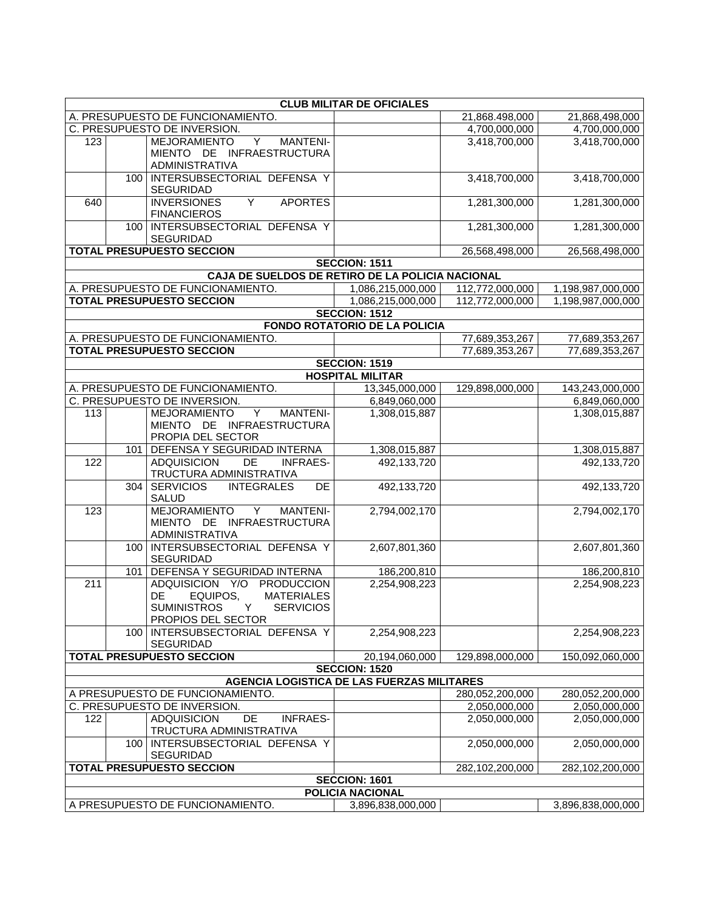|     |     |                                                                                                                    | <b>CLUB MILITAR DE OFICIALES</b>                             |                 |                   |
|-----|-----|--------------------------------------------------------------------------------------------------------------------|--------------------------------------------------------------|-----------------|-------------------|
|     |     | A. PRESUPUESTO DE FUNCIONAMIENTO.                                                                                  |                                                              | 21,868.498,000  | 21,868,498,000    |
|     |     | C. PRESUPUESTO DE INVERSION.                                                                                       |                                                              | 4,700,000,000   | 4,700,000,000     |
| 123 |     | <b>MEJORAMIENTO</b><br>$\overline{Y}$<br><b>MANTENI-</b>                                                           |                                                              | 3,418,700,000   | 3,418,700,000     |
|     |     | MIENTO DE INFRAESTRUCTURA<br><b>ADMINISTRATIVA</b>                                                                 |                                                              |                 |                   |
|     | 100 | INTERSUBSECTORIAL DEFENSA Y<br><b>SEGURIDAD</b>                                                                    |                                                              | 3,418,700,000   | 3,418,700,000     |
| 640 |     | <b>INVERSIONES</b><br>Y<br><b>APORTES</b><br><b>FINANCIEROS</b>                                                    |                                                              | 1,281,300,000   | 1,281,300,000     |
|     | 100 | INTERSUBSECTORIAL DEFENSA Y<br><b>SEGURIDAD</b>                                                                    |                                                              | 1,281,300,000   | 1,281,300,000     |
|     |     | <b>TOTAL PRESUPUESTO SECCION</b>                                                                                   |                                                              | 26,568,498,000  | 26,568,498,000    |
|     |     |                                                                                                                    | <b>SECCION: 1511</b>                                         |                 |                   |
|     |     | CAJA DE SUELDOS DE RETIRO DE LA POLICIA NACIONAL                                                                   |                                                              |                 |                   |
|     |     | A. PRESUPUESTO DE FUNCIONAMIENTO.                                                                                  | 1,086,215,000,000                                            | 112,772,000,000 | 1,198,987,000,000 |
|     |     | <b>TOTAL PRESUPUESTO SECCION</b>                                                                                   | 1,086,215,000,000                                            | 112,772,000,000 | 1,198,987,000,000 |
|     |     |                                                                                                                    | <b>SECCION: 1512</b><br><b>FONDO ROTATORIO DE LA POLICIA</b> |                 |                   |
|     |     | A. PRESUPUESTO DE FUNCIONAMIENTO.                                                                                  |                                                              |                 |                   |
|     |     | <b>TOTAL PRESUPUESTO SECCION</b>                                                                                   |                                                              | 77,689,353,267  | 77,689,353,267    |
|     |     |                                                                                                                    | <b>SECCION: 1519</b>                                         | 77,689,353,267  | 77,689,353,267    |
|     |     |                                                                                                                    | <b>HOSPITAL MILITAR</b>                                      |                 |                   |
|     |     | A. PRESUPUESTO DE FUNCIONAMIENTO.                                                                                  | 13,345,000,000                                               | 129,898,000,000 | 143,243,000,000   |
|     |     | C. PRESUPUESTO DE INVERSION.                                                                                       | 6,849,060,000                                                |                 | 6,849,060,000     |
| 113 |     | <b>MEJORAMIENTO</b><br>MANTENI-<br>Y                                                                               | 1,308,015,887                                                |                 | 1,308,015,887     |
|     |     | MIENTO DE INFRAESTRUCTURA<br>PROPIA DEL SECTOR                                                                     |                                                              |                 |                   |
|     | 101 | DEFENSA Y SEGURIDAD INTERNA                                                                                        | 1,308,015,887                                                |                 | 1,308,015,887     |
| 122 |     | <b>ADQUISICION</b><br>DE<br><b>INFRAES-</b><br>TRUCTURA ADMINISTRATIVA                                             | 492,133,720                                                  |                 | 492,133,720       |
|     | 304 | <b>SERVICIOS</b><br><b>INTEGRALES</b><br>DE<br><b>SALUD</b>                                                        | 492,133,720                                                  |                 | 492,133,720       |
| 123 |     | <b>MEJORAMIENTO</b><br>Y<br><b>MANTENI-</b><br>MIENTO DE INFRAESTRUCTURA<br>ADMINISTRATIVA                         | 2,794,002,170                                                |                 | 2,794,002,170     |
|     | 100 | INTERSUBSECTORIAL DEFENSA Y<br><b>SEGURIDAD</b>                                                                    | 2,607,801,360                                                |                 | 2,607,801,360     |
|     | 101 | DEFENSA Y SEGURIDAD INTERNA                                                                                        | 186,200,810                                                  |                 | 186,200,810       |
| 211 |     | ADQUISICION Y/O PRODUCCION<br>EQUIPOS,<br><b>MATERIALES</b><br>DE<br>SUMINISTROS Y SERVICIOS<br>PROPIOS DEL SECTOR | 2,254,908,223                                                |                 | 2,254,908,223     |
|     | 100 | INTERSUBSECTORIAL DEFENSA Y<br><b>SEGURIDAD</b>                                                                    | 2,254,908,223                                                |                 | 2,254,908,223     |
|     |     | <b>TOTAL PRESUPUESTO SECCION</b>                                                                                   | 20,194,060,000                                               | 129,898,000,000 | 150,092,060,000   |
|     |     |                                                                                                                    | <b>SECCION: 1520</b>                                         |                 |                   |
|     |     | <b>AGENCIA LOGISTICA DE LAS FUERZAS MILITARES</b>                                                                  |                                                              |                 |                   |
|     |     | A PRESUPUESTO DE FUNCIONAMIENTO.                                                                                   |                                                              | 280,052,200,000 | 280,052,200,000   |
|     |     | C. PRESUPUESTO DE INVERSION.                                                                                       |                                                              | 2,050,000,000   | 2,050,000,000     |
| 122 |     | <b>ADQUISICION</b><br><b>DE</b><br><b>INFRAES-</b><br>TRUCTURA ADMINISTRATIVA                                      |                                                              | 2,050,000,000   | 2,050,000,000     |
|     | 100 | INTERSUBSECTORIAL DEFENSA Y<br><b>SEGURIDAD</b>                                                                    |                                                              | 2,050,000,000   | 2,050,000,000     |
|     |     | <b>TOTAL PRESUPUESTO SECCION</b>                                                                                   |                                                              | 282,102,200,000 | 282,102,200,000   |
|     |     |                                                                                                                    | <b>SECCION: 1601</b>                                         |                 |                   |
|     |     |                                                                                                                    | <b>POLICIA NACIONAL</b>                                      |                 |                   |
|     |     | A PRESUPUESTO DE FUNCIONAMIENTO.                                                                                   | 3,896,838,000,000                                            |                 | 3,896,838,000,000 |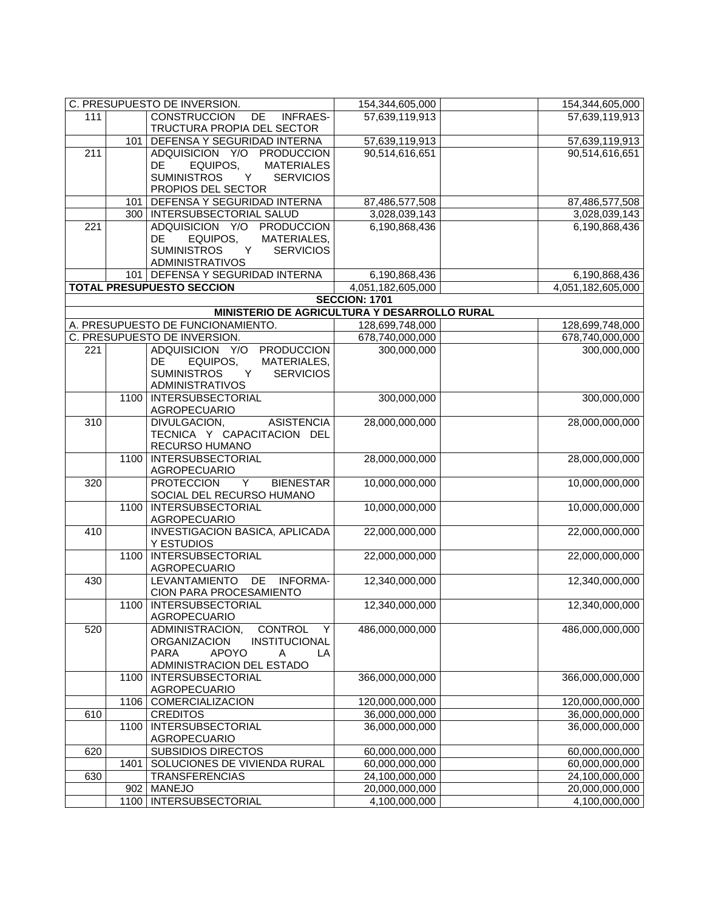|                  |      | C. PRESUPUESTO DE INVERSION.                                                      | 154,344,605,000                  | 154,344,605,000                    |
|------------------|------|-----------------------------------------------------------------------------------|----------------------------------|------------------------------------|
| 111              |      | <b>CONSTRUCCION</b><br>DE<br><b>INFRAES-</b>                                      | 57,639,119,913                   | 57,639,119,913                     |
|                  |      | TRUCTURA PROPIA DEL SECTOR                                                        |                                  |                                    |
|                  | 101  | DEFENSA Y SEGURIDAD INTERNA                                                       | 57,639,119,913                   | 57,639,119,913                     |
| $\overline{211}$ |      | ADQUISICION Y/O PRODUCCION                                                        | 90,514,616,651                   | 90,514,616,651                     |
|                  |      | EQUIPOS,<br>DE<br><b>MATERIALES</b>                                               |                                  |                                    |
|                  |      | Y<br><b>SUMINISTROS</b><br><b>SERVICIOS</b>                                       |                                  |                                    |
|                  |      | PROPIOS DEL SECTOR                                                                |                                  |                                    |
|                  | 101  | DEFENSA Y SEGURIDAD INTERNA                                                       | 87,486,577,508                   | 87,486,577,508                     |
|                  |      | 300   INTERSUBSECTORIAL SALUD                                                     | 3,028,039,143                    | 3,028,039,143                      |
| $\overline{221}$ |      | ADQUISICION Y/O PRODUCCION                                                        | 6,190,868,436                    | 6,190,868,436                      |
|                  |      | DE<br>EQUIPOS,<br>MATERIALES,                                                     |                                  |                                    |
|                  |      | <b>SUMINISTROS</b><br><b>SERVICIOS</b><br>Y                                       |                                  |                                    |
|                  |      | <b>ADMINISTRATIVOS</b>                                                            |                                  |                                    |
|                  |      | 101 DEFENSA Y SEGURIDAD INTERNA                                                   | 6,190,868,436                    | 6,190,868,436                      |
|                  |      | <b>TOTAL PRESUPUESTO SECCION</b>                                                  | 4,051,182,605,000                | 4,051,182,605,000                  |
|                  |      |                                                                                   | <b>SECCION: 1701</b>             |                                    |
|                  |      | MINISTERIO DE AGRICULTURA Y DESARROLLO RURAL<br>A. PRESUPUESTO DE FUNCIONAMIENTO. | 128,699,748,000                  |                                    |
|                  |      | C. PRESUPUESTO DE INVERSION.                                                      |                                  | 128,699,748,000<br>678,740,000,000 |
| 221              |      | ADQUISICION Y/O<br><b>PRODUCCION</b>                                              | 678,740,000,000<br>300,000,000   | 300,000,000                        |
|                  |      | EQUIPOS,<br>MATERIALES,<br>DE.                                                    |                                  |                                    |
|                  |      | <b>SUMINISTROS</b><br><b>SERVICIOS</b><br>Y                                       |                                  |                                    |
|                  |      | <b>ADMINISTRATIVOS</b>                                                            |                                  |                                    |
|                  | 1100 | <b>INTERSUBSECTORIAL</b>                                                          | 300,000,000                      | 300,000,000                        |
|                  |      | <b>AGROPECUARIO</b>                                                               |                                  |                                    |
| 310              |      | DIVULGACION,<br><b>ASISTENCIA</b>                                                 | 28,000,000,000                   | 28,000,000,000                     |
|                  |      | TECNICA Y CAPACITACION DEL                                                        |                                  |                                    |
|                  |      | RECURSO HUMANO                                                                    |                                  |                                    |
|                  | 1100 | <b>INTERSUBSECTORIAL</b>                                                          | 28,000,000,000                   | 28,000,000,000                     |
|                  |      | AGROPECUARIO                                                                      |                                  |                                    |
| 320              |      | <b>BIENESTAR</b><br><b>PROTECCION</b><br>Y                                        | 10,000,000,000                   | 10,000,000,000                     |
|                  |      | SOCIAL DEL RECURSO HUMANO                                                         |                                  |                                    |
|                  | 1100 | <b>INTERSUBSECTORIAL</b>                                                          | 10,000,000,000                   | 10,000,000,000                     |
|                  |      | AGROPECUARIO                                                                      |                                  |                                    |
| 410              |      | <b>INVESTIGACION BASICA, APLICADA</b>                                             | 22,000,000,000                   | 22,000,000,000                     |
|                  |      | Y ESTUDIOS                                                                        |                                  | 22,000,000,000                     |
|                  | 1100 | <b>INTERSUBSECTORIAL</b><br>AGROPECUARIO                                          | 22,000,000,000                   |                                    |
| 430              |      | <b>LEVANTAMIENTO</b><br>DE<br><b>INFORMA-</b>                                     | 12,340,000,000                   | 12,340,000,000                     |
|                  |      | CION PARA PROCESAMIENTO                                                           |                                  |                                    |
|                  | 1100 | <b>INTERSUBSECTORIAL</b>                                                          | 12,340,000,000                   | 12,340,000,000                     |
|                  |      | <b>AGROPECUARIO</b>                                                               |                                  |                                    |
| 520              |      | ADMINISTRACION,<br>CONTROL<br>Y                                                   | 486,000,000,000                  | 486,000,000,000                    |
|                  |      | <b>ORGANIZACION</b><br>INSTITUCIONAL                                              |                                  |                                    |
|                  |      | <b>APOYO</b><br><b>PARA</b><br>Α<br>LA                                            |                                  |                                    |
|                  |      | ADMINISTRACION DEL ESTADO                                                         |                                  |                                    |
|                  | 1100 | <b>INTERSUBSECTORIAL</b>                                                          | 366,000,000,000                  | 366,000,000,000                    |
|                  |      | AGROPECUARIO                                                                      |                                  |                                    |
|                  | 1106 | COMERCIALIZACION                                                                  | 120,000,000,000                  | 120,000,000,000                    |
| 610              |      | <b>CREDITOS</b>                                                                   | 36,000,000,000                   | 36,000,000,000                     |
|                  | 1100 | <b>INTERSUBSECTORIAL</b>                                                          | 36,000,000,000                   | 36,000,000,000                     |
|                  |      | AGROPECUARIO                                                                      |                                  |                                    |
| 620              |      | <b>SUBSIDIOS DIRECTOS</b>                                                         | 60,000,000,000                   | 60,000,000,000                     |
|                  | 1401 | SOLUCIONES DE VIVIENDA RURAL                                                      | 60,000,000,000                   | 60,000,000,000                     |
| 630              | 902  | <b>TRANSFERENCIAS</b><br><b>MANEJO</b>                                            | 24,100,000,000<br>20,000,000,000 | 24,100,000,000<br>20,000,000,000   |
|                  | 1100 | INTERSUBSECTORIAL                                                                 | 4,100,000,000                    |                                    |
|                  |      |                                                                                   |                                  | 4,100,000,000                      |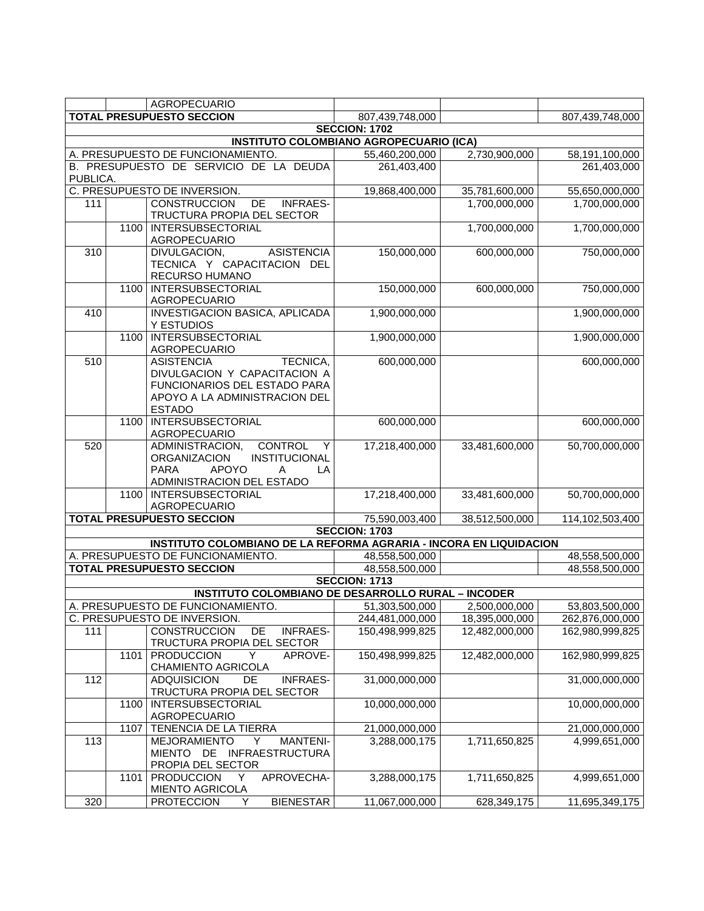|                  |      | <b>AGROPECUARIO</b>                                                                                                                                   |                                                |                |                 |
|------------------|------|-------------------------------------------------------------------------------------------------------------------------------------------------------|------------------------------------------------|----------------|-----------------|
|                  |      | <b>TOTAL PRESUPUESTO SECCION</b>                                                                                                                      | 807,439,748,000                                |                | 807,439,748,000 |
|                  |      |                                                                                                                                                       | <b>SECCION: 1702</b>                           |                |                 |
|                  |      |                                                                                                                                                       | <b>INSTITUTO COLOMBIANO AGROPECUARIO (ICA)</b> |                |                 |
|                  |      | A. PRESUPUESTO DE FUNCIONAMIENTO.                                                                                                                     | 55,460,200,000                                 | 2,730,900,000  | 58,191,100,000  |
|                  |      | B. PRESUPUESTO DE SERVICIO DE LA DEUDA                                                                                                                | 261,403,400                                    |                | 261,403,000     |
| PUBLICA.         |      |                                                                                                                                                       |                                                |                |                 |
|                  |      | C. PRESUPUESTO DE INVERSION.                                                                                                                          | 19,868,400,000                                 | 35,781,600,000 | 55,650,000,000  |
| 111              |      | <b>CONSTRUCCION</b><br>DE<br><b>INFRAES-</b>                                                                                                          |                                                | 1,700,000,000  | 1,700,000,000   |
|                  |      | TRUCTURA PROPIA DEL SECTOR                                                                                                                            |                                                |                |                 |
|                  | 1100 | <b>INTERSUBSECTORIAL</b><br>AGROPECUARIO                                                                                                              |                                                | 1,700,000,000  | 1,700,000,000   |
| 310              |      | <b>ASISTENCIA</b><br>DIVULGACION,<br>TECNICA Y CAPACITACION DEL<br>RECURSO HUMANO                                                                     | 150,000,000                                    | 600,000,000    | 750,000,000     |
|                  | 1100 | <b>INTERSUBSECTORIAL</b><br><b>AGROPECUARIO</b>                                                                                                       | 150,000,000                                    | 600,000,000    | 750,000,000     |
| 410              |      | <b>INVESTIGACION BASICA, APLICADA</b><br>Y ESTUDIOS                                                                                                   | 1,900,000,000                                  |                | 1,900,000,000   |
|                  | 1100 | <b>INTERSUBSECTORIAL</b><br>AGROPECUARIO                                                                                                              | 1,900,000,000                                  |                | 1,900,000,000   |
| 510              |      | <b>ASISTENCIA</b><br>TECNICA,<br>DIVULGACION Y CAPACITACION A<br>FUNCIONARIOS DEL ESTADO PARA<br>APOYO A LA ADMINISTRACION DEL<br><b>ESTADO</b>       | 600,000,000                                    |                | 600,000,000     |
|                  | 1100 | INTERSUBSECTORIAL<br><b>AGROPECUARIO</b>                                                                                                              | 600,000,000                                    |                | 600,000,000     |
| 520              |      | <b>CONTROL</b><br>ADMINISTRACION,<br>Y<br>INSTITUCIONAL<br><b>ORGANIZACION</b><br><b>APOYO</b><br><b>PARA</b><br>LA<br>A<br>ADMINISTRACION DEL ESTADO | 17,218,400,000                                 | 33,481,600,000 | 50,700,000,000  |
|                  | 1100 | INTERSUBSECTORIAL<br>AGROPECUARIO                                                                                                                     | 17,218,400,000                                 | 33,481,600,000 | 50,700,000,000  |
|                  |      | <b>TOTAL PRESUPUESTO SECCION</b>                                                                                                                      | 75,590,003,400                                 | 38,512,500,000 | 114,102,503,400 |
|                  |      |                                                                                                                                                       | <b>SECCION: 1703</b>                           |                |                 |
|                  |      | <b>INSTITUTO COLOMBIANO DE LA REFORMA AGRARIA - INCORA EN LIQUIDACION</b>                                                                             |                                                |                |                 |
|                  |      | A. PRESUPUESTO DE FUNCIONAMIENTO.                                                                                                                     | 48,558,500,000                                 |                | 48,558,500,000  |
|                  |      | <b>TOTAL PRESUPUESTO SECCION</b>                                                                                                                      | 48,558,500,000                                 |                | 48,558,500,000  |
|                  |      |                                                                                                                                                       | <b>SECCION: 1713</b>                           |                |                 |
|                  |      | <b>INSTITUTO COLOMBIANO DE DESARROLLO RURAL - INCODER</b>                                                                                             |                                                |                |                 |
|                  |      | A. PRESUPUESTO DE FUNCIONAMIENTO.                                                                                                                     | 51,303,500,000                                 | 2,500,000,000  | 53,803,500,000  |
|                  |      | C. PRESUPUESTO DE INVERSION.                                                                                                                          | 244,481,000,000                                | 18,395,000,000 | 262,876,000,000 |
| 111              |      | <b>CONSTRUCCION</b><br>DE<br><b>INFRAES-</b>                                                                                                          | 150,498,999,825                                | 12,482,000,000 | 162,980,999,825 |
|                  | 1101 | TRUCTURA PROPIA DEL SECTOR<br>Υ                                                                                                                       | 150,498,999,825                                | 12,482,000,000 | 162,980,999,825 |
|                  |      | <b>PRODUCCION</b><br>APROVE-<br><b>CHAMIENTO AGRICOLA</b>                                                                                             |                                                |                |                 |
| 112              |      | <b>ADQUISICION</b><br>DE<br><b>INFRAES-</b><br>TRUCTURA PROPIA DEL SECTOR                                                                             | 31,000,000,000                                 |                | 31,000,000,000  |
|                  | 1100 | <b>INTERSUBSECTORIAL</b><br>AGROPECUARIO                                                                                                              | 10,000,000,000                                 |                | 10,000,000,000  |
|                  | 1107 | TENENCIA DE LA TIERRA                                                                                                                                 | 21,000,000,000                                 |                | 21,000,000,000  |
| 113              |      | <b>MEJORAMIENTO</b><br><b>MANTENI-</b><br>Y<br>MIENTO DE<br><b>INFRAESTRUCTURA</b><br>PROPIA DEL SECTOR                                               | 3,288,000,175                                  | 1,711,650,825  | 4,999,651,000   |
|                  | 1101 | APROVECHA-<br><b>PRODUCCION</b><br>Y<br><b>MIENTO AGRICOLA</b>                                                                                        | 3,288,000,175                                  | 1,711,650,825  | 4,999,651,000   |
| $\overline{320}$ |      | <b>BIENESTAR</b><br><b>PROTECCION</b><br>Y                                                                                                            | 11,067,000,000                                 | 628,349,175    | 11,695,349,175  |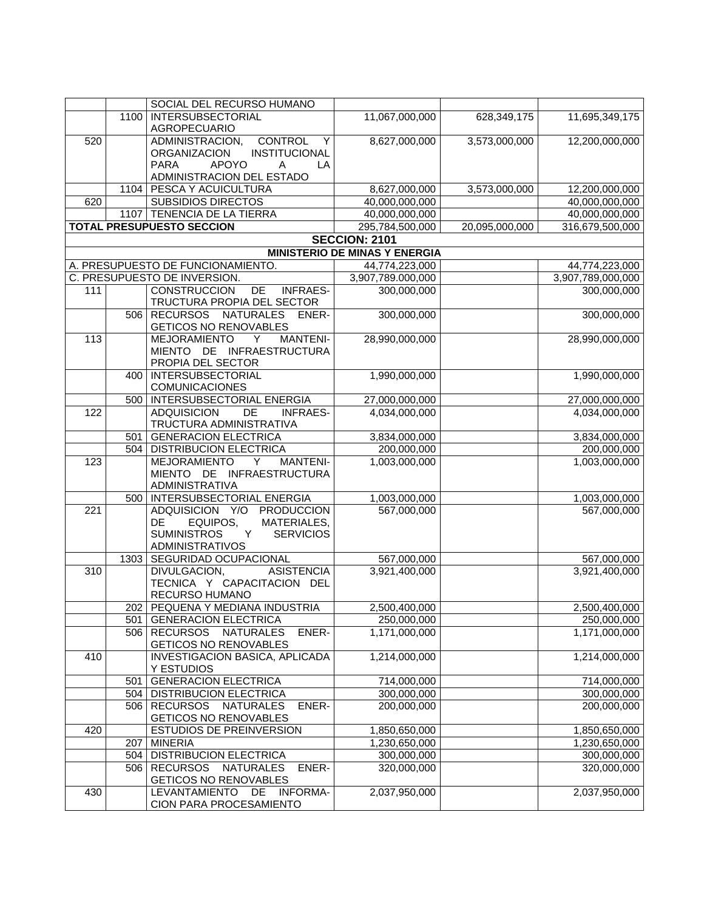|     |      | SOCIAL DEL RECURSO HUMANO                                                    |                                         |                |                              |
|-----|------|------------------------------------------------------------------------------|-----------------------------------------|----------------|------------------------------|
|     | 1100 | <b>INTERSUBSECTORIAL</b>                                                     | 11,067,000,000                          | 628,349,175    | 11,695,349,175               |
|     |      | AGROPECUARIO                                                                 |                                         |                |                              |
| 520 |      | <b>CONTROL</b><br>ADMINISTRACION,<br>Y                                       | 8,627,000,000                           | 3,573,000,000  | 12,200,000,000               |
|     |      | INSTITUCIONAL<br><b>ORGANIZACION</b>                                         |                                         |                |                              |
|     |      | <b>APOYO</b><br><b>PARA</b><br>LA<br>A                                       |                                         |                |                              |
|     |      | ADMINISTRACION DEL ESTADO                                                    |                                         |                |                              |
|     | 1104 | <b>PESCA Y ACUICULTURA</b>                                                   | 8,627,000,000                           | 3,573,000,000  | 12,200,000,000               |
| 620 |      | <b>SUBSIDIOS DIRECTOS</b>                                                    | 40,000,000,000                          |                | 40,000,000,000               |
|     |      | 1107 TENENCIA DE LA TIERRA<br><b>TOTAL PRESUPUESTO SECCION</b>               | 40,000,000,000                          |                | 40,000,000,000               |
|     |      |                                                                              | 295,784,500,000<br><b>SECCION: 2101</b> | 20,095,000,000 | 316,679,500,000              |
|     |      |                                                                              | <b>MINISTERIO DE MINAS Y ENERGIA</b>    |                |                              |
|     |      | A. PRESUPUESTO DE FUNCIONAMIENTO.                                            | 44,774,223,000                          |                | 44,774,223,000               |
|     |      | C. PRESUPUESTO DE INVERSION.                                                 | 3,907,789.000,000                       |                | 3,907,789,000,000            |
| 111 |      | <b>CONSTRUCCION</b><br><b>INFRAES-</b><br>DE                                 | 300,000,000                             |                | 300,000,000                  |
|     |      | TRUCTURA PROPIA DEL SECTOR                                                   |                                         |                |                              |
|     | 506  | <b>NATURALES</b><br><b>RECURSOS</b><br>ENER-<br><b>GETICOS NO RENOVABLES</b> | 300,000,000                             |                | 300,000,000                  |
| 113 |      | <b>MEJORAMIENTO</b><br><b>MANTENI-</b><br>Y                                  | 28,990,000,000                          |                | 28,990,000,000               |
|     |      | MIENTO DE INFRAESTRUCTURA                                                    |                                         |                |                              |
|     |      | PROPIA DEL SECTOR                                                            |                                         |                |                              |
|     | 400  | <b>INTERSUBSECTORIAL</b>                                                     | 1,990,000,000                           |                | 1,990,000,000                |
|     |      | COMUNICACIONES                                                               |                                         |                |                              |
|     | 500  | INTERSUBSECTORIAL ENERGIA                                                    | 27,000,000,000                          |                | 27,000,000,000               |
| 122 |      | $\overline{DE}$<br><b>ADQUISICION</b><br><b>INFRAES-</b>                     | 4,034,000,000                           |                | 4,034,000,000                |
|     |      | TRUCTURA ADMINISTRATIVA                                                      |                                         |                |                              |
|     | 501  | <b>GENERACION ELECTRICA</b><br>504   DISTRIBUCION ELECTRICA                  | 3,834,000,000<br>200,000,000            |                | 3,834,000,000<br>200,000,000 |
| 123 |      | <b>MEJORAMIENTO</b><br><b>MANTENI-</b><br>Y                                  | 1,003,000,000                           |                | 1,003,000,000                |
|     |      | MIENTO DE INFRAESTRUCTURA<br>ADMINISTRATIVA                                  |                                         |                |                              |
|     |      | 500   INTERSUBSECTORIAL ENERGIA                                              | 1,003,000,000                           |                | 1,003,000,000                |
| 221 |      | ADQUISICION Y/O<br>PRODUCCION                                                | 567,000,000                             |                | 567,000,000                  |
|     |      | DE<br>EQUIPOS,<br>MATERIALES,                                                |                                         |                |                              |
|     |      | <b>SUMINISTROS</b><br><b>SERVICIOS</b><br>Y                                  |                                         |                |                              |
|     |      | <b>ADMINISTRATIVOS</b>                                                       |                                         |                |                              |
|     | 1303 | SEGURIDAD OCUPACIONAL                                                        | 567,000,000                             |                | 567,000,000                  |
| 310 |      | DIVULGACION,<br><b>ASISTENCIA</b>                                            | 3,921,400,000                           |                | 3,921,400,000                |
|     |      | TECNICA Y CAPACITACION DEL<br>RECURSO HUMANO                                 |                                         |                |                              |
|     |      | 202   PEQUENA Y MEDIANA INDUSTRIA                                            | 2,500,400,000                           |                | 2,500,400,000                |
|     | 501  | <b>GENERACION ELECTRICA</b>                                                  | 250,000,000                             |                | 250,000,000                  |
|     | 506  | <b>RECURSOS</b><br><b>NATURALES</b><br>ENER-                                 | 1,171,000,000                           |                | 1,171,000,000                |
|     |      | <b>GETICOS NO RENOVABLES</b>                                                 |                                         |                |                              |
| 410 |      | INVESTIGACION BASICA, APLICADA                                               | 1,214,000,000                           |                | 1,214,000,000                |
|     |      | Y ESTUDIOS                                                                   |                                         |                |                              |
|     | 501  | <b>GENERACION ELECTRICA</b>                                                  | 714,000,000                             |                | 714,000,000                  |
|     | 504  | <b>DISTRIBUCION ELECTRICA</b>                                                | 300,000,000                             |                | 300,000,000                  |
|     | 506  | <b>RECURSOS</b><br><b>NATURALES</b><br>ENER-                                 | 200,000,000                             |                | 200,000,000                  |
|     |      | GETICOS NO RENOVABLES                                                        |                                         |                |                              |
| 420 |      | ESTUDIOS DE PREINVERSION                                                     | 1,850,650,000                           |                | 1,850,650,000                |
|     | 207  | <b>MINERIA</b>                                                               | 1,230,650,000                           |                | 1,230,650,000                |
|     | 504  | <b>DISTRIBUCION ELECTRICA</b>                                                | 300,000,000                             |                | 300,000,000                  |
|     | 506  | <b>RECURSOS</b><br><b>NATURALES</b><br>ENER-<br>GETICOS NO RENOVABLES        | 320,000,000                             |                | 320,000,000                  |
| 430 |      | LEVANTAMIENTO DE<br><b>INFORMA-</b>                                          | 2,037,950,000                           |                | 2,037,950,000                |
|     |      | CION PARA PROCESAMIENTO                                                      |                                         |                |                              |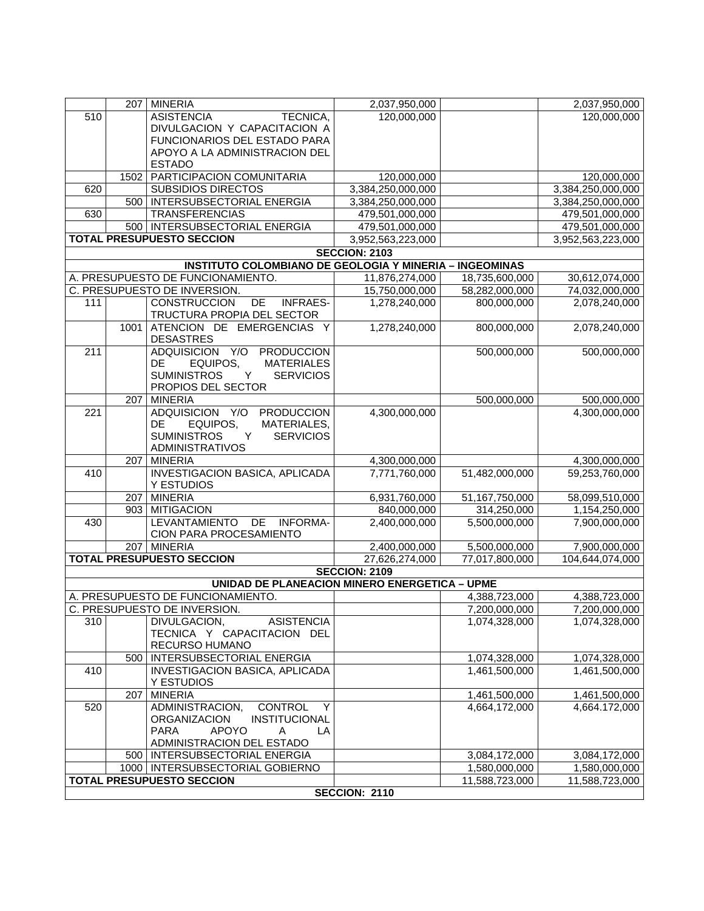|                  |      | 207 MINERIA                                                              | 2,037,950,000        |                | 2,037,950,000                |
|------------------|------|--------------------------------------------------------------------------|----------------------|----------------|------------------------------|
| 510              |      | <b>ASISTENCIA</b><br>TECNICA,                                            | 120,000,000          |                | 120,000,000                  |
|                  |      | DIVULGACION Y CAPACITACION A                                             |                      |                |                              |
|                  |      | FUNCIONARIOS DEL ESTADO PARA                                             |                      |                |                              |
|                  |      | APOYO A LA ADMINISTRACION DEL                                            |                      |                |                              |
|                  | 1502 | <b>ESTADO</b><br>PARTICIPACION COMUNITARIA                               | 120,000,000          |                | 120,000,000                  |
| 620              |      | <b>SUBSIDIOS DIRECTOS</b>                                                | 3,384,250,000,000    |                | 3,384,250,000,000            |
|                  | 500  | <b>INTERSUBSECTORIAL ENERGIA</b>                                         | 3,384,250,000,000    |                | 3,384,250,000,000            |
| $\overline{630}$ |      | <b>TRANSFERENCIAS</b>                                                    | 479,501,000,000      |                | 479,501,000,000              |
|                  |      | 500   INTERSUBSECTORIAL ENERGIA                                          | 479,501,000,000      |                | 479,501,000,000              |
|                  |      | <b>TOTAL PRESUPUESTO SECCION</b>                                         | 3,952,563,223,000    |                | 3,952,563,223,000            |
|                  |      |                                                                          | <b>SECCION: 2103</b> |                |                              |
|                  |      | <b>INSTITUTO COLOMBIANO DE GEOLOGIA Y MINERIA - INGEOMINAS</b>           |                      |                |                              |
|                  |      | A. PRESUPUESTO DE FUNCIONAMIENTO.                                        | 11,876,274,000       | 18,735,600,000 | 30,612,074,000               |
|                  |      | C. PRESUPUESTO DE INVERSION.                                             | 15,750,000,000       | 58,282,000,000 | 74,032,000,000               |
| 111              |      | <b>CONSTRUCCION</b><br>DE<br><b>INFRAES-</b>                             | 1,278,240,000        | 800,000,000    | 2,078,240,000                |
|                  |      | TRUCTURA PROPIA DEL SECTOR                                               |                      |                |                              |
|                  | 1001 | ATENCION DE EMERGENCIAS Y<br><b>DESASTRES</b>                            | 1,278,240,000        | 800,000,000    | 2,078,240,000                |
| $\overline{211}$ |      | ADQUISICION Y/O<br>PRODUCCION                                            |                      | 500,000,000    | 500,000,000                  |
|                  |      | DE<br>EQUIPOS,<br><b>MATERIALES</b>                                      |                      |                |                              |
|                  |      | <b>SUMINISTROS</b><br>Y<br><b>SERVICIOS</b>                              |                      |                |                              |
|                  |      | PROPIOS DEL SECTOR                                                       |                      |                |                              |
| 221              | 207  | <b>MINERIA</b><br>ADQUISICION Y/O<br><b>PRODUCCION</b>                   | 4,300,000,000        | 500,000,000    | 500,000,000<br>4,300,000,000 |
|                  |      | DE.<br>EQUIPOS,<br>MATERIALES,                                           |                      |                |                              |
|                  |      | <b>SUMINISTROS</b><br><b>SERVICIOS</b><br>Y                              |                      |                |                              |
|                  |      | <b>ADMINISTRATIVOS</b>                                                   |                      |                |                              |
|                  | 207  | <b>MINERIA</b>                                                           | 4,300,000,000        |                | 4,300,000,000                |
| 410              |      | <b>INVESTIGACION BASICA, APLICADA</b>                                    | 7,771,760,000        | 51,482,000,000 | 59,253,760,000               |
|                  |      | Y ESTUDIOS                                                               |                      |                |                              |
|                  |      | 207 MINERIA                                                              | 6,931,760,000        | 51,167,750,000 | 58,099,510,000               |
|                  | 903  | <b>MITIGACION</b>                                                        | 840,000,000          | 314,250,000    | 1,154,250,000                |
| 430              |      | DE<br><b>LEVANTAMIENTO</b><br><b>INFORMA-</b><br>CION PARA PROCESAMIENTO | 2,400,000,000        | 5,500,000,000  | 7,900,000,000                |
|                  |      | 207 MINERIA                                                              | 2,400,000,000        | 5,500,000,000  | 7,900,000,000                |
|                  |      | <b>TOTAL PRESUPUESTO SECCION</b>                                         | 27,626,274,000       | 77,017,800,000 | 104,644,074,000              |
|                  |      |                                                                          | <b>SECCION: 2109</b> |                |                              |
|                  |      | UNIDAD DE PLANEACION MINERO ENERGETICA - UPME                            |                      |                |                              |
|                  |      | A. PRESUPUESTO DE FUNCIONAMIENTO.                                        |                      | 4,388,723,000  | 4,388,723,000                |
|                  |      | C. PRESUPUESTO DE INVERSION.                                             |                      | 7,200,000,000  | 7,200,000,000                |
| 310              |      | DIVULGACION,<br><b>ASISTENCIA</b>                                        |                      | 1,074,328,000  | 1,074,328,000                |
|                  |      | TECNICA Y CAPACITACION DEL                                               |                      |                |                              |
|                  |      | RECURSO HUMANO                                                           |                      |                |                              |
|                  |      | 500   INTERSUBSECTORIAL ENERGIA                                          |                      | 1,074,328,000  | 1,074,328,000                |
| 410              |      | <b>INVESTIGACION BASICA, APLICADA</b><br>Y ESTUDIOS                      |                      | 1,461,500,000  | 1,461,500,000                |
|                  | 207  | <b>MINERIA</b>                                                           |                      | 1,461,500,000  | 1,461,500,000                |
| 520              |      | CONTROL<br>ADMINISTRACION,<br>Y                                          |                      | 4,664,172,000  | 4,664.172,000                |
|                  |      | <b>ORGANIZACION</b><br>INSTITUCIONAL                                     |                      |                |                              |
|                  |      | <b>APOYO</b><br><b>PARA</b><br>A<br>LA                                   |                      |                |                              |
|                  |      | ADMINISTRACION DEL ESTADO                                                |                      |                |                              |
|                  |      | 500   INTERSUBSECTORIAL ENERGIA                                          |                      | 3,084,172,000  | 3,084,172,000                |
|                  |      | 1000   INTERSUBSECTORIAL GOBIERNO                                        |                      | 1,580,000,000  | 1,580,000,000                |
|                  |      | <b>TOTAL PRESUPUESTO SECCION</b>                                         | SECCION: 2110        | 11,588,723,000 | 11,588,723,000               |
|                  |      |                                                                          |                      |                |                              |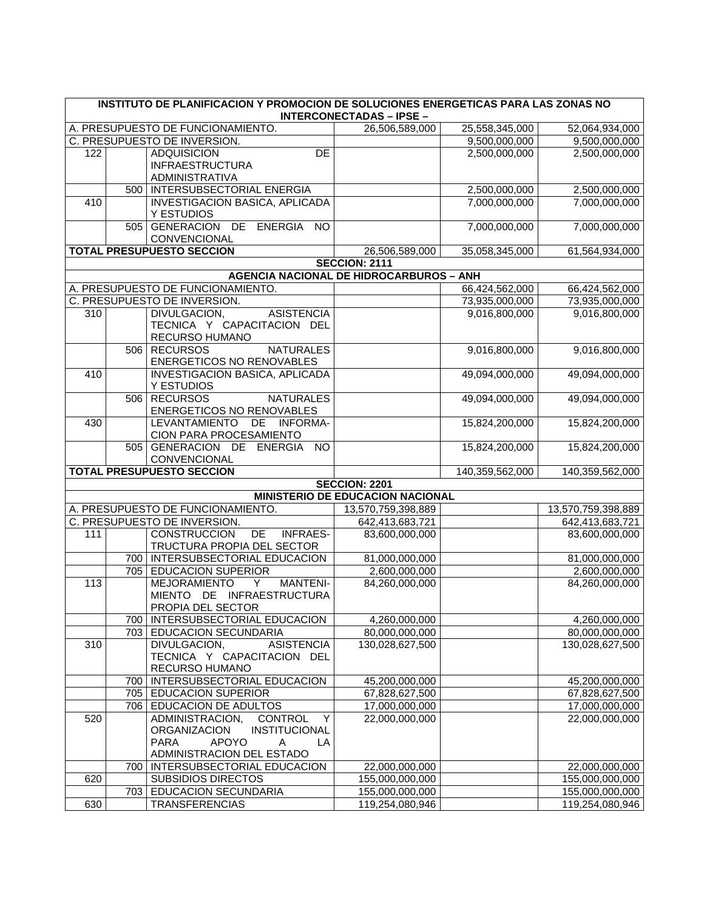|     | INSTITUTO DE PLANIFICACION Y PROMOCION DE SOLUCIONES ENERGETICAS PARA LAS ZONAS NO<br><b>INTERCONECTADAS - IPSE -</b> |                                                                                                                                                |                                                |                 |                    |
|-----|-----------------------------------------------------------------------------------------------------------------------|------------------------------------------------------------------------------------------------------------------------------------------------|------------------------------------------------|-----------------|--------------------|
|     |                                                                                                                       | A. PRESUPUESTO DE FUNCIONAMIENTO.                                                                                                              | 26,506,589,000                                 | 25,558,345,000  | 52,064,934,000     |
|     |                                                                                                                       | C. PRESUPUESTO DE INVERSION.                                                                                                                   |                                                | 9,500,000,000   | 9,500,000,000      |
| 122 |                                                                                                                       | DE<br><b>ADQUISICION</b><br><b>INFRAESTRUCTURA</b><br><b>ADMINISTRATIVA</b>                                                                    |                                                | 2,500,000,000   | 2,500,000,000      |
|     |                                                                                                                       | 500   INTERSUBSECTORIAL ENERGIA                                                                                                                |                                                | 2,500,000,000   | 2,500,000,000      |
| 410 |                                                                                                                       | INVESTIGACION BASICA, APLICADA<br>Y ESTUDIOS                                                                                                   |                                                | 7,000,000,000   | 7,000,000,000      |
|     |                                                                                                                       | 505 GENERACION DE ENERGIA<br>N <sub>O</sub><br>CONVENCIONAL                                                                                    |                                                | 7,000,000,000   | 7,000,000,000      |
|     |                                                                                                                       | <b>TOTAL PRESUPUESTO SECCION</b>                                                                                                               | 26,506,589,000                                 | 35,058,345,000  | 61,564,934,000     |
|     |                                                                                                                       |                                                                                                                                                | <b>SECCION: 2111</b>                           |                 |                    |
|     |                                                                                                                       |                                                                                                                                                | <b>AGENCIA NACIONAL DE HIDROCARBUROS - ANH</b> |                 |                    |
|     |                                                                                                                       | A. PRESUPUESTO DE FUNCIONAMIENTO.                                                                                                              |                                                | 66,424,562,000  | 66,424,562,000     |
|     |                                                                                                                       | C. PRESUPUESTO DE INVERSION.                                                                                                                   |                                                | 73,935,000,000  | 73,935,000,000     |
| 310 |                                                                                                                       | DIVULGACION,<br><b>ASISTENCIA</b><br>TECNICA Y CAPACITACION DEL<br>RECURSO HUMANO                                                              |                                                | 9,016,800,000   | 9,016,800,000      |
|     |                                                                                                                       | 506 RECURSOS<br><b>NATURALES</b><br><b>ENERGETICOS NO RENOVABLES</b>                                                                           |                                                | 9,016,800,000   | 9,016,800,000      |
| 410 |                                                                                                                       | <b>INVESTIGACION BASICA, APLICADA</b><br>Y ESTUDIOS                                                                                            |                                                | 49,094,000,000  | 49,094,000,000     |
|     |                                                                                                                       | 506 RECURSOS<br><b>NATURALES</b><br>ENERGETICOS NO RENOVABLES                                                                                  |                                                | 49,094,000,000  | 49,094,000,000     |
| 430 |                                                                                                                       | LEVANTAMIENTO DE INFORMA-<br>CION PARA PROCESAMIENTO                                                                                           |                                                | 15,824,200,000  | 15,824,200,000     |
|     |                                                                                                                       | 505 GENERACION DE ENERGIA<br><b>NO</b><br>CONVENCIONAL                                                                                         |                                                | 15,824,200,000  | 15,824,200,000     |
|     |                                                                                                                       | <b>TOTAL PRESUPUESTO SECCION</b>                                                                                                               |                                                | 140,359,562,000 | 140,359,562,000    |
|     |                                                                                                                       |                                                                                                                                                | <b>SECCION: 2201</b>                           |                 |                    |
|     |                                                                                                                       |                                                                                                                                                | MINISTERIO DE EDUCACION NACIONAL               |                 |                    |
|     |                                                                                                                       | A. PRESUPUESTO DE FUNCIONAMIENTO.                                                                                                              | 13,570,759,398,889                             |                 | 13,570,759,398,889 |
|     |                                                                                                                       | C. PRESUPUESTO DE INVERSION.                                                                                                                   | 642,413,683,721                                |                 | 642,413,683,721    |
| 111 |                                                                                                                       | <b>CONSTRUCCION</b><br>DE<br><b>INFRAES-</b><br>TRUCTURA PROPIA DEL SECTOR                                                                     | 83,600,000,000                                 |                 | 83,600,000,000     |
|     |                                                                                                                       | 700   INTERSUBSECTORIAL EDUCACION                                                                                                              | 81,000,000,000                                 |                 | 81,000,000,000     |
|     |                                                                                                                       | 705 EDUCACION SUPERIOR                                                                                                                         | 2,600,000,000                                  |                 | 2,600,000,000      |
| 113 |                                                                                                                       | <b>MEJORAMIENTO</b><br><b>MANTENI-</b><br>Y<br>MIENTO DE INFRAESTRUCTURA<br>PROPIA DEL SECTOR                                                  | 84,260,000,000                                 |                 | 84,260,000,000     |
|     |                                                                                                                       | 700   INTERSUBSECTORIAL EDUCACION                                                                                                              | 4,260,000,000                                  |                 | 4,260,000,000      |
|     |                                                                                                                       | 703 EDUCACION SECUNDARIA                                                                                                                       | 80,000,000,000                                 |                 | 80,000,000,000     |
| 310 |                                                                                                                       | DIVULGACION,<br><b>ASISTENCIA</b><br>TECNICA Y CAPACITACION DEL<br>RECURSO HUMANO                                                              | 130,028,627,500                                |                 | 130,028,627,500    |
|     |                                                                                                                       | 700   INTERSUBSECTORIAL EDUCACION                                                                                                              | 45,200,000,000                                 |                 | 45,200,000,000     |
|     |                                                                                                                       | 705 EDUCACION SUPERIOR                                                                                                                         | 67,828,627,500                                 |                 | 67,828,627,500     |
|     |                                                                                                                       | 706 EDUCACION DE ADULTOS                                                                                                                       | 17,000,000,000                                 |                 | 17,000,000,000     |
| 520 |                                                                                                                       | ADMINISTRACION,<br>CONTROL<br>Y<br><b>ORGANIZACION</b><br>INSTITUCIONAL<br><b>PARA</b><br><b>APOYO</b><br>A<br>LA<br>ADMINISTRACION DEL ESTADO | 22,000,000,000                                 |                 | 22,000,000,000     |
|     |                                                                                                                       | 700   INTERSUBSECTORIAL EDUCACION                                                                                                              | 22,000,000,000                                 |                 | 22,000,000,000     |
| 620 |                                                                                                                       | <b>SUBSIDIOS DIRECTOS</b>                                                                                                                      | 155,000,000,000                                |                 | 155,000,000,000    |
|     |                                                                                                                       | 703 EDUCACION SECUNDARIA                                                                                                                       | 155,000,000,000                                |                 | 155,000,000,000    |
| 630 |                                                                                                                       | <b>TRANSFERENCIAS</b>                                                                                                                          | 119,254,080,946                                |                 | 119,254,080,946    |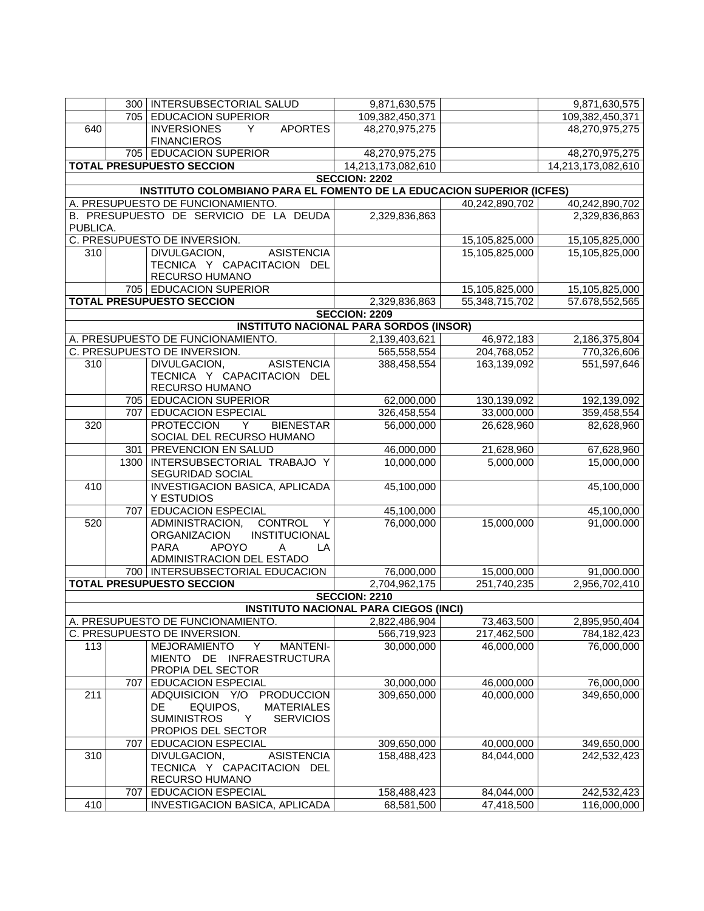|          |      | 300   INTERSUBSECTORIAL SALUD                                         | 9,871,630,575                                 |                | 9,871,630,575      |
|----------|------|-----------------------------------------------------------------------|-----------------------------------------------|----------------|--------------------|
|          |      | 705 EDUCACION SUPERIOR                                                | 109,382,450,371                               |                | 109,382,450,371    |
| 640      |      | <b>INVERSIONES</b><br><b>APORTES</b><br>Y                             | 48,270,975,275                                |                | 48,270,975,275     |
|          |      | <b>FINANCIEROS</b>                                                    |                                               |                |                    |
|          |      |                                                                       |                                               |                |                    |
|          |      | 705 EDUCACION SUPERIOR                                                | 48,270,975,275                                |                | 48,270,975,275     |
|          |      | <b>TOTAL PRESUPUESTO SECCION</b>                                      | 14,213,173,082,610                            |                | 14,213,173,082,610 |
|          |      |                                                                       | <b>SECCION: 2202</b>                          |                |                    |
|          |      | INSTITUTO COLOMBIANO PARA EL FOMENTO DE LA EDUCACION SUPERIOR (ICFES) |                                               |                |                    |
|          |      | A. PRESUPUESTO DE FUNCIONAMIENTO.                                     |                                               | 40,242,890,702 | 40,242,890,702     |
|          |      | B. PRESUPUESTO DE SERVICIO DE LA DEUDA                                | 2,329,836,863                                 |                | 2,329,836,863      |
| PUBLICA. |      |                                                                       |                                               |                |                    |
|          |      | C. PRESUPUESTO DE INVERSION.                                          |                                               | 15,105,825,000 | 15,105,825,000     |
| 310      |      | <b>ASISTENCIA</b><br>DIVULGACION,                                     |                                               | 15,105,825,000 | 15,105,825,000     |
|          |      | TECNICA Y CAPACITACION DEL                                            |                                               |                |                    |
|          |      | RECURSO HUMANO                                                        |                                               |                |                    |
|          |      | 705 EDUCACION SUPERIOR                                                |                                               | 15,105,825,000 | 15,105,825,000     |
|          |      | <b>TOTAL PRESUPUESTO SECCION</b>                                      | 2,329,836,863                                 | 55,348,715,702 | 57.678,552,565     |
|          |      |                                                                       | <b>SECCION: 2209</b>                          |                |                    |
|          |      |                                                                       | <b>INSTITUTO NACIONAL PARA SORDOS (INSOR)</b> |                |                    |
|          |      | A. PRESUPUESTO DE FUNCIONAMIENTO.                                     | 2,139,403,621                                 | 46,972,183     | 2,186,375,804      |
|          |      | C. PRESUPUESTO DE INVERSION.                                          | 565,558,554                                   | 204,768,052    | 770,326,606        |
| 310      |      | <b>ASISTENCIA</b><br>DIVULGACION,                                     | 388,458,554                                   | 163,139,092    | 551,597,646        |
|          |      | TECNICA Y CAPACITACION DEL                                            |                                               |                |                    |
|          |      | RECURSO HUMANO                                                        |                                               |                |                    |
|          |      |                                                                       |                                               |                |                    |
|          |      | 705 EDUCACION SUPERIOR                                                | 62,000,000                                    | 130,139,092    | 192,139,092        |
|          | 707  | <b>EDUCACION ESPECIAL</b>                                             | 326,458,554                                   | 33,000,000     | 359,458,554        |
| 320      |      | <b>BIENESTAR</b><br><b>PROTECCION</b><br>Y                            | 56,000,000                                    | 26,628,960     | 82,628,960         |
|          |      | SOCIAL DEL RECURSO HUMANO                                             |                                               |                |                    |
|          | 301  | PREVENCION EN SALUD                                                   | 46,000,000                                    | 21,628,960     | 67,628,960         |
|          | 1300 | INTERSUBSECTORIAL TRABAJO Y                                           | 10,000,000                                    | 5,000,000      | 15,000,000         |
|          |      | SEGURIDAD SOCIAL                                                      |                                               |                |                    |
| 410      |      | <b>INVESTIGACION BASICA, APLICADA</b>                                 | 45,100,000                                    |                | 45,100,000         |
|          |      | Y ESTUDIOS                                                            |                                               |                |                    |
|          | 707  | <b>EDUCACION ESPECIAL</b>                                             | 45,100,000                                    |                | 45,100,000         |
| 520      |      | ADMINISTRACION,<br><b>CONTROL</b><br>Y                                | 76,000,000                                    | 15,000,000     | 91,000.000         |
|          |      | <b>ORGANIZACION</b><br>INSTITUCIONAL                                  |                                               |                |                    |
|          |      | <b>PARA</b><br><b>APOYO</b><br>LA<br>A                                |                                               |                |                    |
|          |      | ADMINISTRACION DEL ESTADO                                             |                                               |                |                    |
|          |      | 700   INTERSUBSECTORIAL EDUCACION                                     | 76,000,000                                    | 15,000,000     | 91,000.000         |
|          |      | <b>TOTAL PRESUPUESTO SECCION</b>                                      | 2,704,962,175                                 | 251,740,235    | 2,956,702,410      |
|          |      |                                                                       | <b>SECCION: 2210</b>                          |                |                    |
|          |      |                                                                       | <b>INSTITUTO NACIONAL PARA CIEGOS (INCI)</b>  |                |                    |
|          |      | A. PRESUPUESTO DE FUNCIONAMIENTO.                                     | 2,822,486,904                                 | 73,463,500     | 2,895,950,404      |
|          |      | C. PRESUPUESTO DE INVERSION.                                          | 566,719,923                                   | 217,462,500    | 784,182,423        |
| 113      |      | $\overline{Y}$<br><b>MEJORAMIENTO</b><br><b>MANTENI-</b>              | 30,000,000                                    | 46,000,000     | 76,000,000         |
|          |      | MIENTO DE INFRAESTRUCTURA                                             |                                               |                |                    |
|          |      | PROPIA DEL SECTOR                                                     |                                               |                |                    |
|          | 707  | EDUCACION ESPECIAL                                                    | 30,000,000                                    | 46,000,000     | 76,000,000         |
| 211      |      | ADQUISICION Y/O<br><b>PRODUCCION</b>                                  | 309,650,000                                   | 40,000,000     | 349,650,000        |
|          |      | EQUIPOS,<br>DE.<br><b>MATERIALES</b>                                  |                                               |                |                    |
|          |      | <b>SUMINISTROS</b><br><b>SERVICIOS</b><br>Y                           |                                               |                |                    |
|          |      | PROPIOS DEL SECTOR                                                    |                                               |                |                    |
|          | 707  | <b>EDUCACION ESPECIAL</b>                                             | 309,650,000                                   | 40,000,000     | 349,650,000        |
|          |      | <b>ASISTENCIA</b>                                                     |                                               |                |                    |
| 310      |      | DIVULGACION,                                                          | 158,488,423                                   | 84,044,000     | 242,532,423        |
|          |      | TECNICA Y CAPACITACION DEL                                            |                                               |                |                    |
|          |      | RECURSO HUMANO                                                        |                                               |                |                    |
|          | 707  | <b>EDUCACION ESPECIAL</b>                                             | 158,488,423                                   | 84,044,000     | 242,532,423        |
| 410      |      | INVESTIGACION BASICA, APLICADA                                        | 68,581,500                                    | 47,418,500     | 116,000,000        |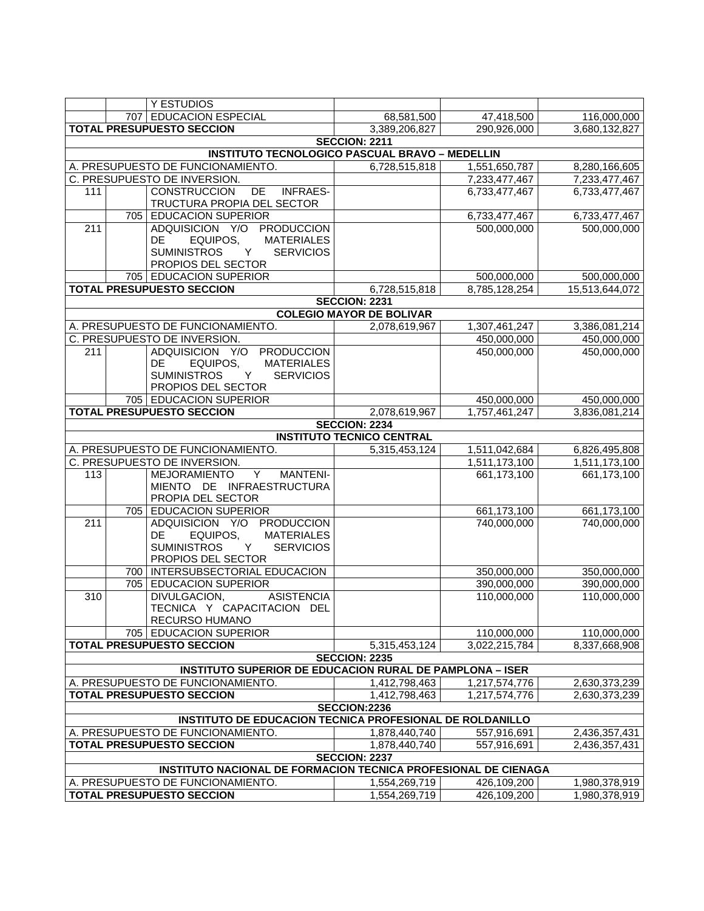|     |     | Y ESTUDIOS                                                      |                                  |               |                |
|-----|-----|-----------------------------------------------------------------|----------------------------------|---------------|----------------|
|     |     | 707 EDUCACION ESPECIAL                                          | 68,581,500                       | 47,418,500    | 116,000,000    |
|     |     | <b>TOTAL PRESUPUESTO SECCION</b>                                |                                  |               |                |
|     |     |                                                                 | 3,389,206,827                    | 290,926,000   | 3,680,132,827  |
|     |     |                                                                 | <b>SECCION: 2211</b>             |               |                |
|     |     | <b>INSTITUTO TECNOLOGICO PASCUAL BRAVO - MEDELLIN</b>           |                                  |               |                |
|     |     | A. PRESUPUESTO DE FUNCIONAMIENTO.                               | 6,728,515,818                    | 1,551,650,787 | 8,280,166,605  |
|     |     | C. PRESUPUESTO DE INVERSION.                                    |                                  | 7,233,477,467 | 7,233,477,467  |
| 111 |     | <b>CONSTRUCCION</b><br>DE<br><b>INFRAES-</b>                    |                                  | 6,733,477,467 | 6,733,477,467  |
|     |     | TRUCTURA PROPIA DEL SECTOR                                      |                                  |               |                |
|     |     | 705 EDUCACION SUPERIOR                                          |                                  | 6,733,477,467 | 6,733,477,467  |
| 211 |     | ADQUISICION Y/O PRODUCCION                                      |                                  | 500,000,000   | 500,000,000    |
|     |     | DE<br>EQUIPOS,<br><b>MATERIALES</b>                             |                                  |               |                |
|     |     | <b>SUMINISTROS</b><br>Y<br><b>SERVICIOS</b>                     |                                  |               |                |
|     |     | PROPIOS DEL SECTOR                                              |                                  |               |                |
|     |     | 705 EDUCACION SUPERIOR                                          |                                  | 500,000,000   | 500,000,000    |
|     |     | <b>TOTAL PRESUPUESTO SECCION</b>                                | 6,728,515,818                    | 8,785,128,254 | 15,513,644,072 |
|     |     |                                                                 | <b>SECCION: 2231</b>             |               |                |
|     |     |                                                                 | <b>COLEGIO MAYOR DE BOLIVAR</b>  |               |                |
|     |     | A. PRESUPUESTO DE FUNCIONAMIENTO.                               | 2,078,619,967                    | 1,307,461,247 | 3,386,081,214  |
|     |     | C. PRESUPUESTO DE INVERSION.                                    |                                  | 450,000,000   | 450,000,000    |
| 211 |     | ADQUISICION Y/O PRODUCCION                                      |                                  | 450,000,000   | 450,000,000    |
|     |     | <b>MATERIALES</b><br>DE<br>EQUIPOS,                             |                                  |               |                |
|     |     | <b>SUMINISTROS</b><br>Y<br><b>SERVICIOS</b>                     |                                  |               |                |
|     |     | PROPIOS DEL SECTOR                                              |                                  |               |                |
|     |     | 705 EDUCACION SUPERIOR                                          |                                  | 450,000,000   | 450,000,000    |
|     |     | <b>TOTAL PRESUPUESTO SECCION</b>                                | 2,078,619,967                    | 1,757,461,247 | 3,836,081,214  |
|     |     |                                                                 | <b>SECCION: 2234</b>             |               |                |
|     |     |                                                                 | <b>INSTITUTO TECNICO CENTRAL</b> |               |                |
|     |     | A. PRESUPUESTO DE FUNCIONAMIENTO.                               | 5,315,453,124                    | 1,511,042,684 | 6,826,495,808  |
|     |     | C. PRESUPUESTO DE INVERSION.                                    |                                  | 1,511,173,100 | 1,511,173,100  |
| 113 |     | MEJORAMIENTO<br>Y<br><b>MANTENI-</b>                            |                                  | 661,173,100   | 661,173,100    |
|     |     | MIENTO DE INFRAESTRUCTURA                                       |                                  |               |                |
|     |     | PROPIA DEL SECTOR                                               |                                  |               |                |
|     |     | 705 EDUCACION SUPERIOR                                          |                                  | 661,173,100   | 661,173,100    |
| 211 |     | ADQUISICION Y/O PRODUCCION                                      |                                  | 740,000,000   | 740,000,000    |
|     |     | EQUIPOS,<br><b>MATERIALES</b><br>DE                             |                                  |               |                |
|     |     | <b>SUMINISTROS</b><br>Y<br><b>SERVICIOS</b>                     |                                  |               |                |
|     |     | PROPIOS DEL SECTOR                                              |                                  |               |                |
|     | 700 | INTERSUBSECTORIAL EDUCACION                                     |                                  | 350,000,000   | 350,000,000    |
|     |     | 705 EDUCACION SUPERIOR                                          |                                  | 390,000,000   | 390,000,000    |
| 310 |     | <b>ASISTENCIA</b><br>DIVULGACION,                               |                                  | 110,000,000   | 110,000,000    |
|     |     | TECNICA Y CAPACITACION DEL                                      |                                  |               |                |
|     |     | RECURSO HUMANO                                                  |                                  |               |                |
|     |     | 705 EDUCACION SUPERIOR                                          |                                  | 110,000,000   | 110,000,000    |
|     |     | <b>TOTAL PRESUPUESTO SECCION</b>                                | 5,315,453,124                    | 3,022,215,784 | 8,337,668,908  |
|     |     |                                                                 | <b>SECCION: 2235</b>             |               |                |
|     |     | <b>INSTITUTO SUPERIOR DE EDUCACION RURAL DE PAMPLONA - ISER</b> |                                  |               |                |
|     |     | A. PRESUPUESTO DE FUNCIONAMIENTO.                               | 1,412,798,463                    | 1,217,574,776 | 2,630,373,239  |
|     |     | <b>TOTAL PRESUPUESTO SECCION</b>                                | 1,412,798,463                    | 1,217,574,776 | 2,630,373,239  |
|     |     |                                                                 | SECCION:2236                     |               |                |
|     |     | INSTITUTO DE EDUCACION TECNICA PROFESIONAL DE ROLDANILLO        |                                  |               |                |
|     |     | A. PRESUPUESTO DE FUNCIONAMIENTO.                               | 1,878,440,740                    | 557,916,691   | 2,436,357,431  |
|     |     | <b>TOTAL PRESUPUESTO SECCION</b>                                |                                  |               | 2,436,357,431  |
|     |     |                                                                 | 1,878,440,740                    | 557,916,691   |                |
|     |     | INSTITUTO NACIONAL DE FORMACION TECNICA PROFESIONAL DE CIENAGA  | <b>SECCION: 2237</b>             |               |                |
|     |     |                                                                 |                                  |               |                |
|     |     | A. PRESUPUESTO DE FUNCIONAMIENTO.                               | 1,554,269,719                    | 426,109,200   | 1,980,378,919  |
|     |     | <b>TOTAL PRESUPUESTO SECCION</b>                                | 1,554,269,719                    | 426,109,200   | 1,980,378,919  |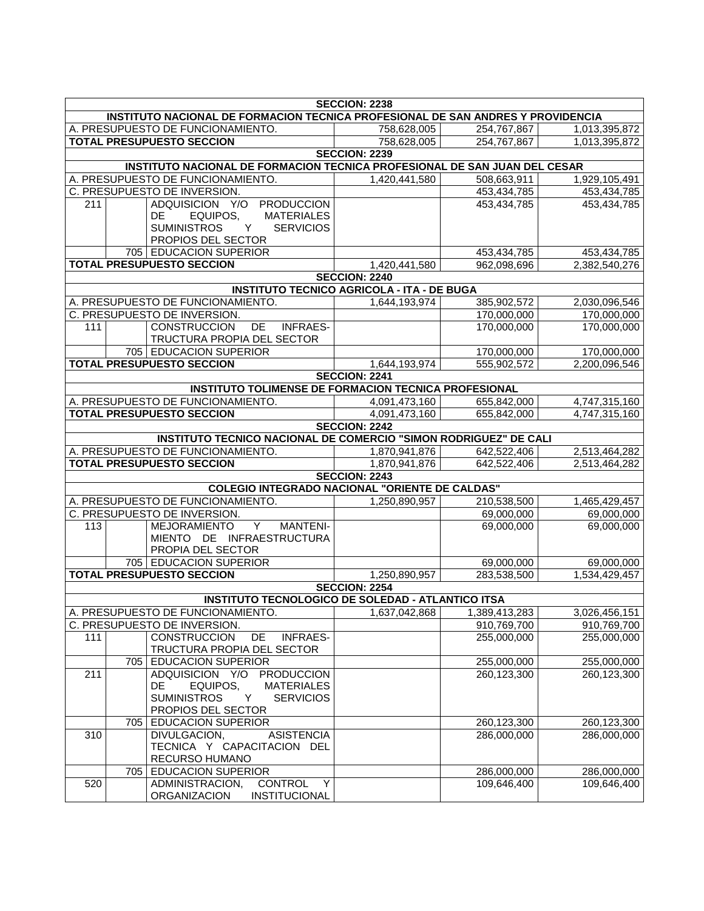| <b>SECCION: 2238</b>                                                            |     |                                                                           |                                                   |                            |                            |  |
|---------------------------------------------------------------------------------|-----|---------------------------------------------------------------------------|---------------------------------------------------|----------------------------|----------------------------|--|
| INSTITUTO NACIONAL DE FORMACION TECNICA PROFESIONAL DE SAN ANDRES Y PROVIDENCIA |     |                                                                           |                                                   |                            |                            |  |
|                                                                                 |     | A. PRESUPUESTO DE FUNCIONAMIENTO.                                         | 758,628,005                                       | 254,767,867                | 1,013,395,872              |  |
| <b>TOTAL PRESUPUESTO SECCION</b>                                                |     |                                                                           | 758,628,005                                       | 254,767,867                | 1,013,395,872              |  |
|                                                                                 |     |                                                                           | <b>SECCION: 2239</b>                              |                            |                            |  |
|                                                                                 |     | INSTITUTO NACIONAL DE FORMACION TECNICA PROFESIONAL DE SAN JUAN DEL CESAR |                                                   |                            |                            |  |
|                                                                                 |     | A. PRESUPUESTO DE FUNCIONAMIENTO.                                         | 1,420,441,580                                     | 508,663,911                | 1,929,105,491              |  |
|                                                                                 |     | C. PRESUPUESTO DE INVERSION.                                              |                                                   | 453,434,785                | 453,434,785                |  |
| 211                                                                             |     | <b>PRODUCCION</b><br>ADQUISICION Y/O                                      |                                                   | 453,434,785                | 453,434,785                |  |
|                                                                                 |     | <b>MATERIALES</b><br>DE.<br>EQUIPOS.                                      |                                                   |                            |                            |  |
|                                                                                 |     | <b>SUMINISTROS</b><br><b>SERVICIOS</b><br>Y                               |                                                   |                            |                            |  |
|                                                                                 |     | PROPIOS DEL SECTOR<br>705 EDUCACION SUPERIOR                              |                                                   | 453,434,785                | 453,434,785                |  |
|                                                                                 |     | <b>TOTAL PRESUPUESTO SECCION</b>                                          | 1,420,441,580                                     | 962,098,696                | 2,382,540,276              |  |
|                                                                                 |     |                                                                           | <b>SECCION: 2240</b>                              |                            |                            |  |
|                                                                                 |     |                                                                           | <b>INSTITUTO TECNICO AGRICOLA - ITA - DE BUGA</b> |                            |                            |  |
|                                                                                 |     | A. PRESUPUESTO DE FUNCIONAMIENTO.                                         | 1,644,193,974                                     | 385,902,572                | 2,030,096,546              |  |
|                                                                                 |     | C. PRESUPUESTO DE INVERSION.                                              |                                                   | 170,000,000                | 170,000,000                |  |
| 111                                                                             |     | DE<br><b>CONSTRUCCION</b><br><b>INFRAES-</b>                              |                                                   | 170,000,000                | 170,000,000                |  |
|                                                                                 |     | TRUCTURA PROPIA DEL SECTOR                                                |                                                   |                            |                            |  |
|                                                                                 |     | 705 EDUCACION SUPERIOR                                                    |                                                   | 170,000,000                | 170,000,000                |  |
|                                                                                 |     | <b>TOTAL PRESUPUESTO SECCION</b>                                          | 1,644,193,974                                     | 555,902,572                | 2,200,096,546              |  |
|                                                                                 |     |                                                                           | <b>SECCION: 2241</b>                              |                            |                            |  |
|                                                                                 |     | <b>INSTITUTO TOLIMENSE DE FORMACION TECNICA PROFESIONAL</b>               |                                                   |                            |                            |  |
|                                                                                 |     | A. PRESUPUESTO DE FUNCIONAMIENTO.                                         | 4,091,473,160                                     | 655,842,000                | 4,747,315,160              |  |
|                                                                                 |     | <b>TOTAL PRESUPUESTO SECCION</b>                                          | 4,091,473,160                                     | 655,842,000                | 4,747,315,160              |  |
|                                                                                 |     |                                                                           | <b>SECCION: 2242</b>                              |                            |                            |  |
|                                                                                 |     | INSTITUTO TECNICO NACIONAL DE COMERCIO "SIMON RODRIGUEZ" DE CALI          |                                                   |                            |                            |  |
|                                                                                 |     | A. PRESUPUESTO DE FUNCIONAMIENTO.                                         | 1,870,941,876                                     | 642,522,406                | 2,513,464,282              |  |
|                                                                                 |     | <b>TOTAL PRESUPUESTO SECCION</b>                                          | 1,870,941,876                                     | 642,522,406                | 2,513,464,282              |  |
|                                                                                 |     |                                                                           | <b>SECCION: 2243</b>                              |                            |                            |  |
|                                                                                 |     | <b>COLEGIO INTEGRADO NACIONAL "ORIENTE DE CALDAS"</b>                     |                                                   |                            |                            |  |
|                                                                                 |     | A. PRESUPUESTO DE FUNCIONAMIENTO.                                         | 1,250,890,957                                     | 210,538,500                | 1,465,429,457              |  |
|                                                                                 |     | C. PRESUPUESTO DE INVERSION.                                              |                                                   | 69,000,000                 | 69,000,000                 |  |
| 113                                                                             |     | $\overline{Y}$<br><b>MANTENI-</b><br><b>MEJORAMIENTO</b>                  |                                                   | 69,000,000                 | 69,000,000                 |  |
|                                                                                 |     | MIENTO DE INFRAESTRUCTURA                                                 |                                                   |                            |                            |  |
|                                                                                 |     | PROPIA DEL SECTOR                                                         |                                                   |                            |                            |  |
|                                                                                 |     | 705 EDUCACION SUPERIOR                                                    |                                                   | 69,000,000                 | 69,000,000                 |  |
|                                                                                 |     | <b>TOTAL PRESUPUESTO SECCION</b>                                          | 1,250,890,957                                     | 283,538,500                | 1,534,429,457              |  |
|                                                                                 |     |                                                                           | <b>SECCION: 2254</b>                              |                            |                            |  |
|                                                                                 |     | <b>INSTITUTO TECNOLOGICO DE SOLEDAD - ATLANTICO ITSA</b>                  |                                                   |                            |                            |  |
|                                                                                 |     | A. PRESUPUESTO DE FUNCIONAMIENTO.                                         | 1,637,042,868                                     | 1,389,413,283              | 3,026,456,151              |  |
|                                                                                 |     | C. PRESUPUESTO DE INVERSION.                                              |                                                   | 910,769,700                | 910,769,700                |  |
| 111                                                                             |     | <b>CONSTRUCCION</b><br>DE<br><b>INFRAES-</b>                              |                                                   | 255,000,000                | 255,000,000                |  |
|                                                                                 |     | TRUCTURA PROPIA DEL SECTOR                                                |                                                   |                            |                            |  |
|                                                                                 | 705 | <b>EDUCACION SUPERIOR</b>                                                 |                                                   | 255,000,000                | 255,000,000                |  |
| 211                                                                             |     | ADQUISICION Y/O<br>PRODUCCION                                             |                                                   | 260,123,300                | 260,123,300                |  |
|                                                                                 |     | DE.<br>EQUIPOS,<br><b>MATERIALES</b>                                      |                                                   |                            |                            |  |
|                                                                                 |     | <b>SUMINISTROS</b><br>Y<br><b>SERVICIOS</b><br>PROPIOS DEL SECTOR         |                                                   |                            |                            |  |
|                                                                                 | 705 | <b>EDUCACION SUPERIOR</b>                                                 |                                                   |                            |                            |  |
| 310                                                                             |     | <b>DIVULGACION,</b><br><b>ASISTENCIA</b>                                  |                                                   | 260,123,300<br>286,000,000 | 260,123,300<br>286,000,000 |  |
|                                                                                 |     | TECNICA Y CAPACITACION DEL                                                |                                                   |                            |                            |  |
|                                                                                 |     | RECURSO HUMANO                                                            |                                                   |                            |                            |  |
|                                                                                 | 705 | <b>EDUCACION SUPERIOR</b>                                                 |                                                   | 286,000,000                | 286,000,000                |  |
| 520                                                                             |     | <b>CONTROL</b><br>ADMINISTRACION,<br>Y                                    |                                                   | 109,646,400                | 109,646,400                |  |
|                                                                                 |     | <b>ORGANIZACION</b><br>INSTITUCIONAL                                      |                                                   |                            |                            |  |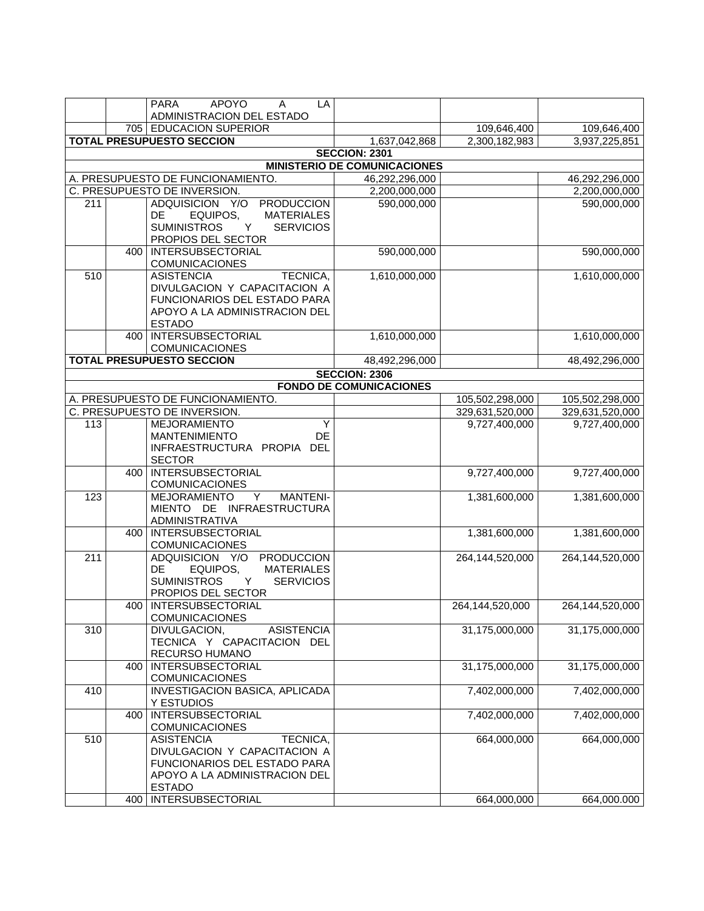|     |     | <b>APOYO</b><br><b>PARA</b><br>A<br>LA<br>ADMINISTRACION DEL ESTADO                                                                                                        |                                     |                            |                            |
|-----|-----|----------------------------------------------------------------------------------------------------------------------------------------------------------------------------|-------------------------------------|----------------------------|----------------------------|
|     |     | 705 EDUCACION SUPERIOR                                                                                                                                                     |                                     | 109,646,400                | 109,646,400                |
|     |     | <b>TOTAL PRESUPUESTO SECCION</b>                                                                                                                                           | 1,637,042,868                       | 2,300,182,983              | 3,937,225,851              |
|     |     |                                                                                                                                                                            | <b>SECCION: 2301</b>                |                            |                            |
|     |     |                                                                                                                                                                            | <b>MINISTERIO DE COMUNICACIONES</b> |                            |                            |
|     |     | A. PRESUPUESTO DE FUNCIONAMIENTO.                                                                                                                                          | 46,292,296,000                      |                            | 46,292,296,000             |
|     |     | C. PRESUPUESTO DE INVERSION.                                                                                                                                               | 2,200,000,000                       |                            | 2,200,000,000              |
| 211 |     | ADQUISICION Y/O<br><b>PRODUCCION</b>                                                                                                                                       | 590,000,000                         |                            | 590,000,000                |
|     |     | EQUIPOS,<br><b>MATERIALES</b><br>DE.<br><b>SUMINISTROS</b><br><b>SERVICIOS</b><br>Y<br>PROPIOS DEL SECTOR                                                                  |                                     |                            |                            |
|     |     | 400   INTERSUBSECTORIAL<br><b>COMUNICACIONES</b>                                                                                                                           | 590,000,000                         |                            | 590,000,000                |
| 510 |     | <b>ASISTENCIA</b><br>TECNICA,<br>DIVULGACION Y CAPACITACION A<br><b>FUNCIONARIOS DEL ESTADO PARA</b><br>APOYO A LA ADMINISTRACION DEL<br><b>ESTADO</b>                     | 1,610,000,000                       |                            | 1,610,000,000              |
|     |     | 400   INTERSUBSECTORIAL<br><b>COMUNICACIONES</b>                                                                                                                           | 1,610,000,000                       |                            | 1,610,000,000              |
|     |     | <b>TOTAL PRESUPUESTO SECCION</b>                                                                                                                                           | 48,492,296,000                      |                            | 48,492,296,000             |
|     |     |                                                                                                                                                                            | <b>SECCION: 2306</b>                |                            |                            |
|     |     |                                                                                                                                                                            | <b>FONDO DE COMUNICACIONES</b>      |                            |                            |
|     |     | A. PRESUPUESTO DE FUNCIONAMIENTO.                                                                                                                                          |                                     | 105,502,298,000            | 105,502,298,000            |
|     |     | C. PRESUPUESTO DE INVERSION.                                                                                                                                               |                                     | 329,631,520,000            | 329,631,520,000            |
| 113 |     | Y<br><b>MEJORAMIENTO</b><br>DE<br><b>MANTENIMIENTO</b><br>INFRAESTRUCTURA PROPIA DEL<br><b>SECTOR</b>                                                                      |                                     | 9,727,400,000              | 9,727,400,000              |
|     |     | 400   INTERSUBSECTORIAL<br><b>COMUNICACIONES</b>                                                                                                                           |                                     | 9,727,400,000              | 9,727,400,000              |
| 123 |     | <b>MEJORAMIENTO</b><br><b>MANTENI-</b><br>Y<br>MIENTO DE INFRAESTRUCTURA<br><b>ADMINISTRATIVA</b>                                                                          |                                     | 1,381,600,000              | 1,381,600,000              |
|     | 400 | <b>INTERSUBSECTORIAL</b><br>COMUNICACIONES                                                                                                                                 |                                     | 1,381,600,000              | 1,381,600,000              |
| 211 |     | <b>PRODUCCION</b><br>ADQUISICION Y/O<br>EQUIPOS,<br><b>MATERIALES</b><br>DE<br><b>SUMINISTROS</b><br>Y<br><b>SERVICIOS</b><br>PROPIOS DEL SECTOR                           |                                     | 264,144,520,000            | 264,144,520,000            |
|     |     | 400   INTERSUBSECTORIAL<br><b>COMUNICACIONES</b>                                                                                                                           |                                     | 264,144,520,000            | 264,144,520,000            |
| 310 |     | DIVULGACION,<br><b>ASISTENCIA</b><br>TECNICA Y CAPACITACION DEL<br>RECURSO HUMANO                                                                                          |                                     | 31,175,000,000             | 31,175,000,000             |
|     | 400 | <b>INTERSUBSECTORIAL</b><br><b>COMUNICACIONES</b>                                                                                                                          |                                     | 31,175,000,000             | 31,175,000,000             |
| 410 |     | INVESTIGACION BASICA, APLICADA<br>Y ESTUDIOS                                                                                                                               |                                     | 7,402,000,000              | 7,402,000,000              |
|     | 400 | <b>INTERSUBSECTORIAL</b><br><b>COMUNICACIONES</b>                                                                                                                          |                                     | 7,402,000,000              | 7,402,000,000              |
| 510 |     | <b>ASISTENCIA</b><br>TECNICA,<br>DIVULGACION Y CAPACITACION A<br>FUNCIONARIOS DEL ESTADO PARA<br>APOYO A LA ADMINISTRACION DEL<br><b>ESTADO</b><br>400   INTERSUBSECTORIAL |                                     | 664,000,000<br>664,000,000 | 664,000,000<br>664,000.000 |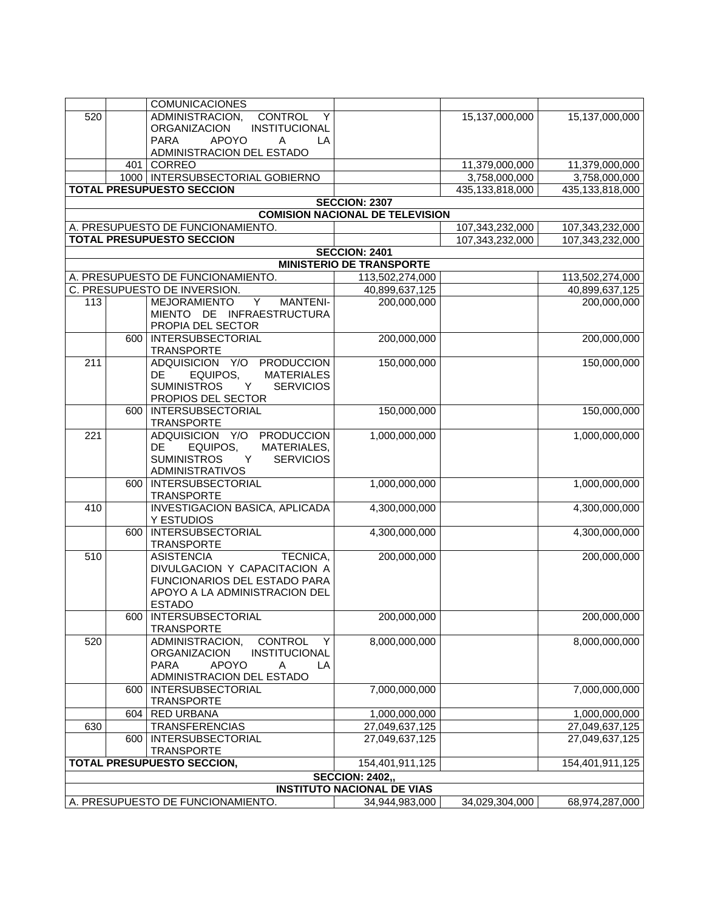|     |     | <b>COMUNICACIONES</b>                                |                                                                |                 |                 |
|-----|-----|------------------------------------------------------|----------------------------------------------------------------|-----------------|-----------------|
| 520 |     | ADMINISTRACION,<br>CONTROL<br>Y                      |                                                                | 15,137,000,000  | 15,137,000,000  |
|     |     | <b>ORGANIZACION</b><br><b>INSTITUCIONAL</b>          |                                                                |                 |                 |
|     |     | <b>APOYO</b><br><b>PARA</b><br>A<br>LA               |                                                                |                 |                 |
|     |     | ADMINISTRACION DEL ESTADO                            |                                                                |                 |                 |
|     | 401 | CORREO                                               |                                                                | 11,379,000,000  | 11,379,000,000  |
|     |     | 1000   INTERSUBSECTORIAL GOBIERNO                    |                                                                | 3,758,000,000   | 3,758,000,000   |
|     |     | <b>TOTAL PRESUPUESTO SECCION</b>                     |                                                                | 435,133,818,000 | 435,133,818,000 |
|     |     |                                                      | <b>SECCION: 2307</b><br><b>COMISION NACIONAL DE TELEVISION</b> |                 |                 |
|     |     | A. PRESUPUESTO DE FUNCIONAMIENTO.                    |                                                                | 107,343,232,000 | 107,343,232,000 |
|     |     | <b>TOTAL PRESUPUESTO SECCION</b>                     |                                                                | 107,343,232,000 | 107,343,232,000 |
|     |     |                                                      | <b>SECCION: 2401</b>                                           |                 |                 |
|     |     |                                                      | <b>MINISTERIO DE TRANSPORTE</b>                                |                 |                 |
|     |     | A. PRESUPUESTO DE FUNCIONAMIENTO.                    | 113,502,274,000                                                |                 | 113,502,274,000 |
|     |     | C. PRESUPUESTO DE INVERSION.                         | 40,899,637,125                                                 |                 | 40,899,637,125  |
| 113 |     | Y<br><b>MEJORAMIENTO</b><br><b>MANTENI-</b>          | 200,000,000                                                    |                 | 200,000,000     |
|     |     | MIENTO DE INFRAESTRUCTURA                            |                                                                |                 |                 |
|     |     | PROPIA DEL SECTOR                                    |                                                                |                 |                 |
|     | 600 | <b>INTERSUBSECTORIAL</b>                             | 200,000,000                                                    |                 | 200,000,000     |
|     |     | <b>TRANSPORTE</b>                                    |                                                                |                 |                 |
| 211 |     | ADQUISICION Y/O<br><b>PRODUCCION</b>                 | 150,000,000                                                    |                 | 150,000,000     |
|     |     | <b>MATERIALES</b><br><b>DE</b><br>EQUIPOS,           |                                                                |                 |                 |
|     |     | <b>SUMINISTROS</b><br><b>SERVICIOS</b><br>Y          |                                                                |                 |                 |
|     | 600 | PROPIOS DEL SECTOR<br><b>INTERSUBSECTORIAL</b>       | 150,000,000                                                    |                 | 150,000,000     |
|     |     | <b>TRANSPORTE</b>                                    |                                                                |                 |                 |
| 221 |     | ADQUISICION Y/O<br><b>PRODUCCION</b>                 | 1,000,000,000                                                  |                 | 1,000,000,000   |
|     |     | MATERIALES,<br>DE.<br>EQUIPOS,                       |                                                                |                 |                 |
|     |     | <b>SUMINISTROS</b><br>Y<br><b>SERVICIOS</b>          |                                                                |                 |                 |
|     |     | <b>ADMINISTRATIVOS</b>                               |                                                                |                 |                 |
|     | 600 | <b>INTERSUBSECTORIAL</b>                             | 1,000,000,000                                                  |                 | 1,000,000,000   |
|     |     | <b>TRANSPORTE</b>                                    |                                                                |                 |                 |
| 410 |     | <b>INVESTIGACION BASICA, APLICADA</b>                | 4,300,000,000                                                  |                 | 4,300,000,000   |
|     |     | Y ESTUDIOS<br><b>INTERSUBSECTORIAL</b>               |                                                                |                 |                 |
|     | 600 | <b>TRANSPORTE</b>                                    | 4,300,000,000                                                  |                 | 4,300,000,000   |
| 510 |     | <b>ASISTENCIA</b><br>TECNICA,                        | 200,000,000                                                    |                 | 200,000,000     |
|     |     | DIVULGACION Y CAPACITACION A                         |                                                                |                 |                 |
|     |     | FUNCIONARIOS DEL ESTADO PARA                         |                                                                |                 |                 |
|     |     | APOYO A LA ADMINISTRACION DEL                        |                                                                |                 |                 |
|     |     | <b>ESTADO</b>                                        |                                                                |                 |                 |
|     |     | 600   INTERSUBSECTORIAL                              | 200,000,000                                                    |                 | 200,000,000     |
|     |     | <b>TRANSPORTE</b>                                    |                                                                |                 |                 |
| 520 |     | ADMINISTRACION,<br>CONTROL<br>Y                      | 8,000,000,000                                                  |                 | 8,000,000,000   |
|     |     | <b>ORGANIZACION</b><br>INSTITUCIONAL<br><b>PARA</b>  |                                                                |                 |                 |
|     |     | <b>APOYO</b><br>A<br>LA<br>ADMINISTRACION DEL ESTADO |                                                                |                 |                 |
|     | 600 | <b>INTERSUBSECTORIAL</b>                             | 7,000,000,000                                                  |                 | 7,000,000,000   |
|     |     | <b>TRANSPORTE</b>                                    |                                                                |                 |                 |
|     | 604 | <b>RED URBANA</b>                                    | 1,000,000,000                                                  |                 | 1,000,000,000   |
| 630 |     | <b>TRANSFERENCIAS</b>                                | 27,049,637,125                                                 |                 | 27,049,637,125  |
|     | 600 | <b>INTERSUBSECTORIAL</b>                             | 27,049,637,125                                                 |                 | 27,049,637,125  |
|     |     | <b>TRANSPORTE</b>                                    |                                                                |                 |                 |
|     |     | TOTAL PRESUPUESTO SECCION,                           | 154,401,911,125                                                |                 | 154,401,911,125 |
|     |     |                                                      | <b>SECCION: 2402,,</b>                                         |                 |                 |
|     |     |                                                      | <b>INSTITUTO NACIONAL DE VIAS</b>                              |                 |                 |
|     |     | A. PRESUPUESTO DE FUNCIONAMIENTO.                    | 34,944,983,000                                                 | 34,029,304,000  | 68,974,287,000  |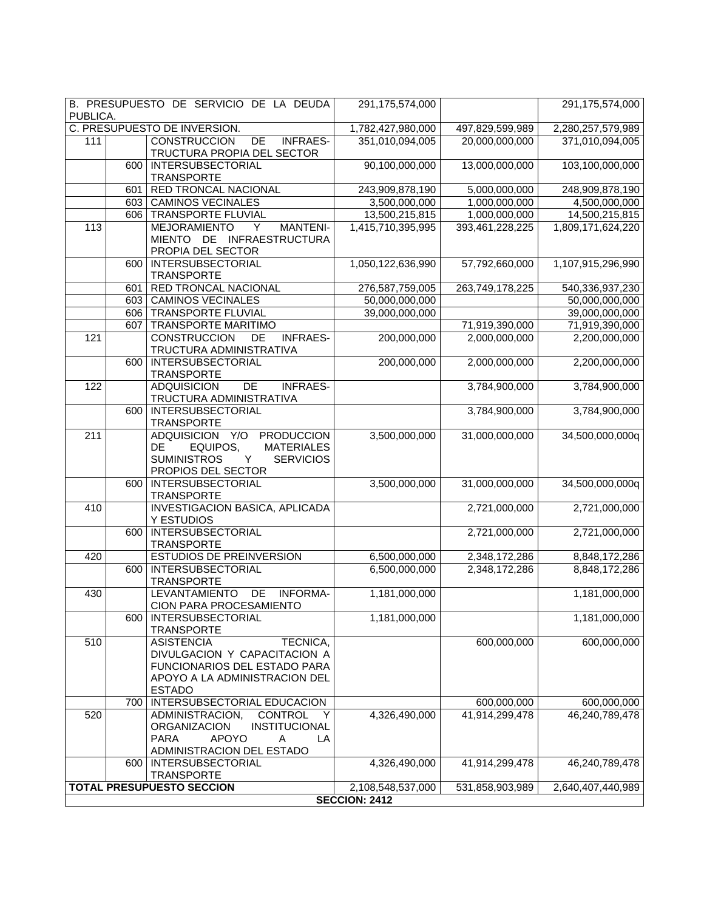| PUBLICA. |     | B. PRESUPUESTO DE SERVICIO DE LA DEUDA                                                                                                            | 291,175,574,000      |                 | 291,175,574,000   |
|----------|-----|---------------------------------------------------------------------------------------------------------------------------------------------------|----------------------|-----------------|-------------------|
|          |     | C. PRESUPUESTO DE INVERSION.                                                                                                                      | 1,782,427,980,000    | 497,829,599,989 | 2,280,257,579,989 |
| 111      |     | <b>CONSTRUCCION</b><br>DE<br><b>INFRAES-</b><br>TRUCTURA PROPIA DEL SECTOR                                                                        | 351,010,094,005      | 20,000,000,000  | 371,010,094,005   |
|          | 600 | <b>INTERSUBSECTORIAL</b><br><b>TRANSPORTE</b>                                                                                                     | 90,100,000,000       | 13,000,000,000  | 103,100,000,000   |
|          | 601 | RED TRONCAL NACIONAL                                                                                                                              | 243,909,878,190      | 5,000,000,000   | 248,909,878,190   |
|          |     | 603 CAMINOS VECINALES                                                                                                                             | 3,500,000,000        | 1,000,000,000   | 4,500,000,000     |
|          | 606 | TRANSPORTE FLUVIAL                                                                                                                                | 13,500,215,815       | 1,000,000,000   | 14,500,215,815    |
| 113      |     | <b>MEJORAMIENTO</b><br><b>MANTENI-</b><br>Y<br>MIENTO DE INFRAESTRUCTURA<br>PROPIA DEL SECTOR                                                     | 1,415,710,395,995    | 393,461,228,225 | 1,809,171,624,220 |
|          | 600 | <b>INTERSUBSECTORIAL</b><br><b>TRANSPORTE</b>                                                                                                     | 1,050,122,636,990    | 57,792,660,000  | 1,107,915,296,990 |
|          | 601 | RED TRONCAL NACIONAL                                                                                                                              | 276,587,759,005      | 263,749,178,225 | 540,336,937,230   |
|          | 603 | <b>CAMINOS VECINALES</b>                                                                                                                          | 50,000,000,000       |                 | 50,000,000,000    |
|          | 606 | <b>TRANSPORTE FLUVIAL</b>                                                                                                                         | 39,000,000,000       |                 | 39,000,000,000    |
|          | 607 | <b>TRANSPORTE MARITIMO</b>                                                                                                                        |                      | 71,919,390,000  | 71,919,390,000    |
| 121      |     | <b>CONSTRUCCION</b><br>DE<br><b>INFRAES-</b><br>TRUCTURA ADMINISTRATIVA                                                                           | 200,000,000          | 2,000,000,000   | 2,200,000,000     |
|          | 600 | <b>INTERSUBSECTORIAL</b><br><b>TRANSPORTE</b>                                                                                                     | 200,000,000          | 2,000,000,000   | 2,200,000,000     |
| 122      |     | <b>ADQUISICION</b><br><b>INFRAES-</b><br><b>DE</b><br>TRUCTURA ADMINISTRATIVA                                                                     |                      | 3,784,900,000   | 3,784,900,000     |
|          | 600 | <b>INTERSUBSECTORIAL</b><br><b>TRANSPORTE</b>                                                                                                     |                      | 3,784,900,000   | 3,784,900,000     |
| 211      |     | ADQUISICION Y/O<br><b>PRODUCCION</b><br><b>MATERIALES</b><br>DE.<br>EQUIPOS,<br><b>SUMINISTROS</b><br>Y<br><b>SERVICIOS</b><br>PROPIOS DEL SECTOR | 3,500,000,000        | 31,000,000,000  | 34,500,000,000q   |
|          | 600 | INTERSUBSECTORIAL<br><b>TRANSPORTE</b>                                                                                                            | 3,500,000,000        | 31,000,000,000  | 34,500,000,000q   |
| 410      |     | <b>INVESTIGACION BASICA, APLICADA</b><br>Y ESTUDIOS                                                                                               |                      | 2,721,000,000   | 2,721,000,000     |
|          | 600 | <b>INTERSUBSECTORIAL</b><br><b>TRANSPORTE</b>                                                                                                     |                      | 2,721,000,000   | 2,721,000,000     |
| 420      |     | <b>ESTUDIOS DE PREINVERSION</b>                                                                                                                   | 6,500,000,000        | 2,348,172,286   | 8,848,172,286     |
|          | 600 | INTERSUBSECTORIAL<br><b>TRANSPORTE</b>                                                                                                            | 6,500,000,000        | 2,348,172,286   | 8,848,172,286     |
| 430      |     | <b>LEVANTAMIENTO</b><br>DE<br>INFORMA-<br>CION PARA PROCESAMIENTO                                                                                 | 1,181,000,000        |                 | 1,181,000,000     |
|          | 600 | <b>INTERSUBSECTORIAL</b><br><b>TRANSPORTE</b>                                                                                                     | 1,181,000,000        |                 | 1,181,000,000     |
| 510      |     | TECNICA,<br><b>ASISTENCIA</b><br>DIVULGACION Y CAPACITACION A<br>FUNCIONARIOS DEL ESTADO PARA<br>APOYO A LA ADMINISTRACION DEL<br><b>ESTADO</b>   |                      | 600,000,000     | 600,000,000       |
|          | 700 | INTERSUBSECTORIAL EDUCACION                                                                                                                       |                      | 600,000,000     | 600,000,000       |
| 520      |     | ADMINISTRACION,<br><b>CONTROL</b><br>Y<br>INSTITUCIONAL<br>ORGANIZACION<br><b>PARA</b><br><b>APOYO</b><br>Α<br>LA<br>ADMINISTRACION DEL ESTADO    | 4,326,490,000        | 41,914,299,478  | 46,240,789,478    |
|          | 600 | <b>INTERSUBSECTORIAL</b><br><b>TRANSPORTE</b>                                                                                                     | 4,326,490,000        | 41,914,299,478  | 46,240,789,478    |
|          |     | <b>TOTAL PRESUPUESTO SECCION</b>                                                                                                                  | 2,108,548,537,000    | 531,858,903,989 | 2,640,407,440,989 |
|          |     |                                                                                                                                                   | <b>SECCION: 2412</b> |                 |                   |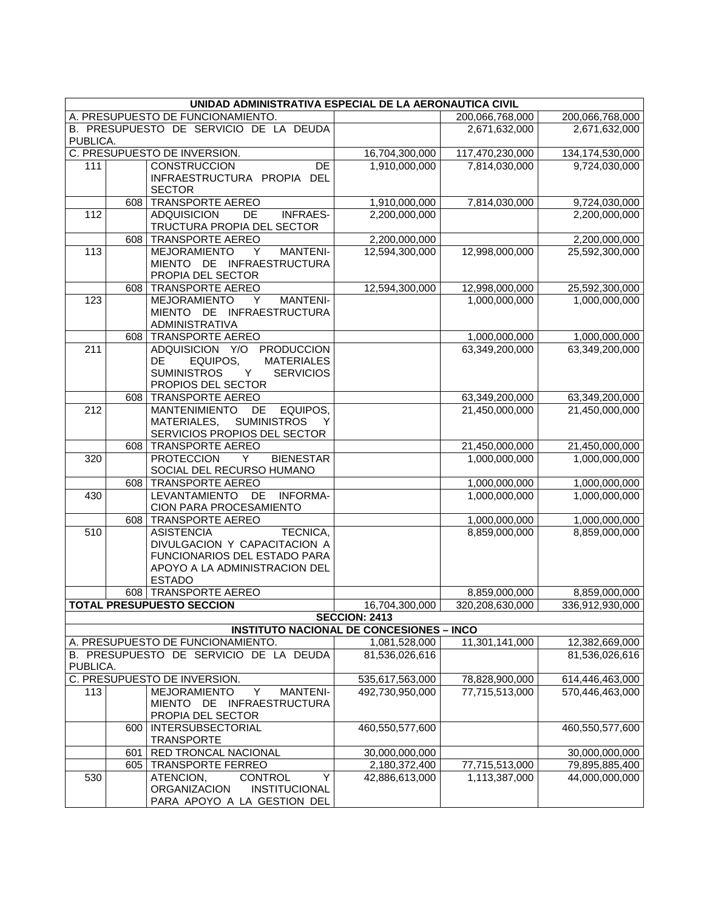| UNIDAD ADMINISTRATIVA ESPECIAL DE LA AERONAUTICA CIVIL |            |                                                                                   |                                                 |                 |                                  |
|--------------------------------------------------------|------------|-----------------------------------------------------------------------------------|-------------------------------------------------|-----------------|----------------------------------|
|                                                        |            | A. PRESUPUESTO DE FUNCIONAMIENTO.                                                 |                                                 | 200,066,768,000 | 200,066,768,000                  |
|                                                        |            | B. PRESUPUESTO DE SERVICIO DE LA DEUDA                                            |                                                 | 2,671,632,000   | 2,671,632,000                    |
| PUBLICA.                                               |            |                                                                                   |                                                 |                 |                                  |
|                                                        |            | C. PRESUPUESTO DE INVERSION.                                                      | 16,704,300,000                                  | 117,470,230,000 | 134,174,530,000                  |
| 111                                                    |            | <b>CONSTRUCCION</b><br>DE                                                         | 1,910,000,000                                   | 7,814,030,000   | 9,724,030,000                    |
|                                                        |            | INFRAESTRUCTURA PROPIA DEL                                                        |                                                 |                 |                                  |
|                                                        |            | <b>SECTOR</b>                                                                     |                                                 |                 |                                  |
|                                                        |            | 608 TRANSPORTE AEREO                                                              | 1,910,000,000                                   | 7,814,030,000   | 9,724,030,000                    |
| 112                                                    |            | <b>ADQUISICION</b><br>DE<br><b>INFRAES-</b><br>TRUCTURA PROPIA DEL SECTOR         | 2,200,000,000                                   |                 | 2,200,000,000                    |
|                                                        | 608        | <b>TRANSPORTE AEREO</b>                                                           | 2,200,000,000                                   |                 | 2,200,000,000                    |
| 113                                                    |            | <b>MEJORAMIENTO</b><br><b>MANTENI-</b><br>Y                                       | 12,594,300,000                                  | 12,998,000,000  | 25,592,300,000                   |
|                                                        |            | MIENTO DE INFRAESTRUCTURA                                                         |                                                 |                 |                                  |
|                                                        |            | PROPIA DEL SECTOR                                                                 |                                                 |                 |                                  |
|                                                        | 608        | <b>TRANSPORTE AEREO</b>                                                           | 12,594,300,000                                  | 12,998,000,000  | 25,592,300,000                   |
| 123                                                    |            | <b>MANTENI-</b><br><b>MEJORAMIENTO</b><br>Y                                       |                                                 | 1,000,000,000   | 1,000,000,000                    |
|                                                        |            | MIENTO DE INFRAESTRUCTURA                                                         |                                                 |                 |                                  |
|                                                        |            | ADMINISTRATIVA                                                                    |                                                 |                 |                                  |
|                                                        | 608        | <b>TRANSPORTE AEREO</b>                                                           |                                                 | 1,000,000,000   | 1,000,000,000                    |
| 211                                                    |            | ADQUISICION Y/O PRODUCCION                                                        |                                                 | 63,349,200,000  | 63,349,200,000                   |
|                                                        |            | <b>DE</b><br>EQUIPOS,<br><b>MATERIALES</b>                                        |                                                 |                 |                                  |
|                                                        |            | <b>SUMINISTROS</b><br>Y<br><b>SERVICIOS</b>                                       |                                                 |                 |                                  |
|                                                        |            | PROPIOS DEL SECTOR                                                                |                                                 |                 |                                  |
| $\overline{212}$                                       | 608        | <b>TRANSPORTE AEREO</b>                                                           |                                                 | 63,349,200,000  | 63,349,200,000<br>21,450,000,000 |
|                                                        |            | <b>MANTENIMIENTO</b><br>EQUIPOS,<br>DE.<br><b>SUMINISTROS</b><br>MATERIALES,<br>Y |                                                 | 21,450,000,000  |                                  |
|                                                        |            | SERVICIOS PROPIOS DEL SECTOR                                                      |                                                 |                 |                                  |
|                                                        | 608        | <b>TRANSPORTE AEREO</b>                                                           |                                                 | 21,450,000,000  | 21,450,000,000                   |
| 320                                                    |            | <b>PROTECCION</b><br><b>BIENESTAR</b><br>Y.                                       |                                                 | 1,000,000,000   | 1,000,000,000                    |
|                                                        |            | SOCIAL DEL RECURSO HUMANO                                                         |                                                 |                 |                                  |
|                                                        | 608        | <b>TRANSPORTE AEREO</b>                                                           |                                                 | 1,000,000,000   | 1,000,000,000                    |
| 430                                                    |            | LEVANTAMIENTO DE<br><b>INFORMA-</b>                                               |                                                 | 1,000,000,000   | 1,000,000,000                    |
|                                                        |            | CION PARA PROCESAMIENTO                                                           |                                                 |                 |                                  |
|                                                        | 608        | <b>TRANSPORTE AEREO</b>                                                           |                                                 | 1,000,000,000   | 1,000,000,000                    |
| 510                                                    |            | <b>ASISTENCIA</b><br>TECNICA,                                                     |                                                 | 8,859,000,000   | 8,859,000,000                    |
|                                                        |            | DIVULGACION Y CAPACITACION A                                                      |                                                 |                 |                                  |
|                                                        |            | FUNCIONARIOS DEL ESTADO PARA                                                      |                                                 |                 |                                  |
|                                                        |            | APOYO A LA ADMINISTRACION DEL<br><b>ESTADO</b>                                    |                                                 |                 |                                  |
|                                                        |            | 608 TRANSPORTE AEREO                                                              |                                                 | 8,859,000,000   | 8,859,000,000                    |
|                                                        |            | <b>TOTAL PRESUPUESTO SECCION</b>                                                  | 16,704,300,000                                  | 320,208,630,000 | 336,912,930,000                  |
|                                                        |            |                                                                                   | <b>SECCION: 2413</b>                            |                 |                                  |
|                                                        |            |                                                                                   | <b>INSTITUTO NACIONAL DE CONCESIONES - INCO</b> |                 |                                  |
|                                                        |            | A. PRESUPUESTO DE FUNCIONAMIENTO.                                                 | 1,081,528,000                                   | 11,301,141,000  | 12,382,669,000                   |
|                                                        |            | B. PRESUPUESTO DE SERVICIO DE LA DEUDA                                            | 81,536,026,616                                  |                 | 81,536,026,616                   |
| PUBLICA.                                               |            |                                                                                   |                                                 |                 |                                  |
|                                                        |            | C. PRESUPUESTO DE INVERSION.                                                      | 535,617,563,000                                 | 78,828,900,000  | 614,446,463,000                  |
| 113                                                    |            | MEJORAMIENTO<br>Y<br><b>MANTENI-</b>                                              | 492,730,950,000                                 | 77,715,513,000  | 570,446,463,000                  |
|                                                        |            | MIENTO DE INFRAESTRUCTURA                                                         |                                                 |                 |                                  |
|                                                        |            | PROPIA DEL SECTOR                                                                 |                                                 |                 |                                  |
|                                                        | 600        | <b>INTERSUBSECTORIAL</b>                                                          | 460,550,577,600                                 |                 | 460,550,577,600                  |
|                                                        |            | <b>TRANSPORTE</b>                                                                 |                                                 |                 |                                  |
|                                                        | 601<br>605 | RED TRONCAL NACIONAL<br><b>TRANSPORTE FERREO</b>                                  | 30,000,000,000<br>2,180,372,400                 | 77,715,513,000  | 30,000,000,000<br>79,895,885,400 |
| 530                                                    |            | ATENCION,<br><b>CONTROL</b><br>Y                                                  | 42,886,613,000                                  | 1,113,387,000   | 44,000,000,000                   |
|                                                        |            | <b>ORGANIZACION</b><br>INSTITUCIONAL                                              |                                                 |                 |                                  |
|                                                        |            | PARA APOYO A LA GESTION DEL                                                       |                                                 |                 |                                  |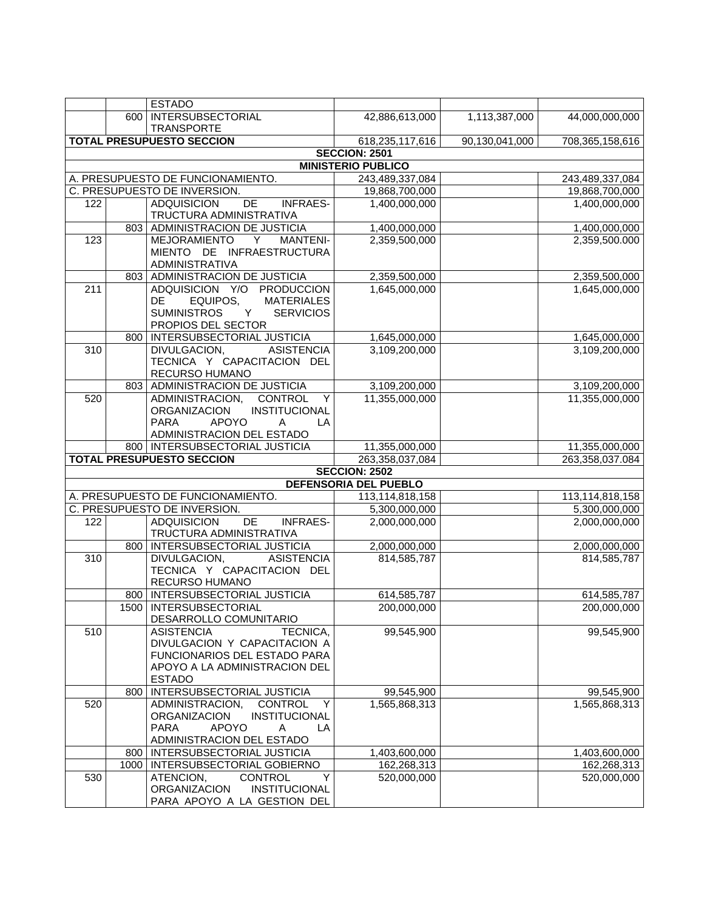|                  |      | <b>ESTADO</b>                                                                                                                                          |                           |                |                 |
|------------------|------|--------------------------------------------------------------------------------------------------------------------------------------------------------|---------------------------|----------------|-----------------|
|                  | 600  | <b>INTERSUBSECTORIAL</b>                                                                                                                               | 42,886,613,000            | 1,113,387,000  | 44,000,000,000  |
|                  |      | <b>TRANSPORTE</b>                                                                                                                                      |                           |                |                 |
|                  |      | <b>TOTAL PRESUPUESTO SECCION</b>                                                                                                                       | 618,235,117,616           | 90,130,041,000 | 708,365,158,616 |
|                  |      |                                                                                                                                                        | <b>SECCION: 2501</b>      |                |                 |
|                  |      |                                                                                                                                                        | <b>MINISTERIO PUBLICO</b> |                |                 |
|                  |      | A. PRESUPUESTO DE FUNCIONAMIENTO.                                                                                                                      | 243,489,337,084           |                | 243,489,337,084 |
|                  |      | C. PRESUPUESTO DE INVERSION.                                                                                                                           | 19,868,700,000            |                | 19,868,700,000  |
| 122              |      | <b>ADQUISICION</b><br>DE<br><b>INFRAES-</b>                                                                                                            | 1,400,000,000             |                | 1,400,000,000   |
|                  |      | TRUCTURA ADMINISTRATIVA                                                                                                                                |                           |                |                 |
|                  |      | 803 ADMINISTRACION DE JUSTICIA                                                                                                                         | 1,400,000,000             |                | 1,400,000,000   |
| 123              |      | MEJORAMIENTO Y<br><b>MANTENI-</b><br>MIENTO DE INFRAESTRUCTURA                                                                                         | 2,359,500,000             |                | 2,359,500.000   |
|                  |      | ADMINISTRATIVA                                                                                                                                         |                           |                |                 |
|                  | 803  | ADMINISTRACION DE JUSTICIA                                                                                                                             | 2,359,500,000             |                | 2,359,500,000   |
| $\overline{211}$ |      | ADQUISICION Y/O PRODUCCION<br>DE<br>EQUIPOS,<br><b>MATERIALES</b><br><b>SUMINISTROS</b><br><b>SERVICIOS</b><br>Y<br>PROPIOS DEL SECTOR                 | 1,645,000,000             |                | 1,645,000,000   |
|                  | 800  | INTERSUBSECTORIAL JUSTICIA                                                                                                                             | 1,645,000,000             |                | 1,645,000,000   |
| 310              |      | <b>ASISTENCIA</b><br>DIVULGACION,<br>TECNICA Y CAPACITACION DEL<br>RECURSO HUMANO                                                                      | 3,109,200,000             |                | 3,109,200,000   |
|                  | 803  | ADMINISTRACION DE JUSTICIA                                                                                                                             | 3,109,200,000             |                | 3,109,200,000   |
| 520              |      | ADMINISTRACION, CONTROL<br>Y<br><b>ORGANIZACION</b><br>INSTITUCIONAL<br><b>PARA</b><br><b>APOYO</b><br>A<br>LA                                         | 11,355,000,000            |                | 11,355,000,000  |
|                  |      | ADMINISTRACION DEL ESTADO                                                                                                                              |                           |                |                 |
|                  |      | 800   INTERSUBSECTORIAL JUSTICIA                                                                                                                       | 11,355,000,000            |                | 11,355,000,000  |
|                  |      | <b>TOTAL PRESUPUESTO SECCION</b>                                                                                                                       | 263,358,037,084           |                | 263,358,037.084 |
|                  |      |                                                                                                                                                        | <b>SECCION: 2502</b>      |                |                 |
|                  |      |                                                                                                                                                        | DEFENSORIA DEL PUEBLO     |                |                 |
|                  |      | A. PRESUPUESTO DE FUNCIONAMIENTO.                                                                                                                      | 113,114,818,158           |                | 113,114,818,158 |
|                  |      | C. PRESUPUESTO DE INVERSION.                                                                                                                           | 5,300,000,000             |                | 5,300,000,000   |
| 122              |      | DE<br><b>ADQUISICION</b><br><b>INFRAES-</b><br>TRUCTURA ADMINISTRATIVA                                                                                 | 2,000,000,000             |                | 2,000,000,000   |
|                  |      | 800   INTERSUBSECTORIAL JUSTICIA                                                                                                                       | 2,000,000,000             |                | 2,000,000,000   |
| $\overline{310}$ |      | DIVULGACION,<br><b>ASISTENCIA</b><br>TECNICA Y CAPACITACION DEL<br>RECURSO HUMANO                                                                      | 814,585,787               |                | 814,585,787     |
|                  |      | 800   INTERSUBSECTORIAL JUSTICIA                                                                                                                       | 614, 585, 787             |                | 614,585,787     |
|                  |      | 1500   INTERSUBSECTORIAL<br>DESARROLLO COMUNITARIO                                                                                                     | 200,000,000               |                | 200,000,000     |
| 510              |      | <b>ASISTENCIA</b><br>TECNICA,<br>DIVULGACION Y CAPACITACION A<br><b>FUNCIONARIOS DEL ESTADO PARA</b><br>APOYO A LA ADMINISTRACION DEL<br><b>ESTADO</b> | 99,545,900                |                | 99,545,900      |
|                  | 800  | INTERSUBSECTORIAL JUSTICIA                                                                                                                             | 99,545,900                |                | 99,545,900      |
| 520              |      | <b>CONTROL</b><br>ADMINISTRACION,<br>Υ<br><b>ORGANIZACION</b><br>INSTITUCIONAL<br><b>PARA</b><br>APOYO<br>Α<br>LA<br>ADMINISTRACION DEL ESTADO         | 1,565,868,313             |                | 1,565,868,313   |
|                  | 800  | INTERSUBSECTORIAL JUSTICIA                                                                                                                             | 1,403,600,000             |                | 1,403,600,000   |
|                  | 1000 | INTERSUBSECTORIAL GOBIERNO                                                                                                                             | 162,268,313               |                | 162,268,313     |
| 530              |      | ATENCION,<br><b>CONTROL</b><br>Y<br>INSTITUCIONAL<br><b>ORGANIZACION</b><br>PARA APOYO A LA GESTION DEL                                                | 520,000,000               |                | 520,000,000     |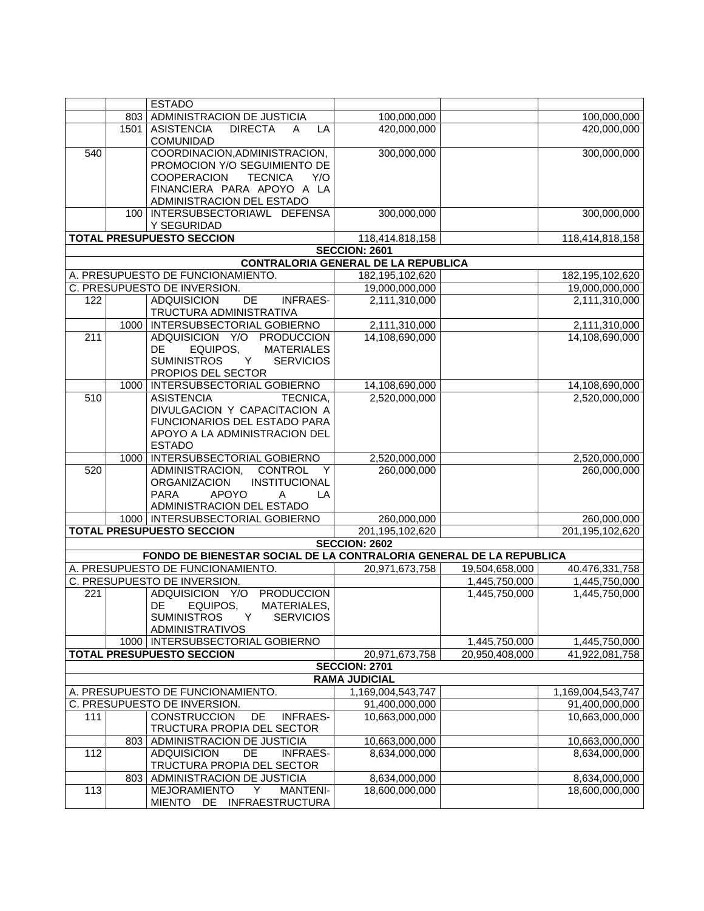|                  |      | <b>ESTADO</b>                                                             |                                            |                |                                 |
|------------------|------|---------------------------------------------------------------------------|--------------------------------------------|----------------|---------------------------------|
|                  | 803  | ADMINISTRACION DE JUSTICIA                                                | 100,000,000                                |                | 100,000,000                     |
|                  | 1501 | <b>ASISTENCIA</b><br><b>DIRECTA</b><br>LĀ<br>A                            | 420,000,000                                |                | 420,000,000                     |
|                  |      | <b>COMUNIDAD</b>                                                          |                                            |                |                                 |
| 540              |      | COORDINACION, ADMINISTRACION,<br>PROMOCION Y/O SEGUIMIENTO DE             | 300,000,000                                |                | 300,000,000                     |
|                  |      | <b>TECNICA</b><br><b>COOPERACION</b><br>Y/O                               |                                            |                |                                 |
|                  |      | FINANCIERA PARA APOYO A LA                                                |                                            |                |                                 |
|                  |      | ADMINISTRACION DEL ESTADO                                                 |                                            |                |                                 |
|                  |      | 100   INTERSUBSECTORIAWL DEFENSA                                          | 300,000,000                                |                | 300,000,000                     |
|                  |      | Y SEGURIDAD                                                               |                                            |                |                                 |
|                  |      | <b>TOTAL PRESUPUESTO SECCION</b>                                          | 118,414.818,158                            |                | 118,414,818,158                 |
|                  |      |                                                                           | <b>SECCION: 2601</b>                       |                |                                 |
|                  |      |                                                                           | <b>CONTRALORIA GENERAL DE LA REPUBLICA</b> |                |                                 |
|                  |      | A. PRESUPUESTO DE FUNCIONAMIENTO.                                         | 182,195,102,620                            |                | 182,195,102,620                 |
|                  |      | C. PRESUPUESTO DE INVERSION.                                              | 19,000,000,000                             |                | 19,000,000,000                  |
| 122              |      | DE<br><b>ADQUISICION</b><br><b>INFRAES-</b><br>TRUCTURA ADMINISTRATIVA    | 2,111,310,000                              |                | 2,111,310,000                   |
|                  |      | 1000   INTERSUBSECTORIAL GOBIERNO                                         | 2,111,310,000                              |                | 2,111,310,000                   |
| 211              |      | ADQUISICION Y/O PRODUCCION                                                | 14,108,690,000                             |                | 14,108,690,000                  |
|                  |      | DE<br>EQUIPOS,<br><b>MATERIALES</b>                                       |                                            |                |                                 |
|                  |      | <b>SUMINISTROS</b><br><b>SERVICIOS</b><br>Y                               |                                            |                |                                 |
|                  |      | PROPIOS DEL SECTOR                                                        |                                            |                |                                 |
|                  | 1000 | INTERSUBSECTORIAL GOBIERNO                                                | 14,108,690,000                             |                | 14,108,690,000                  |
| $\overline{510}$ |      | <b>ASISTENCIA</b><br>TECNICA,                                             | 2,520,000,000                              |                | 2,520,000,000                   |
|                  |      | DIVULGACION Y CAPACITACION A                                              |                                            |                |                                 |
|                  |      | FUNCIONARIOS DEL ESTADO PARA                                              |                                            |                |                                 |
|                  |      | APOYO A LA ADMINISTRACION DEL<br><b>ESTADO</b>                            |                                            |                |                                 |
|                  |      | 1000   INTERSUBSECTORIAL GOBIERNO                                         | 2,520,000,000                              |                | 2,520,000,000                   |
| 520              |      | ADMINISTRACION,<br><b>CONTROL</b><br>Y                                    | 260,000,000                                |                | 260,000,000                     |
|                  |      | <b>ORGANIZACION</b><br>INSTITUCIONAL                                      |                                            |                |                                 |
|                  |      | <b>APOYO</b><br><b>PARA</b><br>LA<br>A                                    |                                            |                |                                 |
|                  |      | ADMINISTRACION DEL ESTADO                                                 |                                            |                |                                 |
|                  |      | 1000   INTERSUBSECTORIAL GOBIERNO                                         | 260,000,000                                |                | 260,000,000                     |
|                  |      | <b>TOTAL PRESUPUESTO SECCION</b>                                          | 201,195,102,620                            |                | 201,195,102,620                 |
|                  |      |                                                                           | <b>SECCION: 2602</b>                       |                |                                 |
|                  |      | FONDO DE BIENESTAR SOCIAL DE LA CONTRALORIA GENERAL DE LA REPUBLICA       |                                            |                |                                 |
|                  |      | A. PRESUPUESTO DE FUNCIONAMIENTO.                                         | 20,971,673,758                             | 19,504,658,000 | 40.476,331,758                  |
|                  |      | C. PRESUPUESTO DE INVERSION.                                              |                                            | 1,445,750,000  | 1,445,750,000                   |
| 221              |      | ADQUISICION Y/O<br><b>PRODUCCION</b>                                      |                                            | 1,445,750,000  | 1,445,750,000                   |
|                  |      | DE<br>EQUIPOS.<br>MATERIALES,                                             |                                            |                |                                 |
|                  |      | <b>SUMINISTROS</b><br><b>SERVICIOS</b><br>Y                               |                                            |                |                                 |
|                  |      | <b>ADMINISTRATIVOS</b>                                                    |                                            |                |                                 |
|                  |      | 1000   INTERSUBSECTORIAL GOBIERNO                                         |                                            | 1,445,750,000  | 1,445,750,000                   |
|                  |      | <b>TOTAL PRESUPUESTO SECCION</b>                                          | 20,971,673,758                             | 20,950,408,000 | 41,922,081,758                  |
|                  |      |                                                                           | <b>SECCION: 2701</b>                       |                |                                 |
|                  |      |                                                                           | <b>RAMA JUDICIAL</b>                       |                |                                 |
|                  |      | A. PRESUPUESTO DE FUNCIONAMIENTO.                                         | 1,169,004,543,747                          |                | 1,169,004,543,747               |
|                  |      | C. PRESUPUESTO DE INVERSION.                                              | 91,400,000,000                             |                | 91,400,000,000                  |
| 111              |      | <b>CONSTRUCCION</b><br>DE<br><b>INFRAES-</b>                              | 10,663,000,000                             |                | 10,663,000,000                  |
|                  |      | TRUCTURA PROPIA DEL SECTOR                                                |                                            |                |                                 |
|                  |      | 803   ADMINISTRACION DE JUSTICIA                                          | 10,663,000,000                             |                | 10,663,000,000                  |
| 112              |      | <b>ADQUISICION</b><br>DE<br><b>INFRAES-</b>                               | 8,634,000,000                              |                | 8,634,000,000                   |
|                  | 803  | TRUCTURA PROPIA DEL SECTOR                                                |                                            |                |                                 |
| 113              |      | ADMINISTRACION DE JUSTICIA<br><b>MEJORAMIENTO</b><br>Y<br><b>MANTENI-</b> | 8,634,000,000<br>18,600,000,000            |                | 8,634,000,000<br>18,600,000,000 |
|                  |      | MIENTO DE INFRAESTRUCTURA                                                 |                                            |                |                                 |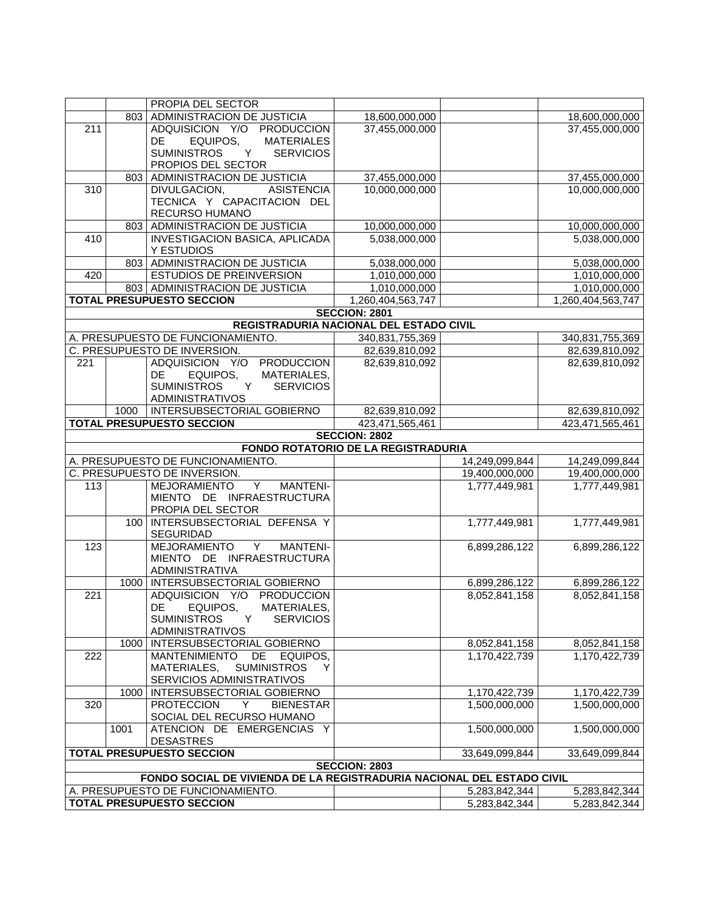|                  |      | PROPIA DEL SECTOR                                                      |                                            |                                |                   |
|------------------|------|------------------------------------------------------------------------|--------------------------------------------|--------------------------------|-------------------|
|                  |      | 803 ADMINISTRACION DE JUSTICIA                                         | 18,600,000,000                             |                                | 18,600,000,000    |
| $\overline{211}$ |      | ADQUISICION Y/O PRODUCCION                                             | 37,455,000,000                             |                                | 37,455,000,000    |
|                  |      | EQUIPOS,<br><b>MATERIALES</b><br>DE                                    |                                            |                                |                   |
|                  |      | <b>SUMINISTROS</b><br><b>SERVICIOS</b><br>Y                            |                                            |                                |                   |
|                  |      | PROPIOS DEL SECTOR                                                     |                                            |                                |                   |
|                  |      | 803 ADMINISTRACION DE JUSTICIA                                         | 37,455,000,000                             |                                | 37,455,000,000    |
| 310              |      | DIVULGACION,<br><b>ASISTENCIA</b>                                      | 10,000,000,000                             |                                | 10,000,000,000    |
|                  |      | TECNICA Y CAPACITACION DEL                                             |                                            |                                |                   |
|                  |      | RECURSO HUMANO                                                         |                                            |                                |                   |
|                  |      | 803 ADMINISTRACION DE JUSTICIA                                         | 10,000,000,000                             |                                | 10,000,000,000    |
| 410              |      | INVESTIGACION BASICA, APLICADA                                         | 5,038,000,000                              |                                | 5,038,000,000     |
|                  |      | Y ESTUDIOS                                                             |                                            |                                |                   |
|                  |      | 803 ADMINISTRACION DE JUSTICIA                                         | 5,038,000,000                              |                                | 5,038,000,000     |
| 420              |      | ESTUDIOS DE PREINVERSION                                               | 1,010,000,000                              |                                | 1,010,000,000     |
|                  |      | 803 ADMINISTRACION DE JUSTICIA                                         | 1,010,000,000                              |                                | 1,010,000,000     |
|                  |      | <b>TOTAL PRESUPUESTO SECCION</b>                                       | 1,260,404,563,747                          |                                | 1,260,404,563,747 |
|                  |      |                                                                        | <b>SECCION: 2801</b>                       |                                |                   |
|                  |      |                                                                        | REGISTRADURIA NACIONAL DEL ESTADO CIVIL    |                                |                   |
|                  |      | A. PRESUPUESTO DE FUNCIONAMIENTO.                                      | 340,831,755,369                            |                                | 340,831,755,369   |
|                  |      | C. PRESUPUESTO DE INVERSION.                                           | 82,639,810,092                             |                                | 82,639,810,092    |
| 221              |      | ADQUISICION Y/O PRODUCCION                                             | 82,639,810,092                             |                                | 82,639,810,092    |
|                  |      | DE<br>EQUIPOS,<br>MATERIALES,                                          |                                            |                                |                   |
|                  |      | <b>SUMINISTROS</b><br><b>SERVICIOS</b><br>Y                            |                                            |                                |                   |
|                  |      | <b>ADMINISTRATIVOS</b>                                                 |                                            |                                |                   |
|                  | 1000 | INTERSUBSECTORIAL GOBIERNO                                             | 82,639,810,092                             |                                | 82,639,810,092    |
|                  |      | <b>TOTAL PRESUPUESTO SECCION</b>                                       | 423,471,565,461                            |                                | 423,471,565,461   |
|                  |      |                                                                        | <b>SECCION: 2802</b>                       |                                |                   |
|                  |      |                                                                        | <b>FONDO ROTATORIO DE LA REGISTRADURIA</b> |                                |                   |
|                  |      | A. PRESUPUESTO DE FUNCIONAMIENTO.                                      |                                            | 14,249,099,844                 | 14,249,099,844    |
|                  |      | C. PRESUPUESTO DE INVERSION.                                           |                                            | 19,400,000,000                 | 19,400,000,000    |
| 113              |      | Y<br>MEJORAMIENTO<br><b>MANTENI-</b>                                   |                                            | 1,777,449,981                  | 1,777,449,981     |
|                  |      | MIENTO DE INFRAESTRUCTURA                                              |                                            |                                |                   |
|                  |      | PROPIA DEL SECTOR                                                      |                                            |                                |                   |
|                  |      | 100   INTERSUBSECTORIAL DEFENSA Y                                      |                                            | 1,777,449,981                  | 1,777,449,981     |
|                  |      | <b>SEGURIDAD</b>                                                       |                                            |                                |                   |
| 123              |      | <b>MEJORAMIENTO</b><br>Y<br><b>MANTENI-</b>                            |                                            | 6,899,286,122                  | 6,899,286,122     |
|                  |      | MIENTO DE INFRAESTRUCTURA                                              |                                            |                                |                   |
|                  |      | <b>ADMINISTRATIVA</b>                                                  |                                            |                                |                   |
|                  |      | 1000   INTERSUBSECTORIAL GOBIERNO                                      |                                            | 6,899,286,122                  | 6,899,286,122     |
| 221              |      | ADQUISICION Y/O PRODUCCION                                             |                                            | 8,052,841,158                  | 8,052,841,158     |
|                  |      | MATERIALES,<br>DE<br>EQUIPOS,                                          |                                            |                                |                   |
|                  |      | <b>SUMINISTROS</b><br>Y<br><b>SERVICIOS</b>                            |                                            |                                |                   |
|                  |      | ADMINISTRATIVOS                                                        |                                            |                                |                   |
|                  |      | 1000   INTERSUBSECTORIAL GOBIERNO                                      |                                            | 8,052,841,158                  | 8,052,841,158     |
| 222              |      | <b>MANTENIMIENTO</b><br>DE<br>EQUIPOS,                                 |                                            | 1.170.422.739                  | 1,170,422,739     |
|                  |      | MATERIALES,<br><b>SUMINISTROS</b><br>Y                                 |                                            |                                |                   |
|                  |      | SERVICIOS ADMINISTRATIVOS                                              |                                            |                                |                   |
|                  |      | 1000   INTERSUBSECTORIAL GOBIERNO                                      |                                            | 1,170,422,739                  | 1,170,422,739     |
| 320              |      | <b>PROTECCION</b><br><b>BIENESTAR</b><br>Y                             |                                            | 1,500,000,000                  | 1,500,000,000     |
|                  |      | SOCIAL DEL RECURSO HUMANO                                              |                                            |                                |                   |
|                  |      |                                                                        |                                            |                                |                   |
|                  | 1001 | ATENCION DE EMERGENCIAS Y                                              |                                            | 1,500,000,000                  | 1,500,000,000     |
|                  |      | <b>DESASTRES</b>                                                       |                                            |                                |                   |
|                  |      | <b>TOTAL PRESUPUESTO SECCION</b>                                       |                                            | 33.649.099.844                 | 33,649,099,844    |
|                  |      |                                                                        | <b>SECCION: 2803</b>                       |                                |                   |
|                  |      | FONDO SOCIAL DE VIVIENDA DE LA REGISTRADURIA NACIONAL DEL ESTADO CIVIL |                                            |                                |                   |
|                  |      | A. PRESUPUESTO DE FUNCIONAMIENTO.<br><b>TOTAL PRESUPUESTO SECCION</b>  |                                            | 5,283,842,344<br>5,283,842,344 | 5,283,842,344     |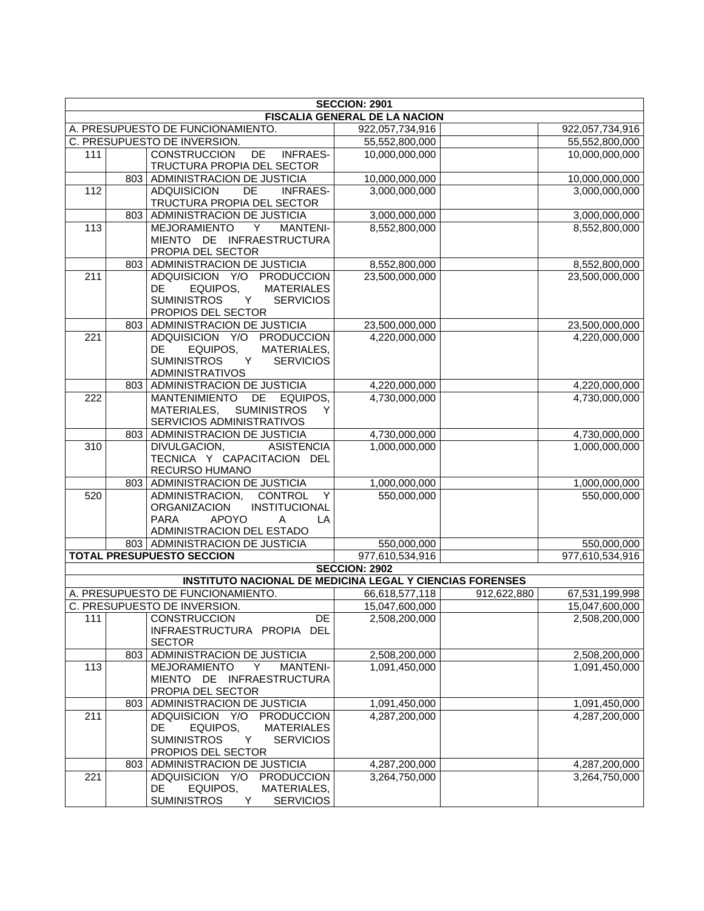|                  |     |                                                                        | <b>SECCION: 2901</b><br>FISCALIA GENERAL DE LA NACION |             |                                   |
|------------------|-----|------------------------------------------------------------------------|-------------------------------------------------------|-------------|-----------------------------------|
|                  |     |                                                                        | 922,057,734,916                                       |             |                                   |
|                  |     | A. PRESUPUESTO DE FUNCIONAMIENTO.<br>C. PRESUPUESTO DE INVERSION.      | 55,552,800,000                                        |             | 922,057,734,916<br>55,552,800,000 |
| 111              |     | CONSTRUCCION DE INFRAES-                                               | 10,000,000,000                                        |             | 10,000,000,000                    |
|                  |     | TRUCTURA PROPIA DEL SECTOR                                             |                                                       |             |                                   |
|                  |     | 803 ADMINISTRACION DE JUSTICIA                                         | 10,000,000,000                                        |             | 10,000,000,000                    |
| 112              |     | <b>ADQUISICION</b><br><b>DE</b><br><b>INFRAES-</b>                     | 3,000,000,000                                         |             | 3,000,000,000                     |
|                  |     | TRUCTURA PROPIA DEL SECTOR                                             |                                                       |             |                                   |
|                  | 803 | ADMINISTRACION DE JUSTICIA                                             | 3,000,000,000                                         |             | 3,000,000,000                     |
| 113              |     | MEJORAMIENTO<br><b>MANTENI-</b><br>Y                                   | 8,552,800,000                                         |             | 8,552,800,000                     |
|                  |     | MIENTO DE INFRAESTRUCTURA                                              |                                                       |             |                                   |
|                  |     | PROPIA DEL SECTOR                                                      |                                                       |             |                                   |
|                  | 803 | <b>ADMINISTRACION DE JUSTICIA</b>                                      | 8,552,800,000                                         |             | 8,552,800,000                     |
| 211              |     | ADQUISICION Y/O PRODUCCION                                             | 23,500,000,000                                        |             | 23,500,000,000                    |
|                  |     | EQUIPOS,<br><b>MATERIALES</b><br>DE                                    |                                                       |             |                                   |
|                  |     | <b>SUMINISTROS</b><br>Y<br><b>SERVICIOS</b>                            |                                                       |             |                                   |
|                  |     | PROPIOS DEL SECTOR                                                     |                                                       |             |                                   |
|                  |     | 803 ADMINISTRACION DE JUSTICIA                                         | 23,500,000,000                                        |             | 23,500,000,000                    |
| 221              |     | ADQUISICION Y/O PRODUCCION                                             | 4,220,000,000                                         |             | 4,220,000,000                     |
|                  |     | MATERIALES,<br>DE.<br>EQUIPOS,                                         |                                                       |             |                                   |
|                  |     | <b>SUMINISTROS</b><br>Y<br><b>SERVICIOS</b>                            |                                                       |             |                                   |
|                  |     | <b>ADMINISTRATIVOS</b>                                                 |                                                       |             |                                   |
|                  |     | 803 ADMINISTRACION DE JUSTICIA                                         | 4,220,000,000<br>4,730,000,000                        |             | 4,220,000,000                     |
| 222              |     | MANTENIMIENTO DE EQUIPOS,<br>MATERIALES, SUMINISTROS<br>Y              |                                                       |             | 4,730,000,000                     |
|                  |     | SERVICIOS ADMINISTRATIVOS                                              |                                                       |             |                                   |
|                  |     | 803 ADMINISTRACION DE JUSTICIA                                         | 4,730,000,000                                         |             |                                   |
| $\overline{310}$ |     | <b>ASISTENCIA</b><br>DIVULGACION,                                      | 1,000,000,000                                         |             | 4,730,000,000<br>1,000,000,000    |
|                  |     | TECNICA Y CAPACITACION DEL                                             |                                                       |             |                                   |
|                  |     | RECURSO HUMANO                                                         |                                                       |             |                                   |
|                  |     | 803 ADMINISTRACION DE JUSTICIA                                         | 1,000,000,000                                         |             | 1,000,000,000                     |
| 520              |     | <b>CONTROL</b><br>ADMINISTRACION,<br>Y                                 | 550,000,000                                           |             | 550,000,000                       |
|                  |     | ORGANIZACION<br>INSTITUCIONAL                                          |                                                       |             |                                   |
|                  |     | <b>APOYO</b><br><b>PARA</b><br>$\mathsf{A}$<br>LA                      |                                                       |             |                                   |
|                  |     | ADMINISTRACION DEL ESTADO                                              |                                                       |             |                                   |
|                  |     | 803 ADMINISTRACION DE JUSTICIA                                         | 550,000,000                                           |             | 550,000,000                       |
|                  |     | <b>TOTAL PRESUPUESTO SECCION</b>                                       | 977,610,534,916                                       |             | 977,610,534,916                   |
|                  |     |                                                                        | <b>SECCION: 2902</b>                                  |             |                                   |
|                  |     | <b>INSTITUTO NACIONAL DE MEDICINA LEGAL Y CIENCIAS FORENSES</b>        |                                                       |             |                                   |
|                  |     | A. PRESUPUESTO DE FUNCIONAMIENTO.                                      | 66,618,577,118                                        | 912,622,880 | 67,531,199,998                    |
|                  |     | C. PRESUPUESTO DE INVERSION.                                           | 15,047,600,000                                        |             | 15,047,600,000                    |
| 111              |     | <b>CONSTRUCCION</b><br>DE.                                             | 2,508,200,000                                         |             | 2,508,200,000                     |
|                  |     | INFRAESTRUCTURA PROPIA DEL                                             |                                                       |             |                                   |
|                  |     | <b>SECTOR</b>                                                          |                                                       |             |                                   |
|                  | 803 | ADMINISTRACION DE JUSTICIA                                             | 2,508,200,000                                         |             | 2,508,200,000                     |
| 113              |     | MEJORAMIENTO<br>Y<br><b>MANTENI-</b>                                   | 1,091,450,000                                         |             | 1,091,450,000                     |
|                  |     | MIENTO DE INFRAESTRUCTURA                                              |                                                       |             |                                   |
|                  |     | PROPIA DEL SECTOR                                                      |                                                       |             |                                   |
|                  | 803 | ADMINISTRACION DE JUSTICIA                                             | 1,091,450,000                                         |             | 1,091,450,000                     |
| 211              |     | ADQUISICION Y/O<br><b>PRODUCCION</b>                                   | 4,287,200,000                                         |             | 4,287,200,000                     |
|                  |     | DE<br>EQUIPOS,<br><b>MATERIALES</b>                                    |                                                       |             |                                   |
|                  |     | <b>SUMINISTROS</b><br>Y<br><b>SERVICIOS</b>                            |                                                       |             |                                   |
|                  |     | PROPIOS DEL SECTOR                                                     |                                                       |             |                                   |
|                  | 803 | ADMINISTRACION DE JUSTICIA                                             | 4,287,200,000                                         |             | 4,287,200,000                     |
| 221              |     | ADQUISICION Y/O<br><b>PRODUCCION</b><br>DE.<br>EQUIPOS,<br>MATERIALES, | 3,264,750,000                                         |             | 3,264,750,000                     |
|                  |     | <b>SERVICIOS</b><br><b>SUMINISTROS</b><br>Y                            |                                                       |             |                                   |
|                  |     |                                                                        |                                                       |             |                                   |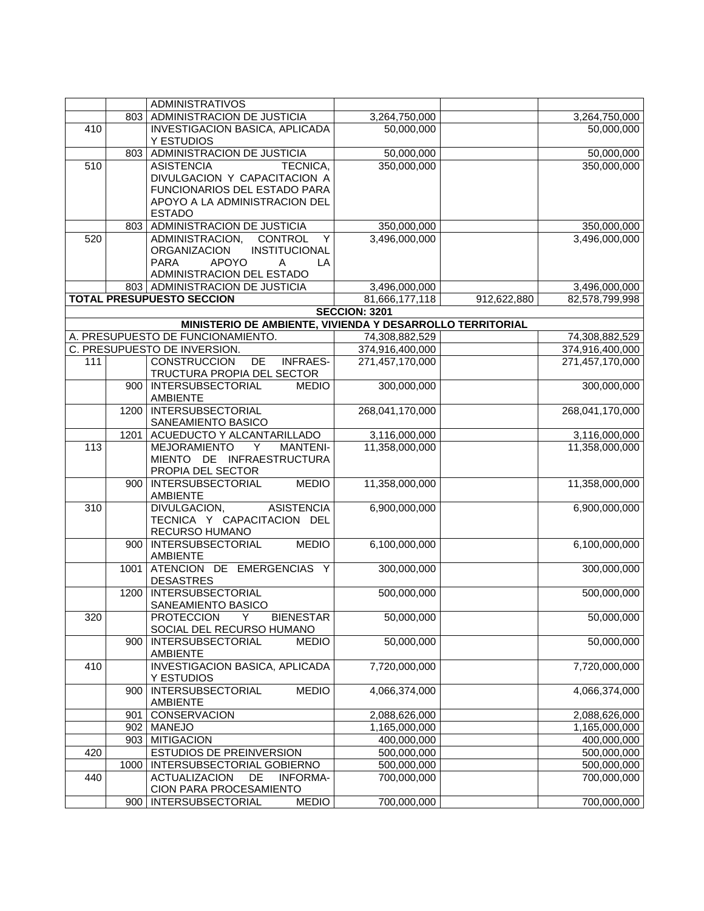|     |      | <b>ADMINISTRATIVOS</b>                                             |                                 |             |                                 |
|-----|------|--------------------------------------------------------------------|---------------------------------|-------------|---------------------------------|
|     | 803  | ADMINISTRACION DE JUSTICIA                                         | 3,264,750,000                   |             | 3,264,750,000                   |
| 410 |      | INVESTIGACION BASICA, APLICADA                                     | 50,000,000                      |             | 50,000,000                      |
|     |      | Y ESTUDIOS                                                         |                                 |             |                                 |
|     | 803  | ADMINISTRACION DE JUSTICIA                                         | 50,000,000                      |             | 50,000,000                      |
| 510 |      | <b>ASISTENCIA</b><br>TECNICA,                                      | 350,000,000                     |             | 350,000,000                     |
|     |      | DIVULGACION Y CAPACITACION A                                       |                                 |             |                                 |
|     |      | FUNCIONARIOS DEL ESTADO PARA                                       |                                 |             |                                 |
|     |      | APOYO A LA ADMINISTRACION DEL                                      |                                 |             |                                 |
|     |      | <b>ESTADO</b>                                                      |                                 |             |                                 |
|     | 803  | ADMINISTRACION DE JUSTICIA                                         | 350,000,000                     |             | 350,000,000                     |
| 520 |      | ADMINISTRACION, CONTROL<br>Y                                       | 3,496,000,000                   |             | 3,496,000,000                   |
|     |      | <b>ORGANIZACION</b><br>INSTITUCIONAL                               |                                 |             |                                 |
|     |      | <b>PARA</b><br><b>APOYO</b><br>LA<br>A                             |                                 |             |                                 |
|     |      | ADMINISTRACION DEL ESTADO                                          |                                 |             |                                 |
|     |      | 803 ADMINISTRACION DE JUSTICIA<br><b>TOTAL PRESUPUESTO SECCION</b> | 3,496,000,000<br>81,666,177,118 | 912,622,880 | 3,496,000,000<br>82,578,799,998 |
|     |      |                                                                    | <b>SECCION: 3201</b>            |             |                                 |
|     |      | MINISTERIO DE AMBIENTE, VIVIENDA Y DESARROLLO TERRITORIAL          |                                 |             |                                 |
|     |      | A. PRESUPUESTO DE FUNCIONAMIENTO.                                  | 74,308,882,529                  |             | 74,308,882,529                  |
|     |      | C. PRESUPUESTO DE INVERSION.                                       | 374,916,400,000                 |             | 374,916,400,000                 |
| 111 |      | DE<br>CONSTRUCCION<br><b>INFRAES-</b>                              | 271,457,170,000                 |             | 271,457,170,000                 |
|     |      | TRUCTURA PROPIA DEL SECTOR                                         |                                 |             |                                 |
|     |      | 900   INTERSUBSECTORIAL<br><b>MEDIO</b>                            | 300,000,000                     |             | 300,000,000                     |
|     |      | <b>AMBIENTE</b>                                                    |                                 |             |                                 |
|     |      | 1200   INTERSUBSECTORIAL                                           | 268,041,170,000                 |             | 268,041,170,000                 |
|     |      | SANEAMIENTO BASICO                                                 |                                 |             |                                 |
|     | 1201 | ACUEDUCTO Y ALCANTARILLADO                                         | 3,116,000,000                   |             | 3,116,000,000                   |
| 113 |      | MEJORAMIENTO<br><b>MANTENI-</b><br>Y                               | 11,358,000,000                  |             | 11,358,000,000                  |
|     |      | MIENTO DE INFRAESTRUCTURA                                          |                                 |             |                                 |
|     |      | PROPIA DEL SECTOR                                                  |                                 |             |                                 |
|     |      | <b>MEDIO</b><br>900   INTERSUBSECTORIAL                            | 11,358,000,000                  |             | 11,358,000,000                  |
| 310 |      | <b>AMBIENTE</b><br>DIVULGACION,<br><b>ASISTENCIA</b>               | 6,900,000,000                   |             | 6,900,000,000                   |
|     |      | TECNICA Y CAPACITACION DEL                                         |                                 |             |                                 |
|     |      | RECURSO HUMANO                                                     |                                 |             |                                 |
|     |      | 900   INTERSUBSECTORIAL<br><b>MEDIO</b>                            | 6,100,000,000                   |             | 6,100,000,000                   |
|     |      | <b>AMBIENTE</b>                                                    |                                 |             |                                 |
|     | 1001 | ATENCION DE EMERGENCIAS Y                                          | 300,000,000                     |             | 300,000,000                     |
|     |      | <b>DESASTRES</b>                                                   |                                 |             |                                 |
|     | 1200 | INTERSUBSECTORIAL                                                  | 500,000,000                     |             | 500,000,000                     |
|     |      | SANEAMIENTO BASICO                                                 |                                 |             |                                 |
| 320 |      | Y<br><b>PROTECCION</b><br><b>BIENESTAR</b>                         | 50,000,000                      |             | 50,000,000                      |
|     |      | SOCIAL DEL RECURSO HUMANO                                          |                                 |             |                                 |
|     | 900  | INTERSUBSECTORIAL<br><b>MEDIO</b>                                  | 50,000,000                      |             | 50,000,000                      |
| 410 |      | <b>AMBIENTE</b><br><b>INVESTIGACION BASICA, APLICADA</b>           | 7,720,000,000                   |             | 7,720,000,000                   |
|     |      | Y ESTUDIOS                                                         |                                 |             |                                 |
|     | 900  | INTERSUBSECTORIAL<br><b>MEDIO</b>                                  | 4,066,374,000                   |             | 4,066,374,000                   |
|     |      | <b>AMBIENTE</b>                                                    |                                 |             |                                 |
|     | 901  | CONSERVACION                                                       | 2,088,626,000                   |             | 2,088,626,000                   |
|     | 902  | <b>MANEJO</b>                                                      | 1,165,000,000                   |             | 1,165,000,000                   |
|     | 903  | <b>MITIGACION</b>                                                  | 400,000,000                     |             | 400,000,000                     |
| 420 |      | ESTUDIOS DE PREINVERSION                                           | 500,000,000                     |             | 500,000,000                     |
|     | 1000 | INTERSUBSECTORIAL GOBIERNO                                         | 500,000,000                     |             | 500,000,000                     |
| 440 |      | <b>ACTUALIZACION</b><br>DE<br><b>INFORMA-</b>                      | 700,000,000                     |             | 700,000,000                     |
|     |      | CION PARA PROCESAMIENTO                                            |                                 |             |                                 |
|     | 900  | <b>MEDIO</b><br>INTERSUBSECTORIAL                                  | 700,000,000                     |             | 700,000,000                     |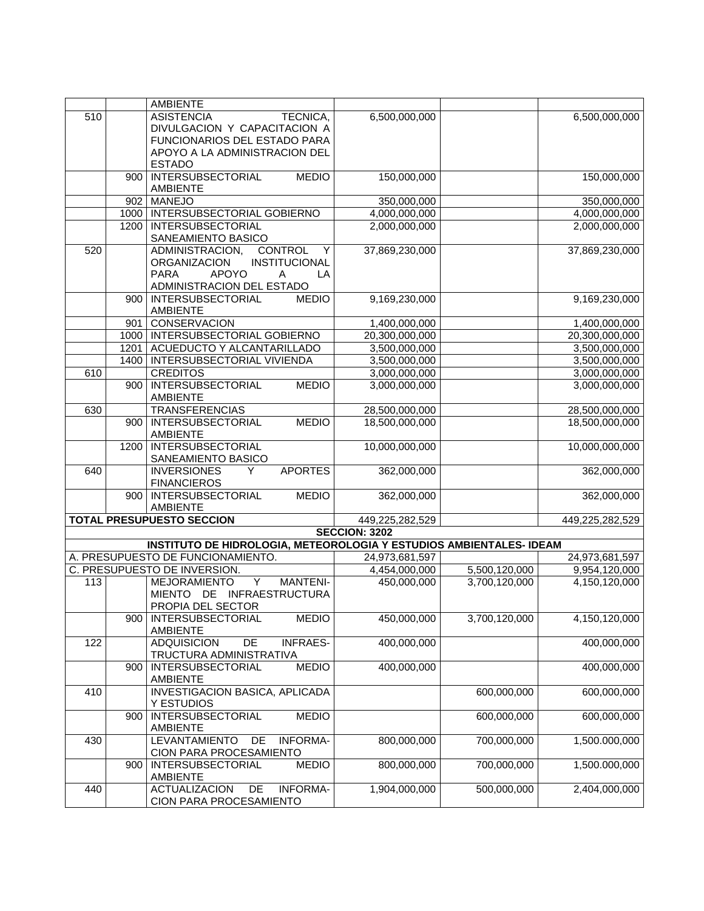|     |      | <b>AMBIENTE</b>                                                    |                                 |               |                 |
|-----|------|--------------------------------------------------------------------|---------------------------------|---------------|-----------------|
| 510 |      | <b>ASISTENCIA</b><br>TECNICA,                                      | 6,500,000,000                   |               | 6,500,000,000   |
|     |      | DIVULGACION Y CAPACITACION A                                       |                                 |               |                 |
|     |      | FUNCIONARIOS DEL ESTADO PARA                                       |                                 |               |                 |
|     |      | APOYO A LA ADMINISTRACION DEL                                      |                                 |               |                 |
|     |      | <b>ESTADO</b>                                                      |                                 |               |                 |
|     | 900  | <b>INTERSUBSECTORIAL</b><br><b>MEDIO</b>                           | 150,000,000                     |               | 150,000,000     |
|     |      | <b>AMBIENTE</b>                                                    |                                 |               |                 |
|     | 902  | <b>MANEJO</b>                                                      | 350,000,000                     |               | 350,000,000     |
|     |      | 1000   INTERSUBSECTORIAL GOBIERNO                                  | 4,000,000,000                   |               | 4,000,000,000   |
|     | 1200 | <b>INTERSUBSECTORIAL</b>                                           | 2,000,000,000                   |               | 2,000,000,000   |
|     |      | SANEAMIENTO BASICO                                                 |                                 |               |                 |
| 520 |      | ADMINISTRACION,<br><b>CONTROL</b><br>Y                             | 37,869,230,000                  |               | 37,869,230,000  |
|     |      | INSTITUCIONAL<br><b>ORGANIZACION</b>                               |                                 |               |                 |
|     |      | <b>APOYO</b><br><b>PARA</b><br>A<br>LA                             |                                 |               |                 |
|     |      | ADMINISTRACION DEL ESTADO                                          |                                 |               |                 |
|     | 900  | <b>INTERSUBSECTORIAL</b><br><b>MEDIO</b>                           | 9,169,230,000                   |               | 9,169,230,000   |
|     |      | <b>AMBIENTE</b>                                                    |                                 |               |                 |
|     |      | 901 CONSERVACION<br>1000   INTERSUBSECTORIAL GOBIERNO              | 1,400,000,000<br>20,300,000,000 |               | 1,400,000,000   |
|     |      |                                                                    |                                 |               | 20,300,000,000  |
|     | 1201 | ACUEDUCTO Y ALCANTARILLADO<br><b>INTERSUBSECTORIAL VIVIENDA</b>    | 3,500,000,000                   |               | 3,500,000,000   |
|     | 1400 |                                                                    | 3,500,000,000                   |               | 3,500,000,000   |
| 610 |      | <b>CREDITOS</b>                                                    | 3,000,000,000                   |               | 3,000,000,000   |
|     | 900  | <b>INTERSUBSECTORIAL</b><br><b>MEDIO</b><br><b>AMBIENTE</b>        | 3,000,000,000                   |               | 3,000,000,000   |
| 630 |      | <b>TRANSFERENCIAS</b>                                              | 28,500,000,000                  |               | 28,500,000,000  |
|     |      | <b>MEDIO</b><br>900   INTERSUBSECTORIAL                            | 18,500,000,000                  |               | 18,500,000,000  |
|     |      | <b>AMBIENTE</b>                                                    |                                 |               |                 |
|     |      | 1200 INTERSUBSECTORIAL                                             | 10,000,000,000                  |               | 10,000,000,000  |
|     |      | SANEAMIENTO BASICO                                                 |                                 |               |                 |
| 640 |      | <b>APORTES</b><br><b>INVERSIONES</b><br>Y                          | 362,000,000                     |               | 362,000,000     |
|     |      | <b>FINANCIEROS</b>                                                 |                                 |               |                 |
|     | 900  | <b>MEDIO</b><br><b>INTERSUBSECTORIAL</b>                           | 362,000,000                     |               | 362,000,000     |
|     |      | <b>AMBIENTE</b>                                                    |                                 |               |                 |
|     |      | <b>TOTAL PRESUPUESTO SECCION</b>                                   | 449,225,282,529                 |               | 449,225,282,529 |
|     |      |                                                                    | <b>SECCION: 3202</b>            |               |                 |
|     |      | INSTITUTO DE HIDROLOGIA, METEOROLOGIA Y ESTUDIOS AMBIENTALES-IDEAM |                                 |               |                 |
|     |      | A. PRESUPUESTO DE FUNCIONAMIENTO.                                  | 24,973,681,597                  |               | 24,973,681,597  |
|     |      | C. PRESUPUESTO DE INVERSION.                                       | 4,454,000,000                   | 5,500,120,000 | 9,954,120,000   |
| 113 |      | <b>MANTENI-</b><br>MEJORAMIENTO<br>Y                               | 450,000,000                     | 3,700,120,000 | 4,150,120,000   |
|     |      | MIENTO DE INFRAESTRUCTURA                                          |                                 |               |                 |
|     |      | PROPIA DEL SECTOR                                                  |                                 |               |                 |
|     |      | <b>MEDIO</b><br>900   INTERSUBSECTORIAL                            | 450,000,000                     | 3,700,120,000 | 4,150,120,000   |
|     |      | <b>AMBIENTE</b>                                                    |                                 |               |                 |
| 122 |      | <b>INFRAES-</b><br><b>ADQUISICION</b><br>DE                        | 400,000,000                     |               | 400,000,000     |
|     |      | TRUCTURA ADMINISTRATIVA                                            |                                 |               |                 |
|     | 900  | <b>MEDIO</b><br><b>INTERSUBSECTORIAL</b>                           | 400,000,000                     |               | 400,000,000     |
|     |      | <b>AMBIENTE</b>                                                    |                                 |               |                 |
| 410 |      | INVESTIGACION BASICA, APLICADA                                     |                                 | 600,000,000   | 600,000,000     |
|     |      | Y ESTUDIOS                                                         |                                 |               |                 |
|     | 900  | <b>MEDIO</b><br><b>INTERSUBSECTORIAL</b>                           |                                 | 600,000,000   | 600,000,000     |
|     |      | <b>AMBIENTE</b>                                                    |                                 |               |                 |
| 430 |      | <b>LEVANTAMIENTO</b><br><b>INFORMA-</b><br>DE                      | 800,000,000                     | 700,000,000   | 1,500.000,000   |
|     | 900  | CION PARA PROCESAMIENTO                                            | 800,000,000                     | 700,000,000   | 1,500.000,000   |
|     |      | <b>MEDIO</b><br><b>INTERSUBSECTORIAL</b><br><b>AMBIENTE</b>        |                                 |               |                 |
| 440 |      | <b>INFORMA-</b><br><b>ACTUALIZACION</b><br>DE                      | 1,904,000,000                   | 500,000,000   | 2,404,000,000   |
|     |      | CION PARA PROCESAMIENTO                                            |                                 |               |                 |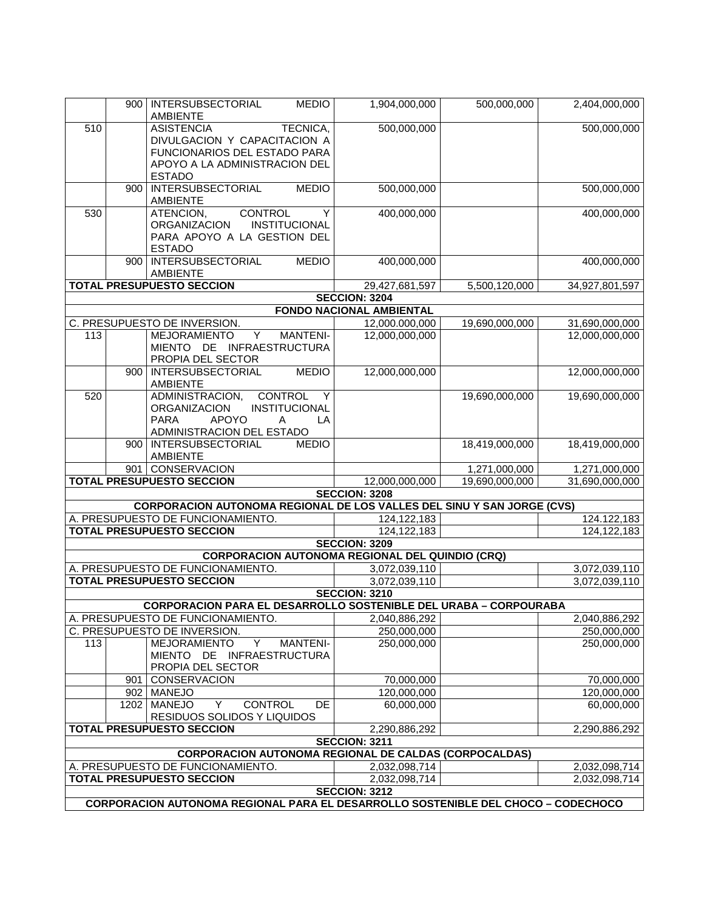|     |     | 900   INTERSUBSECTORIAL<br><b>MEDIO</b><br><b>AMBIENTE</b>                        |     | 1,904,000,000                          | 500,000,000    | 2,404,000,000                    |
|-----|-----|-----------------------------------------------------------------------------------|-----|----------------------------------------|----------------|----------------------------------|
| 510 |     | TECNICA,<br><b>ASISTENCIA</b>                                                     |     | 500,000,000                            |                | 500,000,000                      |
|     |     | DIVULGACION Y CAPACITACION A                                                      |     |                                        |                |                                  |
|     |     | FUNCIONARIOS DEL ESTADO PARA                                                      |     |                                        |                |                                  |
|     |     | APOYO A LA ADMINISTRACION DEL<br><b>ESTADO</b>                                    |     |                                        |                |                                  |
|     | 900 | <b>INTERSUBSECTORIAL</b><br><b>MEDIO</b>                                          |     | 500,000,000                            |                | 500,000,000                      |
|     |     | <b>AMBIENTE</b>                                                                   |     |                                        |                |                                  |
| 530 |     | ATENCION,<br><b>CONTROL</b>                                                       | Y   | 400,000,000                            |                | 400,000,000                      |
|     |     | ORGANIZACION<br><b>INSTITUCIONAL</b>                                              |     |                                        |                |                                  |
|     |     | PARA APOYO A LA GESTION DEL<br><b>ESTADO</b>                                      |     |                                        |                |                                  |
|     | 900 | <b>INTERSUBSECTORIAL</b><br><b>MEDIO</b>                                          |     | 400,000,000                            |                | 400,000,000                      |
|     |     | AMBIENTE                                                                          |     |                                        |                |                                  |
|     |     | <b>TOTAL PRESUPUESTO SECCION</b>                                                  |     | 29,427,681,597                         | 5,500,120,000  | 34,927,801,597                   |
|     |     |                                                                                   |     | <b>SECCION: 3204</b>                   |                |                                  |
|     |     |                                                                                   |     | <b>FONDO NACIONAL AMBIENTAL</b>        |                |                                  |
| 113 |     | C. PRESUPUESTO DE INVERSION.<br><b>MEJORAMIENTO</b><br>Y<br><b>MANTENI-</b>       |     | 12,000.000,000<br>12,000,000,000       | 19,690,000,000 | 31,690,000,000<br>12,000,000,000 |
|     |     | MIENTO DE INFRAESTRUCTURA                                                         |     |                                        |                |                                  |
|     |     | PROPIA DEL SECTOR                                                                 |     |                                        |                |                                  |
|     | 900 | <b>INTERSUBSECTORIAL</b><br><b>MEDIO</b>                                          |     | 12,000,000,000                         |                | 12,000,000,000                   |
|     |     | <b>AMBIENTE</b>                                                                   |     |                                        |                |                                  |
| 520 |     | ADMINISTRACION,<br><b>CONTROL</b><br>INSTITUCIONAL                                | Y   |                                        | 19,690,000,000 | 19,690,000,000                   |
|     |     | <b>ORGANIZACION</b><br><b>PARA</b><br><b>APOYO</b><br>A                           | LA  |                                        |                |                                  |
|     |     | ADMINISTRACION DEL ESTADO                                                         |     |                                        |                |                                  |
|     |     | 900   INTERSUBSECTORIAL<br><b>MEDIO</b>                                           |     |                                        | 18,419,000,000 | 18,419,000,000                   |
|     |     | <b>AMBIENTE</b>                                                                   |     |                                        |                |                                  |
|     |     | 901 CONSERVACION                                                                  |     |                                        | 1,271,000,000  | 1,271,000,000                    |
|     |     | <b>TOTAL PRESUPUESTO SECCION</b>                                                  |     | 12,000,000,000<br><b>SECCION: 3208</b> | 19,690,000,000 | 31,690,000,000                   |
|     |     | CORPORACION AUTONOMA REGIONAL DE LOS VALLES DEL SINU Y SAN JORGE (CVS)            |     |                                        |                |                                  |
|     |     | A. PRESUPUESTO DE FUNCIONAMIENTO.                                                 |     | 124,122,183                            |                | 124.122,183                      |
|     |     | <b>TOTAL PRESUPUESTO SECCION</b>                                                  |     | 124,122,183                            |                | 124, 122, 183                    |
|     |     |                                                                                   |     | <b>SECCION: 3209</b>                   |                |                                  |
|     |     | <b>CORPORACION AUTONOMA REGIONAL DEL QUINDIO (CRQ)</b>                            |     |                                        |                |                                  |
|     |     | A. PRESUPUESTO DE FUNCIONAMIENTO.<br><b>TOTAL PRESUPUESTO SECCION</b>             |     | 3,072,039,110<br>3,072,039,110         |                | 3,072,039,110<br>3,072,039,110   |
|     |     |                                                                                   |     | <b>SECCION: 3210</b>                   |                |                                  |
|     |     | <b>CORPORACION PARA EL DESARROLLO SOSTENIBLE DEL URABA - CORPOURABA</b>           |     |                                        |                |                                  |
|     |     | A. PRESUPUESTO DE FUNCIONAMIENTO.                                                 |     | 2,040,886,292                          |                | 2,040,886,292                    |
|     |     | C. PRESUPUESTO DE INVERSION.                                                      |     | 250,000,000                            |                | 250,000,000                      |
| 113 |     | <b>MEJORAMIENTO</b><br><b>MANTENI-</b><br>Y                                       |     | 250,000,000                            |                | 250,000,000                      |
|     |     | MIENTO DE INFRAESTRUCTURA                                                         |     |                                        |                |                                  |
|     |     | PROPIA DEL SECTOR<br>901 CONSERVACION                                             |     | 70,000,000                             |                | 70,000,000                       |
|     |     | 902 MANEJO                                                                        |     | 120,000,000                            |                | 120,000,000                      |
|     |     | 1202   MANEJO<br>CONTROL<br>Y                                                     | DE. | 60,000,000                             |                | 60,000,000                       |
|     |     | RESIDUOS SOLIDOS Y LIQUIDOS                                                       |     |                                        |                |                                  |
|     |     | <b>TOTAL PRESUPUESTO SECCION</b>                                                  |     | 2,290,886,292                          |                | 2,290,886,292                    |
|     |     | <b>CORPORACION AUTONOMA REGIONAL DE CALDAS (CORPOCALDAS)</b>                      |     | <b>SECCION: 3211</b>                   |                |                                  |
|     |     | A. PRESUPUESTO DE FUNCIONAMIENTO.                                                 |     | 2,032,098,714                          |                | 2,032,098,714                    |
|     |     | <b>TOTAL PRESUPUESTO SECCION</b>                                                  |     | 2,032,098,714                          |                | 2,032,098,714                    |
|     |     |                                                                                   |     | <b>SECCION: 3212</b>                   |                |                                  |
|     |     | CORPORACION AUTONOMA REGIONAL PARA EL DESARROLLO SOSTENIBLE DEL CHOCO - CODECHOCO |     |                                        |                |                                  |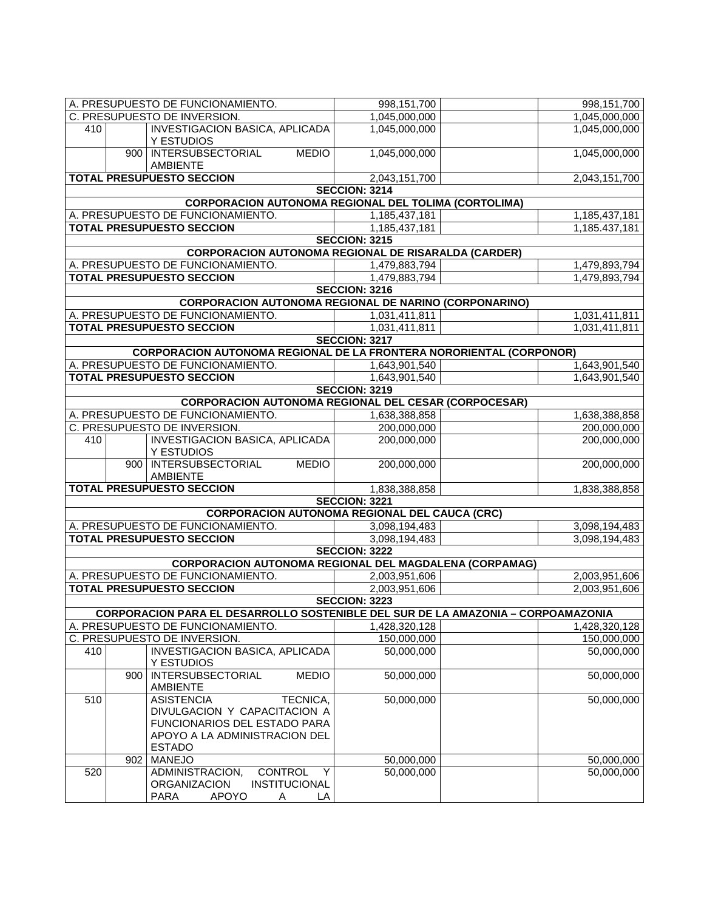|                                  |     | A. PRESUPUESTO DE FUNCIONAMIENTO.                                                                                                               | 998,151,700          | 998,151,700   |
|----------------------------------|-----|-------------------------------------------------------------------------------------------------------------------------------------------------|----------------------|---------------|
|                                  |     | C. PRESUPUESTO DE INVERSION.                                                                                                                    | 1,045,000,000        | 1,045,000,000 |
| 410                              |     | <b>INVESTIGACION BASICA, APLICADA</b><br>Y ESTUDIOS                                                                                             | 1,045,000,000        | 1,045,000,000 |
|                                  |     | 900 INTERSUBSECTORIAL<br><b>MEDIO</b><br>AMBIENTE                                                                                               | 1,045,000,000        | 1,045,000,000 |
|                                  |     | <b>TOTAL PRESUPUESTO SECCION</b>                                                                                                                | 2,043,151,700        | 2,043,151,700 |
|                                  |     |                                                                                                                                                 | <b>SECCION: 3214</b> |               |
|                                  |     | <b>CORPORACION AUTONOMA REGIONAL DEL TOLIMA (CORTOLIMA)</b>                                                                                     |                      |               |
|                                  |     | A. PRESUPUESTO DE FUNCIONAMIENTO.                                                                                                               | 1,185,437,181        | 1,185,437,181 |
|                                  |     | <b>TOTAL PRESUPUESTO SECCION</b>                                                                                                                | 1,185,437,181        | 1,185.437,181 |
|                                  |     |                                                                                                                                                 | <b>SECCION: 3215</b> |               |
|                                  |     | <b>CORPORACION AUTONOMA REGIONAL DE RISARALDA (CARDER)</b>                                                                                      |                      |               |
|                                  |     | A. PRESUPUESTO DE FUNCIONAMIENTO.                                                                                                               | 1,479,883,794        | 1,479,893,794 |
|                                  |     | <b>TOTAL PRESUPUESTO SECCION</b>                                                                                                                | 1,479,883,794        | 1,479,893,794 |
|                                  |     |                                                                                                                                                 | <b>SECCION: 3216</b> |               |
|                                  |     | <b>CORPORACION AUTONOMA REGIONAL DE NARINO (CORPONARINO)</b>                                                                                    |                      |               |
|                                  |     | A. PRESUPUESTO DE FUNCIONAMIENTO.                                                                                                               | 1,031,411,811        | 1,031,411,811 |
|                                  |     | <b>TOTAL PRESUPUESTO SECCION</b>                                                                                                                | 1,031,411,811        | 1,031,411,811 |
|                                  |     |                                                                                                                                                 | <b>SECCION: 3217</b> |               |
|                                  |     | <b>CORPORACION AUTONOMA REGIONAL DE LA FRONTERA NORORIENTAL (CORPONOR)</b>                                                                      |                      |               |
|                                  |     | A. PRESUPUESTO DE FUNCIONAMIENTO.                                                                                                               | 1,643,901,540        | 1,643,901,540 |
|                                  |     | <b>TOTAL PRESUPUESTO SECCION</b>                                                                                                                | 1,643,901,540        | 1,643,901,540 |
|                                  |     |                                                                                                                                                 | <b>SECCION: 3219</b> |               |
|                                  |     | <b>CORPORACION AUTONOMA REGIONAL DEL CESAR (CORPOCESAR)</b>                                                                                     |                      |               |
|                                  |     | A. PRESUPUESTO DE FUNCIONAMIENTO.                                                                                                               | 1,638,388,858        | 1,638,388,858 |
|                                  |     | C. PRESUPUESTO DE INVERSION.                                                                                                                    | 200,000,000          | 200,000,000   |
| 410                              |     | <b>INVESTIGACION BASICA, APLICADA</b><br>Y ESTUDIOS                                                                                             | 200,000,000          | 200,000,000   |
|                                  |     | 900 INTERSUBSECTORIAL<br><b>MEDIO</b><br>AMBIENTE                                                                                               | 200,000,000          | 200,000,000   |
| <b>TOTAL PRESUPUESTO SECCION</b> |     |                                                                                                                                                 | 1,838,388,858        | 1,838,388,858 |
|                                  |     |                                                                                                                                                 | <b>SECCION: 3221</b> |               |
|                                  |     | <b>CORPORACION AUTONOMA REGIONAL DEL CAUCA (CRC)</b>                                                                                            |                      |               |
|                                  |     | A. PRESUPUESTO DE FUNCIONAMIENTO.                                                                                                               | 3,098,194,483        | 3,098,194,483 |
|                                  |     | <b>TOTAL PRESUPUESTO SECCION</b>                                                                                                                | 3,098,194,483        | 3.098.194.483 |
|                                  |     |                                                                                                                                                 | <b>SECCION: 3222</b> |               |
|                                  |     | <b>CORPORACION AUTONOMA REGIONAL DEL MAGDALENA (CORPAMAG)</b>                                                                                   |                      |               |
|                                  |     | A. PRESUPUESTO DE FUNCIONAMIENTO.                                                                                                               | 2,003,951,606        | 2,003,951,606 |
|                                  |     | <b>TOTAL PRESUPUESTO SECCION</b>                                                                                                                | 2,003,951,606        | 2,003,951,606 |
|                                  |     |                                                                                                                                                 | <b>SECCION: 3223</b> |               |
|                                  |     | CORPORACION PARA EL DESARROLLO SOSTENIBLE DEL SUR DE LA AMAZONIA – CORPOAMAZONIA                                                                |                      |               |
|                                  |     | A. PRESUPUESTO DE FUNCIONAMIENTO.                                                                                                               | 1,428,320,128        | 1,428,320,128 |
|                                  |     | C. PRESUPUESTO DE INVERSION.                                                                                                                    | 150,000,000          | 150,000,000   |
| 410                              |     | <b>INVESTIGACION BASICA, APLICADA</b><br>Y ESTUDIOS                                                                                             | 50,000,000           | 50,000,000    |
|                                  | 900 | <b>MEDIO</b><br>INTERSUBSECTORIAL<br><b>AMBIENTE</b>                                                                                            | 50,000,000           | 50,000,000    |
| 510                              |     | TECNICA,<br><b>ASISTENCIA</b><br>DIVULGACION Y CAPACITACION A<br>FUNCIONARIOS DEL ESTADO PARA<br>APOYO A LA ADMINISTRACION DEL<br><b>ESTADO</b> | 50,000,000           | 50,000,000    |
|                                  | 902 | <b>MANEJO</b>                                                                                                                                   | 50,000,000           | 50,000,000    |
| 520                              |     | ADMINISTRACION,<br><b>CONTROL</b><br>Y<br>INSTITUCIONAL<br><b>ORGANIZACION</b><br><b>PARA</b><br><b>APOYO</b><br>LA<br>A                        | 50,000,000           | 50,000,000    |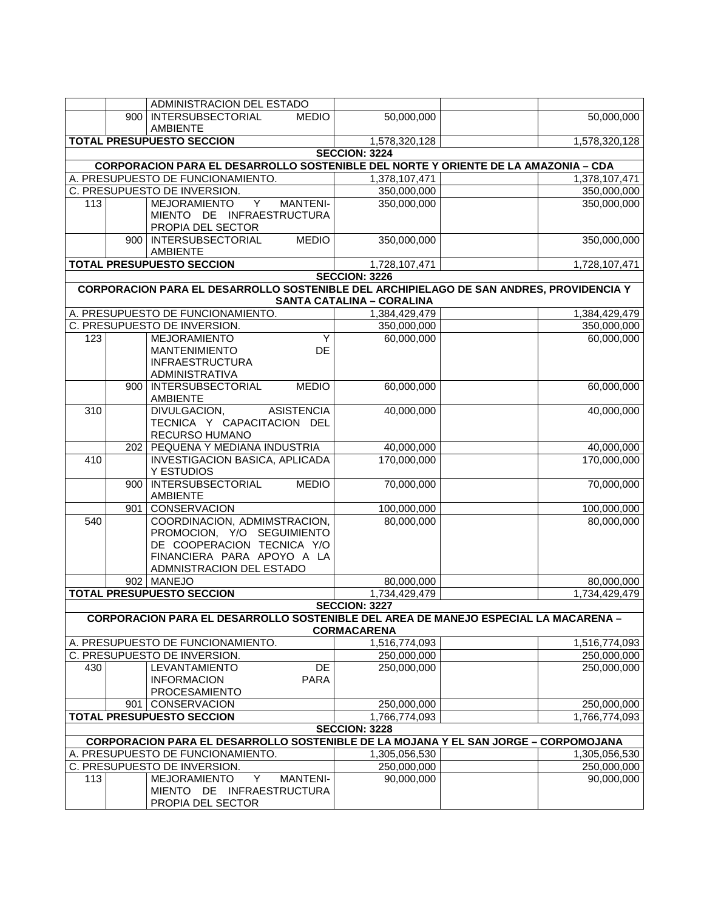|                  |     | ADMINISTRACION DEL ESTADO                                                                 |                                  |                                                                                         |
|------------------|-----|-------------------------------------------------------------------------------------------|----------------------------------|-----------------------------------------------------------------------------------------|
|                  | 900 | <b>INTERSUBSECTORIAL</b><br><b>MEDIO</b>                                                  | 50,000,000                       | 50,000,000                                                                              |
|                  |     | <b>AMBIENTE</b>                                                                           |                                  |                                                                                         |
|                  |     | <b>TOTAL PRESUPUESTO SECCION</b>                                                          | 1,578,320,128                    | 1,578,320,128                                                                           |
|                  |     |                                                                                           | <b>SECCION: 3224</b>             |                                                                                         |
|                  |     | <b>CORPORACION PARA EL DESARROLLO SOSTENIBLE DEL NORTE Y ORIENTE DE LA AMAZONIA - CDA</b> |                                  |                                                                                         |
|                  |     | A. PRESUPUESTO DE FUNCIONAMIENTO.                                                         | 1,378,107,471                    | 1,378,107,471                                                                           |
|                  |     | C. PRESUPUESTO DE INVERSION.                                                              | 350,000,000                      | 350,000,000                                                                             |
| 113              |     | $\overline{Y}$<br><b>MANTENI-</b><br><b>MEJORAMIENTO</b>                                  | 350,000,000                      | 350,000,000                                                                             |
|                  |     | MIENTO DE INFRAESTRUCTURA                                                                 |                                  |                                                                                         |
|                  |     | PROPIA DEL SECTOR                                                                         |                                  |                                                                                         |
|                  |     | 900 INTERSUBSECTORIAL<br><b>MEDIO</b>                                                     | 350,000,000                      | 350,000,000                                                                             |
|                  |     | <b>AMBIENTE</b>                                                                           |                                  |                                                                                         |
|                  |     | <b>TOTAL PRESUPUESTO SECCION</b>                                                          | 1,728,107,471                    | 1,728,107,471                                                                           |
|                  |     |                                                                                           | <b>SECCION: 3226</b>             |                                                                                         |
|                  |     |                                                                                           |                                  | CORPORACION PARA EL DESARROLLO SOSTENIBLE DEL ARCHIPIELAGO DE SAN ANDRES, PROVIDENCIA Y |
|                  |     |                                                                                           | <b>SANTA CATALINA - CORALINA</b> |                                                                                         |
|                  |     | A. PRESUPUESTO DE FUNCIONAMIENTO.                                                         | 1,384,429,479                    | 1,384,429,479                                                                           |
|                  |     | C. PRESUPUESTO DE INVERSION.                                                              | 350,000,000                      | 350,000,000                                                                             |
| 123              |     | <b>MEJORAMIENTO</b><br>Y                                                                  | 60,000,000                       | 60,000,000                                                                              |
|                  |     | <b>MANTENIMIENTO</b><br>DE                                                                |                                  |                                                                                         |
|                  |     | <b>INFRAESTRUCTURA</b>                                                                    |                                  |                                                                                         |
|                  |     | ADMINISTRATIVA                                                                            |                                  |                                                                                         |
|                  | 900 | <b>INTERSUBSECTORIAL</b><br><b>MEDIO</b>                                                  | 60,000,000                       | 60,000,000                                                                              |
|                  |     | <b>AMBIENTE</b>                                                                           |                                  |                                                                                         |
| $\overline{310}$ |     | DIVULGACION,<br><b>ASISTENCIA</b>                                                         | 40,000,000                       | 40,000,000                                                                              |
|                  |     | TECNICA Y CAPACITACION DEL                                                                |                                  |                                                                                         |
|                  |     | RECURSO HUMANO                                                                            |                                  |                                                                                         |
|                  | 202 | PEQUENA Y MEDIANA INDUSTRIA                                                               | 40,000,000                       | 40,000,000                                                                              |
| 410              |     | INVESTIGACION BASICA, APLICADA                                                            | 170,000,000                      | 170,000,000                                                                             |
|                  |     | Y ESTUDIOS                                                                                |                                  |                                                                                         |
|                  | 900 | <b>INTERSUBSECTORIAL</b><br><b>MEDIO</b>                                                  | 70,000,000                       | 70,000,000                                                                              |
|                  | 901 | <b>AMBIENTE</b><br>CONSERVACION                                                           | 100,000,000                      | 100,000,000                                                                             |
| 540              |     | COORDINACION, ADMIMSTRACION,                                                              | 80,000,000                       | 80,000,000                                                                              |
|                  |     | PROMOCION, Y/O SEGUIMIENTO                                                                |                                  |                                                                                         |
|                  |     | DE COOPERACION TECNICA Y/O                                                                |                                  |                                                                                         |
|                  |     | FINANCIERA PARA APOYO A LA                                                                |                                  |                                                                                         |
|                  |     | ADMNISTRACION DEL ESTADO                                                                  |                                  |                                                                                         |
|                  |     | 902 MANEJO                                                                                | 80,000,000                       | 80,000,000                                                                              |
|                  |     | <b>TOTAL PRESUPUESTO SECCION</b>                                                          | 1,734,429,479                    | 1,734,429,479                                                                           |
|                  |     |                                                                                           | <b>SECCION: 3227</b>             |                                                                                         |
|                  |     | CORPORACION PARA EL DESARROLLO SOSTENIBLE DEL AREA DE MANEJO ESPECIAL LA MACARENA -       |                                  |                                                                                         |
|                  |     |                                                                                           | <b>CORMACARENA</b>               |                                                                                         |
|                  |     | A. PRESUPUESTO DE FUNCIONAMIENTO.                                                         | 1,516,774,093                    | 1,516,774,093                                                                           |
|                  |     | C. PRESUPUESTO DE INVERSION.                                                              | 250,000,000                      | 250,000,000                                                                             |
| 430              |     | LEVANTAMIENTO<br>DE                                                                       | 250,000,000                      | 250,000,000                                                                             |
|                  |     | <b>INFORMACION</b><br><b>PARA</b>                                                         |                                  |                                                                                         |
|                  |     | <b>PROCESAMIENTO</b>                                                                      |                                  |                                                                                         |
|                  |     | 901   CONSERVACION                                                                        | 250,000,000                      | 250,000,000                                                                             |
|                  |     | <b>TOTAL PRESUPUESTO SECCION</b>                                                          | 1,766,774,093                    | 1,766,774,093                                                                           |
|                  |     |                                                                                           | <b>SECCION: 3228</b>             |                                                                                         |
|                  |     | CORPORACION PARA EL DESARROLLO SOSTENIBLE DE LA MOJANA Y EL SAN JORGE - CORPOMOJANA       |                                  |                                                                                         |
|                  |     | A. PRESUPUESTO DE FUNCIONAMIENTO.                                                         | 1,305,056,530                    | 1,305,056,530                                                                           |
|                  |     | C. PRESUPUESTO DE INVERSION.                                                              | 250,000,000                      | 250,000,000                                                                             |
| 113              |     | <b>MEJORAMIENTO</b><br>Y<br><b>MANTENI-</b>                                               | 90,000,000                       | 90,000,000                                                                              |
|                  |     | MIENTO DE INFRAESTRUCTURA                                                                 |                                  |                                                                                         |
|                  |     | PROPIA DEL SECTOR                                                                         |                                  |                                                                                         |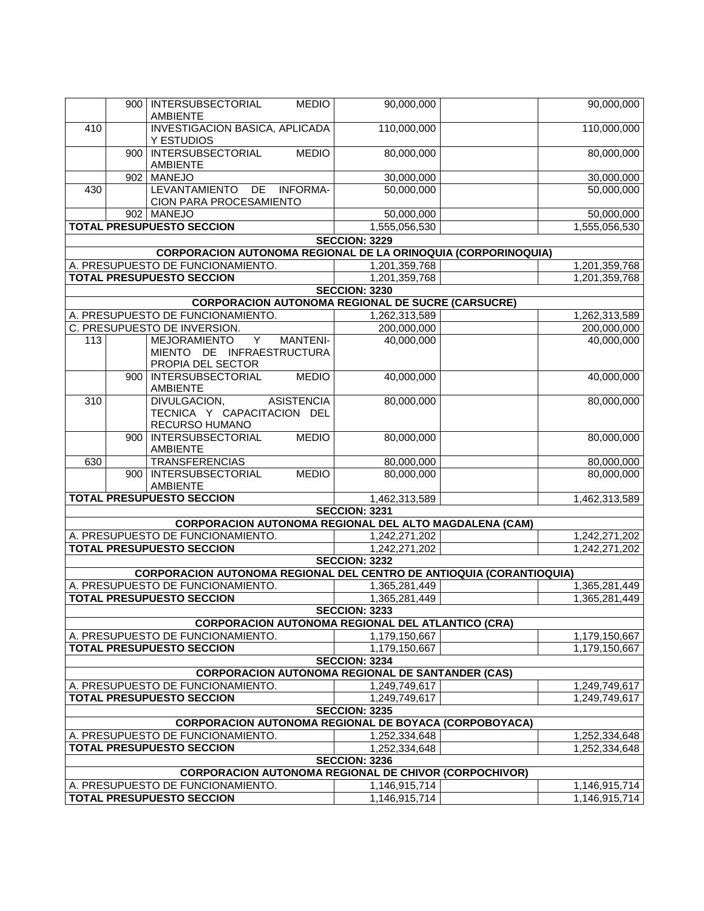|                  |                  | 900   INTERSUBSECTORIAL<br><b>MEDIO</b>                                                           | 90,000,000           | 90,000,000    |
|------------------|------------------|---------------------------------------------------------------------------------------------------|----------------------|---------------|
|                  |                  | <b>AMBIENTE</b>                                                                                   |                      |               |
| 410              |                  | <b>INVESTIGACION BASICA, APLICADA</b><br>Y ESTUDIOS                                               | 110,000,000          | 110,000,000   |
|                  | 900 <sub>1</sub> | <b>INTERSUBSECTORIAL</b><br><b>MEDIO</b><br><b>AMBIENTE</b>                                       | 80,000,000           | 80,000,000    |
|                  | 902              | <b>MANEJO</b>                                                                                     | 30,000,000           | 30,000,000    |
| 430              |                  | LEVANTAMIENTO DE INFORMA-<br>CION PARA PROCESAMIENTO                                              | 50,000,000           | 50,000,000    |
|                  |                  | 902 MANEJO                                                                                        | 50,000,000           | 50,000,000    |
|                  |                  | <b>TOTAL PRESUPUESTO SECCION</b>                                                                  | 1,555,056,530        | 1,555,056,530 |
|                  |                  |                                                                                                   | <b>SECCION: 3229</b> |               |
|                  |                  | CORPORACION AUTONOMA REGIONAL DE LA ORINOQUIA (CORPORINOQUIA)                                     |                      |               |
|                  |                  | A. PRESUPUESTO DE FUNCIONAMIENTO.                                                                 | 1,201,359,768        | 1,201,359,768 |
|                  |                  | <b>TOTAL PRESUPUESTO SECCION</b>                                                                  | 1,201,359,768        | 1,201,359,768 |
|                  |                  |                                                                                                   | <b>SECCION: 3230</b> |               |
|                  |                  | <b>CORPORACION AUTONOMA REGIONAL DE SUCRE (CARSUCRE)</b>                                          |                      |               |
|                  |                  | A. PRESUPUESTO DE FUNCIONAMIENTO.                                                                 | 1,262,313,589        | 1,262,313,589 |
|                  |                  | C. PRESUPUESTO DE INVERSION.                                                                      | 200,000,000          | 200,000,000   |
| 113              |                  | MEJORAMIENTO<br>Y<br><b>MANTENI-</b><br>MIENTO DE INFRAESTRUCTURA<br>PROPIA DEL SECTOR            | 40,000,000           | 40,000,000    |
|                  | 900              | <b>INTERSUBSECTORIAL</b><br><b>MEDIO</b><br>AMBIENTE                                              | 40,000,000           | 40,000,000    |
| $\overline{310}$ |                  | <b>ASISTENCIA</b><br>DIVULGACION,<br>TECNICA Y CAPACITACION DEL<br>RECURSO HUMANO                 | 80,000,000           | 80,000,000    |
|                  | 900              | <b>INTERSUBSECTORIAL</b><br><b>MEDIO</b><br>AMBIENTE                                              | 80,000,000           | 80,000,000    |
| 630              |                  | <b>TRANSFERENCIAS</b>                                                                             | 80,000,000           | 80,000,000    |
|                  |                  | 900 INTERSUBSECTORIAL<br><b>MEDIO</b><br><b>AMBIENTE</b>                                          | 80,000,000           | 80,000,000    |
|                  |                  | <b>TOTAL PRESUPUESTO SECCION</b>                                                                  | 1,462,313,589        | 1,462,313,589 |
|                  |                  |                                                                                                   | <b>SECCION: 3231</b> |               |
|                  |                  | <b>CORPORACION AUTONOMA REGIONAL DEL ALTO MAGDALENA (CAM)</b>                                     |                      |               |
|                  |                  | A. PRESUPUESTO DE FUNCIONAMIENTO.                                                                 | 1,242,271,202        | 1,242,271,202 |
|                  |                  | <b>TOTAL PRESUPUESTO SECCION</b>                                                                  | 1,242,271,202        | 1,242,271,202 |
|                  |                  |                                                                                                   | <b>SECCION: 3232</b> |               |
|                  |                  | <b>CORPORACION AUTONOMA REGIONAL DEL CENTRO DE ANTIOQUIA (CORANTIOQUIA)</b>                       |                      |               |
|                  |                  | A. PRESUPUESTO DE FUNCIONAMIENTO.                                                                 | 1,365,281,449        | 1,365,281,449 |
|                  |                  | <b>TOTAL PRESUPUESTO SECCION</b>                                                                  | 1,365,281,449        | 1,365,281,449 |
|                  |                  |                                                                                                   | <b>SECCION: 3233</b> |               |
|                  |                  | <b>CORPORACION AUTONOMA REGIONAL DEL ATLANTICO (CRA)</b>                                          |                      |               |
|                  |                  | A. PRESUPUESTO DE FUNCIONAMIENTO.                                                                 | 1,179,150,667        | 1,179,150,667 |
|                  |                  | <b>TOTAL PRESUPUESTO SECCION</b>                                                                  | 1,179,150,667        | 1,179,150,667 |
|                  |                  |                                                                                                   | <b>SECCION: 3234</b> |               |
|                  |                  | <b>CORPORACION AUTONOMA REGIONAL DE SANTANDER (CAS)</b>                                           |                      |               |
|                  |                  | A. PRESUPUESTO DE FUNCIONAMIENTO.                                                                 | 1,249,749,617        | 1,249,749,617 |
|                  |                  | <b>TOTAL PRESUPUESTO SECCION</b>                                                                  | 1,249,749,617        | 1,249,749,617 |
|                  |                  |                                                                                                   | <b>SECCION: 3235</b> |               |
|                  |                  | <b>CORPORACION AUTONOMA REGIONAL DE BOYACA (CORPOBOYACA)</b><br>A. PRESUPUESTO DE FUNCIONAMIENTO. | 1,252,334,648        | 1,252,334,648 |
|                  |                  | <b>TOTAL PRESUPUESTO SECCION</b>                                                                  | 1,252,334,648        | 1,252,334,648 |
|                  |                  |                                                                                                   | <b>SECCION: 3236</b> |               |
|                  |                  | <b>CORPORACION AUTONOMA REGIONAL DE CHIVOR (CORPOCHIVOR)</b>                                      |                      |               |
|                  |                  | A. PRESUPUESTO DE FUNCIONAMIENTO.                                                                 | 1,146,915,714        | 1,146,915,714 |
|                  |                  | <b>TOTAL PRESUPUESTO SECCION</b>                                                                  | 1,146,915,714        | 1,146,915,714 |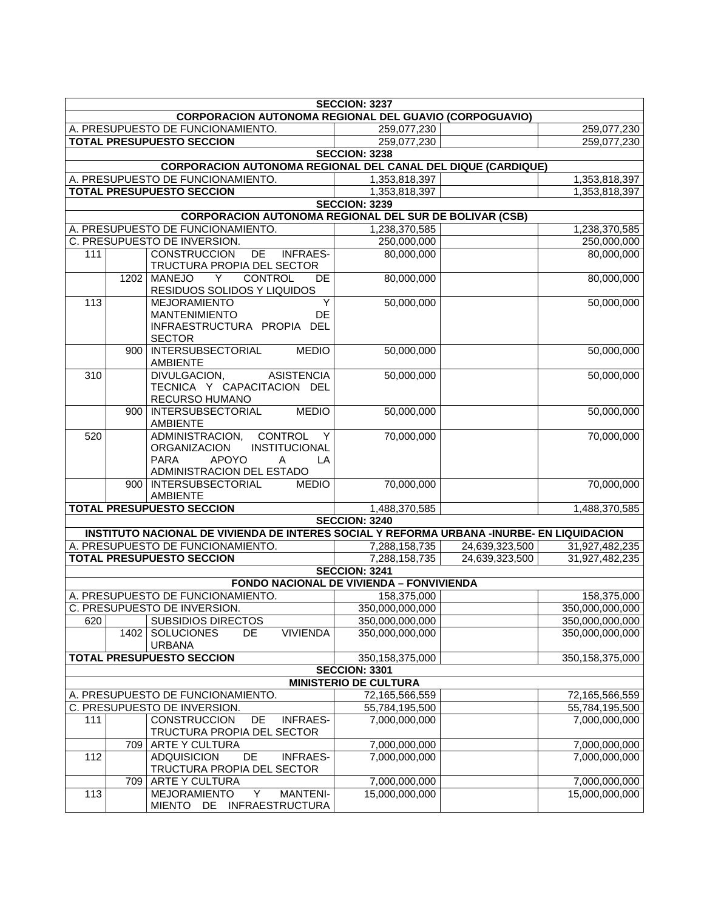| <b>SECCION: 3237</b> |      |                                                                                                                                                |                                                 |                |                 |
|----------------------|------|------------------------------------------------------------------------------------------------------------------------------------------------|-------------------------------------------------|----------------|-----------------|
|                      |      | <b>CORPORACION AUTONOMA REGIONAL DEL GUAVIO (CORPOGUAVIO)</b>                                                                                  |                                                 |                |                 |
|                      |      | A. PRESUPUESTO DE FUNCIONAMIENTO.                                                                                                              | 259,077,230                                     |                | 259,077,230     |
|                      |      | <b>TOTAL PRESUPUESTO SECCION</b>                                                                                                               | 259,077,230                                     |                | 259,077,230     |
|                      |      |                                                                                                                                                | <b>SECCION: 3238</b>                            |                |                 |
|                      |      | <b>CORPORACION AUTONOMA REGIONAL DEL CANAL DEL DIQUE (CARDIQUE)</b>                                                                            |                                                 |                |                 |
|                      |      | A. PRESUPUESTO DE FUNCIONAMIENTO.                                                                                                              | 1,353,818,397                                   |                | 1,353,818,397   |
|                      |      | <b>TOTAL PRESUPUESTO SECCION</b>                                                                                                               | 1,353,818,397                                   |                | 1,353,818,397   |
|                      |      | <b>CORPORACION AUTONOMA REGIONAL DEL SUR DE BOLIVAR (CSB)</b>                                                                                  | <b>SECCION: 3239</b>                            |                |                 |
|                      |      | A. PRESUPUESTO DE FUNCIONAMIENTO.                                                                                                              | 1,238,370,585                                   |                | 1,238,370,585   |
|                      |      | C. PRESUPUESTO DE INVERSION.                                                                                                                   | 250,000,000                                     |                | 250,000,000     |
| 111                  |      | <b>CONSTRUCCION</b><br><b>INFRAES-</b><br>DE                                                                                                   | 80,000,000                                      |                | 80,000,000      |
|                      |      | TRUCTURA PROPIA DEL SECTOR                                                                                                                     |                                                 |                |                 |
|                      |      | 1202 MANEJO<br>CONTROL<br><b>DE</b><br>Y<br>RESIDUOS SOLIDOS Y LIQUIDOS                                                                        | 80,000,000                                      |                | 80,000,000      |
| 113                  |      | <b>MEJORAMIENTO</b><br>Y                                                                                                                       | 50,000,000                                      |                | 50,000,000      |
|                      |      | <b>MANTENIMIENTO</b><br><b>DE</b>                                                                                                              |                                                 |                |                 |
|                      |      | INFRAESTRUCTURA PROPIA DEL<br><b>SECTOR</b>                                                                                                    |                                                 |                |                 |
|                      | 900  | <b>INTERSUBSECTORIAL</b><br><b>MEDIO</b><br><b>AMBIENTE</b>                                                                                    | 50,000,000                                      |                | 50,000,000      |
| $\overline{310}$     |      | <b>ASISTENCIA</b><br>DIVULGACION,<br>TECNICA Y CAPACITACION DEL<br>RECURSO HUMANO                                                              | 50,000,000                                      |                | 50,000,000      |
|                      | 900  | <b>INTERSUBSECTORIAL</b><br><b>MEDIO</b><br><b>AMBIENTE</b>                                                                                    | 50,000,000                                      |                | 50,000,000      |
| 520                  |      | CONTROL<br>ADMINISTRACION,<br>Y<br>INSTITUCIONAL<br><b>ORGANIZACION</b><br><b>PARA</b><br><b>APOYO</b><br>Α<br>LA<br>ADMINISTRACION DEL ESTADO | 70,000,000                                      |                | 70,000,000      |
|                      |      | 900   INTERSUBSECTORIAL<br><b>MEDIO</b>                                                                                                        | 70,000,000                                      |                | 70,000,000      |
|                      |      | <b>AMBIENTE</b><br><b>TOTAL PRESUPUESTO SECCION</b>                                                                                            | 1,488,370,585                                   |                | 1,488,370,585   |
|                      |      |                                                                                                                                                | <b>SECCION: 3240</b>                            |                |                 |
|                      |      | INSTITUTO NACIONAL DE VIVIENDA DE INTERES SOCIAL Y REFORMA URBANA -INURBE- EN LIQUIDACION                                                      |                                                 |                |                 |
|                      |      | A. PRESUPUESTO DE FUNCIONAMIENTO.                                                                                                              | 7,288,158,735                                   | 24,639,323,500 | 31,927,482,235  |
|                      |      | <b>TOTAL PRESUPUESTO SECCION</b>                                                                                                               | 7,288,158,735                                   | 24,639,323,500 | 31,927,482,235  |
|                      |      |                                                                                                                                                | <b>SECCION: 3241</b>                            |                |                 |
|                      |      |                                                                                                                                                | <b>FONDO NACIONAL DE VIVIENDA - FONVIVIENDA</b> |                |                 |
|                      |      | A. PRESUPUESTO DE FUNCIONAMIENTO.                                                                                                              | 158,375,000                                     |                | 158,375,000     |
|                      |      | C. PRESUPUESTO DE INVERSION.                                                                                                                   | 350,000,000,000                                 |                | 350,000,000,000 |
| 620                  |      | <b>SUBSIDIOS DIRECTOS</b>                                                                                                                      | 350,000,000,000                                 |                | 350,000,000,000 |
|                      | 1402 | <b>VIVIENDA</b><br><b>SOLUCIONES</b><br>DE.<br><b>URBANA</b>                                                                                   | 350,000,000,000                                 |                | 350,000,000,000 |
|                      |      | <b>TOTAL PRESUPUESTO SECCION</b>                                                                                                               | 350,158,375,000                                 |                | 350,158,375,000 |
|                      |      |                                                                                                                                                | <b>SECCION: 3301</b>                            |                |                 |
|                      |      |                                                                                                                                                | <b>MINISTERIO DE CULTURA</b>                    |                |                 |
|                      |      | A. PRESUPUESTO DE FUNCIONAMIENTO.                                                                                                              | 72,165,566,559                                  |                | 72,165,566,559  |
|                      |      | C. PRESUPUESTO DE INVERSION.                                                                                                                   | 55,784,195,500                                  |                | 55,784,195,500  |
| 111                  |      | <b>CONSTRUCCION</b><br>DE<br><b>INFRAES-</b><br>TRUCTURA PROPIA DEL SECTOR                                                                     | 7,000,000,000                                   |                | 7,000,000,000   |
|                      | 709  | ARTE Y CULTURA                                                                                                                                 | 7,000,000,000                                   |                | 7,000,000,000   |
| 112                  |      | <b>ADQUISICION</b><br>DE<br><b>INFRAES-</b><br>TRUCTURA PROPIA DEL SECTOR                                                                      | 7,000,000,000                                   |                | 7,000,000,000   |
|                      | 709  | <b>ARTE Y CULTURA</b>                                                                                                                          | 7,000,000,000                                   |                | 7,000,000,000   |
| 113                  |      | <b>MEJORAMIENTO</b><br>Y<br><b>MANTENI-</b><br>DE INFRAESTRUCTURA<br><b>MIENTO</b>                                                             | 15,000,000,000                                  |                | 15,000,000,000  |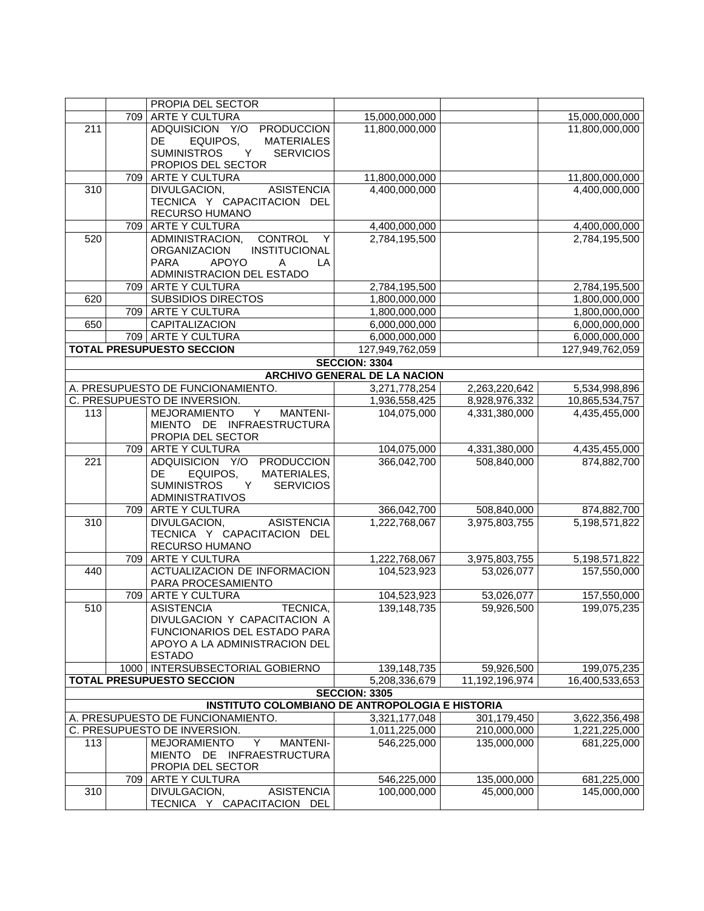|                  |     | PROPIA DEL SECTOR                                      |                                     |                |                 |
|------------------|-----|--------------------------------------------------------|-------------------------------------|----------------|-----------------|
|                  |     | 709 ARTE Y CULTURA                                     | 15,000,000,000                      |                | 15,000,000,000  |
| $\overline{211}$ |     | ADQUISICION Y/O PRODUCCION                             | 11,800,000,000                      |                | 11,800,000,000  |
|                  |     | DE<br>EQUIPOS,<br><b>MATERIALES</b>                    |                                     |                |                 |
|                  |     | <b>SUMINISTROS</b><br>Y<br><b>SERVICIOS</b>            |                                     |                |                 |
|                  |     | PROPIOS DEL SECTOR                                     |                                     |                |                 |
|                  | 709 | <b>ARTE Y CULTURA</b>                                  | 11,800,000,000                      |                | 11,800,000,000  |
| 310              |     | DIVULGACION,<br><b>ASISTENCIA</b>                      | 4,400,000,000                       |                | 4,400,000,000   |
|                  |     | TECNICA Y CAPACITACION DEL                             |                                     |                |                 |
|                  |     | RECURSO HUMANO                                         |                                     |                |                 |
|                  |     | 709 ARTE Y CULTURA                                     | 4,400,000,000                       |                | 4,400,000,000   |
| 520              |     | CONTROL Y<br>ADMINISTRACION,                           | 2,784,195,500                       |                | 2,784,195,500   |
|                  |     | <b>ORGANIZACION</b><br>INSTITUCIONAL                   |                                     |                |                 |
|                  |     | <b>APOYO</b><br><b>PARA</b><br>A<br>LA                 |                                     |                |                 |
|                  |     | ADMINISTRACION DEL ESTADO                              |                                     |                |                 |
|                  |     | 709   ARTE Y CULTURA                                   | 2,784,195,500                       |                | 2,784,195,500   |
| 620              |     | <b>SUBSIDIOS DIRECTOS</b>                              | 1,800,000,000                       |                | 1,800,000,000   |
|                  |     | 709 ARTE Y CULTURA                                     | 1,800,000,000                       |                | 1,800,000,000   |
| 650              |     | <b>CAPITALIZACION</b>                                  | 6,000,000,000                       |                | 6,000,000,000   |
|                  |     | 709 ARTE Y CULTURA                                     | 6,000,000,000                       |                | 6,000,000,000   |
|                  |     | <b>TOTAL PRESUPUESTO SECCION</b>                       | 127,949,762,059                     |                | 127,949,762,059 |
|                  |     |                                                        | <b>SECCION: 3304</b>                |                |                 |
|                  |     |                                                        | <b>ARCHIVO GENERAL DE LA NACION</b> |                |                 |
|                  |     | A. PRESUPUESTO DE FUNCIONAMIENTO.                      | 3,271,778,254                       | 2,263,220,642  | 5,534,998,896   |
|                  |     | C. PRESUPUESTO DE INVERSION.                           | 1,936,558,425                       | 8,928,976,332  | 10,865,534,757  |
| 113              |     | MEJORAMIENTO Y MANTENI-                                | 104,075,000                         | 4,331,380,000  | 4,435,455,000   |
|                  |     | MIENTO DE INFRAESTRUCTURA                              |                                     |                |                 |
|                  |     | PROPIA DEL SECTOR                                      |                                     |                |                 |
|                  |     | 709 ARTE Y CULTURA                                     | 104,075,000                         | 4,331,380,000  | 4,435,455,000   |
| 221              |     | ADQUISICION Y/O<br><b>PRODUCCION</b>                   | 366,042,700                         | 508,840,000    | 874,882,700     |
|                  |     | EQUIPOS,<br>MATERIALES,<br>DE.                         |                                     |                |                 |
|                  |     | <b>SUMINISTROS</b><br>Y<br><b>SERVICIOS</b>            |                                     |                |                 |
|                  |     | <b>ADMINISTRATIVOS</b>                                 |                                     |                |                 |
|                  |     | 709 ARTE Y CULTURA                                     | 366,042,700                         | 508,840,000    | 874,882,700     |
| 310              |     | DIVULGACION,<br>ASISTENCIA                             | 1,222,768,067                       | 3,975,803,755  | 5,198,571,822   |
|                  |     | TECNICA Y CAPACITACION DEL                             |                                     |                |                 |
|                  |     | RECURSO HUMANO                                         |                                     |                |                 |
|                  |     | 709 ARTE Y CULTURA                                     | 1,222,768,067                       | 3,975,803,755  | 5,198,571,822   |
| 440              |     | ACTUALIZACION DE INFORMACION                           | 104,523,923                         | 53,026,077     | 157,550,000     |
|                  |     | PARA PROCESAMIENTO                                     |                                     |                |                 |
|                  |     | 709 ARTE Y CULTURA                                     | 104,523,923                         | 53,026,077     | 157,550,000     |
| 510              |     | <b>ASISTENCIA</b><br>TECNICA,                          | 139,148,735                         | 59,926,500     | 199,075,235     |
|                  |     | DIVULGACION Y CAPACITACION A                           |                                     |                |                 |
|                  |     | FUNCIONARIOS DEL ESTADO PARA                           |                                     |                |                 |
|                  |     | APOYO A LA ADMINISTRACION DEL                          |                                     |                |                 |
|                  |     | <b>ESTADO</b>                                          |                                     |                |                 |
|                  |     | 1000   INTERSUBSECTORIAL GOBIERNO                      | 139,148,735                         | 59,926,500     | 199,075,235     |
|                  |     | <b>TOTAL PRESUPUESTO SECCION</b>                       | 5,208,336,679                       | 11,192,196,974 | 16,400,533,653  |
|                  |     |                                                        | <b>SECCION: 3305</b>                |                |                 |
|                  |     | <b>INSTITUTO COLOMBIANO DE ANTROPOLOGIA E HISTORIA</b> |                                     |                |                 |
|                  |     | A. PRESUPUESTO DE FUNCIONAMIENTO.                      | 3,321,177,048                       | 301,179,450    | 3,622,356,498   |
|                  |     | C. PRESUPUESTO DE INVERSION.                           | 1,011,225,000                       | 210,000,000    | 1,221,225,000   |
| 113              |     | Y<br><b>MANTENI-</b><br><b>MEJORAMIENTO</b>            | 546,225,000                         | 135,000,000    | 681,225,000     |
|                  |     | MIENTO DE INFRAESTRUCTURA                              |                                     |                |                 |
|                  |     | PROPIA DEL SECTOR                                      |                                     |                |                 |
|                  | 709 | <b>ARTE Y CULTURA</b>                                  | 546,225,000                         | 135,000,000    | 681,225,000     |
| 310              |     | DIVULGACION,<br><b>ASISTENCIA</b>                      | 100,000,000                         | 45,000,000     | 145,000,000     |
|                  |     | TECNICA Y CAPACITACION DEL                             |                                     |                |                 |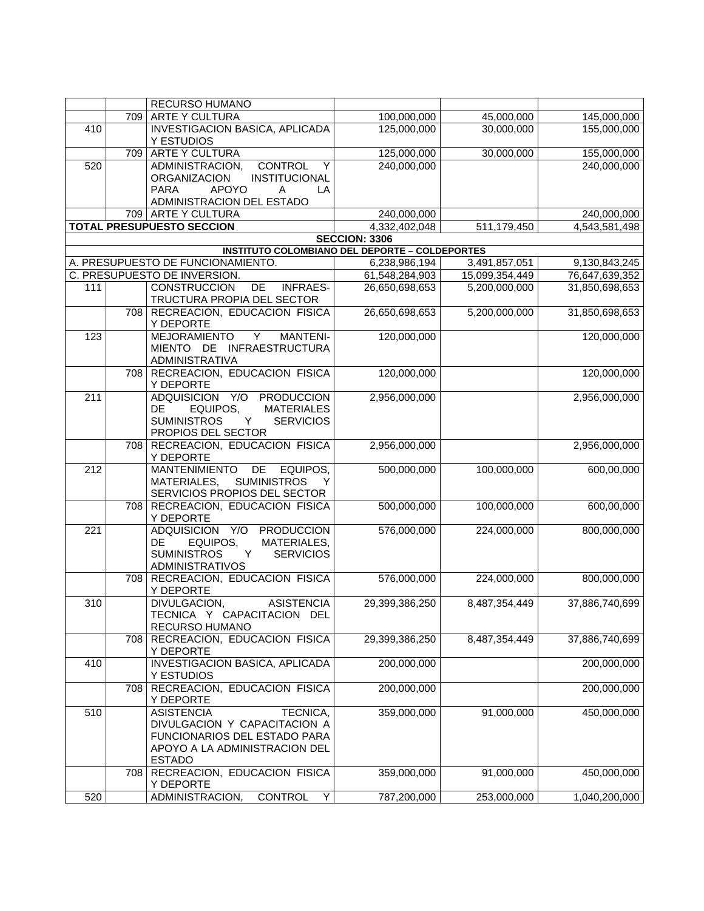|                  |     | <b>RECURSO HUMANO</b>                                                                                                                                 |                      |                |                |
|------------------|-----|-------------------------------------------------------------------------------------------------------------------------------------------------------|----------------------|----------------|----------------|
|                  | 709 | <b>ARTE Y CULTURA</b>                                                                                                                                 | 100,000,000          | 45,000,000     | 145,000,000    |
| 410              |     | <b>INVESTIGACION BASICA, APLICADA</b>                                                                                                                 | 125,000,000          | 30,000,000     | 155,000,000    |
|                  |     | Y ESTUDIOS                                                                                                                                            |                      |                |                |
|                  | 709 | <b>ARTE Y CULTURA</b>                                                                                                                                 | 125,000,000          | 30,000,000     | 155,000,000    |
| 520              |     | ADMINISTRACION,<br><b>CONTROL</b><br>Y<br><b>ORGANIZACION</b><br>INSTITUCIONAL<br><b>APOYO</b><br><b>PARA</b><br>Α<br>LA<br>ADMINISTRACION DEL ESTADO | 240,000,000          |                | 240,000,000    |
|                  |     | 709 ARTE Y CULTURA                                                                                                                                    | 240,000,000          |                | 240,000,000    |
|                  |     | <b>TOTAL PRESUPUESTO SECCION</b>                                                                                                                      | 4,332,402,048        | 511,179,450    | 4,543,581,498  |
|                  |     |                                                                                                                                                       | <b>SECCION: 3306</b> |                |                |
|                  |     | <b>INSTITUTO COLOMBIANO DEL DEPORTE - COLDEPORTES</b>                                                                                                 |                      |                |                |
|                  |     | A. PRESUPUESTO DE FUNCIONAMIENTO.                                                                                                                     | 6,238,986,194        | 3,491,857,051  | 9,130,843,245  |
|                  |     | C. PRESUPUESTO DE INVERSION.                                                                                                                          | 61,548,284,903       | 15,099,354,449 | 76,647,639,352 |
| 111              |     | DE<br><b>CONSTRUCCION</b><br><b>INFRAES-</b><br>TRUCTURA PROPIA DEL SECTOR                                                                            | 26,650,698,653       | 5,200,000,000  | 31,850,698,653 |
|                  | 708 | RECREACION, EDUCACION FISICA<br>Y DEPORTE                                                                                                             | 26,650,698,653       | 5,200,000,000  | 31,850,698,653 |
| 123              |     | <b>MEJORAMIENTO</b><br>Υ<br><b>MANTENI-</b><br>MIENTO DE INFRAESTRUCTURA<br>ADMINISTRATIVA                                                            | 120,000,000          |                | 120,000,000    |
|                  | 708 | RECREACION, EDUCACION FISICA<br>Y DEPORTE                                                                                                             | 120,000,000          |                | 120,000,000    |
| $\overline{211}$ |     | ADQUISICION Y/O PRODUCCION<br>EQUIPOS.<br><b>MATERIALES</b><br>DE<br><b>SUMINISTROS</b><br><b>SERVICIOS</b><br>Y<br>PROPIOS DEL SECTOR                | 2,956,000,000        |                | 2,956,000,000  |
|                  | 708 | RECREACION, EDUCACION FISICA<br>Y DEPORTE                                                                                                             | 2,956,000,000        |                | 2,956,000,000  |
| 212              |     | <b>MANTENIMIENTO</b><br>DE<br>EQUIPOS,<br><b>SUMINISTROS</b><br>MATERIALES,<br>Y<br>SERVICIOS PROPIOS DEL SECTOR                                      | 500,000,000          | 100,000,000    | 600,00,000     |
|                  |     | 708 RECREACION, EDUCACION FISICA<br>Y DEPORTE                                                                                                         | 500,000,000          | 100,000,000    | 600,00,000     |
| 221              |     | ADQUISICION Y/O PRODUCCION<br>DE<br>EQUIPOS,<br>MATERIALES,<br><b>SUMINISTROS</b><br><b>SERVICIOS</b><br>Y<br><b>ADMINISTRATIVOS</b>                  | 576,000,000          | 224,000,000    | 800,000,000    |
|                  |     | 708 RECREACION, EDUCACION FISICA<br>Y DEPORTE                                                                                                         | 576,000,000          | 224,000,000    | 800,000,000    |
| $\overline{310}$ |     | <b>ASISTENCIA</b><br>DIVULGACION,<br>TECNICA Y CAPACITACION DEL<br>RECURSO HUMANO                                                                     | 29,399,386,250       | 8,487,354,449  | 37,886,740,699 |
|                  | 708 | RECREACION, EDUCACION FISICA<br>Y DEPORTE                                                                                                             | 29,399,386,250       | 8,487,354,449  | 37,886,740,699 |
| 410              |     | <b>INVESTIGACION BASICA, APLICADA</b><br>Y ESTUDIOS                                                                                                   | 200,000,000          |                | 200,000,000    |
|                  | 708 | RECREACION, EDUCACION FISICA<br>Y DEPORTE                                                                                                             | 200,000,000          |                | 200,000,000    |
| 510              |     | <b>ASISTENCIA</b><br>TECNICA,<br>DIVULGACION Y CAPACITACION A<br>FUNCIONARIOS DEL ESTADO PARA<br>APOYO A LA ADMINISTRACION DEL<br><b>ESTADO</b>       | 359,000,000          | 91,000,000     | 450,000,000    |
|                  | 708 | RECREACION, EDUCACION FISICA<br>Y DEPORTE                                                                                                             | 359,000,000          | 91,000,000     | 450,000,000    |
| 520              |     | <b>CONTROL</b><br>ADMINISTRACION,<br>Y                                                                                                                | 787,200,000          | 253,000,000    | 1,040,200,000  |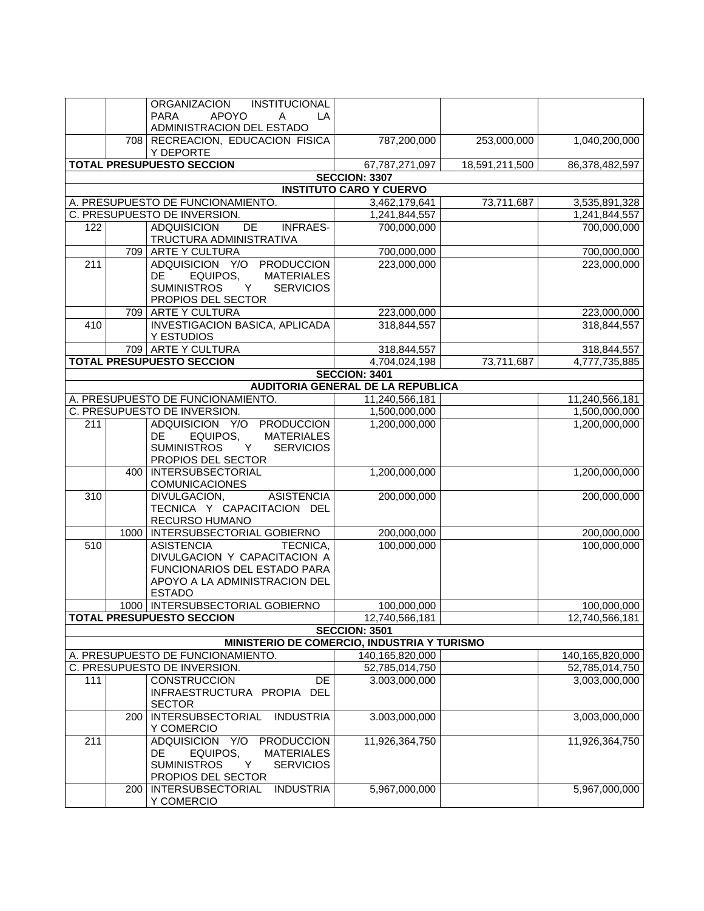|     |      | ORGANIZACION<br>INSTITUCIONAL<br><b>PARA</b><br><b>APOYO</b><br>A<br>LA<br>ADMINISTRACION DEL ESTADO                                                                                      |                                                     |                |                                 |
|-----|------|-------------------------------------------------------------------------------------------------------------------------------------------------------------------------------------------|-----------------------------------------------------|----------------|---------------------------------|
|     |      | 708 RECREACION, EDUCACION FISICA<br>Y DEPORTE                                                                                                                                             | 787,200,000                                         | 253,000,000    | 1,040,200,000                   |
|     |      | <b>TOTAL PRESUPUESTO SECCION</b>                                                                                                                                                          | 67,787,271,097                                      | 18,591,211,500 | 86,378,482,597                  |
|     |      |                                                                                                                                                                                           | <b>SECCION: 3307</b>                                |                |                                 |
|     |      |                                                                                                                                                                                           | <b>INSTITUTO CARO Y CUERVO</b>                      |                |                                 |
|     |      | A. PRESUPUESTO DE FUNCIONAMIENTO.                                                                                                                                                         | 3,462,179,641                                       | 73,711,687     | 3,535,891,328                   |
|     |      | C. PRESUPUESTO DE INVERSION.                                                                                                                                                              | 1,241,844,557                                       |                | 1,241,844,557                   |
| 122 |      | <b>ADQUISICION</b><br>DE<br><b>INFRAES-</b><br>TRUCTURA ADMINISTRATIVA                                                                                                                    | 700,000,000                                         |                | 700,000,000                     |
|     |      | 709 ARTE Y CULTURA                                                                                                                                                                        | 700,000,000                                         |                | 700,000,000                     |
| 211 |      | ADQUISICION Y/O PRODUCCION<br>DE<br>EQUIPOS,<br><b>MATERIALES</b><br>Y<br><b>SUMINISTROS</b><br><b>SERVICIOS</b><br>PROPIOS DEL SECTOR                                                    | 223,000,000                                         |                | 223,000,000                     |
|     |      | 709 ARTE Y CULTURA                                                                                                                                                                        | 223,000,000                                         |                | 223,000,000                     |
| 410 |      | INVESTIGACION BASICA, APLICADA<br>Y ESTUDIOS                                                                                                                                              | 318,844,557                                         |                | 318,844,557                     |
|     |      | 709 ARTE Y CULTURA                                                                                                                                                                        | 318,844,557                                         |                | 318,844,557                     |
|     |      | <b>TOTAL PRESUPUESTO SECCION</b>                                                                                                                                                          | 4,704,024,198                                       | 73,711,687     | 4,777,735,885                   |
|     |      |                                                                                                                                                                                           | <b>SECCION: 3401</b>                                |                |                                 |
|     |      | A. PRESUPUESTO DE FUNCIONAMIENTO.                                                                                                                                                         | AUDITORIA GENERAL DE LA REPUBLICA<br>11,240,566,181 |                | 11,240,566,181                  |
|     |      | C. PRESUPUESTO DE INVERSION.                                                                                                                                                              | 1,500,000,000                                       |                | 1,500,000,000                   |
| 211 |      | ADQUISICION Y/O<br><b>PRODUCCION</b><br>DE.<br>EQUIPOS,<br><b>MATERIALES</b>                                                                                                              | 1,200,000,000                                       |                | 1,200,000,000                   |
|     |      | <b>SUMINISTROS</b><br><b>SERVICIOS</b><br>Y<br>PROPIOS DEL SECTOR                                                                                                                         |                                                     |                |                                 |
|     | 400  | <b>INTERSUBSECTORIAL</b><br><b>COMUNICACIONES</b>                                                                                                                                         | 1,200,000,000                                       |                | 1,200,000,000                   |
| 310 |      | <b>ASISTENCIA</b><br>DIVULGACION,<br>TECNICA Y CAPACITACION DEL<br>RECURSO HUMANO                                                                                                         | 200,000,000                                         |                | 200,000,000                     |
|     | 1000 | INTERSUBSECTORIAL GOBIERNO                                                                                                                                                                | 200,000,000                                         |                | 200,000,000                     |
| 510 |      | <b>ASISTENCIA</b><br>TECNICA,<br>DIVULGACION Y CAPACITACION A<br>FUNCIONARIOS DEL ESTADO PARA<br>APOYO A LA ADMINISTRACION DEL<br><b>ESTADO</b>                                           | 100,000,000                                         |                | 100,000,000                     |
|     | 1000 | INTERSUBSECTORIAL GOBIERNO                                                                                                                                                                | 100,000,000                                         |                | 100,000,000                     |
|     |      | <b>TOTAL PRESUPUESTO SECCION</b>                                                                                                                                                          | 12,740,566,181                                      |                | 12,740,566,181                  |
|     |      |                                                                                                                                                                                           | <b>SECCION: 3501</b>                                |                |                                 |
|     |      | MINISTERIO DE COMERCIO, INDUSTRIA Y TURISMO<br>A. PRESUPUESTO DE FUNCIONAMIENTO.                                                                                                          | 140,165,820,000                                     |                | 140,165,820,000                 |
|     |      | C. PRESUPUESTO DE INVERSION.                                                                                                                                                              | 52,785,014,750                                      |                | 52,785,014,750                  |
| 111 |      | <b>CONSTRUCCION</b><br>DE<br>INFRAESTRUCTURA PROPIA DEL<br><b>SECTOR</b>                                                                                                                  | 3.003,000,000                                       |                | 3,003,000,000                   |
|     | 200  | INTERSUBSECTORIAL<br><b>INDUSTRIA</b><br>Y COMERCIO                                                                                                                                       | 3.003,000,000                                       |                | 3,003,000,000                   |
| 211 | 200  | ADQUISICION Y/O<br><b>PRODUCCION</b><br>DE<br>EQUIPOS,<br><b>MATERIALES</b><br><b>SUMINISTROS</b><br><b>SERVICIOS</b><br>Y<br>PROPIOS DEL SECTOR<br>INTERSUBSECTORIAL<br><b>INDUSTRIA</b> | 11,926,364,750<br>5,967,000,000                     |                | 11,926,364,750<br>5,967,000,000 |
|     |      | Y COMERCIO                                                                                                                                                                                |                                                     |                |                                 |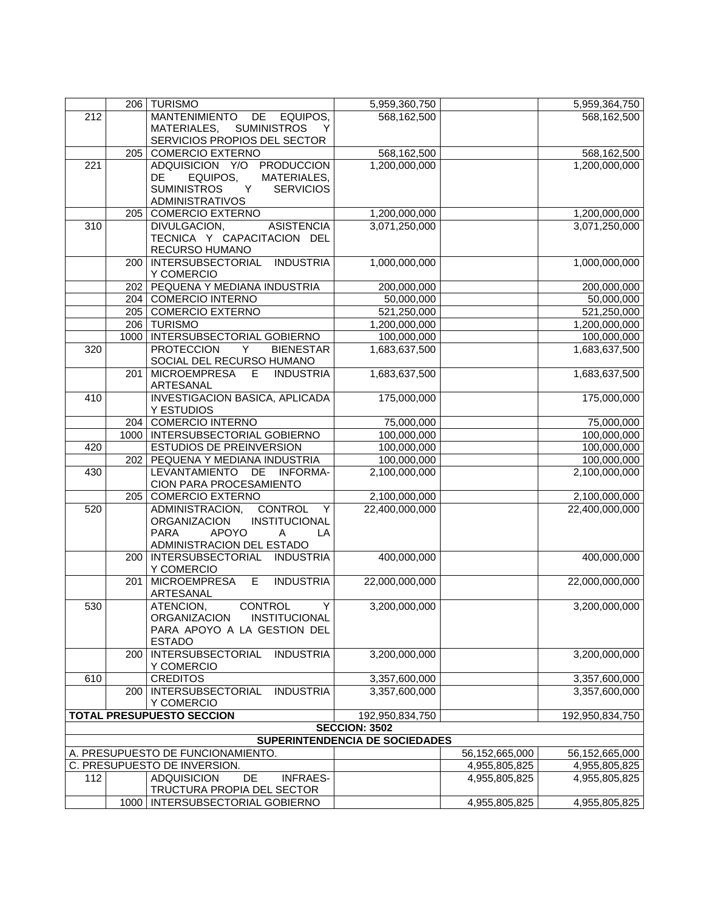|     |     | 206   TURISMO                                          | 5,959,360,750                  |                | 5,959,364,750   |
|-----|-----|--------------------------------------------------------|--------------------------------|----------------|-----------------|
| 212 |     | MANTENIMIENTO DE EQUIPOS,                              | 568,162,500                    |                | 568,162,500     |
|     |     | MATERIALES, SUMINISTROS<br>Y                           |                                |                |                 |
|     |     | SERVICIOS PROPIOS DEL SECTOR                           |                                |                |                 |
|     |     | 205 COMERCIO EXTERNO                                   | 568,162,500                    |                | 568,162,500     |
| 221 |     | ADQUISICION Y/O PRODUCCION                             | 1,200,000,000                  |                | 1,200,000,000   |
|     |     | EQUIPOS,<br>MATERIALES,<br>DE                          |                                |                |                 |
|     |     | <b>SUMINISTROS</b><br>$\mathsf{Y}$<br><b>SERVICIOS</b> |                                |                |                 |
|     |     | <b>ADMINISTRATIVOS</b>                                 |                                |                |                 |
|     | 205 | COMERCIO EXTERNO                                       | 1,200,000,000                  |                | 1,200,000,000   |
| 310 |     | <b>ASISTENCIA</b><br>DIVULGACION,                      | 3,071,250,000                  |                | 3,071,250,000   |
|     |     | TECNICA Y CAPACITACION DEL                             |                                |                |                 |
|     |     | RECURSO HUMANO                                         |                                |                |                 |
|     | 200 | INTERSUBSECTORIAL INDUSTRIA                            | 1,000,000,000                  |                | 1,000,000,000   |
|     | 202 | Y COMERCIO<br>PEQUENA Y MEDIANA INDUSTRIA              | 200,000,000                    |                | 200,000,000     |
|     | 204 | <b>COMERCIO INTERNO</b>                                | 50,000,000                     |                | 50,000,000      |
|     |     | 205 COMERCIO EXTERNO                                   | 521,250,000                    |                | 521,250,000     |
|     |     | 206 TURISMO                                            | 1,200,000,000                  |                | 1,200,000,000   |
|     |     | 1000   INTERSUBSECTORIAL GOBIERNO                      | 100,000,000                    |                | 100,000,000     |
| 320 |     | <b>PROTECCION</b><br>Y<br><b>BIENESTAR</b>             | 1,683,637,500                  |                | 1,683,637,500   |
|     |     | SOCIAL DEL RECURSO HUMANO                              |                                |                |                 |
|     | 201 | <b>MICROEMPRESA</b><br>E<br><b>INDUSTRIA</b>           | 1,683,637,500                  |                | 1,683,637,500   |
|     |     | ARTESANAL                                              |                                |                |                 |
| 410 |     | INVESTIGACION BASICA, APLICADA                         | 175,000,000                    |                | 175,000,000     |
|     |     | Y ESTUDIOS                                             |                                |                |                 |
|     |     | 204 COMERCIO INTERNO                                   | 75,000,000                     |                | 75,000,000      |
|     |     | 1000   INTERSUBSECTORIAL GOBIERNO                      | 100,000,000                    |                | 100,000,000     |
| 420 |     | ESTUDIOS DE PREINVERSION                               | 100,000,000                    |                | 100,000,000     |
|     | 202 | PEQUENA Y MEDIANA INDUSTRIA                            | 100,000,000                    |                | 100,000,000     |
| 430 |     | LEVANTAMIENTO DE INFORMA-                              | 2,100,000,000                  |                | 2,100,000,000   |
|     |     | CION PARA PROCESAMIENTO                                |                                |                |                 |
|     |     | 205 COMERCIO EXTERNO                                   | 2,100,000,000                  |                | 2,100,000,000   |
| 520 |     | ADMINISTRACION,<br><b>CONTROL</b><br>Y                 | 22,400,000,000                 |                | 22,400,000,000  |
|     |     | <b>ORGANIZACION</b><br><b>INSTITUCIONAL</b>            |                                |                |                 |
|     |     | <b>APOYO</b><br><b>PARA</b><br>LA<br>A                 |                                |                |                 |
|     |     | ADMINISTRACION DEL ESTADO                              |                                |                |                 |
|     |     | 200   INTERSUBSECTORIAL INDUSTRIA                      | 400,000,000                    |                | 400,000,000     |
|     |     | Y COMERCIO                                             |                                |                |                 |
|     |     | 201 MICROEMPRESA<br>E<br><b>INDUSTRIA</b><br>ARTESANAL | 22,000,000,000                 |                | 22,000,000,000  |
| 530 |     | <b>CONTROL</b><br>$\prec$<br>ATENCION,                 | 3,200,000,000                  |                | 3,200,000,000   |
|     |     | <b>ORGANIZACION</b><br><b>INSTITUCIONAL</b>            |                                |                |                 |
|     |     | PARA APOYO A LA GESTION DEL                            |                                |                |                 |
|     |     | <b>ESTADO</b>                                          |                                |                |                 |
|     | 200 | <b>INTERSUBSECTORIAL</b><br><b>INDUSTRIA</b>           | 3,200,000,000                  |                | 3,200,000,000   |
|     |     | Y COMERCIO                                             |                                |                |                 |
| 610 |     | <b>CREDITOS</b>                                        | 3,357,600,000                  |                | 3,357,600,000   |
|     |     | 200   INTERSUBSECTORIAL<br><b>INDUSTRIA</b>            | 3,357,600,000                  |                | 3,357,600,000   |
|     |     | Y COMERCIO                                             |                                |                |                 |
|     |     | <b>TOTAL PRESUPUESTO SECCION</b>                       | 192,950,834,750                |                | 192,950,834,750 |
|     |     |                                                        | <b>SECCION: 3502</b>           |                |                 |
|     |     |                                                        | SUPERINTENDENCIA DE SOCIEDADES |                |                 |
|     |     | A. PRESUPUESTO DE FUNCIONAMIENTO.                      |                                | 56,152,665,000 | 56,152,665,000  |
|     |     | C. PRESUPUESTO DE INVERSION.                           |                                | 4,955,805,825  | 4,955,805,825   |
| 112 |     | <b>ADQUISICION</b><br><b>DE</b><br><b>INFRAES-</b>     |                                | 4,955,805,825  | 4,955,805,825   |
|     |     | TRUCTURA PROPIA DEL SECTOR                             |                                |                |                 |
|     |     | 1000   INTERSUBSECTORIAL GOBIERNO                      |                                | 4,955,805,825  | 4,955,805,825   |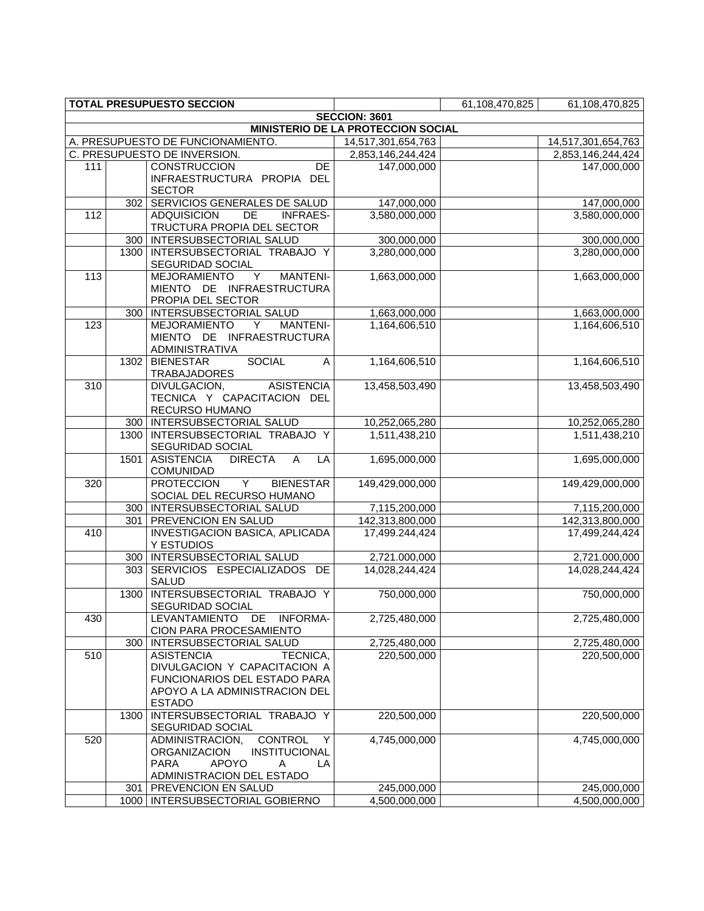|                                           |                      | <b>TOTAL PRESUPUESTO SECCION</b>                        |                    | 61,108,470,825 | 61,108,470,825     |  |  |  |  |
|-------------------------------------------|----------------------|---------------------------------------------------------|--------------------|----------------|--------------------|--|--|--|--|
|                                           | <b>SECCION: 3601</b> |                                                         |                    |                |                    |  |  |  |  |
| <b>MINISTERIO DE LA PROTECCIÓN SOCIAL</b> |                      |                                                         |                    |                |                    |  |  |  |  |
|                                           |                      | A. PRESUPUESTO DE FUNCIONAMIENTO.                       | 14,517,301,654,763 |                | 14,517,301,654,763 |  |  |  |  |
|                                           |                      | C. PRESUPUESTO DE INVERSION.                            | 2,853,146,244,424  |                | 2,853,146,244,424  |  |  |  |  |
| 111                                       |                      | <b>CONSTRUCCION</b><br><b>DE</b>                        | 147,000,000        |                | 147,000,000        |  |  |  |  |
|                                           |                      | INFRAESTRUCTURA PROPIA DEL                              |                    |                |                    |  |  |  |  |
|                                           | 302                  | <b>SECTOR</b><br>SERVICIOS GENERALES DE SALUD           | 147,000,000        |                | 147,000,000        |  |  |  |  |
| 112                                       |                      | <b>ADQUISICION</b><br>DE<br><b>INFRAES-</b>             | 3,580,000,000      |                | 3,580,000,000      |  |  |  |  |
|                                           |                      | TRUCTURA PROPIA DEL SECTOR                              |                    |                |                    |  |  |  |  |
|                                           | 300                  | <b>INTERSUBSECTORIAL SALUD</b>                          | 300,000,000        |                | 300,000,000        |  |  |  |  |
|                                           |                      | 1300 INTERSUBSECTORIAL TRABAJO Y                        | 3,280,000,000      |                | 3,280,000,000      |  |  |  |  |
|                                           |                      | SEGURIDAD SOCIAL                                        |                    |                |                    |  |  |  |  |
| 113                                       |                      | <b>MEJORAMIENTO</b><br><b>MANTENI-</b><br>Y             | 1,663,000,000      |                | 1,663,000,000      |  |  |  |  |
|                                           |                      | MIENTO DE INFRAESTRUCTURA                               |                    |                |                    |  |  |  |  |
|                                           |                      | PROPIA DEL SECTOR                                       |                    |                |                    |  |  |  |  |
|                                           | 300                  | INTERSUBSECTORIAL SALUD                                 | 1,663,000,000      |                | 1,663,000,000      |  |  |  |  |
| 123                                       |                      | <b>MEJORAMIENTO</b><br><b>MANTENI-</b><br>Y             | 1,164,606,510      |                | 1,164,606,510      |  |  |  |  |
|                                           |                      | MIENTO DE INFRAESTRUCTURA                               |                    |                |                    |  |  |  |  |
|                                           |                      | ADMINISTRATIVA                                          |                    |                |                    |  |  |  |  |
|                                           | 1302                 | <b>SOCIAL</b><br><b>BIENESTAR</b><br>A                  | 1,164,606,510      |                | 1,164,606,510      |  |  |  |  |
| 310                                       |                      | TRABAJADORES<br>DIVULGACION,<br><b>ASISTENCIA</b>       | 13,458,503,490     |                | 13,458,503,490     |  |  |  |  |
|                                           |                      | TECNICA Y CAPACITACION DEL                              |                    |                |                    |  |  |  |  |
|                                           |                      | RECURSO HUMANO                                          |                    |                |                    |  |  |  |  |
|                                           |                      | 300   INTERSUBSECTORIAL SALUD                           | 10,252,065,280     |                | 10,252,065,280     |  |  |  |  |
|                                           | 1300                 | INTERSUBSECTORIAL TRABAJO Y                             | 1,511,438,210      |                | 1,511,438,210      |  |  |  |  |
|                                           |                      | SEGURIDAD SOCIAL                                        |                    |                |                    |  |  |  |  |
|                                           | 1501                 | <b>ASISTENCIA</b><br><b>DIRECTA</b><br>A<br>LA          | 1,695,000,000      |                | 1,695,000,000      |  |  |  |  |
|                                           |                      | COMUNIDAD                                               |                    |                |                    |  |  |  |  |
| 320                                       |                      | <b>PROTECCION</b><br>$\overline{Y}$<br><b>BIENESTAR</b> | 149,429,000,000    |                | 149,429,000,000    |  |  |  |  |
|                                           |                      | SOCIAL DEL RECURSO HUMANO                               |                    |                |                    |  |  |  |  |
|                                           |                      | 300   INTERSUBSECTORIAL SALUD                           | 7,115,200,000      |                | 7,115,200,000      |  |  |  |  |
|                                           | 301                  | <b>PREVENCION EN SALUD</b>                              | 142,313,800,000    |                | 142,313,800,000    |  |  |  |  |
| 410                                       |                      | INVESTIGACION BASICA, APLICADA                          | 17,499.244,424     |                | 17,499,244,424     |  |  |  |  |
|                                           |                      | Y ESTUDIOS<br>300   INTERSUBSECTORIAL SALUD             | 2,721.000,000      |                | 2,721.000,000      |  |  |  |  |
|                                           | 303                  | SERVICIOS ESPECIALIZADOS DE                             | 14,028,244,424     |                | 14,028,244,424     |  |  |  |  |
|                                           |                      | <b>SALUD</b>                                            |                    |                |                    |  |  |  |  |
|                                           | 1300                 | INTERSUBSECTORIAL TRABAJO Y                             | 750,000,000        |                | 750,000,000        |  |  |  |  |
|                                           |                      | <b>SEGURIDAD SOCIAL</b>                                 |                    |                |                    |  |  |  |  |
| 430                                       |                      | <b>LEVANTAMIENTO</b><br>DE<br><b>INFORMA-</b>           | 2,725,480,000      |                | 2,725,480,000      |  |  |  |  |
|                                           |                      | CION PARA PROCESAMIENTO                                 |                    |                |                    |  |  |  |  |
|                                           | 300                  | INTERSUBSECTORIAL SALUD                                 | 2,725,480,000      |                | 2,725,480,000      |  |  |  |  |
| 510                                       |                      | <b>ASISTENCIA</b><br>TECNICA,                           | 220,500,000        |                | 220,500,000        |  |  |  |  |
|                                           |                      | DIVULGACION Y CAPACITACION A                            |                    |                |                    |  |  |  |  |
|                                           |                      | FUNCIONARIOS DEL ESTADO PARA                            |                    |                |                    |  |  |  |  |
|                                           |                      | APOYO A LA ADMINISTRACION DEL<br><b>ESTADO</b>          |                    |                |                    |  |  |  |  |
|                                           | 1300                 | INTERSUBSECTORIAL TRABAJO Y                             | 220,500,000        |                | 220,500,000        |  |  |  |  |
|                                           |                      | SEGURIDAD SOCIAL                                        |                    |                |                    |  |  |  |  |
| 520                                       |                      | ADMINISTRACION,<br><b>CONTROL</b><br>Y                  | 4,745,000,000      |                | 4,745,000,000      |  |  |  |  |
|                                           |                      | <b>ORGANIZACION</b><br>INSTITUCIONAL                    |                    |                |                    |  |  |  |  |
|                                           |                      | <b>APOYO</b><br><b>PARA</b><br>Α<br>LA                  |                    |                |                    |  |  |  |  |
|                                           |                      | ADMINISTRACION DEL ESTADO                               |                    |                |                    |  |  |  |  |
|                                           | 301                  | PREVENCION EN SALUD                                     | 245,000,000        |                | 245,000,000        |  |  |  |  |
|                                           | 1000                 | INTERSUBSECTORIAL GOBIERNO                              | 4,500,000,000      |                | 4,500,000,000      |  |  |  |  |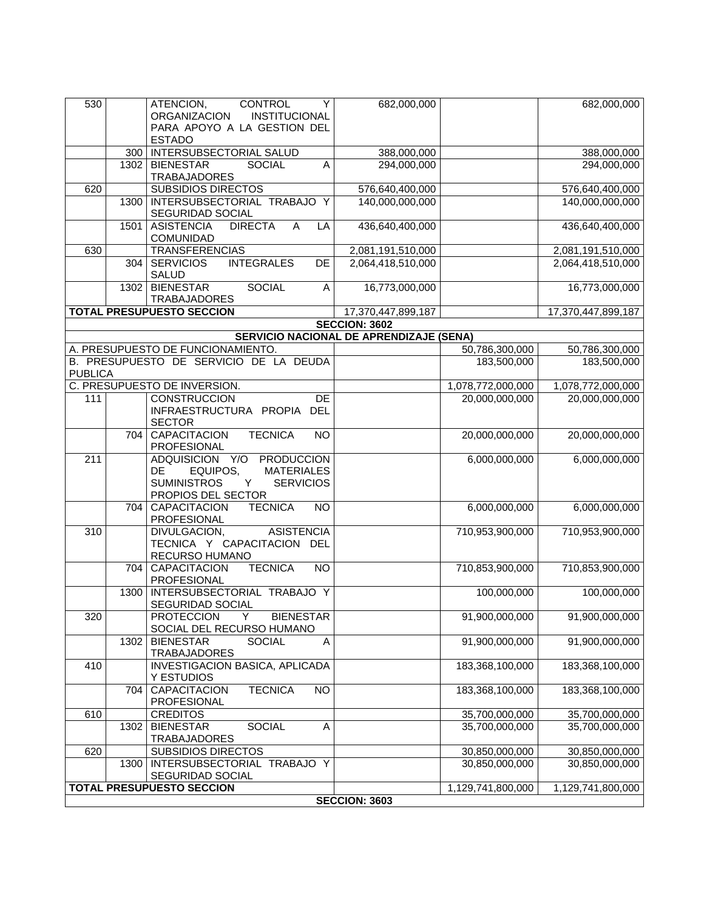| 530            |      | ATENCION,<br>CONTROL<br>Y<br><b>ORGANIZACION</b><br><b>INSTITUCIONAL</b><br>PARA APOYO A LA GESTION DEL | 682,000,000                                    |                   | 682,000,000        |
|----------------|------|---------------------------------------------------------------------------------------------------------|------------------------------------------------|-------------------|--------------------|
|                |      | <b>ESTADO</b>                                                                                           |                                                |                   |                    |
|                | 300  | <b>INTERSUBSECTORIAL SALUD</b>                                                                          | 388,000,000                                    |                   | 388,000,000        |
|                | 1302 | <b>BIENESTAR</b><br><b>SOCIAL</b><br>Α<br><b>TRABAJADORES</b>                                           | 294,000,000                                    |                   | 294,000,000        |
| 620            |      | <b>SUBSIDIOS DIRECTOS</b>                                                                               | 576,640,400,000                                |                   | 576,640,400,000    |
|                | 1300 | INTERSUBSECTORIAL TRABAJO Y                                                                             | 140,000,000,000                                |                   | 140,000,000,000    |
|                |      | SEGURIDAD SOCIAL                                                                                        |                                                |                   |                    |
|                | 1501 | <b>ASISTENCIA</b><br><b>DIRECTA</b><br>A<br>LA<br>COMUNIDAD                                             | 436,640,400,000                                |                   | 436,640,400,000    |
| 630            |      | <b>TRANSFERENCIAS</b>                                                                                   | 2,081,191,510,000                              |                   | 2,081,191,510,000  |
|                | 304  | <b>SERVICIOS</b><br><b>INTEGRALES</b><br>DE<br><b>SALUD</b>                                             | 2,064,418,510,000                              |                   | 2,064,418,510,000  |
|                | 1302 | <b>SOCIAL</b><br><b>BIENESTAR</b><br>$\mathsf A$<br><b>TRABAJADORES</b>                                 | 16,773,000,000                                 |                   | 16,773,000,000     |
|                |      | <b>TOTAL PRESUPUESTO SECCION</b>                                                                        | 17,370,447,899,187                             |                   | 17,370,447,899,187 |
|                |      |                                                                                                         | <b>SECCION: 3602</b>                           |                   |                    |
|                |      |                                                                                                         | <b>SERVICIO NACIONAL DE APRENDIZAJE (SENA)</b> |                   |                    |
|                |      | A. PRESUPUESTO DE FUNCIONAMIENTO.                                                                       |                                                | 50,786,300,000    | 50,786,300,000     |
|                |      | B. PRESUPUESTO DE SERVICIO DE LA DEUDA                                                                  |                                                | 183,500,000       | 183,500,000        |
| <b>PUBLICA</b> |      |                                                                                                         |                                                |                   |                    |
|                |      | C. PRESUPUESTO DE INVERSION.                                                                            |                                                | 1,078,772,000,000 | 1,078,772,000,000  |
| 111            |      | <b>CONSTRUCCION</b><br>DE                                                                               |                                                | 20,000,000,000    | 20,000,000,000     |
|                |      | INFRAESTRUCTURA PROPIA<br><b>DEL</b>                                                                    |                                                |                   |                    |
|                |      | <b>SECTOR</b>                                                                                           |                                                |                   |                    |
|                | 704  | <b>CAPACITACION</b><br><b>TECNICA</b><br><b>NO</b>                                                      |                                                | 20,000,000,000    | 20,000,000,000     |
|                |      | PROFESIONAL                                                                                             |                                                |                   |                    |
| 211            |      | ADQUISICION Y/O PRODUCCION                                                                              |                                                | 6,000,000,000     | 6,000,000,000      |
|                |      | <b>MATERIALES</b><br>DE<br>EQUIPOS,<br><b>SUMINISTROS</b><br><b>SERVICIOS</b>                           |                                                |                   |                    |
|                |      | Y<br>PROPIOS DEL SECTOR                                                                                 |                                                |                   |                    |
|                | 704  | <b>TECNICA</b><br><b>CAPACITACION</b><br><b>NO</b>                                                      |                                                | 6,000,000,000     | 6,000,000,000      |
|                |      | PROFESIONAL                                                                                             |                                                |                   |                    |
| 310            |      | <b>ASISTENCIA</b><br>DIVULGACION,                                                                       |                                                | 710,953,900,000   | 710,953,900,000    |
|                |      | TECNICA Y CAPACITACION DEL                                                                              |                                                |                   |                    |
|                |      | RECURSO HUMANO                                                                                          |                                                |                   |                    |
|                | 704  | <b>TECNICA</b><br><b>CAPACITACION</b><br><b>NO</b>                                                      |                                                | 710,853,900,000   | 710,853,900,000    |
|                |      | PROFESIONAL                                                                                             |                                                |                   |                    |
|                | 1300 | INTERSUBSECTORIAL TRABAJO Y<br>SEGURIDAD SOCIAL                                                         |                                                | 100,000,000       | 100,000,000        |
| 320            |      | <b>PROTECCION</b><br>Y<br><b>BIENESTAR</b>                                                              |                                                | 91,900,000,000    | 91,900,000,000     |
|                |      | SOCIAL DEL RECURSO HUMANO                                                                               |                                                |                   |                    |
|                | 1302 | <b>BIENESTAR</b><br><b>SOCIAL</b><br>Α<br><b>TRABAJADORES</b>                                           |                                                | 91,900,000,000    | 91,900,000,000     |
| 410            |      | <b>INVESTIGACION BASICA, APLICADA</b>                                                                   |                                                | 183,368,100,000   | 183,368,100,000    |
|                |      | Y ESTUDIOS                                                                                              |                                                |                   |                    |
|                | 704  | CAPACITACION<br><b>TECNICA</b><br><b>NO</b>                                                             |                                                | 183,368,100,000   | 183,368,100,000    |
|                |      | PROFESIONAL                                                                                             |                                                |                   |                    |
| 610            |      | <b>CREDITOS</b>                                                                                         |                                                | 35,700,000,000    | 35,700,000,000     |
|                | 1302 | <b>SOCIAL</b><br><b>BIENESTAR</b><br>A<br><b>TRABAJADORES</b>                                           |                                                | 35,700,000,000    | 35,700,000,000     |
| 620            |      | <b>SUBSIDIOS DIRECTOS</b>                                                                               |                                                | 30,850,000,000    | 30,850,000,000     |
|                | 1300 | INTERSUBSECTORIAL TRABAJO Y                                                                             |                                                | 30,850,000,000    | 30,850,000,000     |
|                |      | SEGURIDAD SOCIAL                                                                                        |                                                |                   |                    |
|                |      | <b>TOTAL PRESUPUESTO SECCION</b>                                                                        |                                                | 1,129,741,800,000 | 1,129,741,800,000  |
|                |      |                                                                                                         | <b>SECCION: 3603</b>                           |                   |                    |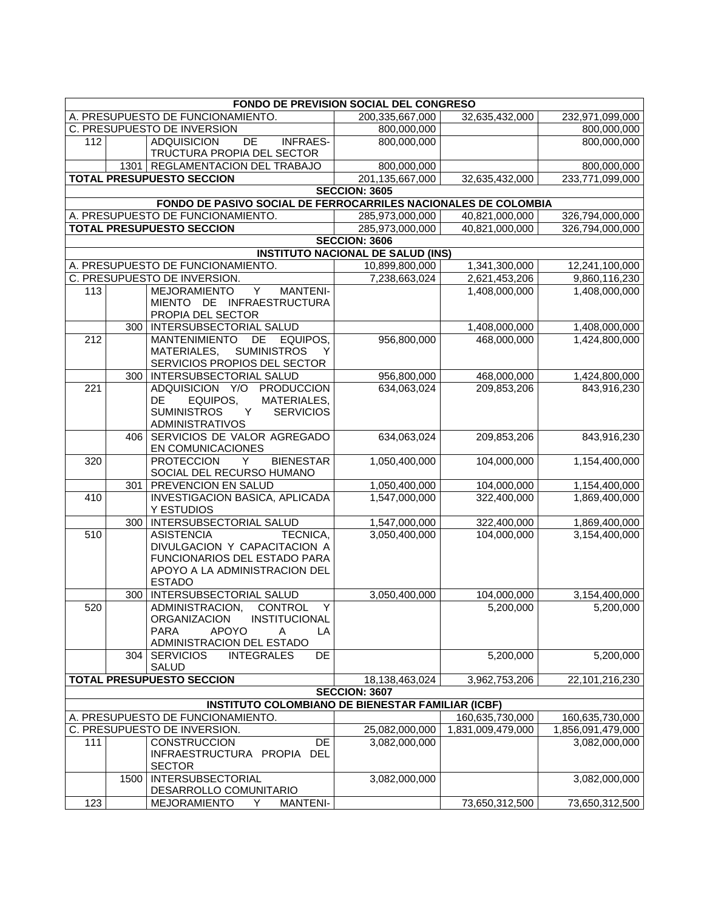| <b>FONDO DE PREVISION SOCIAL DEL CONGRESO</b>        |                                                                                           |                                                                |                                                                  |                   |                   |  |  |
|------------------------------------------------------|-------------------------------------------------------------------------------------------|----------------------------------------------------------------|------------------------------------------------------------------|-------------------|-------------------|--|--|
|                                                      | A. PRESUPUESTO DE FUNCIONAMIENTO.<br>200,335,667,000<br>32,635,432,000<br>232,971,099,000 |                                                                |                                                                  |                   |                   |  |  |
|                                                      |                                                                                           | C. PRESUPUESTO DE INVERSION                                    | 800,000,000                                                      |                   | 800,000,000       |  |  |
| 112                                                  |                                                                                           | <b>INFRAES-</b><br><b>ADQUISICION</b><br>DE                    | 800,000,000                                                      |                   | 800,000,000       |  |  |
|                                                      |                                                                                           | TRUCTURA PROPIA DEL SECTOR                                     |                                                                  |                   |                   |  |  |
|                                                      |                                                                                           | 1301   REGLAMENTACION DEL TRABAJO                              | 800,000,000                                                      |                   | 800,000,000       |  |  |
|                                                      |                                                                                           | <b>TOTAL PRESUPUESTO SECCION</b>                               | 201,135,667,000                                                  | 32,635,432,000    | 233.771.099.000   |  |  |
|                                                      |                                                                                           |                                                                | <b>SECCION: 3605</b>                                             |                   |                   |  |  |
|                                                      |                                                                                           | FONDO DE PASIVO SOCIAL DE FERROCARRILES NACIONALES DE COLOMBIA |                                                                  |                   |                   |  |  |
|                                                      |                                                                                           | A. PRESUPUESTO DE FUNCIONAMIENTO.                              | 285,973,000,000                                                  | 40,821,000,000    | 326,794,000,000   |  |  |
|                                                      |                                                                                           | <b>TOTAL PRESUPUESTO SECCION</b>                               | 285,973,000,000                                                  | 40,821,000,000    | 326,794,000,000   |  |  |
|                                                      |                                                                                           |                                                                | <b>SECCION: 3606</b><br><b>INSTITUTO NACIONAL DE SALUD (INS)</b> |                   |                   |  |  |
|                                                      |                                                                                           | A. PRESUPUESTO DE FUNCIONAMIENTO.                              | 10,899,800,000                                                   | 1,341,300,000     | 12,241,100,000    |  |  |
|                                                      |                                                                                           | C. PRESUPUESTO DE INVERSION.                                   | 7,238,663,024                                                    | 2,621,453,206     | 9,860,116,230     |  |  |
| 113                                                  |                                                                                           | Y<br><b>MEJORAMIENTO</b><br><b>MANTENI-</b>                    |                                                                  | 1,408,000,000     | 1,408,000,000     |  |  |
|                                                      |                                                                                           | MIENTO DE INFRAESTRUCTURA                                      |                                                                  |                   |                   |  |  |
|                                                      |                                                                                           | PROPIA DEL SECTOR                                              |                                                                  |                   |                   |  |  |
|                                                      |                                                                                           | 300   INTERSUBSECTORIAL SALUD                                  |                                                                  | 1,408,000,000     | 1,408,000,000     |  |  |
| 212                                                  |                                                                                           | <b>MANTENIMIENTO</b><br>DE<br>EQUIPOS,                         | 956,800,000                                                      | 468,000,000       | 1,424,800,000     |  |  |
|                                                      |                                                                                           | <b>SUMINISTROS</b><br>MATERIALES,<br>Y                         |                                                                  |                   |                   |  |  |
|                                                      |                                                                                           | SERVICIOS PROPIOS DEL SECTOR                                   |                                                                  |                   |                   |  |  |
|                                                      | 300                                                                                       | INTERSUBSECTORIAL SALUD                                        | 956,800,000                                                      | 468,000,000       | 1,424,800,000     |  |  |
| 221                                                  |                                                                                           | ADQUISICION Y/O PRODUCCION                                     | 634,063,024                                                      | 209,853,206       | 843,916,230       |  |  |
|                                                      |                                                                                           | DE<br>EQUIPOS,<br>MATERIALES,                                  |                                                                  |                   |                   |  |  |
|                                                      |                                                                                           | <b>SUMINISTROS</b><br><b>SERVICIOS</b><br>Y.                   |                                                                  |                   |                   |  |  |
|                                                      |                                                                                           | <b>ADMINISTRATIVOS</b>                                         |                                                                  |                   |                   |  |  |
|                                                      | 406                                                                                       | SERVICIOS DE VALOR AGREGADO<br>EN COMUNICACIONES               | 634,063,024                                                      | 209,853,206       | 843,916,230       |  |  |
| 320                                                  |                                                                                           | <b>PROTECCION</b><br><b>BIENESTAR</b><br>Y                     | 1,050,400,000                                                    | 104,000,000       | 1,154,400,000     |  |  |
|                                                      |                                                                                           | SOCIAL DEL RECURSO HUMANO                                      |                                                                  |                   |                   |  |  |
|                                                      | 301                                                                                       | PREVENCION EN SALUD                                            | 1,050,400,000                                                    | 104,000,000       | 1,154,400,000     |  |  |
| 410                                                  |                                                                                           | INVESTIGACION BASICA, APLICADA                                 | 1,547,000,000                                                    | 322,400,000       | 1,869,400,000     |  |  |
|                                                      |                                                                                           | Y ESTUDIOS                                                     |                                                                  |                   |                   |  |  |
|                                                      |                                                                                           | 300   INTERSUBSECTORIAL SALUD                                  | 1,547,000,000                                                    | 322,400,000       | 1,869,400,000     |  |  |
| 510                                                  |                                                                                           | <b>ASISTENCIA</b><br>TECNICA,                                  | 3,050,400,000                                                    | 104,000,000       | 3,154,400,000     |  |  |
|                                                      |                                                                                           | DIVULGACION Y CAPACITACION A                                   |                                                                  |                   |                   |  |  |
|                                                      |                                                                                           | FUNCIONARIOS DEL ESTADO PARA                                   |                                                                  |                   |                   |  |  |
|                                                      |                                                                                           | APOYO A LA ADMINISTRACION DEL                                  |                                                                  |                   |                   |  |  |
|                                                      |                                                                                           | <b>ESTADO</b>                                                  |                                                                  |                   |                   |  |  |
|                                                      | 300                                                                                       | INTERSUBSECTORIAL SALUD<br>ADMINISTRACION,                     | 3,050,400,000                                                    | 104,000,000       | 3,154,400,000     |  |  |
| 520                                                  |                                                                                           | <b>CONTROL</b><br>Y<br>ORGANIZACION<br>INSTITUCIONAL           |                                                                  | 5,200,000         | 5,200,000         |  |  |
|                                                      |                                                                                           | <b>PARA</b><br><b>APOYO</b><br>A<br>LA                         |                                                                  |                   |                   |  |  |
|                                                      |                                                                                           | ADMINISTRACION DEL ESTADO                                      |                                                                  |                   |                   |  |  |
|                                                      | 304                                                                                       | <b>SERVICIOS</b><br><b>INTEGRALES</b><br>DE                    |                                                                  | 5,200,000         | 5,200,000         |  |  |
|                                                      |                                                                                           | <b>SALUD</b>                                                   |                                                                  |                   |                   |  |  |
|                                                      |                                                                                           | <b>TOTAL PRESUPUESTO SECCION</b>                               | 18,138,463,024                                                   | 3,962,753,206     | 22,101,216,230    |  |  |
|                                                      |                                                                                           |                                                                | <b>SECCION: 3607</b>                                             |                   |                   |  |  |
|                                                      | <b>INSTITUTO COLOMBIANO DE BIENESTAR FAMILIAR (ICBF)</b>                                  |                                                                |                                                                  |                   |                   |  |  |
| A. PRESUPUESTO DE FUNCIONAMIENTO.<br>160,635,730,000 |                                                                                           |                                                                |                                                                  |                   | 160,635,730,000   |  |  |
|                                                      |                                                                                           | C. PRESUPUESTO DE INVERSION.                                   | 25,082,000,000                                                   | 1,831,009,479,000 | 1,856,091,479,000 |  |  |
| 111                                                  |                                                                                           | <b>CONSTRUCCION</b><br><b>DE</b>                               | 3,082,000,000                                                    |                   | 3,082,000,000     |  |  |
|                                                      |                                                                                           | INFRAESTRUCTURA PROPIA<br><b>DEL</b>                           |                                                                  |                   |                   |  |  |
|                                                      |                                                                                           | <b>SECTOR</b>                                                  |                                                                  |                   |                   |  |  |
|                                                      | 1500                                                                                      | INTERSUBSECTORIAL<br>DESARROLLO COMUNITARIO                    | 3,082,000,000                                                    |                   | 3,082,000,000     |  |  |
| 123                                                  |                                                                                           | Y<br><b>MANTENI-</b><br>MEJORAMIENTO                           |                                                                  | 73,650,312,500    | 73,650,312,500    |  |  |
|                                                      |                                                                                           |                                                                |                                                                  |                   |                   |  |  |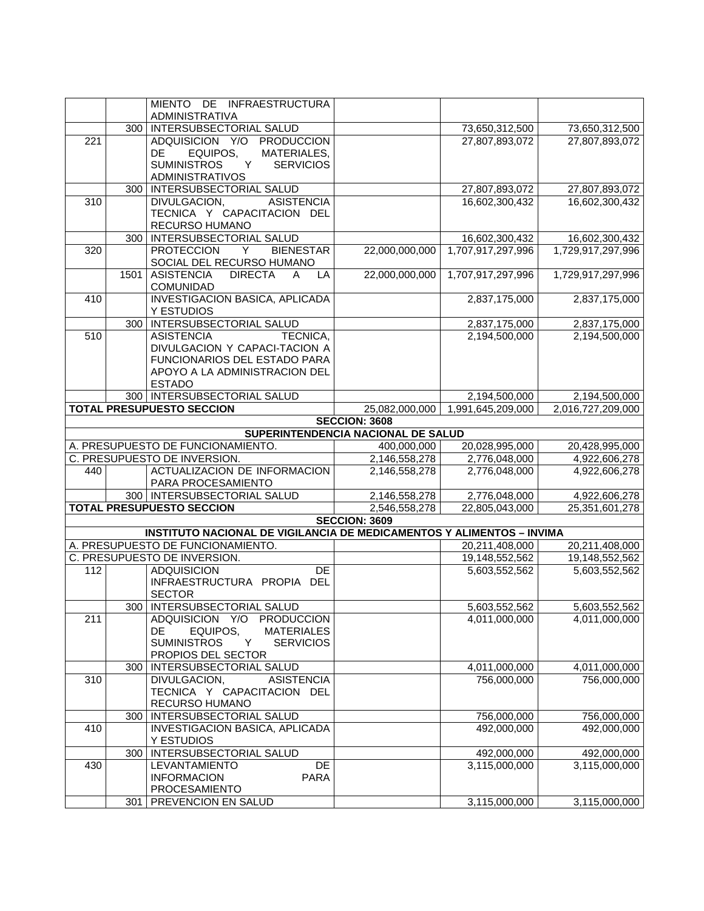| 300   INTERSUBSECTORIAL SALUD<br>73,650,312,500<br>73,650,312,500<br>221<br>ADQUISICION Y/O PRODUCCION<br>27,807,893,072<br>27,807,893,072<br>EQUIPOS,<br>MATERIALES,<br><b>DE</b><br><b>SUMINISTROS</b><br>Y<br><b>SERVICIOS</b><br><b>ADMINISTRATIVOS</b><br>300   INTERSUBSECTORIAL SALUD<br>27,807,893,072<br>27,807,893,072<br>310<br><b>ASISTENCIA</b><br>DIVULGACION,<br>16,602,300,432<br>16,602,300,432<br>TECNICA Y CAPACITACION DEL<br>RECURSO HUMANO<br>300   INTERSUBSECTORIAL SALUD<br>16,602,300,432<br>16,602,300,432<br>320<br><b>PROTECCION</b><br><b>BIENESTAR</b><br>22,000,000,000<br>1,707,917,297,996<br>1,729,917,297,996<br>Y<br>SOCIAL DEL RECURSO HUMANO<br><b>DIRECTA</b><br>22,000,000,000<br><b>ASISTENCIA</b><br>1,707,917,297,996<br>1,729,917,297,996<br>1501<br>LA<br>A<br>COMUNIDAD<br><b>INVESTIGACION BASICA, APLICADA</b><br>410<br>2,837,175,000<br>2,837,175,000<br>Y ESTUDIOS<br>300 INTERSUBSECTORIAL SALUD<br>2,837,175,000<br>2,837,175,000<br>510<br><b>ASISTENCIA</b><br>TECNICA,<br>2,194,500,000<br>2,194,500,000<br>DIVULGACION Y CAPACI-TACION A<br>FUNCIONARIOS DEL ESTADO PARA<br>APOYO A LA ADMINISTRACION DEL<br><b>ESTADO</b><br>300   INTERSUBSECTORIAL SALUD<br>2,194,500,000<br>2,194,500,000<br><b>TOTAL PRESUPUESTO SECCION</b><br>25,082,000,000<br>1,991,645,209,000<br>2,016,727,209,000<br><b>SECCION: 3608</b><br>SUPERINTENDENCIA NACIONAL DE SALUD<br>A. PRESUPUESTO DE FUNCIONAMIENTO.<br>20,028,995,000<br>400,000,000<br>20,428,995,000<br>C. PRESUPUESTO DE INVERSION.<br>2,146,558,278<br>2,776,048,000<br>4,922,606,278<br>ACTUALIZACION DE INFORMACION<br>2,146,558,278<br>2,776,048,000<br>4,922,606,278<br>440<br>PARA PROCESAMIENTO<br>300   INTERSUBSECTORIAL SALUD<br>2,146,558,278<br>2,776,048,000<br>4,922,606,278<br><b>TOTAL PRESUPUESTO SECCION</b><br>22,805,043,000<br>2,546,558,278<br>25, 351, 601, 278<br><b>SECCION: 3609</b><br><b>INSTITUTO NACIONAL DE VIGILANCIA DE MEDICAMENTOS Y ALIMENTOS - INVIMA</b><br>A. PRESUPUESTO DE FUNCIONAMIENTO.<br>20,211,408,000<br>20,211,408,000<br>C. PRESUPUESTO DE INVERSION.<br>19,148,552,562<br>19,148,552,562<br><b>ADQUISICION</b><br>DE<br>5,603,552,562<br>5,603,552,562<br>112<br>INFRAESTRUCTURA PROPIA DEL<br><b>SECTOR</b><br>300   INTERSUBSECTORIAL SALUD<br>5,603,552,562<br>5,603,552,562<br>ADQUISICION Y/O PRODUCCION<br>4,011,000,000<br>4,011,000,000<br>211<br>EQUIPOS,<br>DE<br><b>MATERIALES</b><br><b>SUMINISTROS</b><br><b>SERVICIOS</b><br>Y<br>PROPIOS DEL SECTOR<br>INTERSUBSECTORIAL SALUD<br>300<br>4,011,000,000<br>4,011,000,000<br>756,000,000<br>756,000,000<br>310<br>DIVULGACION,<br><b>ASISTENCIA</b><br>TECNICA Y CAPACITACION DEL<br>RECURSO HUMANO<br>300   INTERSUBSECTORIAL SALUD<br>756,000,000<br>756,000,000<br>INVESTIGACION BASICA, APLICADA<br>410<br>492,000,000<br>492,000,000<br>Y ESTUDIOS<br>300   INTERSUBSECTORIAL SALUD<br>492,000,000<br>492,000,000<br>3,115,000,000<br>430<br>LEVANTAMIENTO<br>DE<br>3,115,000,000<br><b>INFORMACION</b><br><b>PARA</b><br>PROCESAMIENTO<br>301<br>PREVENCION EN SALUD<br>3,115,000,000<br>3,115,000,000 |  | MIENTO DE INFRAESTRUCTURA |  |  |
|----------------------------------------------------------------------------------------------------------------------------------------------------------------------------------------------------------------------------------------------------------------------------------------------------------------------------------------------------------------------------------------------------------------------------------------------------------------------------------------------------------------------------------------------------------------------------------------------------------------------------------------------------------------------------------------------------------------------------------------------------------------------------------------------------------------------------------------------------------------------------------------------------------------------------------------------------------------------------------------------------------------------------------------------------------------------------------------------------------------------------------------------------------------------------------------------------------------------------------------------------------------------------------------------------------------------------------------------------------------------------------------------------------------------------------------------------------------------------------------------------------------------------------------------------------------------------------------------------------------------------------------------------------------------------------------------------------------------------------------------------------------------------------------------------------------------------------------------------------------------------------------------------------------------------------------------------------------------------------------------------------------------------------------------------------------------------------------------------------------------------------------------------------------------------------------------------------------------------------------------------------------------------------------------------------------------------------------------------------------------------------------------------------------------------------------------------------------------------------------------------------------------------------------------------------------------------------------------------------------------------------------------------------------------------------------------------------------------------------------------------------------------------------------------------------------------------------------------------------------------------------------------------------------------------------------------------------------------------------------------------------------------------------------------------------------------------------------------------------------------------------------|--|---------------------------|--|--|
|                                                                                                                                                                                                                                                                                                                                                                                                                                                                                                                                                                                                                                                                                                                                                                                                                                                                                                                                                                                                                                                                                                                                                                                                                                                                                                                                                                                                                                                                                                                                                                                                                                                                                                                                                                                                                                                                                                                                                                                                                                                                                                                                                                                                                                                                                                                                                                                                                                                                                                                                                                                                                                                                                                                                                                                                                                                                                                                                                                                                                                                                                                                                        |  | ADMINISTRATIVA            |  |  |
|                                                                                                                                                                                                                                                                                                                                                                                                                                                                                                                                                                                                                                                                                                                                                                                                                                                                                                                                                                                                                                                                                                                                                                                                                                                                                                                                                                                                                                                                                                                                                                                                                                                                                                                                                                                                                                                                                                                                                                                                                                                                                                                                                                                                                                                                                                                                                                                                                                                                                                                                                                                                                                                                                                                                                                                                                                                                                                                                                                                                                                                                                                                                        |  |                           |  |  |
|                                                                                                                                                                                                                                                                                                                                                                                                                                                                                                                                                                                                                                                                                                                                                                                                                                                                                                                                                                                                                                                                                                                                                                                                                                                                                                                                                                                                                                                                                                                                                                                                                                                                                                                                                                                                                                                                                                                                                                                                                                                                                                                                                                                                                                                                                                                                                                                                                                                                                                                                                                                                                                                                                                                                                                                                                                                                                                                                                                                                                                                                                                                                        |  |                           |  |  |
|                                                                                                                                                                                                                                                                                                                                                                                                                                                                                                                                                                                                                                                                                                                                                                                                                                                                                                                                                                                                                                                                                                                                                                                                                                                                                                                                                                                                                                                                                                                                                                                                                                                                                                                                                                                                                                                                                                                                                                                                                                                                                                                                                                                                                                                                                                                                                                                                                                                                                                                                                                                                                                                                                                                                                                                                                                                                                                                                                                                                                                                                                                                                        |  |                           |  |  |
|                                                                                                                                                                                                                                                                                                                                                                                                                                                                                                                                                                                                                                                                                                                                                                                                                                                                                                                                                                                                                                                                                                                                                                                                                                                                                                                                                                                                                                                                                                                                                                                                                                                                                                                                                                                                                                                                                                                                                                                                                                                                                                                                                                                                                                                                                                                                                                                                                                                                                                                                                                                                                                                                                                                                                                                                                                                                                                                                                                                                                                                                                                                                        |  |                           |  |  |
|                                                                                                                                                                                                                                                                                                                                                                                                                                                                                                                                                                                                                                                                                                                                                                                                                                                                                                                                                                                                                                                                                                                                                                                                                                                                                                                                                                                                                                                                                                                                                                                                                                                                                                                                                                                                                                                                                                                                                                                                                                                                                                                                                                                                                                                                                                                                                                                                                                                                                                                                                                                                                                                                                                                                                                                                                                                                                                                                                                                                                                                                                                                                        |  |                           |  |  |
|                                                                                                                                                                                                                                                                                                                                                                                                                                                                                                                                                                                                                                                                                                                                                                                                                                                                                                                                                                                                                                                                                                                                                                                                                                                                                                                                                                                                                                                                                                                                                                                                                                                                                                                                                                                                                                                                                                                                                                                                                                                                                                                                                                                                                                                                                                                                                                                                                                                                                                                                                                                                                                                                                                                                                                                                                                                                                                                                                                                                                                                                                                                                        |  |                           |  |  |
|                                                                                                                                                                                                                                                                                                                                                                                                                                                                                                                                                                                                                                                                                                                                                                                                                                                                                                                                                                                                                                                                                                                                                                                                                                                                                                                                                                                                                                                                                                                                                                                                                                                                                                                                                                                                                                                                                                                                                                                                                                                                                                                                                                                                                                                                                                                                                                                                                                                                                                                                                                                                                                                                                                                                                                                                                                                                                                                                                                                                                                                                                                                                        |  |                           |  |  |
|                                                                                                                                                                                                                                                                                                                                                                                                                                                                                                                                                                                                                                                                                                                                                                                                                                                                                                                                                                                                                                                                                                                                                                                                                                                                                                                                                                                                                                                                                                                                                                                                                                                                                                                                                                                                                                                                                                                                                                                                                                                                                                                                                                                                                                                                                                                                                                                                                                                                                                                                                                                                                                                                                                                                                                                                                                                                                                                                                                                                                                                                                                                                        |  |                           |  |  |
|                                                                                                                                                                                                                                                                                                                                                                                                                                                                                                                                                                                                                                                                                                                                                                                                                                                                                                                                                                                                                                                                                                                                                                                                                                                                                                                                                                                                                                                                                                                                                                                                                                                                                                                                                                                                                                                                                                                                                                                                                                                                                                                                                                                                                                                                                                                                                                                                                                                                                                                                                                                                                                                                                                                                                                                                                                                                                                                                                                                                                                                                                                                                        |  |                           |  |  |
|                                                                                                                                                                                                                                                                                                                                                                                                                                                                                                                                                                                                                                                                                                                                                                                                                                                                                                                                                                                                                                                                                                                                                                                                                                                                                                                                                                                                                                                                                                                                                                                                                                                                                                                                                                                                                                                                                                                                                                                                                                                                                                                                                                                                                                                                                                                                                                                                                                                                                                                                                                                                                                                                                                                                                                                                                                                                                                                                                                                                                                                                                                                                        |  |                           |  |  |
|                                                                                                                                                                                                                                                                                                                                                                                                                                                                                                                                                                                                                                                                                                                                                                                                                                                                                                                                                                                                                                                                                                                                                                                                                                                                                                                                                                                                                                                                                                                                                                                                                                                                                                                                                                                                                                                                                                                                                                                                                                                                                                                                                                                                                                                                                                                                                                                                                                                                                                                                                                                                                                                                                                                                                                                                                                                                                                                                                                                                                                                                                                                                        |  |                           |  |  |
|                                                                                                                                                                                                                                                                                                                                                                                                                                                                                                                                                                                                                                                                                                                                                                                                                                                                                                                                                                                                                                                                                                                                                                                                                                                                                                                                                                                                                                                                                                                                                                                                                                                                                                                                                                                                                                                                                                                                                                                                                                                                                                                                                                                                                                                                                                                                                                                                                                                                                                                                                                                                                                                                                                                                                                                                                                                                                                                                                                                                                                                                                                                                        |  |                           |  |  |
|                                                                                                                                                                                                                                                                                                                                                                                                                                                                                                                                                                                                                                                                                                                                                                                                                                                                                                                                                                                                                                                                                                                                                                                                                                                                                                                                                                                                                                                                                                                                                                                                                                                                                                                                                                                                                                                                                                                                                                                                                                                                                                                                                                                                                                                                                                                                                                                                                                                                                                                                                                                                                                                                                                                                                                                                                                                                                                                                                                                                                                                                                                                                        |  |                           |  |  |
|                                                                                                                                                                                                                                                                                                                                                                                                                                                                                                                                                                                                                                                                                                                                                                                                                                                                                                                                                                                                                                                                                                                                                                                                                                                                                                                                                                                                                                                                                                                                                                                                                                                                                                                                                                                                                                                                                                                                                                                                                                                                                                                                                                                                                                                                                                                                                                                                                                                                                                                                                                                                                                                                                                                                                                                                                                                                                                                                                                                                                                                                                                                                        |  |                           |  |  |
|                                                                                                                                                                                                                                                                                                                                                                                                                                                                                                                                                                                                                                                                                                                                                                                                                                                                                                                                                                                                                                                                                                                                                                                                                                                                                                                                                                                                                                                                                                                                                                                                                                                                                                                                                                                                                                                                                                                                                                                                                                                                                                                                                                                                                                                                                                                                                                                                                                                                                                                                                                                                                                                                                                                                                                                                                                                                                                                                                                                                                                                                                                                                        |  |                           |  |  |
|                                                                                                                                                                                                                                                                                                                                                                                                                                                                                                                                                                                                                                                                                                                                                                                                                                                                                                                                                                                                                                                                                                                                                                                                                                                                                                                                                                                                                                                                                                                                                                                                                                                                                                                                                                                                                                                                                                                                                                                                                                                                                                                                                                                                                                                                                                                                                                                                                                                                                                                                                                                                                                                                                                                                                                                                                                                                                                                                                                                                                                                                                                                                        |  |                           |  |  |
|                                                                                                                                                                                                                                                                                                                                                                                                                                                                                                                                                                                                                                                                                                                                                                                                                                                                                                                                                                                                                                                                                                                                                                                                                                                                                                                                                                                                                                                                                                                                                                                                                                                                                                                                                                                                                                                                                                                                                                                                                                                                                                                                                                                                                                                                                                                                                                                                                                                                                                                                                                                                                                                                                                                                                                                                                                                                                                                                                                                                                                                                                                                                        |  |                           |  |  |
|                                                                                                                                                                                                                                                                                                                                                                                                                                                                                                                                                                                                                                                                                                                                                                                                                                                                                                                                                                                                                                                                                                                                                                                                                                                                                                                                                                                                                                                                                                                                                                                                                                                                                                                                                                                                                                                                                                                                                                                                                                                                                                                                                                                                                                                                                                                                                                                                                                                                                                                                                                                                                                                                                                                                                                                                                                                                                                                                                                                                                                                                                                                                        |  |                           |  |  |
|                                                                                                                                                                                                                                                                                                                                                                                                                                                                                                                                                                                                                                                                                                                                                                                                                                                                                                                                                                                                                                                                                                                                                                                                                                                                                                                                                                                                                                                                                                                                                                                                                                                                                                                                                                                                                                                                                                                                                                                                                                                                                                                                                                                                                                                                                                                                                                                                                                                                                                                                                                                                                                                                                                                                                                                                                                                                                                                                                                                                                                                                                                                                        |  |                           |  |  |
|                                                                                                                                                                                                                                                                                                                                                                                                                                                                                                                                                                                                                                                                                                                                                                                                                                                                                                                                                                                                                                                                                                                                                                                                                                                                                                                                                                                                                                                                                                                                                                                                                                                                                                                                                                                                                                                                                                                                                                                                                                                                                                                                                                                                                                                                                                                                                                                                                                                                                                                                                                                                                                                                                                                                                                                                                                                                                                                                                                                                                                                                                                                                        |  |                           |  |  |
|                                                                                                                                                                                                                                                                                                                                                                                                                                                                                                                                                                                                                                                                                                                                                                                                                                                                                                                                                                                                                                                                                                                                                                                                                                                                                                                                                                                                                                                                                                                                                                                                                                                                                                                                                                                                                                                                                                                                                                                                                                                                                                                                                                                                                                                                                                                                                                                                                                                                                                                                                                                                                                                                                                                                                                                                                                                                                                                                                                                                                                                                                                                                        |  |                           |  |  |
|                                                                                                                                                                                                                                                                                                                                                                                                                                                                                                                                                                                                                                                                                                                                                                                                                                                                                                                                                                                                                                                                                                                                                                                                                                                                                                                                                                                                                                                                                                                                                                                                                                                                                                                                                                                                                                                                                                                                                                                                                                                                                                                                                                                                                                                                                                                                                                                                                                                                                                                                                                                                                                                                                                                                                                                                                                                                                                                                                                                                                                                                                                                                        |  |                           |  |  |
|                                                                                                                                                                                                                                                                                                                                                                                                                                                                                                                                                                                                                                                                                                                                                                                                                                                                                                                                                                                                                                                                                                                                                                                                                                                                                                                                                                                                                                                                                                                                                                                                                                                                                                                                                                                                                                                                                                                                                                                                                                                                                                                                                                                                                                                                                                                                                                                                                                                                                                                                                                                                                                                                                                                                                                                                                                                                                                                                                                                                                                                                                                                                        |  |                           |  |  |
|                                                                                                                                                                                                                                                                                                                                                                                                                                                                                                                                                                                                                                                                                                                                                                                                                                                                                                                                                                                                                                                                                                                                                                                                                                                                                                                                                                                                                                                                                                                                                                                                                                                                                                                                                                                                                                                                                                                                                                                                                                                                                                                                                                                                                                                                                                                                                                                                                                                                                                                                                                                                                                                                                                                                                                                                                                                                                                                                                                                                                                                                                                                                        |  |                           |  |  |
|                                                                                                                                                                                                                                                                                                                                                                                                                                                                                                                                                                                                                                                                                                                                                                                                                                                                                                                                                                                                                                                                                                                                                                                                                                                                                                                                                                                                                                                                                                                                                                                                                                                                                                                                                                                                                                                                                                                                                                                                                                                                                                                                                                                                                                                                                                                                                                                                                                                                                                                                                                                                                                                                                                                                                                                                                                                                                                                                                                                                                                                                                                                                        |  |                           |  |  |
|                                                                                                                                                                                                                                                                                                                                                                                                                                                                                                                                                                                                                                                                                                                                                                                                                                                                                                                                                                                                                                                                                                                                                                                                                                                                                                                                                                                                                                                                                                                                                                                                                                                                                                                                                                                                                                                                                                                                                                                                                                                                                                                                                                                                                                                                                                                                                                                                                                                                                                                                                                                                                                                                                                                                                                                                                                                                                                                                                                                                                                                                                                                                        |  |                           |  |  |
|                                                                                                                                                                                                                                                                                                                                                                                                                                                                                                                                                                                                                                                                                                                                                                                                                                                                                                                                                                                                                                                                                                                                                                                                                                                                                                                                                                                                                                                                                                                                                                                                                                                                                                                                                                                                                                                                                                                                                                                                                                                                                                                                                                                                                                                                                                                                                                                                                                                                                                                                                                                                                                                                                                                                                                                                                                                                                                                                                                                                                                                                                                                                        |  |                           |  |  |
|                                                                                                                                                                                                                                                                                                                                                                                                                                                                                                                                                                                                                                                                                                                                                                                                                                                                                                                                                                                                                                                                                                                                                                                                                                                                                                                                                                                                                                                                                                                                                                                                                                                                                                                                                                                                                                                                                                                                                                                                                                                                                                                                                                                                                                                                                                                                                                                                                                                                                                                                                                                                                                                                                                                                                                                                                                                                                                                                                                                                                                                                                                                                        |  |                           |  |  |
|                                                                                                                                                                                                                                                                                                                                                                                                                                                                                                                                                                                                                                                                                                                                                                                                                                                                                                                                                                                                                                                                                                                                                                                                                                                                                                                                                                                                                                                                                                                                                                                                                                                                                                                                                                                                                                                                                                                                                                                                                                                                                                                                                                                                                                                                                                                                                                                                                                                                                                                                                                                                                                                                                                                                                                                                                                                                                                                                                                                                                                                                                                                                        |  |                           |  |  |
|                                                                                                                                                                                                                                                                                                                                                                                                                                                                                                                                                                                                                                                                                                                                                                                                                                                                                                                                                                                                                                                                                                                                                                                                                                                                                                                                                                                                                                                                                                                                                                                                                                                                                                                                                                                                                                                                                                                                                                                                                                                                                                                                                                                                                                                                                                                                                                                                                                                                                                                                                                                                                                                                                                                                                                                                                                                                                                                                                                                                                                                                                                                                        |  |                           |  |  |
|                                                                                                                                                                                                                                                                                                                                                                                                                                                                                                                                                                                                                                                                                                                                                                                                                                                                                                                                                                                                                                                                                                                                                                                                                                                                                                                                                                                                                                                                                                                                                                                                                                                                                                                                                                                                                                                                                                                                                                                                                                                                                                                                                                                                                                                                                                                                                                                                                                                                                                                                                                                                                                                                                                                                                                                                                                                                                                                                                                                                                                                                                                                                        |  |                           |  |  |
|                                                                                                                                                                                                                                                                                                                                                                                                                                                                                                                                                                                                                                                                                                                                                                                                                                                                                                                                                                                                                                                                                                                                                                                                                                                                                                                                                                                                                                                                                                                                                                                                                                                                                                                                                                                                                                                                                                                                                                                                                                                                                                                                                                                                                                                                                                                                                                                                                                                                                                                                                                                                                                                                                                                                                                                                                                                                                                                                                                                                                                                                                                                                        |  |                           |  |  |
|                                                                                                                                                                                                                                                                                                                                                                                                                                                                                                                                                                                                                                                                                                                                                                                                                                                                                                                                                                                                                                                                                                                                                                                                                                                                                                                                                                                                                                                                                                                                                                                                                                                                                                                                                                                                                                                                                                                                                                                                                                                                                                                                                                                                                                                                                                                                                                                                                                                                                                                                                                                                                                                                                                                                                                                                                                                                                                                                                                                                                                                                                                                                        |  |                           |  |  |
|                                                                                                                                                                                                                                                                                                                                                                                                                                                                                                                                                                                                                                                                                                                                                                                                                                                                                                                                                                                                                                                                                                                                                                                                                                                                                                                                                                                                                                                                                                                                                                                                                                                                                                                                                                                                                                                                                                                                                                                                                                                                                                                                                                                                                                                                                                                                                                                                                                                                                                                                                                                                                                                                                                                                                                                                                                                                                                                                                                                                                                                                                                                                        |  |                           |  |  |
|                                                                                                                                                                                                                                                                                                                                                                                                                                                                                                                                                                                                                                                                                                                                                                                                                                                                                                                                                                                                                                                                                                                                                                                                                                                                                                                                                                                                                                                                                                                                                                                                                                                                                                                                                                                                                                                                                                                                                                                                                                                                                                                                                                                                                                                                                                                                                                                                                                                                                                                                                                                                                                                                                                                                                                                                                                                                                                                                                                                                                                                                                                                                        |  |                           |  |  |
|                                                                                                                                                                                                                                                                                                                                                                                                                                                                                                                                                                                                                                                                                                                                                                                                                                                                                                                                                                                                                                                                                                                                                                                                                                                                                                                                                                                                                                                                                                                                                                                                                                                                                                                                                                                                                                                                                                                                                                                                                                                                                                                                                                                                                                                                                                                                                                                                                                                                                                                                                                                                                                                                                                                                                                                                                                                                                                                                                                                                                                                                                                                                        |  |                           |  |  |
|                                                                                                                                                                                                                                                                                                                                                                                                                                                                                                                                                                                                                                                                                                                                                                                                                                                                                                                                                                                                                                                                                                                                                                                                                                                                                                                                                                                                                                                                                                                                                                                                                                                                                                                                                                                                                                                                                                                                                                                                                                                                                                                                                                                                                                                                                                                                                                                                                                                                                                                                                                                                                                                                                                                                                                                                                                                                                                                                                                                                                                                                                                                                        |  |                           |  |  |
|                                                                                                                                                                                                                                                                                                                                                                                                                                                                                                                                                                                                                                                                                                                                                                                                                                                                                                                                                                                                                                                                                                                                                                                                                                                                                                                                                                                                                                                                                                                                                                                                                                                                                                                                                                                                                                                                                                                                                                                                                                                                                                                                                                                                                                                                                                                                                                                                                                                                                                                                                                                                                                                                                                                                                                                                                                                                                                                                                                                                                                                                                                                                        |  |                           |  |  |
|                                                                                                                                                                                                                                                                                                                                                                                                                                                                                                                                                                                                                                                                                                                                                                                                                                                                                                                                                                                                                                                                                                                                                                                                                                                                                                                                                                                                                                                                                                                                                                                                                                                                                                                                                                                                                                                                                                                                                                                                                                                                                                                                                                                                                                                                                                                                                                                                                                                                                                                                                                                                                                                                                                                                                                                                                                                                                                                                                                                                                                                                                                                                        |  |                           |  |  |
|                                                                                                                                                                                                                                                                                                                                                                                                                                                                                                                                                                                                                                                                                                                                                                                                                                                                                                                                                                                                                                                                                                                                                                                                                                                                                                                                                                                                                                                                                                                                                                                                                                                                                                                                                                                                                                                                                                                                                                                                                                                                                                                                                                                                                                                                                                                                                                                                                                                                                                                                                                                                                                                                                                                                                                                                                                                                                                                                                                                                                                                                                                                                        |  |                           |  |  |
|                                                                                                                                                                                                                                                                                                                                                                                                                                                                                                                                                                                                                                                                                                                                                                                                                                                                                                                                                                                                                                                                                                                                                                                                                                                                                                                                                                                                                                                                                                                                                                                                                                                                                                                                                                                                                                                                                                                                                                                                                                                                                                                                                                                                                                                                                                                                                                                                                                                                                                                                                                                                                                                                                                                                                                                                                                                                                                                                                                                                                                                                                                                                        |  |                           |  |  |
|                                                                                                                                                                                                                                                                                                                                                                                                                                                                                                                                                                                                                                                                                                                                                                                                                                                                                                                                                                                                                                                                                                                                                                                                                                                                                                                                                                                                                                                                                                                                                                                                                                                                                                                                                                                                                                                                                                                                                                                                                                                                                                                                                                                                                                                                                                                                                                                                                                                                                                                                                                                                                                                                                                                                                                                                                                                                                                                                                                                                                                                                                                                                        |  |                           |  |  |
|                                                                                                                                                                                                                                                                                                                                                                                                                                                                                                                                                                                                                                                                                                                                                                                                                                                                                                                                                                                                                                                                                                                                                                                                                                                                                                                                                                                                                                                                                                                                                                                                                                                                                                                                                                                                                                                                                                                                                                                                                                                                                                                                                                                                                                                                                                                                                                                                                                                                                                                                                                                                                                                                                                                                                                                                                                                                                                                                                                                                                                                                                                                                        |  |                           |  |  |
|                                                                                                                                                                                                                                                                                                                                                                                                                                                                                                                                                                                                                                                                                                                                                                                                                                                                                                                                                                                                                                                                                                                                                                                                                                                                                                                                                                                                                                                                                                                                                                                                                                                                                                                                                                                                                                                                                                                                                                                                                                                                                                                                                                                                                                                                                                                                                                                                                                                                                                                                                                                                                                                                                                                                                                                                                                                                                                                                                                                                                                                                                                                                        |  |                           |  |  |
|                                                                                                                                                                                                                                                                                                                                                                                                                                                                                                                                                                                                                                                                                                                                                                                                                                                                                                                                                                                                                                                                                                                                                                                                                                                                                                                                                                                                                                                                                                                                                                                                                                                                                                                                                                                                                                                                                                                                                                                                                                                                                                                                                                                                                                                                                                                                                                                                                                                                                                                                                                                                                                                                                                                                                                                                                                                                                                                                                                                                                                                                                                                                        |  |                           |  |  |
|                                                                                                                                                                                                                                                                                                                                                                                                                                                                                                                                                                                                                                                                                                                                                                                                                                                                                                                                                                                                                                                                                                                                                                                                                                                                                                                                                                                                                                                                                                                                                                                                                                                                                                                                                                                                                                                                                                                                                                                                                                                                                                                                                                                                                                                                                                                                                                                                                                                                                                                                                                                                                                                                                                                                                                                                                                                                                                                                                                                                                                                                                                                                        |  |                           |  |  |
|                                                                                                                                                                                                                                                                                                                                                                                                                                                                                                                                                                                                                                                                                                                                                                                                                                                                                                                                                                                                                                                                                                                                                                                                                                                                                                                                                                                                                                                                                                                                                                                                                                                                                                                                                                                                                                                                                                                                                                                                                                                                                                                                                                                                                                                                                                                                                                                                                                                                                                                                                                                                                                                                                                                                                                                                                                                                                                                                                                                                                                                                                                                                        |  |                           |  |  |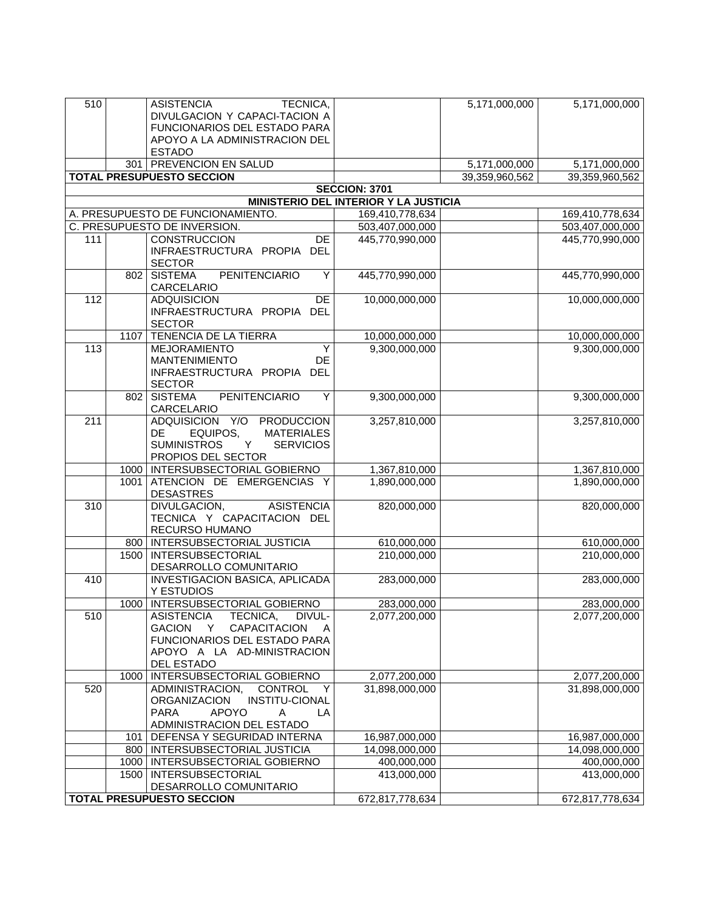| 510              |      | <b>ASISTENCIA</b><br>TECNICA,                                                                                                   |                                              | 5,171,000,000  | 5,171,000,000   |
|------------------|------|---------------------------------------------------------------------------------------------------------------------------------|----------------------------------------------|----------------|-----------------|
|                  |      | DIVULGACION Y CAPACI-TACION A<br>FUNCIONARIOS DEL ESTADO PARA                                                                   |                                              |                |                 |
|                  |      | APOYO A LA ADMINISTRACION DEL                                                                                                   |                                              |                |                 |
|                  |      | <b>ESTADO</b>                                                                                                                   |                                              |                |                 |
|                  |      | 301   PREVENCION EN SALUD                                                                                                       |                                              | 5,171,000,000  | 5,171,000,000   |
|                  |      | <b>TOTAL PRESUPUESTO SECCION</b>                                                                                                |                                              | 39,359,960,562 | 39,359,960,562  |
|                  |      |                                                                                                                                 | <b>SECCION: 3701</b>                         |                |                 |
|                  |      |                                                                                                                                 | <b>MINISTERIO DEL INTERIOR Y LA JUSTICIA</b> |                |                 |
|                  |      | A. PRESUPUESTO DE FUNCIONAMIENTO.                                                                                               | 169,410,778,634                              |                | 169,410,778,634 |
|                  |      | C. PRESUPUESTO DE INVERSION.                                                                                                    | 503,407,000,000                              |                | 503,407,000,000 |
| 111              |      | <b>CONSTRUCCION</b><br><b>DE</b><br>INFRAESTRUCTURA PROPIA DEL<br><b>SECTOR</b>                                                 | 445,770,990,000                              |                | 445,770,990,000 |
|                  | 802  | <b>SISTEMA</b><br>PENITENCIARIO<br>Y<br>CARCELARIO                                                                              | 445,770,990,000                              |                | 445,770,990,000 |
| $\overline{112}$ |      | $\overline{DE}$<br><b>ADQUISICION</b><br>INFRAESTRUCTURA PROPIA DEL<br><b>SECTOR</b>                                            | 10,000,000,000                               |                | 10,000,000,000  |
|                  | 1107 | <b>TENENCIA DE LA TIERRA</b>                                                                                                    | 10,000,000,000                               |                | 10,000,000,000  |
| 113              |      | Y<br><b>MEJORAMIENTO</b>                                                                                                        | 9,300,000,000                                |                | 9,300,000,000   |
|                  |      | <b>MANTENIMIENTO</b><br>DE<br>INFRAESTRUCTURA PROPIA DEL<br><b>SECTOR</b>                                                       |                                              |                |                 |
|                  | 802  | <b>PENITENCIARIO</b><br><b>SISTEMA</b><br>Y<br>CARCELARIO                                                                       | 9,300,000,000                                |                | 9,300,000,000   |
| 211              |      | ADQUISICION Y/O PRODUCCION                                                                                                      | 3,257,810,000                                |                | 3,257,810,000   |
|                  |      | <b>MATERIALES</b><br>DE<br>EQUIPOS,<br><b>SUMINISTROS</b><br>Y<br><b>SERVICIOS</b><br>PROPIOS DEL SECTOR                        |                                              |                |                 |
|                  |      | 1000   INTERSUBSECTORIAL GOBIERNO                                                                                               | 1,367,810,000                                |                | 1,367,810,000   |
|                  | 1001 | ATENCION DE EMERGENCIAS Y<br><b>DESASTRES</b>                                                                                   | 1,890,000,000                                |                | 1,890,000,000   |
| 310              |      | <b>ASISTENCIA</b><br>DIVULGACION,<br>TECNICA Y CAPACITACION DEL<br>RECURSO HUMANO                                               | 820,000,000                                  |                | 820,000,000     |
|                  |      | 800   INTERSUBSECTORIAL JUSTICIA                                                                                                | 610,000,000                                  |                | 610,000,000     |
|                  | 1500 | <b>INTERSUBSECTORIAL</b>                                                                                                        | 210,000,000                                  |                | 210,000,000     |
| 410              |      | DESARROLLO COMUNITARIO<br>INVESTIGACION BASICA, APLICADA                                                                        | 283,000,000                                  |                | 283,000,000     |
|                  |      | Y ESTUDIOS                                                                                                                      |                                              |                |                 |
|                  |      | 1000   INTERSUBSECTORIAL GOBIERNO<br><b>ASISTENCIA</b><br>DIVUL-                                                                | 283,000,000                                  |                | 283,000,000     |
| 510              |      | TECNICA,<br>CAPACITACION<br><b>GACION</b><br>Y<br>A<br>FUNCIONARIOS DEL ESTADO PARA<br>APOYO A LA AD-MINISTRACION<br>DEL ESTADO | 2,077,200,000                                |                | 2,077,200,000   |
|                  |      | 1000   INTERSUBSECTORIAL GOBIERNO                                                                                               | 2,077,200,000                                |                | 2,077,200,000   |
| 520              |      | ADMINISTRACION,<br>CONTROL Y                                                                                                    | 31,898,000,000                               |                | 31,898,000,000  |
|                  |      | <b>ORGANIZACION</b><br><b>INSTITU-CIONAL</b><br><b>PARA</b><br><b>APOYO</b><br>Α<br>LA                                          |                                              |                |                 |
|                  |      | ADMINISTRACION DEL ESTADO                                                                                                       |                                              |                |                 |
|                  | 101  | DEFENSA Y SEGURIDAD INTERNA                                                                                                     | 16,987,000,000                               |                | 16,987,000,000  |
|                  |      | 800   INTERSUBSECTORIAL JUSTICIA                                                                                                | 14,098,000,000                               |                | 14,098,000,000  |
|                  |      | 1000   INTERSUBSECTORIAL GOBIERNO                                                                                               | 400,000,000                                  |                | 400,000,000     |
|                  |      | 1500   INTERSUBSECTORIAL                                                                                                        | 413,000,000                                  |                | 413,000,000     |
|                  |      | DESARROLLO COMUNITARIO                                                                                                          |                                              |                |                 |
|                  |      | <b>TOTAL PRESUPUESTO SECCION</b>                                                                                                | 672,817,778,634                              |                | 672,817,778,634 |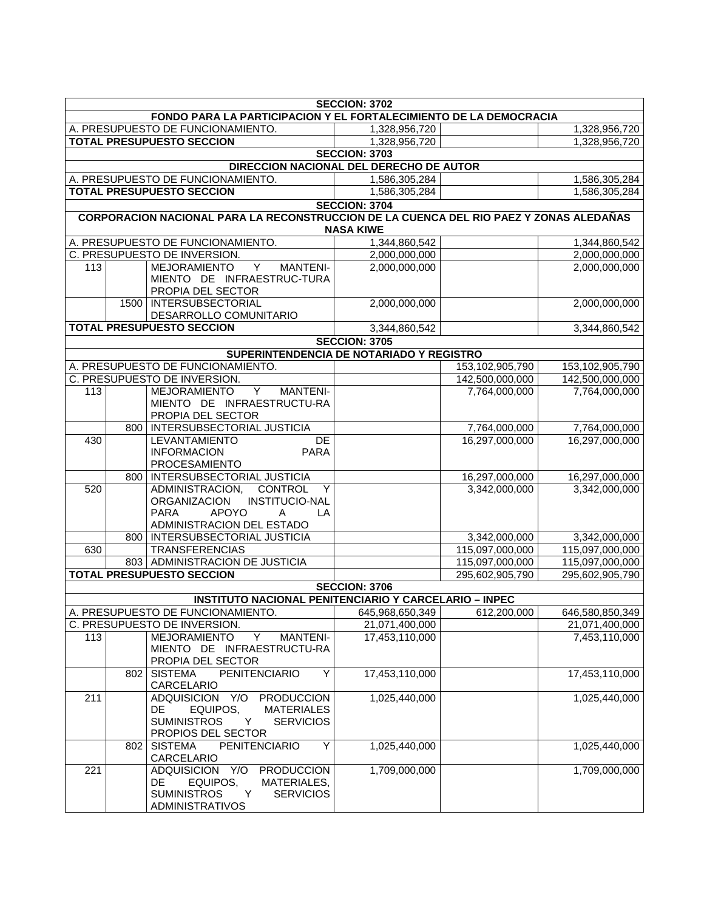| <b>SECCION: 3702</b>                                              |     |                                                                                        |                      |                                 |                                 |
|-------------------------------------------------------------------|-----|----------------------------------------------------------------------------------------|----------------------|---------------------------------|---------------------------------|
| FONDO PARA LA PARTICIPACION Y EL FORTALECIMIENTO DE LA DEMOCRACIA |     |                                                                                        |                      |                                 |                                 |
| A. PRESUPUESTO DE FUNCIONAMIENTO.                                 |     |                                                                                        | 1,328,956,720        |                                 | 1,328,956,720                   |
| <b>TOTAL PRESUPUESTO SECCION</b>                                  |     |                                                                                        | 1,328,956,720        |                                 | 1,328,956,720                   |
|                                                                   |     |                                                                                        | <b>SECCION: 3703</b> |                                 |                                 |
| DIRECCION NACIONAL DEL DERECHO DE AUTOR                           |     |                                                                                        |                      |                                 |                                 |
|                                                                   |     | A. PRESUPUESTO DE FUNCIONAMIENTO.                                                      | 1,586,305,284        |                                 | 1,586,305,284                   |
|                                                                   |     | <b>TOTAL PRESUPUESTO SECCION</b>                                                       | 1,586,305,284        |                                 | 1,586,305,284                   |
|                                                                   |     |                                                                                        | <b>SECCION: 3704</b> |                                 |                                 |
|                                                                   |     | CORPORACION NACIONAL PARA LA RECONSTRUCCION DE LA CUENCA DEL RIO PAEZ Y ZONAS ALEDAÑAS | <b>NASA KIWE</b>     |                                 |                                 |
|                                                                   |     | A. PRESUPUESTO DE FUNCIONAMIENTO.                                                      | 1,344,860,542        |                                 | 1,344,860,542                   |
|                                                                   |     | C. PRESUPUESTO DE INVERSION.                                                           | 2,000,000,000        |                                 | 2,000,000,000                   |
| 113                                                               |     | MEJORAMIENTO<br>$\mathsf{Y}$<br><b>MANTENI-</b>                                        | 2,000,000,000        |                                 | 2,000,000,000                   |
|                                                                   |     | MIENTO DE INFRAESTRUC-TURA                                                             |                      |                                 |                                 |
|                                                                   |     | PROPIA DEL SECTOR                                                                      |                      |                                 |                                 |
|                                                                   |     | 1500   INTERSUBSECTORIAL                                                               | 2,000,000,000        |                                 | 2,000,000,000                   |
|                                                                   |     | DESARROLLO COMUNITARIO                                                                 |                      |                                 |                                 |
|                                                                   |     | <b>TOTAL PRESUPUESTO SECCION</b>                                                       | 3,344,860,542        |                                 | 3,344,860,542                   |
|                                                                   |     |                                                                                        | <b>SECCION: 3705</b> |                                 |                                 |
|                                                                   |     | SUPERINTENDENCIA DE NOTARIADO Y REGISTRO                                               |                      |                                 |                                 |
|                                                                   |     | A. PRESUPUESTO DE FUNCIONAMIENTO.                                                      |                      | 153,102,905,790                 | 153,102,905,790                 |
|                                                                   |     | C. PRESUPUESTO DE INVERSION.                                                           |                      | 142,500,000,000                 | 142,500,000,000                 |
| 113                                                               |     | MEJORAMIENTO<br><b>MANTENI-</b><br>Y                                                   |                      | 7,764,000,000                   | 7,764,000,000                   |
|                                                                   |     | MIENTO DE INFRAESTRUCTU-RA                                                             |                      |                                 |                                 |
|                                                                   |     | PROPIA DEL SECTOR                                                                      |                      |                                 |                                 |
|                                                                   |     | 800   INTERSUBSECTORIAL JUSTICIA                                                       |                      | 7,764,000,000                   | 7,764,000,000                   |
| 430                                                               |     | LEVANTAMIENTO<br>DE                                                                    |                      | 16,297,000,000                  | 16,297,000,000                  |
|                                                                   |     | <b>PARA</b><br><b>INFORMACION</b>                                                      |                      |                                 |                                 |
|                                                                   |     | PROCESAMIENTO                                                                          |                      |                                 |                                 |
| 520                                                               |     | 800   INTERSUBSECTORIAL JUSTICIA<br><b>CONTROL</b><br>ADMINISTRACION,<br>Y             |                      | 16,297,000,000<br>3,342,000,000 | 16,297,000,000<br>3,342,000,000 |
|                                                                   |     | <b>INSTITUCIO-NAL</b><br><b>ORGANIZACION</b>                                           |                      |                                 |                                 |
|                                                                   |     | <b>PARA</b><br><b>APOYO</b><br>$\overline{A}$<br>LA                                    |                      |                                 |                                 |
|                                                                   |     | ADMINISTRACION DEL ESTADO                                                              |                      |                                 |                                 |
|                                                                   |     | 800   INTERSUBSECTORIAL JUSTICIA                                                       |                      | 3,342,000,000                   | 3,342,000,000                   |
| 630                                                               |     | <b>TRANSFERENCIAS</b>                                                                  |                      | 115,097,000,000                 | 115,097,000,000                 |
|                                                                   |     | 803   ADMINISTRACION DE JUSTICIA                                                       |                      | 115,097,000,000                 | 115,097,000,000                 |
|                                                                   |     | <b>TOTAL PRESUPUESTO SECCION</b>                                                       |                      | 295,602,905,790                 | 295,602,905,790                 |
|                                                                   |     |                                                                                        | <b>SECCION: 3706</b> |                                 |                                 |
|                                                                   |     | <b>INSTITUTO NACIONAL PENITENCIARIO Y CARCELARIO - INPEC</b>                           |                      |                                 |                                 |
|                                                                   |     | A. PRESUPUESTO DE FUNCIONAMIENTO.                                                      | 645,968,650,349      | 612,200,000                     | 646,580,850,349                 |
|                                                                   |     | C. PRESUPUESTO DE INVERSION.                                                           | 21,071,400,000       |                                 | 21,071,400,000                  |
| 113                                                               |     | Y<br><b>MEJORAMIENTO</b><br><b>MANTENI-</b>                                            | 17,453,110,000       |                                 | 7,453,110,000                   |
|                                                                   |     | MIENTO DE INFRAESTRUCTU-RA                                                             |                      |                                 |                                 |
|                                                                   |     | PROPIA DEL SECTOR                                                                      |                      |                                 |                                 |
|                                                                   | 802 | <b>SISTEMA</b><br><b>PENITENCIARIO</b><br>Υ<br>CARCELARIO                              | 17,453,110,000       |                                 | 17,453,110,000                  |
| 211                                                               |     | Y/O PRODUCCION<br><b>ADQUISICION</b>                                                   | 1,025,440,000        |                                 | 1,025,440,000                   |
|                                                                   |     | DE<br>EQUIPOS,<br><b>MATERIALES</b>                                                    |                      |                                 |                                 |
|                                                                   |     | <b>SUMINISTROS</b><br><b>SERVICIOS</b><br>Y                                            |                      |                                 |                                 |
|                                                                   |     | PROPIOS DEL SECTOR                                                                     |                      |                                 |                                 |
|                                                                   | 802 | <b>SISTEMA</b><br><b>PENITENCIARIO</b><br>Y                                            | 1,025,440,000        |                                 | 1,025,440,000                   |
|                                                                   |     | CARCELARIO                                                                             |                      |                                 |                                 |
| 221                                                               |     | <b>ADQUISICION</b><br>Y/O<br><b>PRODUCCION</b>                                         | 1,709,000,000        |                                 | 1,709,000,000                   |
|                                                                   |     | DE<br>EQUIPOS,<br>MATERIALES,                                                          |                      |                                 |                                 |
|                                                                   |     | <b>SUMINISTROS</b><br><b>SERVICIOS</b><br>Y                                            |                      |                                 |                                 |
|                                                                   |     | <b>ADMINISTRATIVOS</b>                                                                 |                      |                                 |                                 |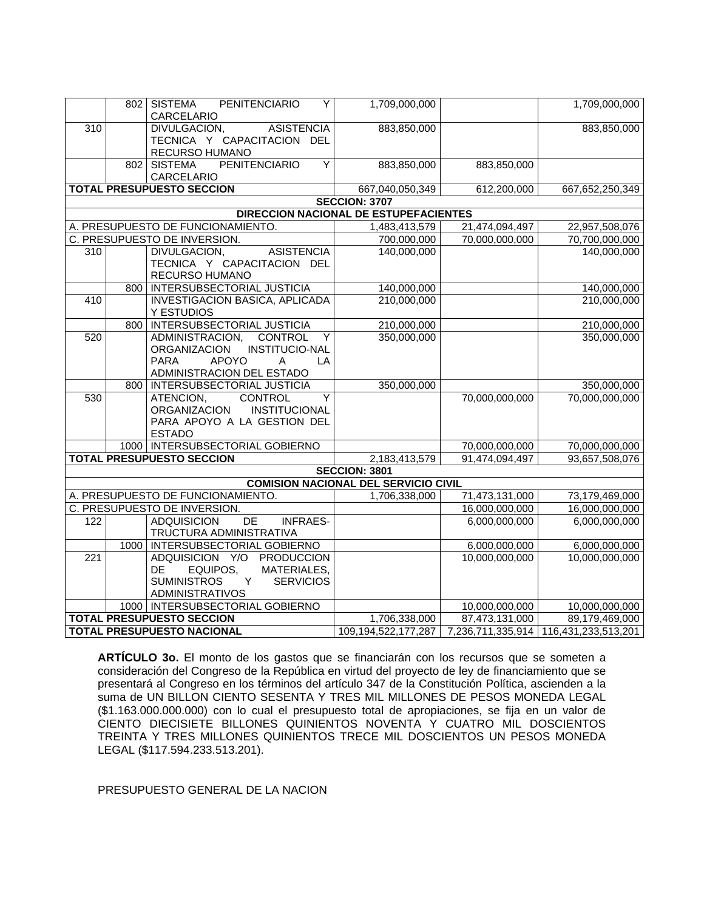|                                                                                  |     | <b>PENITENCIARIO</b><br>802 SISTEMA<br>Y<br>CARCELARIO | 1,709,000,000                         |                                 | 1,709,000,000                                             |  |
|----------------------------------------------------------------------------------|-----|--------------------------------------------------------|---------------------------------------|---------------------------------|-----------------------------------------------------------|--|
| $\overline{310}$                                                                 |     | ASISTENCIA<br>DIVULGACION,                             | 883,850,000                           |                                 | 883,850,000                                               |  |
|                                                                                  |     | TECNICA Y CAPACITACION DEL                             |                                       |                                 |                                                           |  |
|                                                                                  |     | RECURSO HUMANO                                         |                                       |                                 |                                                           |  |
|                                                                                  |     | <b>PENITENCIARIO</b><br>Y<br>802 SISTEMA               | 883,850,000                           | 883,850,000                     |                                                           |  |
|                                                                                  |     | CARCELARIO                                             |                                       |                                 |                                                           |  |
|                                                                                  |     | <b>TOTAL PRESUPUESTO SECCION</b>                       | 667,040,050,349                       | 612,200,000                     | 667,652,250,349                                           |  |
|                                                                                  |     |                                                        | <b>SECCION: 3707</b>                  |                                 |                                                           |  |
|                                                                                  |     |                                                        | DIRECCION NACIONAL DE ESTUPEFACIENTES |                                 |                                                           |  |
|                                                                                  |     | A. PRESUPUESTO DE FUNCIONAMIENTO.                      | 1,483,413,579                         | 21,474,094,497                  | 22,957,508,076                                            |  |
|                                                                                  |     | C. PRESUPUESTO DE INVERSION.                           | 700,000,000                           | 70,000,000,000                  | 70,700,000,000                                            |  |
| 310                                                                              |     | <b>DIVULGACION,</b><br><b>ASISTENCIA</b>               | 140,000,000                           |                                 | 140,000,000                                               |  |
|                                                                                  |     | TECNICA Y CAPACITACION DEL                             |                                       |                                 |                                                           |  |
|                                                                                  |     | RECURSO HUMANO<br>800   INTERSUBSECTORIAL JUSTICIA     | 140,000,000                           |                                 | 140,000,000                                               |  |
| 410                                                                              |     | INVESTIGACION BASICA, APLICADA                         | 210,000,000                           |                                 | 210,000,000                                               |  |
|                                                                                  |     | Y ESTUDIOS                                             |                                       |                                 |                                                           |  |
|                                                                                  | 800 | <b>INTERSUBSECTORIAL JUSTICIA</b>                      | 210,000,000                           |                                 | 210,000,000                                               |  |
| 520                                                                              |     | $\overline{Y}$<br>ADMINISTRACION,<br><b>CONTROL</b>    | 350,000,000                           |                                 | 350,000,000                                               |  |
|                                                                                  |     | INSTITUCIO-NAL<br>ORGANIZACION                         |                                       |                                 |                                                           |  |
|                                                                                  |     | <b>APOYO</b><br><b>PARA</b><br>LA<br>$\overline{A}$    |                                       |                                 |                                                           |  |
|                                                                                  |     | ADMINISTRACION DEL ESTADO                              |                                       |                                 |                                                           |  |
|                                                                                  |     | 800   INTERSUBSECTORIAL JUSTICIA                       | 350,000,000                           |                                 | 350,000,000                                               |  |
| 530                                                                              |     | ATENCION,<br><b>CONTROL</b><br>Y                       |                                       | 70,000,000,000                  | 70,000,000,000                                            |  |
|                                                                                  |     | ORGANIZACION<br><b>INSTITUCIONAL</b>                   |                                       |                                 |                                                           |  |
|                                                                                  |     | PARA APOYO A LA GESTION DEL                            |                                       |                                 |                                                           |  |
|                                                                                  |     | <b>ESTADO</b>                                          |                                       |                                 |                                                           |  |
|                                                                                  |     | 1000   INTERSUBSECTORIAL GOBIERNO                      |                                       | 70,000,000,000                  | 70,000,000,000                                            |  |
|                                                                                  |     | <b>TOTAL PRESUPUESTO SECCION</b>                       | 2,183,413,579                         | 91,474,094,497                  | 93,657,508,076                                            |  |
|                                                                                  |     |                                                        | <b>SECCION: 3801</b>                  |                                 |                                                           |  |
| <b>COMISION NACIONAL DEL SERVICIO CIVIL</b><br>A. PRESUPUESTO DE FUNCIONAMIENTO. |     |                                                        |                                       |                                 |                                                           |  |
|                                                                                  |     | C. PRESUPUESTO DE INVERSION.                           | 1,706,338,000                         | 71,473,131,000                  | 73,179,469,000                                            |  |
| 122                                                                              |     | <b>ADQUISICION</b><br>DE<br><b>INFRAES-</b>            |                                       | 16,000,000,000<br>6,000,000,000 | 16,000,000,000<br>6,000,000,000                           |  |
|                                                                                  |     | TRUCTURA ADMINISTRATIVA                                |                                       |                                 |                                                           |  |
|                                                                                  |     | 1000   INTERSUBSECTORIAL GOBIERNO                      |                                       | 6,000,000,000                   | 6,000,000,000                                             |  |
| $\overline{221}$                                                                 |     | ADQUISICION Y/O PRODUCCION                             |                                       | 10,000,000,000                  | 10,000,000,000                                            |  |
|                                                                                  |     | DE<br>EQUIPOS,<br>MATERIALES,                          |                                       |                                 |                                                           |  |
|                                                                                  |     | <b>SUMINISTROS</b><br><b>SERVICIOS</b><br>Y            |                                       |                                 |                                                           |  |
|                                                                                  |     | <b>ADMINISTRATIVOS</b>                                 |                                       |                                 |                                                           |  |
|                                                                                  |     | 1000   INTERSUBSECTORIAL GOBIERNO                      |                                       | 10,000,000,000                  | 10,000,000,000                                            |  |
|                                                                                  |     | <b>TOTAL PRESUPUESTO SECCION</b>                       | 1,706,338,000                         | 87,473,131,000                  | 89,179,469,000                                            |  |
| <b>TOTAL PRESUPUESTO NACIONAL</b>                                                |     |                                                        |                                       |                                 | 109,194,522,177,287 7,236,711,335,914 116,431,233,513,201 |  |

**ARTÍCULO 3o.** El monto de los gastos que se financiarán con los recursos que se someten a consideración del Congreso de la República en virtud del proyecto de ley de financiamiento que se presentará al Congreso en los términos del artículo 347 de la Constitución Política, ascienden a la suma de UN BILLON CIENTO SESENTA Y TRES MIL MILLONES DE PESOS MONEDA LEGAL (\$1.163.000.000.000) con lo cual el presupuesto total de apropiaciones, se fija en un valor de CIENTO DIECISIETE BILLONES QUINIENTOS NOVENTA Y CUATRO MIL DOSCIENTOS TREINTA Y TRES MILLONES QUINIENTOS TRECE MIL DOSCIENTOS UN PESOS MONEDA LEGAL (\$117.594.233.513.201).

PRESUPUESTO GENERAL DE LA NACION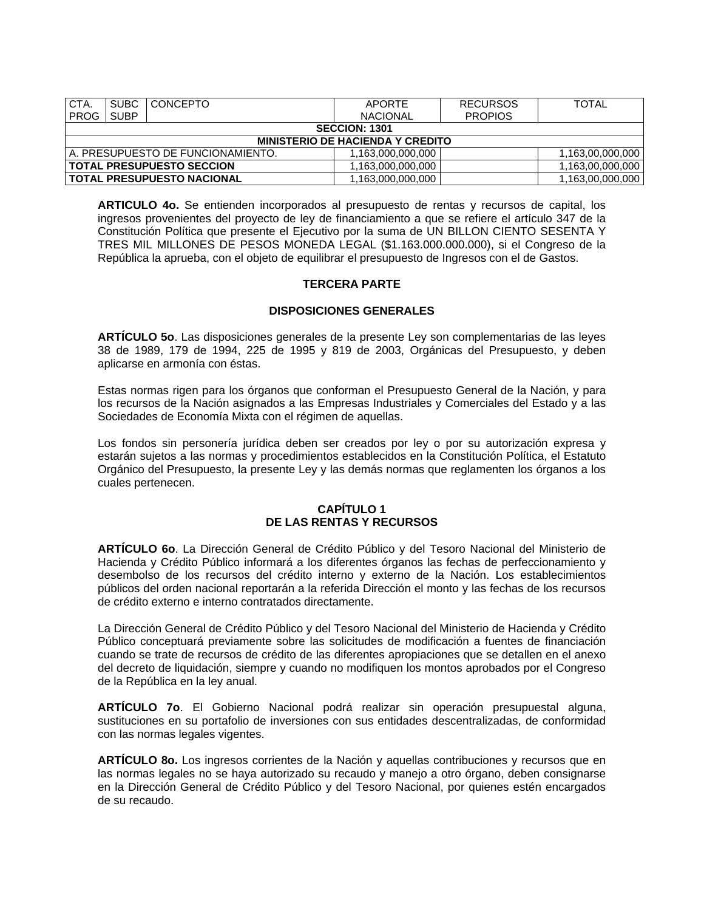| CTA.                                    | <b>SUBC</b> | <b>CONCEPTO</b>                   | APORTE            | <b>RECURSOS</b> | <b>TOTAL</b>     |  |
|-----------------------------------------|-------------|-----------------------------------|-------------------|-----------------|------------------|--|
| <b>PROG</b>                             | <b>SUBP</b> |                                   | <b>NACIONAL</b>   | <b>PROPIOS</b>  |                  |  |
| <b>SECCION: 1301</b>                    |             |                                   |                   |                 |                  |  |
| <b>MINISTERIO DE HACIENDA Y CREDITO</b> |             |                                   |                   |                 |                  |  |
|                                         |             | A. PRESUPUESTO DE FUNCIONAMIENTO. | 1,163,000,000,000 |                 | 1,163,00,000,000 |  |
| <b>TOTAL PRESUPUESTO SECCION</b>        |             |                                   | 1.163.000.000.000 |                 | 1.163.00.000.000 |  |
| <b>TOTAL PRESUPUESTO NACIONAL</b>       |             |                                   | .163.000.000.000  |                 | 1,163,00,000,000 |  |

**ARTICULO 4o.** Se entienden incorporados al presupuesto de rentas y recursos de capital, los ingresos provenientes del proyecto de ley de financiamiento a que se refiere el artículo 347 de la Constitución Política que presente el Ejecutivo por la suma de UN BILLON CIENTO SESENTA Y TRES MIL MILLONES DE PESOS MONEDA LEGAL (\$1.163.000.000.000), si el Congreso de la República la aprueba, con el objeto de equilibrar el presupuesto de Ingresos con el de Gastos.

# **TERCERA PARTE**

## **DISPOSICIONES GENERALES**

**ARTÍCULO 5o**. Las disposiciones generales de la presente Ley son complementarias de las leyes 38 de 1989, 179 de 1994, 225 de 1995 y 819 de 2003, Orgánicas del Presupuesto, y deben aplicarse en armonía con éstas.

Estas normas rigen para los órganos que conforman el Presupuesto General de la Nación, y para los recursos de la Nación asignados a las Empresas Industriales y Comerciales del Estado y a las Sociedades de Economía Mixta con el régimen de aquellas.

Los fondos sin personería jurídica deben ser creados por ley o por su autorización expresa y estarán sujetos a las normas y procedimientos establecidos en la Constitución Política, el Estatuto Orgánico del Presupuesto, la presente Ley y las demás normas que reglamenten los órganos a los cuales pertenecen.

#### **CAPÍTULO 1 DE LAS RENTAS Y RECURSOS**

**ARTÍCULO 6o**. La Dirección General de Crédito Público y del Tesoro Nacional del Ministerio de Hacienda y Crédito Público informará a los diferentes órganos las fechas de perfeccionamiento y desembolso de los recursos del crédito interno y externo de la Nación. Los establecimientos públicos del orden nacional reportarán a la referida Dirección el monto y las fechas de los recursos de crédito externo e interno contratados directamente.

La Dirección General de Crédito Público y del Tesoro Nacional del Ministerio de Hacienda y Crédito Público conceptuará previamente sobre las solicitudes de modificación a fuentes de financiación cuando se trate de recursos de crédito de las diferentes apropiaciones que se detallen en el anexo del decreto de liquidación, siempre y cuando no modifiquen los montos aprobados por el Congreso de la República en la ley anual.

**ARTÍCULO 7o**. El Gobierno Nacional podrá realizar sin operación presupuestal alguna, sustituciones en su portafolio de inversiones con sus entidades descentralizadas, de conformidad con las normas legales vigentes.

**ARTÍCULO 8o.** Los ingresos corrientes de la Nación y aquellas contribuciones y recursos que en las normas legales no se haya autorizado su recaudo y manejo a otro órgano, deben consignarse en la Dirección General de Crédito Público y del Tesoro Nacional, por quienes estén encargados de su recaudo.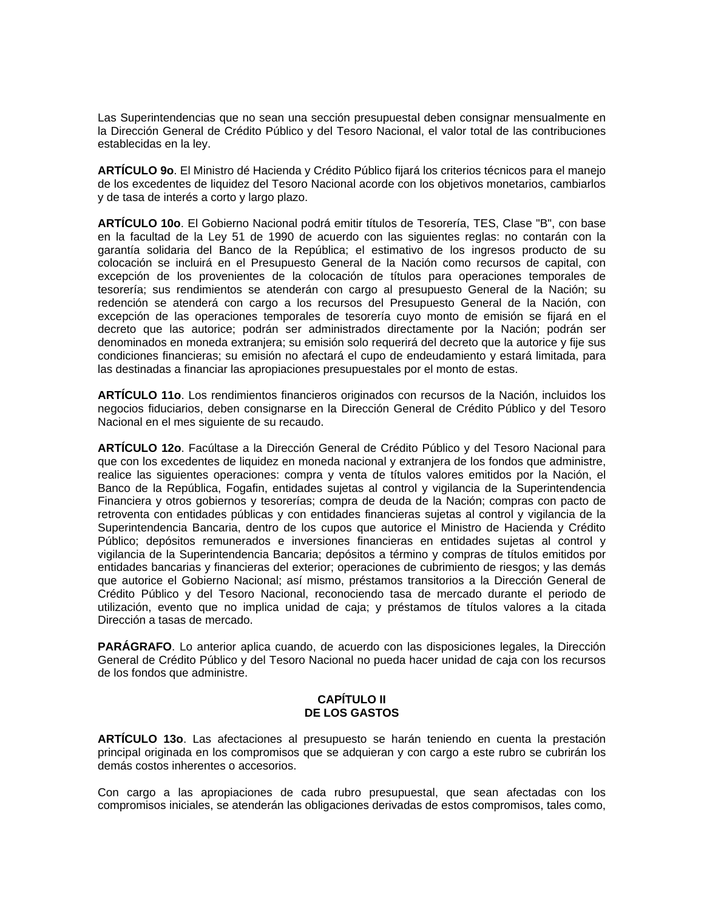Las Superintendencias que no sean una sección presupuestal deben consignar mensualmente en la Dirección General de Crédito Público y del Tesoro Nacional, el valor total de las contribuciones establecidas en la ley.

**ARTÍCULO 9o**. El Ministro dé Hacienda y Crédito Público fijará los criterios técnicos para el manejo de los excedentes de liquidez del Tesoro Nacional acorde con los objetivos monetarios, cambiarlos y de tasa de interés a corto y largo plazo.

**ARTÍCULO 10o**. El Gobierno Nacional podrá emitir títulos de Tesorería, TES, Clase "B", con base en la facultad de la Ley 51 de 1990 de acuerdo con las siguientes reglas: no contarán con la garantía solidaria del Banco de la República; el estimativo de los ingresos producto de su colocación se incluirá en el Presupuesto General de la Nación como recursos de capital, con excepción de los provenientes de la colocación de títulos para operaciones temporales de tesorería; sus rendimientos se atenderán con cargo al presupuesto General de la Nación; su redención se atenderá con cargo a los recursos del Presupuesto General de la Nación, con excepción de las operaciones temporales de tesorería cuyo monto de emisión se fijará en el decreto que las autorice; podrán ser administrados directamente por la Nación; podrán ser denominados en moneda extranjera; su emisión solo requerirá del decreto que la autorice y fije sus condiciones financieras; su emisión no afectará el cupo de endeudamiento y estará limitada, para las destinadas a financiar las apropiaciones presupuestales por el monto de estas.

**ARTÍCULO 11o**. Los rendimientos financieros originados con recursos de la Nación, incluidos los negocios fiduciarios, deben consignarse en la Dirección General de Crédito Público y del Tesoro Nacional en el mes siguiente de su recaudo.

**ARTÍCULO 12o**. Facúltase a la Dirección General de Crédito Público y del Tesoro Nacional para que con los excedentes de liquidez en moneda nacional y extranjera de los fondos que administre, realice las siguientes operaciones: compra y venta de títulos valores emitidos por la Nación, el Banco de la República, Fogafin, entidades sujetas al control y vigilancia de la Superintendencia Financiera y otros gobiernos y tesorerías; compra de deuda de la Nación; compras con pacto de retroventa con entidades públicas y con entidades financieras sujetas al control y vigilancia de la Superintendencia Bancaria, dentro de los cupos que autorice el Ministro de Hacienda y Crédito Público; depósitos remunerados e inversiones financieras en entidades sujetas al control y vigilancia de la Superintendencia Bancaria; depósitos a término y compras de títulos emitidos por entidades bancarias y financieras del exterior; operaciones de cubrimiento de riesgos; y las demás que autorice el Gobierno Nacional; así mismo, préstamos transitorios a la Dirección General de Crédito Público y del Tesoro Nacional, reconociendo tasa de mercado durante el periodo de utilización, evento que no implica unidad de caja; y préstamos de títulos valores a la citada Dirección a tasas de mercado.

**PARÁGRAFO**. Lo anterior aplica cuando, de acuerdo con las disposiciones legales, la Dirección General de Crédito Público y del Tesoro Nacional no pueda hacer unidad de caja con los recursos de los fondos que administre.

#### **CAPÍTULO II DE LOS GASTOS**

**ARTÍCULO 13o**. Las afectaciones al presupuesto se harán teniendo en cuenta la prestación principal originada en los compromisos que se adquieran y con cargo a este rubro se cubrirán los demás costos inherentes o accesorios.

Con cargo a las apropiaciones de cada rubro presupuestal, que sean afectadas con los compromisos iniciales, se atenderán las obligaciones derivadas de estos compromisos, tales como,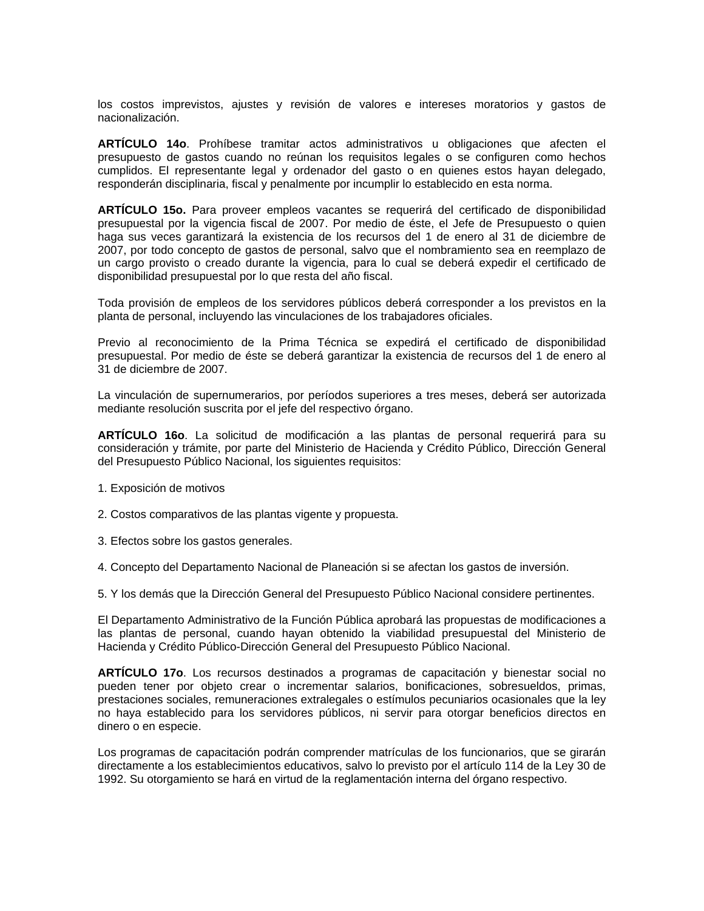los costos imprevistos, ajustes y revisión de valores e intereses moratorios y gastos de nacionalización.

**ARTÍCULO 14o**. Prohíbese tramitar actos administrativos u obligaciones que afecten el presupuesto de gastos cuando no reúnan los requisitos legales o se configuren como hechos cumplidos. El representante legal y ordenador del gasto o en quienes estos hayan delegado, responderán disciplinaria, fiscal y penalmente por incumplir lo establecido en esta norma.

**ARTÍCULO 15o.** Para proveer empleos vacantes se requerirá del certificado de disponibilidad presupuestal por la vigencia fiscal de 2007. Por medio de éste, el Jefe de Presupuesto o quien haga sus veces garantizará la existencia de los recursos del 1 de enero al 31 de diciembre de 2007, por todo concepto de gastos de personal, salvo que el nombramiento sea en reemplazo de un cargo provisto o creado durante la vigencia, para lo cual se deberá expedir el certificado de disponibilidad presupuestal por lo que resta del año fiscal.

Toda provisión de empleos de los servidores públicos deberá corresponder a los previstos en la planta de personal, incluyendo las vinculaciones de los trabajadores oficiales.

Previo al reconocimiento de la Prima Técnica se expedirá el certificado de disponibilidad presupuestal. Por medio de éste se deberá garantizar la existencia de recursos del 1 de enero al 31 de diciembre de 2007.

La vinculación de supernumerarios, por períodos superiores a tres meses, deberá ser autorizada mediante resolución suscrita por el jefe del respectivo órgano.

**ARTÍCULO 16o**. La solicitud de modificación a las plantas de personal requerirá para su consideración y trámite, por parte del Ministerio de Hacienda y Crédito Público, Dirección General del Presupuesto Público Nacional, los siguientes requisitos:

- 1. Exposición de motivos
- 2. Costos comparativos de las plantas vigente y propuesta.
- 3. Efectos sobre los gastos generales.
- 4. Concepto del Departamento Nacional de Planeación si se afectan los gastos de inversión.

5. Y los demás que la Dirección General del Presupuesto Público Nacional considere pertinentes.

El Departamento Administrativo de la Función Pública aprobará las propuestas de modificaciones a las plantas de personal, cuando hayan obtenido la viabilidad presupuestal del Ministerio de Hacienda y Crédito Público-Dirección General del Presupuesto Público Nacional.

**ARTÍCULO 17o**. Los recursos destinados a programas de capacitación y bienestar social no pueden tener por objeto crear o incrementar salarios, bonificaciones, sobresueldos, primas, prestaciones sociales, remuneraciones extralegales o estímulos pecuniarios ocasionales que la ley no haya establecido para los servidores públicos, ni servir para otorgar beneficios directos en dinero o en especie.

Los programas de capacitación podrán comprender matrículas de los funcionarios, que se girarán directamente a los establecimientos educativos, salvo lo previsto por el artículo 114 de la Ley 30 de 1992. Su otorgamiento se hará en virtud de la reglamentación interna del órgano respectivo.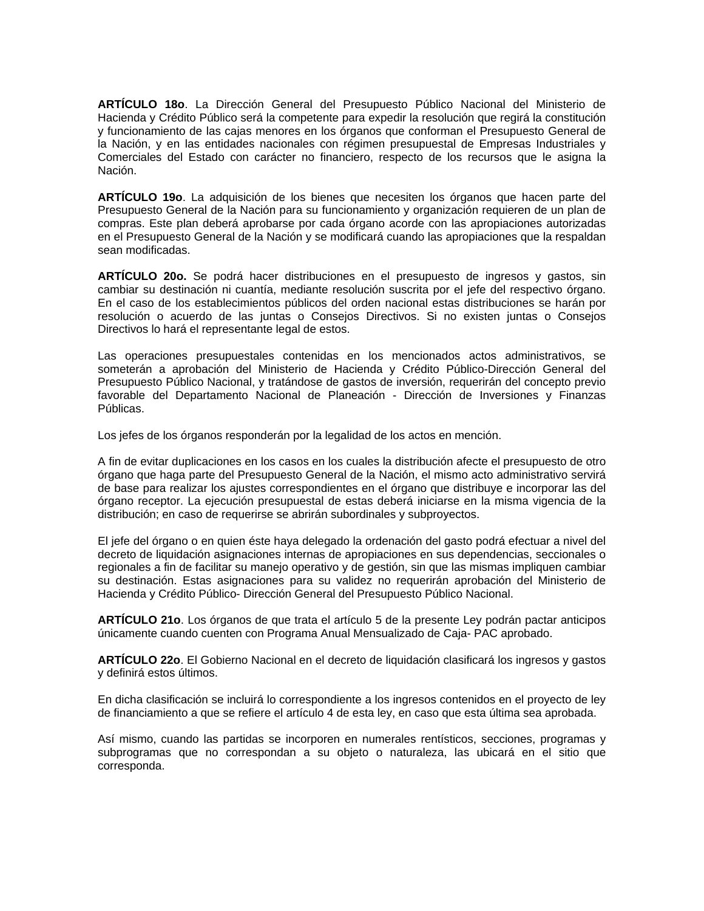**ARTÍCULO 18o**. La Dirección General del Presupuesto Público Nacional del Ministerio de Hacienda y Crédito Público será la competente para expedir la resolución que regirá la constitución y funcionamiento de las cajas menores en los órganos que conforman el Presupuesto General de la Nación, y en las entidades nacionales con régimen presupuestal de Empresas Industriales y Comerciales del Estado con carácter no financiero, respecto de los recursos que le asigna la Nación.

**ARTÍCULO 19o**. La adquisición de los bienes que necesiten los órganos que hacen parte del Presupuesto General de la Nación para su funcionamiento y organización requieren de un plan de compras. Este plan deberá aprobarse por cada órgano acorde con las apropiaciones autorizadas en el Presupuesto General de la Nación y se modificará cuando las apropiaciones que la respaldan sean modificadas.

**ARTÍCULO 20o.** Se podrá hacer distribuciones en el presupuesto de ingresos y gastos, sin cambiar su destinación ni cuantía, mediante resolución suscrita por el jefe del respectivo órgano. En el caso de los establecimientos públicos del orden nacional estas distribuciones se harán por resolución o acuerdo de las juntas o Consejos Directivos. Si no existen juntas o Consejos Directivos lo hará el representante legal de estos.

Las operaciones presupuestales contenidas en los mencionados actos administrativos, se someterán a aprobación del Ministerio de Hacienda y Crédito Público-Dirección General del Presupuesto Público Nacional, y tratándose de gastos de inversión, requerirán del concepto previo favorable del Departamento Nacional de Planeación - Dirección de Inversiones y Finanzas Públicas.

Los jefes de los órganos responderán por la legalidad de los actos en mención.

A fin de evitar duplicaciones en los casos en los cuales la distribución afecte el presupuesto de otro órgano que haga parte del Presupuesto General de la Nación, el mismo acto administrativo servirá de base para realizar los ajustes correspondientes en el órgano que distribuye e incorporar las del órgano receptor. La ejecución presupuestal de estas deberá iniciarse en la misma vigencia de la distribución; en caso de requerirse se abrirán subordinales y subproyectos.

El jefe del órgano o en quien éste haya delegado la ordenación del gasto podrá efectuar a nivel del decreto de liquidación asignaciones internas de apropiaciones en sus dependencias, seccionales o regionales a fin de facilitar su manejo operativo y de gestión, sin que las mismas impliquen cambiar su destinación. Estas asignaciones para su validez no requerirán aprobación del Ministerio de Hacienda y Crédito Público- Dirección General del Presupuesto Público Nacional.

**ARTÍCULO 21o**. Los órganos de que trata el artículo 5 de la presente Ley podrán pactar anticipos únicamente cuando cuenten con Programa Anual Mensualizado de Caja- PAC aprobado.

**ARTÍCULO 22o**. El Gobierno Nacional en el decreto de liquidación clasificará los ingresos y gastos y definirá estos últimos.

En dicha clasificación se incluirá lo correspondiente a los ingresos contenidos en el proyecto de ley de financiamiento a que se refiere el artículo 4 de esta ley, en caso que esta última sea aprobada.

Así mismo, cuando las partidas se incorporen en numerales rentísticos, secciones, programas y subprogramas que no correspondan a su objeto o naturaleza, las ubicará en el sitio que corresponda.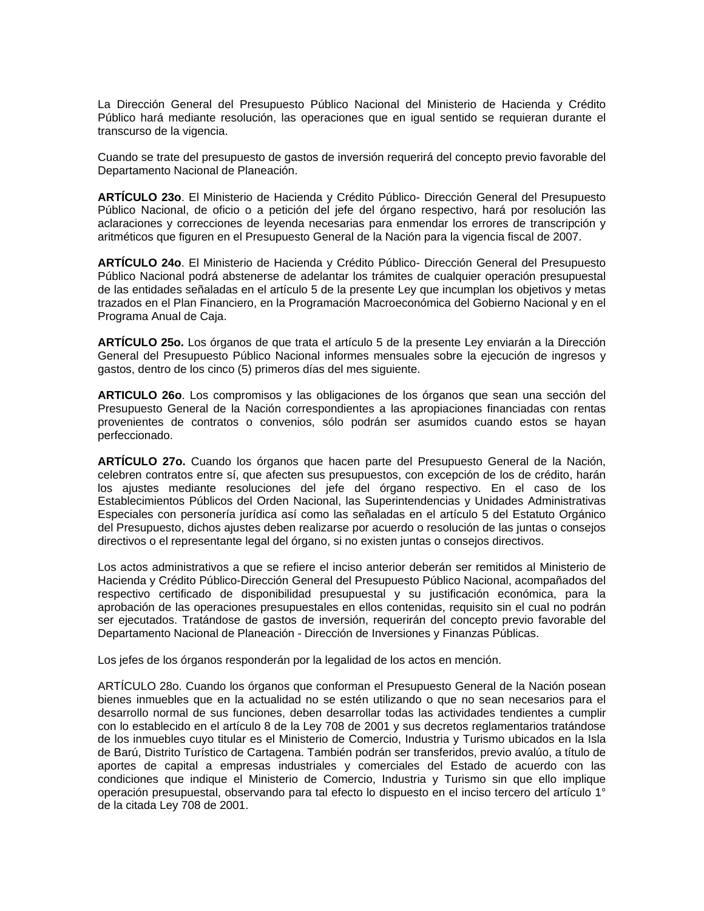La Dirección General del Presupuesto Público Nacional del Ministerio de Hacienda y Crédito Público hará mediante resolución, las operaciones que en igual sentido se requieran durante el transcurso de la vigencia.

Cuando se trate del presupuesto de gastos de inversión requerirá del concepto previo favorable del Departamento Nacional de Planeación.

**ARTÍCULO 23o**. El Ministerio de Hacienda y Crédito Público- Dirección General del Presupuesto Público Nacional, de oficio o a petición del jefe del órgano respectivo, hará por resolución las aclaraciones y correcciones de leyenda necesarias para enmendar los errores de transcripción y aritméticos que figuren en el Presupuesto General de la Nación para la vigencia fiscal de 2007.

**ARTÍCULO 24o**. El Ministerio de Hacienda y Crédito Público- Dirección General del Presupuesto Público Nacional podrá abstenerse de adelantar los trámites de cualquier operación presupuestal de las entidades señaladas en el artículo 5 de la presente Ley que incumplan los objetivos y metas trazados en el Plan Financiero, en la Programación Macroeconómica del Gobierno Nacional y en el Programa Anual de Caja.

**ARTÍCULO 25o.** Los órganos de que trata el artículo 5 de la presente Ley enviarán a la Dirección General del Presupuesto Público Nacional informes mensuales sobre la ejecución de ingresos y gastos, dentro de los cinco (5) primeros días del mes siguiente.

**ARTICULO 26o**. Los compromisos y las obligaciones de los órganos que sean una sección del Presupuesto General de la Nación correspondientes a las apropiaciones financiadas con rentas provenientes de contratos o convenios, sólo podrán ser asumidos cuando estos se hayan perfeccionado.

**ARTÍCULO 27o.** Cuando los órganos que hacen parte del Presupuesto General de la Nación, celebren contratos entre sí, que afecten sus presupuestos, con excepción de los de crédito, harán los ajustes mediante resoluciones del jefe del órgano respectivo. En el caso de los Establecimientos Públicos del Orden Nacional, las Superintendencias y Unidades Administrativas Especiales con personería jurídica así como las señaladas en el artículo 5 del Estatuto Orgánico del Presupuesto, dichos ajustes deben realizarse por acuerdo o resolución de las juntas o consejos directivos o el representante legal del órgano, si no existen juntas o consejos directivos.

Los actos administrativos a que se refiere el inciso anterior deberán ser remitidos al Ministerio de Hacienda y Crédito Público-Dirección General del Presupuesto Público Nacional, acompañados del respectivo certificado de disponibilidad presupuestal y su justificación económica, para la aprobación de las operaciones presupuestales en ellos contenidas, requisito sin el cual no podrán ser ejecutados. Tratándose de gastos de inversión, requerirán del concepto previo favorable del Departamento Nacional de Planeación - Dirección de Inversiones y Finanzas Públicas.

Los jefes de los órganos responderán por la legalidad de los actos en mención.

ARTÍCULO 28o. Cuando los órganos que conforman el Presupuesto General de la Nación posean bienes inmuebles que en la actualidad no se estén utilizando o que no sean necesarios para el desarrollo normal de sus funciones, deben desarrollar todas las actividades tendientes a cumplir con lo establecido en el artículo 8 de la Ley 708 de 2001 y sus decretos reglamentarios tratándose de los inmuebles cuyo titular es el Ministerio de Comercio, Industria y Turismo ubicados en la Isla de Barú, Distrito Turístico de Cartagena. También podrán ser transferidos, previo avalúo, a título de aportes de capital a empresas industriales y comerciales del Estado de acuerdo con las condiciones que indique el Ministerio de Comercio, Industria y Turismo sin que ello implique operación presupuestal, observando para tal efecto lo dispuesto en el inciso tercero del artículo 1° de la citada Ley 708 de 2001.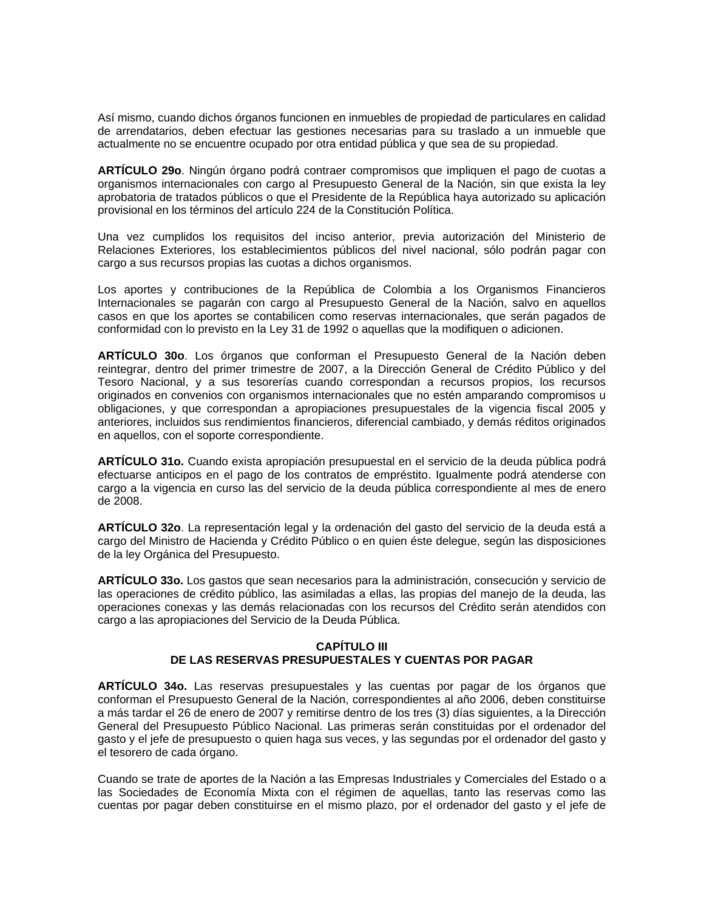Así mismo, cuando dichos órganos funcionen en inmuebles de propiedad de particulares en calidad de arrendatarios, deben efectuar las gestiones necesarias para su traslado a un inmueble que actualmente no se encuentre ocupado por otra entidad pública y que sea de su propiedad.

**ARTÍCULO 29o**. Ningún órgano podrá contraer compromisos que impliquen el pago de cuotas a organismos internacionales con cargo al Presupuesto General de la Nación, sin que exista la ley aprobatoria de tratados públicos o que el Presidente de la República haya autorizado su aplicación provisional en los términos del artículo 224 de la Constitución Política.

Una vez cumplidos los requisitos del inciso anterior, previa autorización del Ministerio de Relaciones Exteriores, los establecimientos públicos del nivel nacional, sólo podrán pagar con cargo a sus recursos propias las cuotas a dichos organismos.

Los aportes y contribuciones de la República de Colombia a los Organismos Financieros Internacionales se pagarán con cargo al Presupuesto General de la Nación, salvo en aquellos casos en que los aportes se contabilicen como reservas internacionales, que serán pagados de conformidad con lo previsto en la Ley 31 de 1992 o aquellas que la modifiquen o adicionen.

**ARTÍCULO 30o**. Los órganos que conforman el Presupuesto General de la Nación deben reintegrar, dentro del primer trimestre de 2007, a la Dirección General de Crédito Público y del Tesoro Nacional, y a sus tesorerías cuando correspondan a recursos propios, los recursos originados en convenios con organismos internacionales que no estén amparando compromisos u obligaciones, y que correspondan a apropiaciones presupuestales de la vigencia fiscal 2005 y anteriores, incluidos sus rendimientos financieros, diferencial cambiado, y demás réditos originados en aquellos, con el soporte correspondiente.

**ARTÍCULO 31o.** Cuando exista apropiación presupuestal en el servicio de la deuda pública podrá efectuarse anticipos en el pago de los contratos de empréstito. Igualmente podrá atenderse con cargo a la vigencia en curso las del servicio de la deuda pública correspondiente al mes de enero de 2008.

**ARTÍCULO 32o**. La representación legal y la ordenación del gasto del servicio de la deuda está a cargo del Ministro de Hacienda y Crédito Público o en quien éste delegue, según las disposiciones de la ley Orgánica del Presupuesto.

**ARTÍCULO 33o.** Los gastos que sean necesarios para la administración, consecución y servicio de las operaciones de crédito público, las asimiladas a ellas, las propias del manejo de la deuda, las operaciones conexas y las demás relacionadas con los recursos del Crédito serán atendidos con cargo a las apropiaciones del Servicio de la Deuda Pública.

# **CAPÍTULO III DE LAS RESERVAS PRESUPUESTALES Y CUENTAS POR PAGAR**

**ARTÍCULO 34o.** Las reservas presupuestales y las cuentas por pagar de los órganos que conforman el Presupuesto General de la Nación, correspondientes al año 2006, deben constituirse a más tardar el 26 de enero de 2007 y remitirse dentro de los tres (3) días siguientes, a la Dirección General del Presupuesto Público Nacional. Las primeras serán constituidas por el ordenador del gasto y el jefe de presupuesto o quien haga sus veces, y las segundas por el ordenador del gasto y el tesorero de cada órgano.

Cuando se trate de aportes de la Nación a las Empresas Industriales y Comerciales del Estado o a las Sociedades de Economía Mixta con el régimen de aquellas, tanto las reservas como las cuentas por pagar deben constituirse en el mismo plazo, por el ordenador del gasto y el jefe de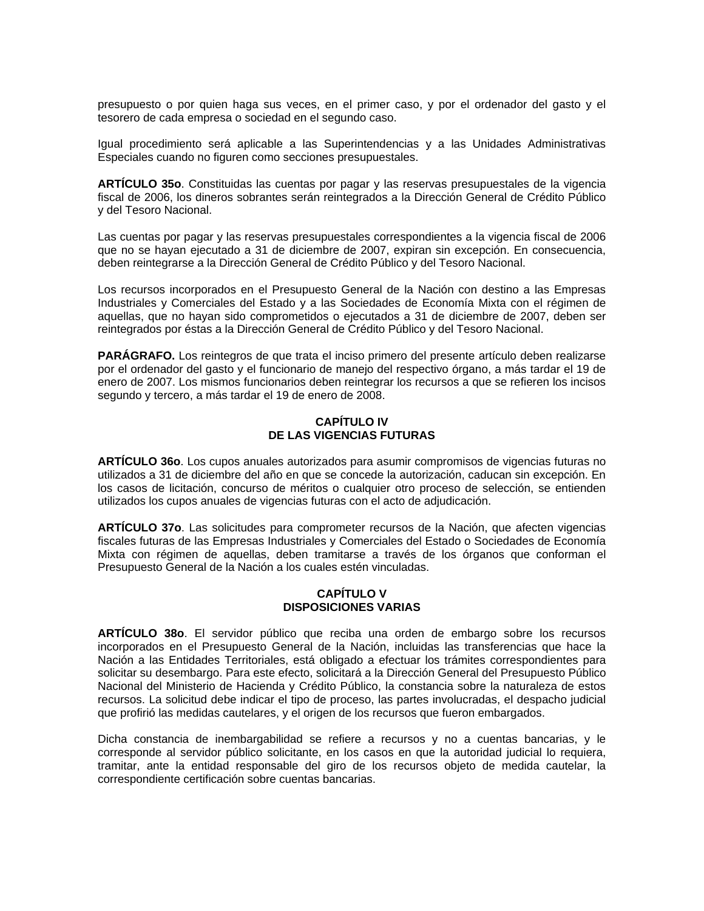presupuesto o por quien haga sus veces, en el primer caso, y por el ordenador del gasto y el tesorero de cada empresa o sociedad en el segundo caso.

Igual procedimiento será aplicable a las Superintendencias y a las Unidades Administrativas Especiales cuando no figuren como secciones presupuestales.

**ARTÍCULO 35o**. Constituidas las cuentas por pagar y las reservas presupuestales de la vigencia fiscal de 2006, los dineros sobrantes serán reintegrados a la Dirección General de Crédito Público y del Tesoro Nacional.

Las cuentas por pagar y las reservas presupuestales correspondientes a la vigencia fiscal de 2006 que no se hayan ejecutado a 31 de diciembre de 2007, expiran sin excepción. En consecuencia, deben reintegrarse a la Dirección General de Crédito Público y del Tesoro Nacional.

Los recursos incorporados en el Presupuesto General de la Nación con destino a las Empresas Industriales y Comerciales del Estado y a las Sociedades de Economía Mixta con el régimen de aquellas, que no hayan sido comprometidos o ejecutados a 31 de diciembre de 2007, deben ser reintegrados por éstas a la Dirección General de Crédito Público y del Tesoro Nacional.

**PARÁGRAFO.** Los reintegros de que trata el inciso primero del presente artículo deben realizarse por el ordenador del gasto y el funcionario de manejo del respectivo órgano, a más tardar el 19 de enero de 2007. Los mismos funcionarios deben reintegrar los recursos a que se refieren los incisos segundo y tercero, a más tardar el 19 de enero de 2008.

## **CAPÍTULO IV DE LAS VIGENCIAS FUTURAS**

**ARTÍCULO 36o**. Los cupos anuales autorizados para asumir compromisos de vigencias futuras no utilizados a 31 de diciembre del año en que se concede la autorización, caducan sin excepción. En los casos de licitación, concurso de méritos o cualquier otro proceso de selección, se entienden utilizados los cupos anuales de vigencias futuras con el acto de adjudicación.

**ARTÍCULO 37o**. Las solicitudes para comprometer recursos de la Nación, que afecten vigencias fiscales futuras de las Empresas Industriales y Comerciales del Estado o Sociedades de Economía Mixta con régimen de aquellas, deben tramitarse a través de los órganos que conforman el Presupuesto General de la Nación a los cuales estén vinculadas.

# **CAPÍTULO V DISPOSICIONES VARIAS**

**ARTÍCULO 38o**. El servidor público que reciba una orden de embargo sobre los recursos incorporados en el Presupuesto General de la Nación, incluidas las transferencias que hace la Nación a las Entidades Territoriales, está obligado a efectuar los trámites correspondientes para solicitar su desembargo. Para este efecto, solicitará a la Dirección General del Presupuesto Público Nacional del Ministerio de Hacienda y Crédito Público, la constancia sobre la naturaleza de estos recursos. La solicitud debe indicar el tipo de proceso, las partes involucradas, el despacho judicial que profirió las medidas cautelares, y el origen de los recursos que fueron embargados.

Dicha constancia de inembargabilidad se refiere a recursos y no a cuentas bancarias, y le corresponde al servidor público solicitante, en los casos en que la autoridad judicial lo requiera, tramitar, ante la entidad responsable del giro de los recursos objeto de medida cautelar, la correspondiente certificación sobre cuentas bancarias.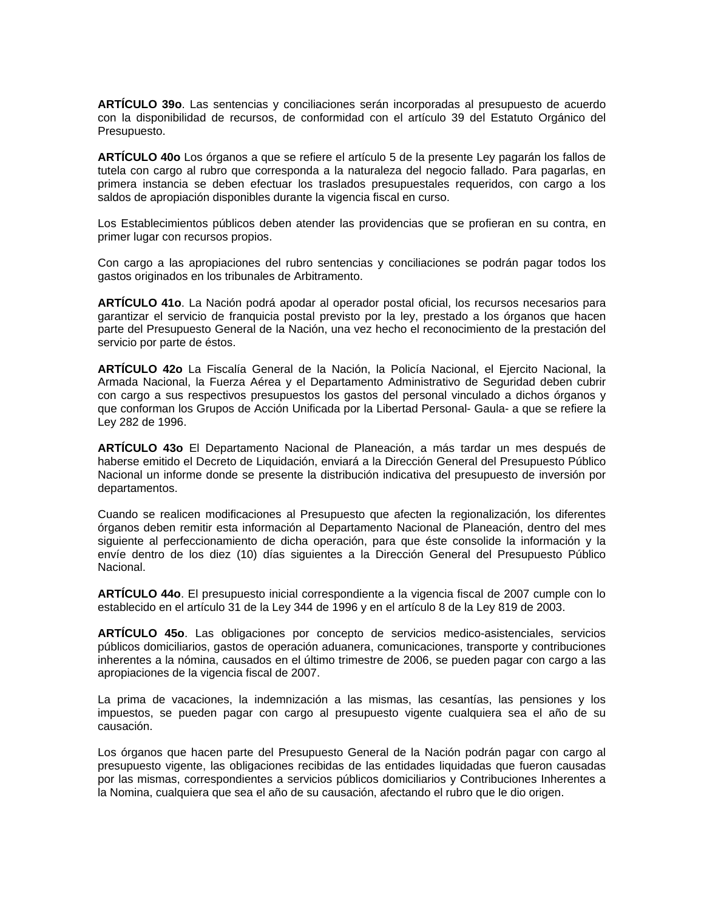**ARTÍCULO 39o**. Las sentencias y conciliaciones serán incorporadas al presupuesto de acuerdo con la disponibilidad de recursos, de conformidad con el artículo 39 del Estatuto Orgánico del Presupuesto.

**ARTÍCULO 40o** Los órganos a que se refiere el artículo 5 de la presente Ley pagarán los fallos de tutela con cargo al rubro que corresponda a la naturaleza del negocio fallado. Para pagarlas, en primera instancia se deben efectuar los traslados presupuestales requeridos, con cargo a los saldos de apropiación disponibles durante la vigencia fiscal en curso.

Los Establecimientos públicos deben atender las providencias que se profieran en su contra, en primer lugar con recursos propios.

Con cargo a las apropiaciones del rubro sentencias y conciliaciones se podrán pagar todos los gastos originados en los tribunales de Arbitramento.

**ARTÍCULO 41o**. La Nación podrá apodar al operador postal oficial, los recursos necesarios para garantizar el servicio de franquicia postal previsto por la ley, prestado a los órganos que hacen parte del Presupuesto General de la Nación, una vez hecho el reconocimiento de la prestación del servicio por parte de éstos.

**ARTÍCULO 42o** La Fiscalía General de la Nación, la Policía Nacional, el Ejercito Nacional, la Armada Nacional, la Fuerza Aérea y el Departamento Administrativo de Seguridad deben cubrir con cargo a sus respectivos presupuestos los gastos del personal vinculado a dichos órganos y que conforman los Grupos de Acción Unificada por la Libertad Personal- Gaula- a que se refiere la Ley 282 de 1996.

**ARTÍCULO 43o** El Departamento Nacional de Planeación, a más tardar un mes después de haberse emitido el Decreto de Liquidación, enviará a la Dirección General del Presupuesto Público Nacional un informe donde se presente la distribución indicativa del presupuesto de inversión por departamentos.

Cuando se realicen modificaciones al Presupuesto que afecten la regionalización, los diferentes órganos deben remitir esta información al Departamento Nacional de Planeación, dentro del mes siguiente al perfeccionamiento de dicha operación, para que éste consolide la información y la envíe dentro de los diez (10) días siguientes a la Dirección General del Presupuesto Público Nacional.

**ARTÍCULO 44o**. El presupuesto inicial correspondiente a la vigencia fiscal de 2007 cumple con lo establecido en el artículo 31 de la Ley 344 de 1996 y en el artículo 8 de la Ley 819 de 2003.

**ARTÍCULO 45o**. Las obligaciones por concepto de servicios medico-asistenciales, servicios públicos domiciliarios, gastos de operación aduanera, comunicaciones, transporte y contribuciones inherentes a la nómina, causados en el último trimestre de 2006, se pueden pagar con cargo a las apropiaciones de la vigencia fiscal de 2007.

La prima de vacaciones, la indemnización a las mismas, las cesantías, las pensiones y los impuestos, se pueden pagar con cargo al presupuesto vigente cualquiera sea el año de su causación.

Los órganos que hacen parte del Presupuesto General de la Nación podrán pagar con cargo al presupuesto vigente, las obligaciones recibidas de las entidades liquidadas que fueron causadas por las mismas, correspondientes a servicios públicos domiciliarios y Contribuciones Inherentes a la Nomina, cualquiera que sea el año de su causación, afectando el rubro que le dio origen.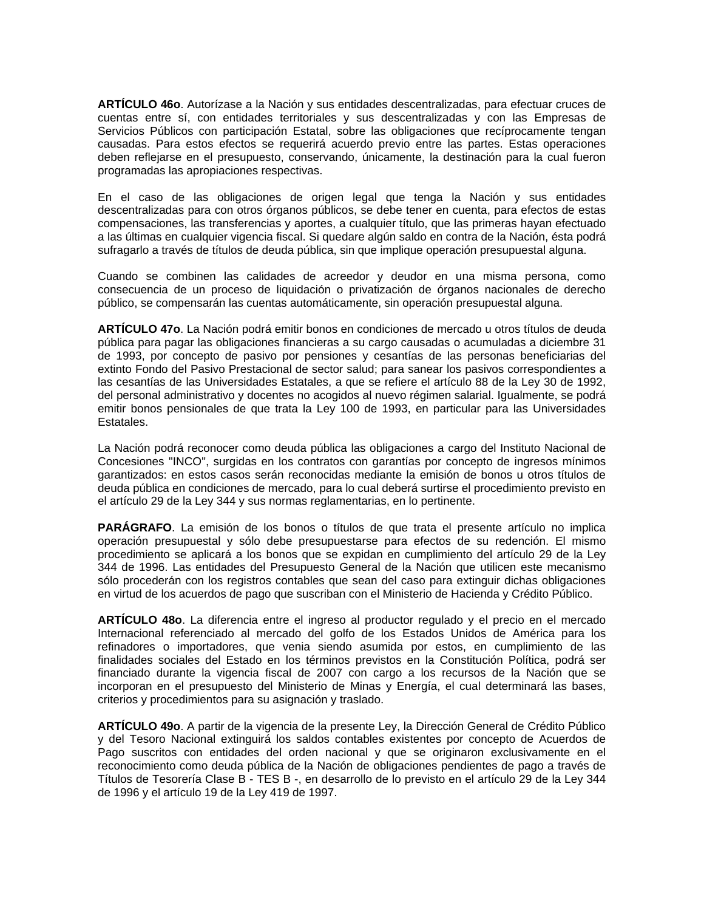**ARTÍCULO 46o**. Autorízase a la Nación y sus entidades descentralizadas, para efectuar cruces de cuentas entre sí, con entidades territoriales y sus descentralizadas y con las Empresas de Servicios Públicos con participación Estatal, sobre las obligaciones que recíprocamente tengan causadas. Para estos efectos se requerirá acuerdo previo entre las partes. Estas operaciones deben reflejarse en el presupuesto, conservando, únicamente, la destinación para la cual fueron programadas las apropiaciones respectivas.

En el caso de las obligaciones de origen legal que tenga la Nación y sus entidades descentralizadas para con otros órganos públicos, se debe tener en cuenta, para efectos de estas compensaciones, las transferencias y aportes, a cualquier título, que las primeras hayan efectuado a las últimas en cualquier vigencia fiscal. Si quedare algún saldo en contra de la Nación, ésta podrá sufragarlo a través de títulos de deuda pública, sin que implique operación presupuestal alguna.

Cuando se combinen las calidades de acreedor y deudor en una misma persona, como consecuencia de un proceso de liquidación o privatización de órganos nacionales de derecho público, se compensarán las cuentas automáticamente, sin operación presupuestal alguna.

**ARTÍCULO 47o**. La Nación podrá emitir bonos en condiciones de mercado u otros títulos de deuda pública para pagar las obligaciones financieras a su cargo causadas o acumuladas a diciembre 31 de 1993, por concepto de pasivo por pensiones y cesantías de las personas beneficiarias del extinto Fondo del Pasivo Prestacional de sector salud; para sanear los pasivos correspondientes a las cesantías de las Universidades Estatales, a que se refiere el artículo 88 de la Ley 30 de 1992, del personal administrativo y docentes no acogidos al nuevo régimen salarial. Igualmente, se podrá emitir bonos pensionales de que trata la Ley 100 de 1993, en particular para las Universidades Estatales.

La Nación podrá reconocer como deuda pública las obligaciones a cargo del Instituto Nacional de Concesiones "INCO", surgidas en los contratos con garantías por concepto de ingresos mínimos garantizados: en estos casos serán reconocidas mediante la emisión de bonos u otros títulos de deuda pública en condiciones de mercado, para lo cual deberá surtirse el procedimiento previsto en el artículo 29 de la Ley 344 y sus normas reglamentarias, en lo pertinente.

**PARÁGRAFO**. La emisión de los bonos o títulos de que trata el presente artículo no implica operación presupuestal y sólo debe presupuestarse para efectos de su redención. El mismo procedimiento se aplicará a los bonos que se expidan en cumplimiento del artículo 29 de la Ley 344 de 1996. Las entidades del Presupuesto General de la Nación que utilicen este mecanismo sólo procederán con los registros contables que sean del caso para extinguir dichas obligaciones en virtud de los acuerdos de pago que suscriban con el Ministerio de Hacienda y Crédito Público.

**ARTÍCULO 48o**. La diferencia entre el ingreso al productor regulado y el precio en el mercado Internacional referenciado al mercado del golfo de los Estados Unidos de América para los refinadores o importadores, que venia siendo asumida por estos, en cumplimiento de las finalidades sociales del Estado en los términos previstos en la Constitución Política, podrá ser financiado durante la vigencia fiscal de 2007 con cargo a los recursos de la Nación que se incorporan en el presupuesto del Ministerio de Minas y Energía, el cual determinará las bases, criterios y procedimientos para su asignación y traslado.

**ARTÍCULO 49o**. A partir de la vigencia de la presente Ley, la Dirección General de Crédito Público y del Tesoro Nacional extinguirá los saldos contables existentes por concepto de Acuerdos de Pago suscritos con entidades del orden nacional y que se originaron exclusivamente en el reconocimiento como deuda pública de la Nación de obligaciones pendientes de pago a través de Títulos de Tesorería Clase B - TES B -, en desarrollo de lo previsto en el artículo 29 de la Ley 344 de 1996 y el artículo 19 de la Ley 419 de 1997.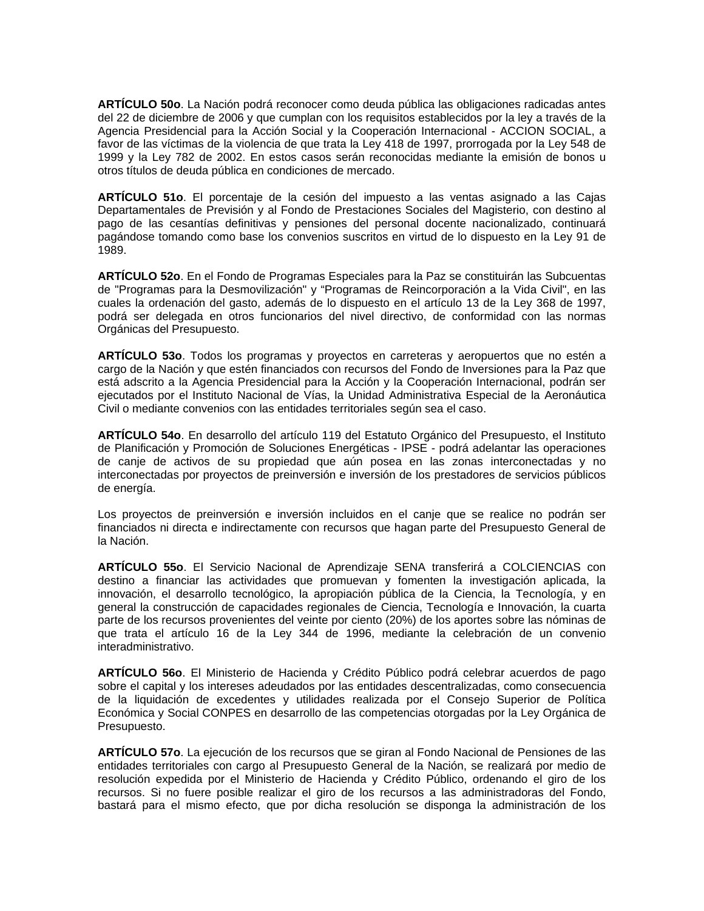**ARTÍCULO 50o**. La Nación podrá reconocer como deuda pública las obligaciones radicadas antes del 22 de diciembre de 2006 y que cumplan con los requisitos establecidos por la ley a través de la Agencia Presidencial para la Acción Social y la Cooperación Internacional - ACCION SOCIAL, a favor de las víctimas de la violencia de que trata la Ley 418 de 1997, prorrogada por la Ley 548 de 1999 y la Ley 782 de 2002. En estos casos serán reconocidas mediante la emisión de bonos u otros títulos de deuda pública en condiciones de mercado.

**ARTÍCULO 51o**. El porcentaje de la cesión del impuesto a las ventas asignado a las Cajas Departamentales de Previsión y al Fondo de Prestaciones Sociales del Magisterio, con destino al pago de las cesantías definitivas y pensiones del personal docente nacionalizado, continuará pagándose tomando como base los convenios suscritos en virtud de lo dispuesto en la Ley 91 de 1989.

**ARTÍCULO 52o**. En el Fondo de Programas Especiales para la Paz se constituirán las Subcuentas de "Programas para la Desmovilización" y "Programas de Reincorporación a la Vida Civil", en las cuales la ordenación del gasto, además de lo dispuesto en el artículo 13 de la Ley 368 de 1997, podrá ser delegada en otros funcionarios del nivel directivo, de conformidad con las normas Orgánicas del Presupuesto.

**ARTÍCULO 53o**. Todos los programas y proyectos en carreteras y aeropuertos que no estén a cargo de la Nación y que estén financiados con recursos del Fondo de Inversiones para la Paz que está adscrito a la Agencia Presidencial para la Acción y la Cooperación Internacional, podrán ser ejecutados por el Instituto Nacional de Vías, la Unidad Administrativa Especial de la Aeronáutica Civil o mediante convenios con las entidades territoriales según sea el caso.

**ARTÍCULO 54o**. En desarrollo del artículo 119 del Estatuto Orgánico del Presupuesto, el Instituto de Planificación y Promoción de Soluciones Energéticas - IPSE - podrá adelantar las operaciones de canje de activos de su propiedad que aún posea en las zonas interconectadas y no interconectadas por proyectos de preinversión e inversión de los prestadores de servicios públicos de energía.

Los proyectos de preinversión e inversión incluidos en el canje que se realice no podrán ser financiados ni directa e indirectamente con recursos que hagan parte del Presupuesto General de la Nación.

**ARTÍCULO 55o**. El Servicio Nacional de Aprendizaje SENA transferirá a COLCIENCIAS con destino a financiar las actividades que promuevan y fomenten la investigación aplicada, la innovación, el desarrollo tecnológico, la apropiación pública de la Ciencia, la Tecnología, y en general la construcción de capacidades regionales de Ciencia, Tecnología e Innovación, la cuarta parte de los recursos provenientes del veinte por ciento (20%) de los aportes sobre las nóminas de que trata el artículo 16 de la Ley 344 de 1996, mediante la celebración de un convenio interadministrativo.

**ARTÍCULO 56o**. El Ministerio de Hacienda y Crédito Público podrá celebrar acuerdos de pago sobre el capital y los intereses adeudados por las entidades descentralizadas, como consecuencia de la liquidación de excedentes y utilidades realizada por el Consejo Superior de Política Económica y Social CONPES en desarrollo de las competencias otorgadas por la Ley Orgánica de Presupuesto.

**ARTÍCULO 57o**. La ejecución de los recursos que se giran al Fondo Nacional de Pensiones de las entidades territoriales con cargo al Presupuesto General de la Nación, se realizará por medio de resolución expedida por el Ministerio de Hacienda y Crédito Público, ordenando el giro de los recursos. Si no fuere posible realizar el giro de los recursos a las administradoras del Fondo, bastará para el mismo efecto, que por dicha resolución se disponga la administración de los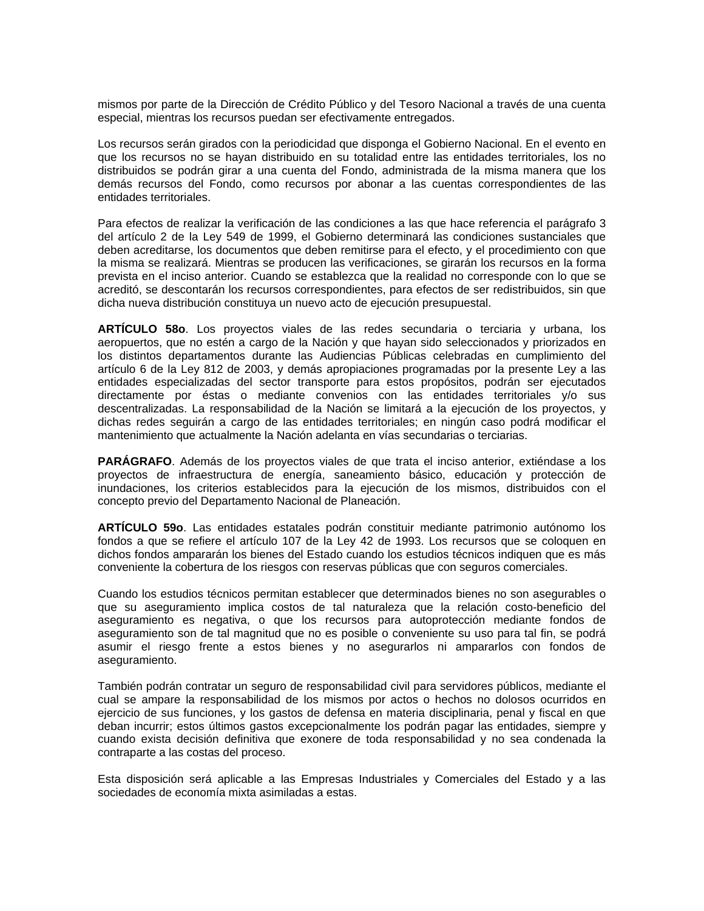mismos por parte de la Dirección de Crédito Público y del Tesoro Nacional a través de una cuenta especial, mientras los recursos puedan ser efectivamente entregados.

Los recursos serán girados con la periodicidad que disponga el Gobierno Nacional. En el evento en que los recursos no se hayan distribuido en su totalidad entre las entidades territoriales, los no distribuidos se podrán girar a una cuenta del Fondo, administrada de la misma manera que los demás recursos del Fondo, como recursos por abonar a las cuentas correspondientes de las entidades territoriales.

Para efectos de realizar la verificación de las condiciones a las que hace referencia el parágrafo 3 del artículo 2 de la Ley 549 de 1999, el Gobierno determinará las condiciones sustanciales que deben acreditarse, los documentos que deben remitirse para el efecto, y el procedimiento con que la misma se realizará. Mientras se producen las verificaciones, se girarán los recursos en la forma prevista en el inciso anterior. Cuando se establezca que la realidad no corresponde con lo que se acreditó, se descontarán los recursos correspondientes, para efectos de ser redistribuidos, sin que dicha nueva distribución constituya un nuevo acto de ejecución presupuestal.

**ARTÍCULO 58o**. Los proyectos viales de las redes secundaria o terciaria y urbana, los aeropuertos, que no estén a cargo de la Nación y que hayan sido seleccionados y priorizados en los distintos departamentos durante las Audiencias Públicas celebradas en cumplimiento del artículo 6 de la Ley 812 de 2003, y demás apropiaciones programadas por la presente Ley a las entidades especializadas del sector transporte para estos propósitos, podrán ser ejecutados directamente por éstas o mediante convenios con las entidades territoriales y/o sus descentralizadas. La responsabilidad de la Nación se limitará a la ejecución de los proyectos, y dichas redes seguirán a cargo de las entidades territoriales; en ningún caso podrá modificar el mantenimiento que actualmente la Nación adelanta en vías secundarias o terciarias.

**PARÁGRAFO**. Además de los proyectos viales de que trata el inciso anterior, extiéndase a los proyectos de infraestructura de energía, saneamiento básico, educación y protección de inundaciones, los criterios establecidos para la ejecución de los mismos, distribuidos con el concepto previo del Departamento Nacional de Planeación.

**ARTÍCULO 59o**. Las entidades estatales podrán constituir mediante patrimonio autónomo los fondos a que se refiere el artículo 107 de la Ley 42 de 1993. Los recursos que se coloquen en dichos fondos ampararán los bienes del Estado cuando los estudios técnicos indiquen que es más conveniente la cobertura de los riesgos con reservas públicas que con seguros comerciales.

Cuando los estudios técnicos permitan establecer que determinados bienes no son asegurables o que su aseguramiento implica costos de tal naturaleza que la relación costo-beneficio del aseguramiento es negativa, o que los recursos para autoprotección mediante fondos de aseguramiento son de tal magnitud que no es posible o conveniente su uso para tal fin, se podrá asumir el riesgo frente a estos bienes y no asegurarlos ni ampararlos con fondos de aseguramiento.

También podrán contratar un seguro de responsabilidad civil para servidores públicos, mediante el cual se ampare la responsabilidad de los mismos por actos o hechos no dolosos ocurridos en ejercicio de sus funciones, y los gastos de defensa en materia disciplinaria, penal y fiscal en que deban incurrir; estos últimos gastos excepcionalmente los podrán pagar las entidades, siempre y cuando exista decisión definitiva que exonere de toda responsabilidad y no sea condenada la contraparte a las costas del proceso.

Esta disposición será aplicable a las Empresas Industriales y Comerciales del Estado y a las sociedades de economía mixta asimiladas a estas.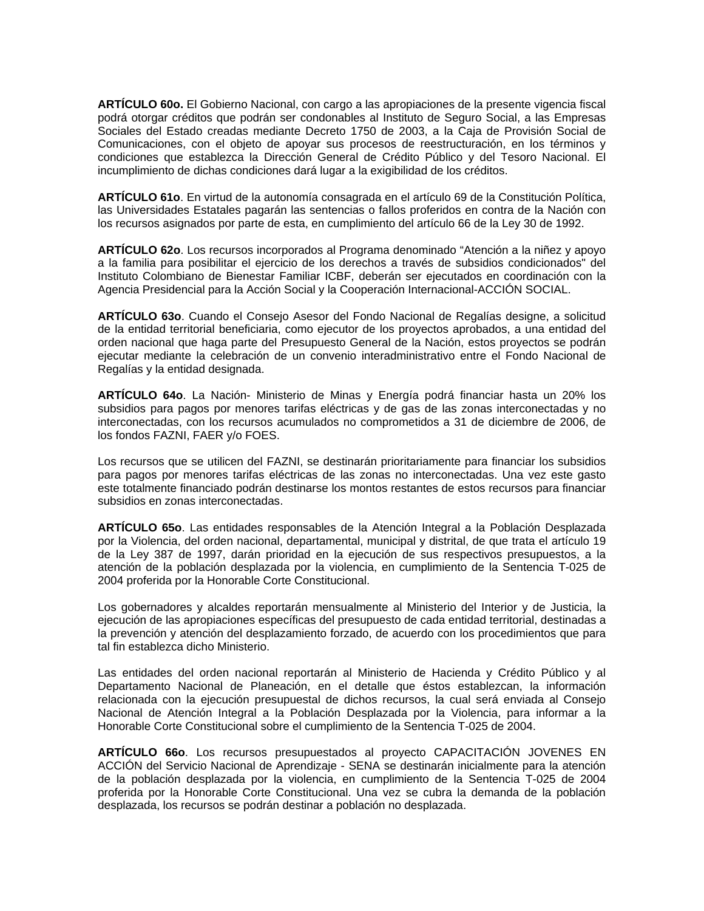**ARTÍCULO 60o.** El Gobierno Nacional, con cargo a las apropiaciones de la presente vigencia fiscal podrá otorgar créditos que podrán ser condonables al Instituto de Seguro Social, a las Empresas Sociales del Estado creadas mediante Decreto 1750 de 2003, a la Caja de Provisión Social de Comunicaciones, con el objeto de apoyar sus procesos de reestructuración, en los términos y condiciones que establezca la Dirección General de Crédito Público y del Tesoro Nacional. El incumplimiento de dichas condiciones dará lugar a la exigibilidad de los créditos.

**ARTÍCULO 61o**. En virtud de la autonomía consagrada en el artículo 69 de la Constitución Política, las Universidades Estatales pagarán las sentencias o fallos proferidos en contra de la Nación con los recursos asignados por parte de esta, en cumplimiento del artículo 66 de la Ley 30 de 1992.

**ARTÍCULO 62o**. Los recursos incorporados al Programa denominado "Atención a la niñez y apoyo a la familia para posibilitar el ejercicio de los derechos a través de subsidios condicionados" del Instituto Colombiano de Bienestar Familiar ICBF, deberán ser ejecutados en coordinación con la Agencia Presidencial para la Acción Social y la Cooperación Internacional-ACCIÓN SOCIAL.

**ARTÍCULO 63o**. Cuando el Consejo Asesor del Fondo Nacional de Regalías designe, a solicitud de la entidad territorial beneficiaria, como ejecutor de los proyectos aprobados, a una entidad del orden nacional que haga parte del Presupuesto General de la Nación, estos proyectos se podrán ejecutar mediante la celebración de un convenio interadministrativo entre el Fondo Nacional de Regalías y la entidad designada.

**ARTÍCULO 64o**. La Nación- Ministerio de Minas y Energía podrá financiar hasta un 20% los subsidios para pagos por menores tarifas eléctricas y de gas de las zonas interconectadas y no interconectadas, con los recursos acumulados no comprometidos a 31 de diciembre de 2006, de los fondos FAZNI, FAER y/o FOES.

Los recursos que se utilicen del FAZNI, se destinarán prioritariamente para financiar los subsidios para pagos por menores tarifas eléctricas de las zonas no interconectadas. Una vez este gasto este totalmente financiado podrán destinarse los montos restantes de estos recursos para financiar subsidios en zonas interconectadas.

**ARTÍCULO 65o**. Las entidades responsables de la Atención Integral a la Población Desplazada por la Violencia, del orden nacional, departamental, municipal y distrital, de que trata el artículo 19 de la Ley 387 de 1997, darán prioridad en la ejecución de sus respectivos presupuestos, a la atención de la población desplazada por la violencia, en cumplimiento de la Sentencia T-025 de 2004 proferida por la Honorable Corte Constitucional.

Los gobernadores y alcaldes reportarán mensualmente al Ministerio del Interior y de Justicia, la ejecución de las apropiaciones específicas del presupuesto de cada entidad territorial, destinadas a la prevención y atención del desplazamiento forzado, de acuerdo con los procedimientos que para tal fin establezca dicho Ministerio.

Las entidades del orden nacional reportarán al Ministerio de Hacienda y Crédito Público y al Departamento Nacional de Planeación, en el detalle que éstos establezcan, la información relacionada con la ejecución presupuestal de dichos recursos, la cual será enviada al Consejo Nacional de Atención Integral a la Población Desplazada por la Violencia, para informar a la Honorable Corte Constitucional sobre el cumplimiento de la Sentencia T-025 de 2004.

**ARTÍCULO 66o**. Los recursos presupuestados al proyecto CAPACITACIÓN JOVENES EN ACCIÓN del Servicio Nacional de Aprendizaje - SENA se destinarán inicialmente para la atención de la población desplazada por la violencia, en cumplimiento de la Sentencia T-025 de 2004 proferida por la Honorable Corte Constitucional. Una vez se cubra la demanda de la población desplazada, los recursos se podrán destinar a población no desplazada.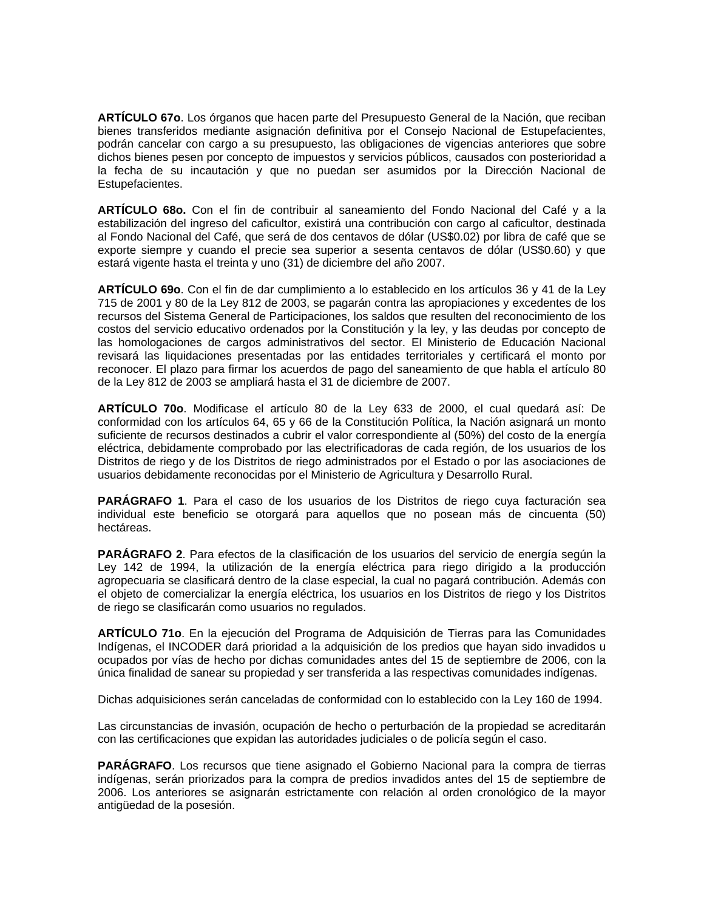**ARTÍCULO 67o**. Los órganos que hacen parte del Presupuesto General de la Nación, que reciban bienes transferidos mediante asignación definitiva por el Consejo Nacional de Estupefacientes, podrán cancelar con cargo a su presupuesto, las obligaciones de vigencias anteriores que sobre dichos bienes pesen por concepto de impuestos y servicios públicos, causados con posterioridad a la fecha de su incautación y que no puedan ser asumidos por la Dirección Nacional de Estupefacientes.

**ARTÍCULO 68o.** Con el fin de contribuir al saneamiento del Fondo Nacional del Café y a la estabilización del ingreso del caficultor, existirá una contribución con cargo al caficultor, destinada al Fondo Nacional del Café, que será de dos centavos de dólar (US\$0.02) por libra de café que se exporte siempre y cuando el precie sea superior a sesenta centavos de dólar (US\$0.60) y que estará vigente hasta el treinta y uno (31) de diciembre del año 2007.

**ARTÍCULO 69o**. Con el fin de dar cumplimiento a lo establecido en los artículos 36 y 41 de la Ley 715 de 2001 y 80 de la Ley 812 de 2003, se pagarán contra las apropiaciones y excedentes de los recursos del Sistema General de Participaciones, los saldos que resulten del reconocimiento de los costos del servicio educativo ordenados por la Constitución y la ley, y las deudas por concepto de las homologaciones de cargos administrativos del sector. El Ministerio de Educación Nacional revisará las liquidaciones presentadas por las entidades territoriales y certificará el monto por reconocer. El plazo para firmar los acuerdos de pago del saneamiento de que habla el artículo 80 de la Ley 812 de 2003 se ampliará hasta el 31 de diciembre de 2007.

**ARTÍCULO 70o**. Modificase el artículo 80 de la Ley 633 de 2000, el cual quedará así: De conformidad con los artículos 64, 65 y 66 de la Constitución Política, la Nación asignará un monto suficiente de recursos destinados a cubrir el valor correspondiente al (50%) del costo de la energía eléctrica, debidamente comprobado por las electrificadoras de cada región, de los usuarios de los Distritos de riego y de los Distritos de riego administrados por el Estado o por las asociaciones de usuarios debidamente reconocidas por el Ministerio de Agricultura y Desarrollo Rural.

**PARÁGRAFO 1**. Para el caso de los usuarios de los Distritos de riego cuya facturación sea individual este beneficio se otorgará para aquellos que no posean más de cincuenta (50) hectáreas.

**PARÁGRAFO 2**. Para efectos de la clasificación de los usuarios del servicio de energía según la Ley 142 de 1994, la utilización de la energía eléctrica para riego dirigido a la producción agropecuaria se clasificará dentro de la clase especial, la cual no pagará contribución. Además con el objeto de comercializar la energía eléctrica, los usuarios en los Distritos de riego y los Distritos de riego se clasificarán como usuarios no regulados.

**ARTÍCULO 71o**. En la ejecución del Programa de Adquisición de Tierras para las Comunidades Indígenas, el INCODER dará prioridad a la adquisición de los predios que hayan sido invadidos u ocupados por vías de hecho por dichas comunidades antes del 15 de septiembre de 2006, con la única finalidad de sanear su propiedad y ser transferida a las respectivas comunidades indígenas.

Dichas adquisiciones serán canceladas de conformidad con lo establecido con la Ley 160 de 1994.

Las circunstancias de invasión, ocupación de hecho o perturbación de la propiedad se acreditarán con las certificaciones que expidan las autoridades judiciales o de policía según el caso.

**PARÁGRAFO**. Los recursos que tiene asignado el Gobierno Nacional para la compra de tierras indígenas, serán priorizados para la compra de predios invadidos antes del 15 de septiembre de 2006. Los anteriores se asignarán estrictamente con relación al orden cronológico de la mayor antigüedad de la posesión.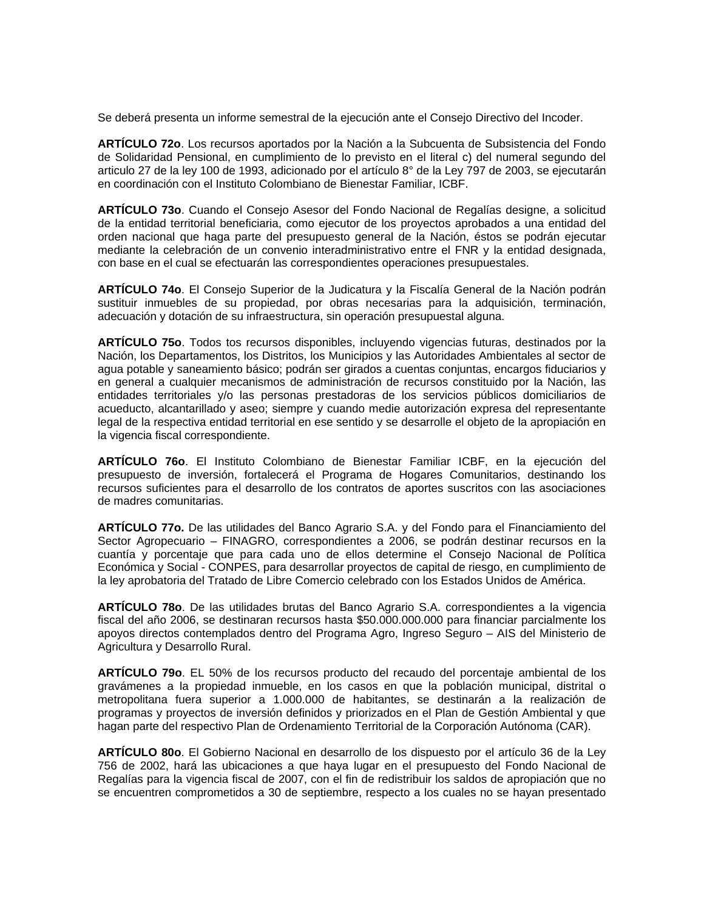Se deberá presenta un informe semestral de la ejecución ante el Consejo Directivo del Incoder.

**ARTÍCULO 72o**. Los recursos aportados por la Nación a la Subcuenta de Subsistencia del Fondo de Solidaridad Pensional, en cumplimiento de lo previsto en el literal c) del numeral segundo del articulo 27 de la ley 100 de 1993, adicionado por el artículo 8° de la Ley 797 de 2003, se ejecutarán en coordinación con el Instituto Colombiano de Bienestar Familiar, ICBF.

**ARTÍCULO 73o**. Cuando el Consejo Asesor del Fondo Nacional de Regalías designe, a solicitud de la entidad territorial beneficiaria, como ejecutor de los proyectos aprobados a una entidad del orden nacional que haga parte del presupuesto general de la Nación, éstos se podrán ejecutar mediante la celebración de un convenio interadministrativo entre el FNR y la entidad designada, con base en el cual se efectuarán las correspondientes operaciones presupuestales.

**ARTÍCULO 74o**. El Consejo Superior de la Judicatura y la Fiscalía General de la Nación podrán sustituir inmuebles de su propiedad, por obras necesarias para la adquisición, terminación, adecuación y dotación de su infraestructura, sin operación presupuestal alguna.

**ARTÍCULO 75o**. Todos tos recursos disponibles, incluyendo vigencias futuras, destinados por la Nación, los Departamentos, los Distritos, los Municipios y las Autoridades Ambientales al sector de agua potable y saneamiento básico; podrán ser girados a cuentas conjuntas, encargos fiduciarios y en general a cualquier mecanismos de administración de recursos constituido por la Nación, las entidades territoriales y/o las personas prestadoras de los servicios públicos domiciliarios de acueducto, alcantarillado y aseo; siempre y cuando medie autorización expresa del representante legal de la respectiva entidad territorial en ese sentido y se desarrolle el objeto de la apropiación en la vigencia fiscal correspondiente.

**ARTÍCULO 76o**. El Instituto Colombiano de Bienestar Familiar ICBF, en la ejecución del presupuesto de inversión, fortalecerá el Programa de Hogares Comunitarios, destinando los recursos suficientes para el desarrollo de los contratos de aportes suscritos con las asociaciones de madres comunitarias.

**ARTÍCULO 77o.** De las utilidades del Banco Agrario S.A. y del Fondo para el Financiamiento del Sector Agropecuario – FINAGRO, correspondientes a 2006, se podrán destinar recursos en la cuantía y porcentaje que para cada uno de ellos determine el Consejo Nacional de Política Económica y Social - CONPES, para desarrollar proyectos de capital de riesgo, en cumplimiento de la ley aprobatoria del Tratado de Libre Comercio celebrado con los Estados Unidos de América.

**ARTÍCULO 78o**. De las utilidades brutas del Banco Agrario S.A. correspondientes a la vigencia fiscal del año 2006, se destinaran recursos hasta \$50.000.000.000 para financiar parcialmente los apoyos directos contemplados dentro del Programa Agro, Ingreso Seguro – AIS del Ministerio de Agricultura y Desarrollo Rural.

**ARTÍCULO 79o**. EL 50% de los recursos producto del recaudo del porcentaje ambiental de los gravámenes a la propiedad inmueble, en los casos en que la población municipal, distrital o metropolitana fuera superior a 1.000.000 de habitantes, se destinarán a la realización de programas y proyectos de inversión definidos y priorizados en el Plan de Gestión Ambiental y que hagan parte del respectivo Plan de Ordenamiento Territorial de la Corporación Autónoma (CAR).

**ARTÍCULO 80o**. El Gobierno Nacional en desarrollo de los dispuesto por el artículo 36 de la Ley 756 de 2002, hará las ubicaciones a que haya lugar en el presupuesto del Fondo Nacional de Regalías para la vigencia fiscal de 2007, con el fin de redistribuir los saldos de apropiación que no se encuentren comprometidos a 30 de septiembre, respecto a los cuales no se hayan presentado